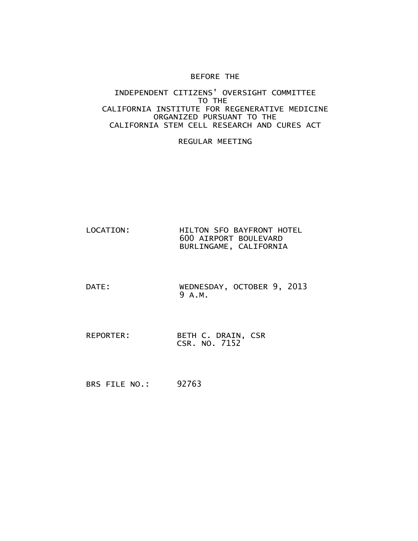#### BEFORE THE

#### INDEPENDENT CITIZENS' OVERSIGHT COMMITTEE TO THE CALIFORNIA INSTITUTE FOR REGENERATIVE MEDICINE ORGANIZED PURSUANT TO THE CALIFORNIA STEM CELL RESEARCH AND CURES ACT

#### REGULAR MEETING

- LOCATION: HILTON SFO BAYFRONT HOTEL 600 AIRPORT BOULEVARD BURLINGAME, CALIFORNIA
- DATE: WEDNESDAY, OCTOBER 9, 2013 9 A.M.
- REPORTER: BETH C. DRAIN, CSR CSR. NO. 7152

BRS FILE NO.: 92763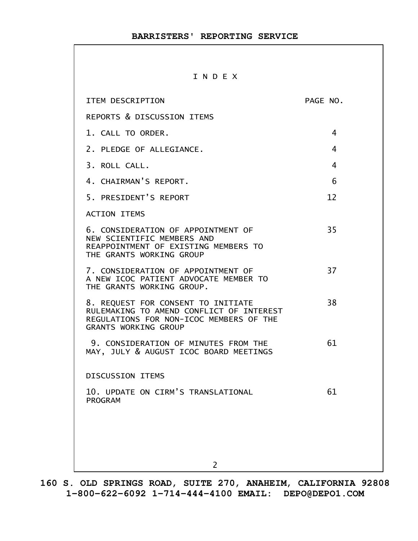#### I N D E X

| ITEM DESCRIPTION                                                                                                                                         | PAGE NO. |
|----------------------------------------------------------------------------------------------------------------------------------------------------------|----------|
| REPORTS & DISCUSSION ITEMS                                                                                                                               |          |
| 1. CALL TO ORDER.                                                                                                                                        | 4        |
| 2. PLEDGE OF ALLEGIANCE.                                                                                                                                 | 4        |
| 3. ROLL CALL.                                                                                                                                            | 4        |
| 4. CHAIRMAN'S REPORT.                                                                                                                                    | 6        |
| 5. PRESIDENT'S REPORT                                                                                                                                    | 12       |
| <b>ACTION ITEMS</b>                                                                                                                                      |          |
| 6. CONSIDERATION OF APPOINTMENT OF<br>NEW SCIENTIFIC MEMBERS AND<br>REAPPOINTMENT OF EXISTING MEMBERS TO<br>THE GRANTS WORKING GROUP                     | 35       |
| 7. CONSIDERATION OF APPOINTMENT OF<br>A NEW ICOC PATIENT ADVOCATE MEMBER TO<br>THE GRANTS WORKING GROUP.                                                 | 37       |
| 8. REQUEST FOR CONSENT TO INITIATE<br>RULEMAKING TO AMEND CONFLICT OF INTEREST<br>REGULATIONS FOR NON-ICOC MEMBERS OF THE<br><b>GRANTS WORKING GROUP</b> | 38       |
| 9. CONSIDERATION OF MINUTES FROM THE<br>MAY, JULY & AUGUST ICOC BOARD MEETINGS                                                                           | 61       |
| <b>DISCUSSION ITEMS</b>                                                                                                                                  |          |
| 10. UPDATE ON CIRM'S TRANSLATIONAL<br>PROGRAM                                                                                                            | 61       |
|                                                                                                                                                          |          |
|                                                                                                                                                          |          |
| $\overline{2}$                                                                                                                                           |          |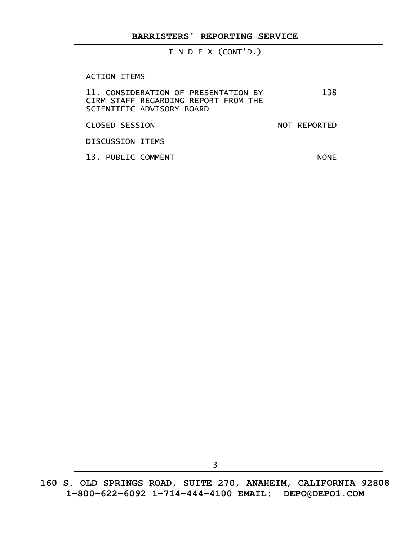I N D E X (CONT'D.)

ACTION ITEMS

| <b>ACTION LIEMS</b><br>11. CONSIDERATION OF PRESENTATION BY<br>CIRM STAFF REGARDING REPORT FROM THE<br>SCIENTIFIC ADVISORY BOARD | 138          |
|----------------------------------------------------------------------------------------------------------------------------------|--------------|
| <b>CLOSED SESSION</b>                                                                                                            | NOT REPORTED |
| DISCUSSION ITEMS                                                                                                                 |              |
| 13. PUBLIC COMMENT                                                                                                               | <b>NONE</b>  |
|                                                                                                                                  |              |
|                                                                                                                                  |              |
|                                                                                                                                  |              |
|                                                                                                                                  |              |
|                                                                                                                                  |              |
|                                                                                                                                  |              |
|                                                                                                                                  |              |
|                                                                                                                                  |              |
|                                                                                                                                  |              |
|                                                                                                                                  |              |
|                                                                                                                                  |              |
|                                                                                                                                  |              |
|                                                                                                                                  |              |
|                                                                                                                                  |              |
|                                                                                                                                  |              |
|                                                                                                                                  |              |
|                                                                                                                                  |              |
|                                                                                                                                  |              |
| 3                                                                                                                                |              |
|                                                                                                                                  |              |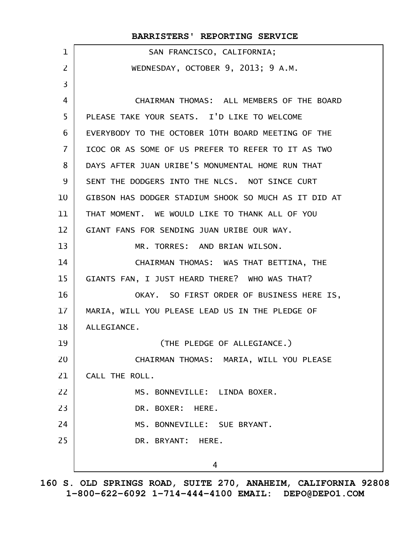|                | BARRISTERS' REPORTING SERVICE                        |
|----------------|------------------------------------------------------|
| $\mathbf{1}$   | SAN FRANCISCO, CALIFORNIA;                           |
| $\overline{2}$ | WEDNESDAY, OCTOBER 9, 2013; 9 A.M.                   |
| 3              |                                                      |
| 4              | CHAIRMAN THOMAS: ALL MEMBERS OF THE BOARD            |
| 5              | PLEASE TAKE YOUR SEATS. I'D LIKE TO WELCOME          |
| 6              | EVERYBODY TO THE OCTOBER 10TH BOARD MEETING OF THE   |
| $\overline{7}$ | ICOC OR AS SOME OF US PREFER TO REFER TO IT AS TWO   |
| 8              | DAYS AFTER JUAN URIBE'S MONUMENTAL HOME RUN THAT     |
| 9              | SENT THE DODGERS INTO THE NLCS. NOT SINCE CURT       |
| 10             | GIBSON HAS DODGER STADIUM SHOOK SO MUCH AS IT DID AT |
| 11             | THAT MOMENT. WE WOULD LIKE TO THANK ALL OF YOU       |
| 12             | GIANT FANS FOR SENDING JUAN URIBE OUR WAY.           |
| 13             | MR. TORRES: AND BRIAN WILSON.                        |
| 14             | CHAIRMAN THOMAS: WAS THAT BETTINA, THE               |
| 15             | GIANTS FAN, I JUST HEARD THERE? WHO WAS THAT?        |
| 16             | OKAY. SO FIRST ORDER OF BUSINESS HERE IS,            |
| 17             | MARIA, WILL YOU PLEASE LEAD US IN THE PLEDGE OF      |
| 18             | ALLEGIANCE.                                          |
| 19             | (THE PLEDGE OF ALLEGIANCE.)                          |
| 20             | CHAIRMAN THOMAS: MARIA, WILL YOU PLEASE              |
| 21             | CALL THE ROLL.                                       |
| 22             | MS. BONNEVILLE: LINDA BOXER.                         |
| 23             | DR. BOXER: HERE.                                     |
| 24             | MS. BONNEVILLE: SUE BRYANT.                          |
| 25             | DR. BRYANT: HERE.                                    |
|                |                                                      |
|                | 4                                                    |

**160 S. OLD SPRINGS ROAD, SUITE 270, ANAHEIM, CALIFORNIA 92808 1-800-622-6092 1-714-444-4100 EMAIL: DEPO@DEPO1.COM**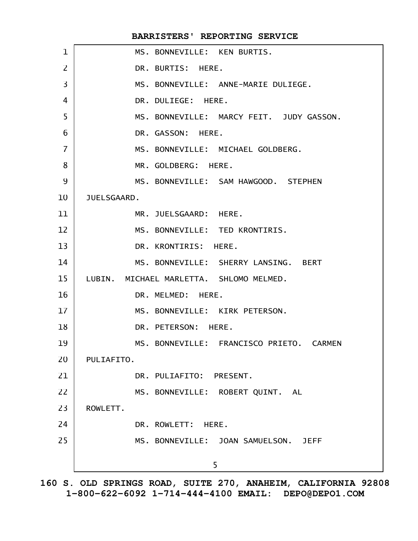|                | BARRISTERS' REPORTING SERVICE              |
|----------------|--------------------------------------------|
| $\mathbf 1$    | MS. BONNEVILLE: KEN BURTIS.                |
| $\overline{2}$ | DR. BURTIS: HERE.                          |
| $\overline{3}$ | MS. BONNEVILLE: ANNE-MARIE DULIEGE.        |
| 4              | DR. DULIEGE: HERE.                         |
| 5              | MS. BONNEVILLE: MARCY FEIT. JUDY GASSON.   |
| 6              | DR. GASSON: HERE.                          |
| $\overline{7}$ | MS. BONNEVILLE: MICHAEL GOLDBERG.          |
| 8              | MR. GOLDBERG: HERE.                        |
| 9              | MS. BONNEVILLE: SAM HAWGOOD. STEPHEN       |
| 10             | JUELSGAARD.                                |
| 11             | MR. JUELSGAARD: HERE.                      |
| 12             | MS. BONNEVILLE: TED KRONTIRIS.             |
| 13             | DR. KRONTIRIS: HERE.                       |
| 14             | MS. BONNEVILLE: SHERRY LANSING. BERT       |
| 15             | LUBIN.<br>MICHAEL MARLETTA. SHLOMO MELMED. |
| 16             | DR. MELMED: HERE.                          |
| 17             | MS. BONNEVILLE: KIRK PETERSON.             |
| 18             | DR. PETERSON:<br>HERE.                     |
| 19             | MS. BONNEVILLE: FRANCISCO PRIETO. CARMEN   |
| 20             | PULIAFITO.                                 |
| 21             | DR. PULIAFITO: PRESENT.                    |
| 22             | MS. BONNEVILLE: ROBERT QUINT. AL           |
| 23             | ROWLETT.                                   |
| 24             | DR. ROWLETT: HERE.                         |
| 25             | MS. BONNEVILLE: JOAN SAMUELSON. JEFF       |
|                | 5                                          |
|                |                                            |

**160 S. OLD SPRINGS ROAD, SUITE 270, ANAHEIM, CALIFORNIA 92808 1-800-622-6092 1-714-444-4100 EMAIL: DEPO@DEPO1.COM**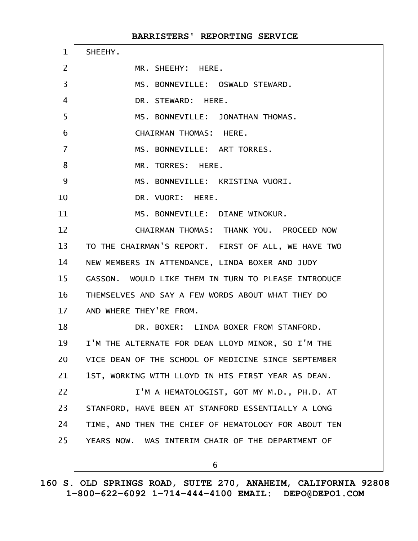| $\mathbf{1}$    | SHEEHY.                                              |
|-----------------|------------------------------------------------------|
| $\overline{2}$  | MR. SHEEHY: HERE.                                    |
| 3               | MS. BONNEVILLE: OSWALD STEWARD.                      |
| 4               | DR. STEWARD: HERE.                                   |
| 5               | MS. BONNEVILLE: JONATHAN THOMAS.                     |
| 6               | CHAIRMAN THOMAS: HERE.                               |
| $\overline{7}$  | MS. BONNEVILLE: ART TORRES.                          |
| 8               | MR. TORRES: HERE.                                    |
| 9               | MS. BONNEVILLE: KRISTINA VUORI.                      |
| 10              | DR. VUORI: HERE.                                     |
| 11              | MS. BONNEVILLE: DIANE WINOKUR.                       |
| 12              | CHAIRMAN THOMAS: THANK YOU. PROCEED NOW              |
| 13 <sup>2</sup> | TO THE CHAIRMAN'S REPORT. FIRST OF ALL, WE HAVE TWO  |
| 14              | NEW MEMBERS IN ATTENDANCE, LINDA BOXER AND JUDY      |
| 15              | GASSON. WOULD LIKE THEM IN TURN TO PLEASE INTRODUCE  |
| 16              | THEMSELVES AND SAY A FEW WORDS ABOUT WHAT THEY DO    |
| 17 <sup>2</sup> | AND WHERE THEY'RE FROM.                              |
| 18              | DR. BOXER: LINDA BOXER FROM STANFORD.                |
| 19              | I'M THE ALTERNATE FOR DEAN LLOYD MINOR, SO I'M THE   |
| 20              | VICE DEAN OF THE SCHOOL OF MEDICINE SINCE SEPTEMBER  |
| 21              | 1ST, WORKING WITH LLOYD IN HIS FIRST YEAR AS DEAN.   |
| 22              | I'M A HEMATOLOGIST, GOT MY M.D., PH.D. AT            |
| 23              | STANFORD, HAVE BEEN AT STANFORD ESSENTIALLY A LONG   |
| 24              | TIME, AND THEN THE CHIEF OF HEMATOLOGY FOR ABOUT TEN |
| 25              | YEARS NOW. WAS INTERIM CHAIR OF THE DEPARTMENT OF    |
|                 | 6                                                    |
|                 |                                                      |

**160 S. OLD SPRINGS ROAD, SUITE 270, ANAHEIM, CALIFORNIA 92808 1-800-622-6092 1-714-444-4100 EMAIL: DEPO@DEPO1.COM**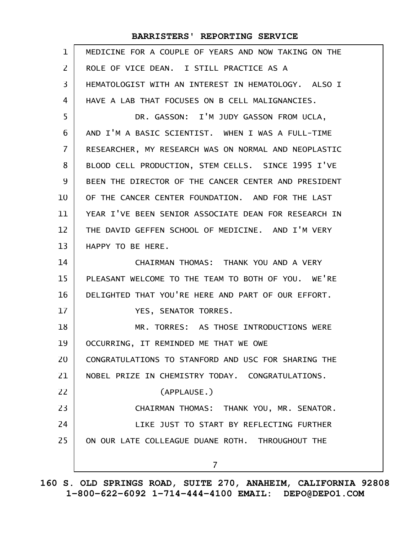| 1              | MEDICINE FOR A COUPLE OF YEARS AND NOW TAKING ON THE |
|----------------|------------------------------------------------------|
| $\overline{2}$ | ROLE OF VICE DEAN. I STILL PRACTICE AS A             |
| 3              | HEMATOLOGIST WITH AN INTEREST IN HEMATOLOGY. ALSO I  |
| 4              | HAVE A LAB THAT FOCUSES ON B CELL MALIGNANCIES.      |
| 5              | DR. GASSON: I'M JUDY GASSON FROM UCLA,               |
| 6              | AND I'M A BASIC SCIENTIST. WHEN I WAS A FULL-TIME    |
| $\overline{7}$ | RESEARCHER, MY RESEARCH WAS ON NORMAL AND NEOPLASTIC |
| 8              | BLOOD CELL PRODUCTION, STEM CELLS. SINCE 1995 I'VE   |
| 9              | BEEN THE DIRECTOR OF THE CANCER CENTER AND PRESIDENT |
| 10             | OF THE CANCER CENTER FOUNDATION. AND FOR THE LAST    |
| 11             | YEAR I'VE BEEN SENIOR ASSOCIATE DEAN FOR RESEARCH IN |
| 12             | THE DAVID GEFFEN SCHOOL OF MEDICINE. AND I'M VERY    |
| 13             | HAPPY TO BE HERE.                                    |
| 14             | CHAIRMAN THOMAS: THANK YOU AND A VERY                |
| 15             | PLEASANT WELCOME TO THE TEAM TO BOTH OF YOU. WE'RE   |
| 16             | DELIGHTED THAT YOU'RE HERE AND PART OF OUR EFFORT.   |
| 17             | YES, SENATOR TORRES.                                 |
| 18             | MR. TORRES: AS THOSE INTRODUCTIONS WERE              |
| 19             | OCCURRING, IT REMINDED ME THAT WE OWE                |
| 20             | CONGRATULATIONS TO STANFORD AND USC FOR SHARING THE  |
| 21             | NOBEL PRIZE IN CHEMISTRY TODAY. CONGRATULATIONS.     |
| 22             | (APPLAUSE.)                                          |
| 23             | CHAIRMAN THOMAS: THANK YOU, MR. SENATOR.             |
| 24             | LIKE JUST TO START BY REFLECTING FURTHER             |
| 25             | ON OUR LATE COLLEAGUE DUANE ROTH. THROUGHOUT THE     |
|                | $\overline{7}$                                       |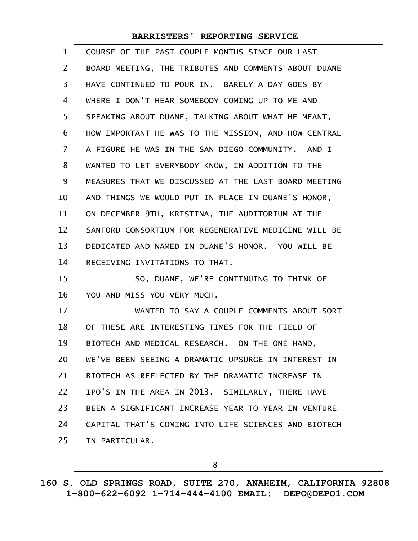| 1              | COURSE OF THE PAST COUPLE MONTHS SINCE OUR LAST      |
|----------------|------------------------------------------------------|
| $\overline{2}$ | BOARD MEETING, THE TRIBUTES AND COMMENTS ABOUT DUANE |
| 3              | HAVE CONTINUED TO POUR IN. BARELY A DAY GOES BY      |
| 4              | WHERE I DON'T HEAR SOMEBODY COMING UP TO ME AND      |
| 5              | SPEAKING ABOUT DUANE, TALKING ABOUT WHAT HE MEANT,   |
| 6              | HOW IMPORTANT HE WAS TO THE MISSION, AND HOW CENTRAL |
| $\overline{7}$ | A FIGURE HE WAS IN THE SAN DIEGO COMMUNITY. AND I    |
| 8              | WANTED TO LET EVERYBODY KNOW, IN ADDITION TO THE     |
| 9              | MEASURES THAT WE DISCUSSED AT THE LAST BOARD MEETING |
| 10             | AND THINGS WE WOULD PUT IN PLACE IN DUANE'S HONOR,   |
| 11             | ON DECEMBER 9TH, KRISTINA, THE AUDITORIUM AT THE     |
| 12             | SANFORD CONSORTIUM FOR REGENERATIVE MEDICINE WILL BE |
| 13             | DEDICATED AND NAMED IN DUANE'S HONOR. YOU WILL BE    |
| 14             | RECEIVING INVITATIONS TO THAT.                       |
| 15             | SO, DUANE, WE'RE CONTINUING TO THINK OF              |
| 16             | YOU AND MISS YOU VERY MUCH.                          |
| 17             | WANTED TO SAY A COUPLE COMMENTS ABOUT SORT           |
| 18             | OF THESE ARE INTERESTING TIMES FOR THE FIELD OF      |
| 19             | BIOTECH AND MEDICAL RESEARCH. ON THE ONE HAND,       |
| 20             | WE'VE BEEN SEEING A DRAMATIC UPSURGE IN INTEREST IN  |
| 21             | BIOTECH AS REFLECTED BY THE DRAMATIC INCREASE IN     |
| 22             | IPO'S IN THE AREA IN 2013. SIMILARLY, THERE HAVE     |
| 23             | BEEN A SIGNIFICANT INCREASE YEAR TO YEAR IN VENTURE  |
| 24             | CAPITAL THAT'S COMING INTO LIFE SCIENCES AND BIOTECH |
| 25             | IN PARTICULAR.                                       |
|                |                                                      |

8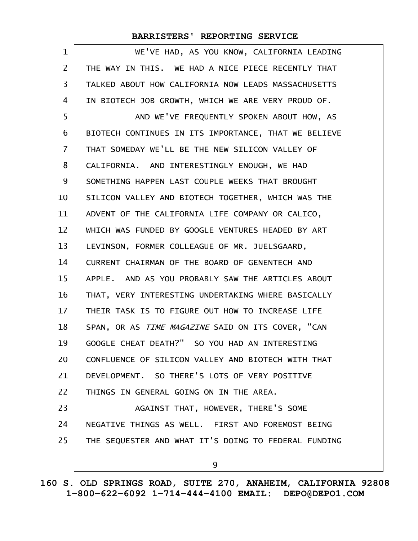| $\mathbf 1$       | WE'VE HAD, AS YOU KNOW, CALIFORNIA LEADING           |
|-------------------|------------------------------------------------------|
| 2                 | THE WAY IN THIS. WE HAD A NICE PIECE RECENTLY THAT   |
| 3                 | TALKED ABOUT HOW CALIFORNIA NOW LEADS MASSACHUSETTS  |
| 4                 | IN BIOTECH JOB GROWTH, WHICH WE ARE VERY PROUD OF.   |
| 5                 | AND WE'VE FREQUENTLY SPOKEN ABOUT HOW, AS            |
| 6                 | BIOTECH CONTINUES IN ITS IMPORTANCE, THAT WE BELIEVE |
| $\overline{7}$    | THAT SOMEDAY WE'LL BE THE NEW SILICON VALLEY OF      |
| 8                 | CALIFORNIA. AND INTERESTINGLY ENOUGH, WE HAD         |
| 9                 | SOMETHING HAPPEN LAST COUPLE WEEKS THAT BROUGHT      |
| 10                | SILICON VALLEY AND BIOTECH TOGETHER, WHICH WAS THE   |
| 11                | ADVENT OF THE CALIFORNIA LIFE COMPANY OR CALICO,     |
| $12 \overline{ }$ | WHICH WAS FUNDED BY GOOGLE VENTURES HEADED BY ART    |
| 13                | LEVINSON, FORMER COLLEAGUE OF MR. JUELSGAARD,        |
| 14                | CURRENT CHAIRMAN OF THE BOARD OF GENENTECH AND       |
| 15                | APPLE. AND AS YOU PROBABLY SAW THE ARTICLES ABOUT    |
| 16                | THAT, VERY INTERESTING UNDERTAKING WHERE BASICALLY   |
| 17                | THEIR TASK IS TO FIGURE OUT HOW TO INCREASE LIFE     |
| 18                | SPAN, OR AS TIME MAGAZINE SAID ON ITS COVER, "CAN    |
| 19                | GOOGLE CHEAT DEATH?" SO YOU HAD AN INTERESTING       |
| 20                | CONFLUENCE OF SILICON VALLEY AND BIOTECH WITH THAT   |
| 21                | DEVELOPMENT. SO THERE'S LOTS OF VERY POSITIVE        |
| 22                | THINGS IN GENERAL GOING ON IN THE AREA.              |
| 23                | AGAINST THAT, HOWEVER, THERE'S SOME                  |
| 24                | NEGATIVE THINGS AS WELL. FIRST AND FOREMOST BEING    |
| 25                | THE SEQUESTER AND WHAT IT'S DOING TO FEDERAL FUNDING |
|                   | 9                                                    |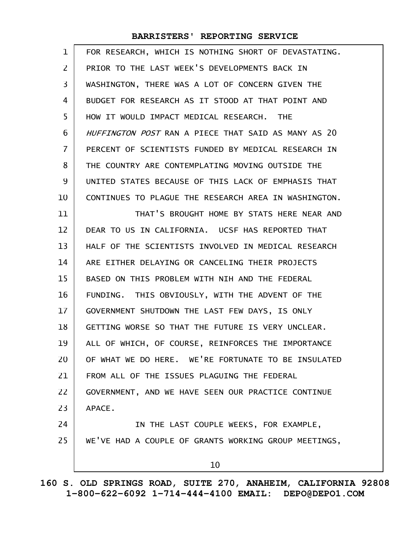| $\mathbf 1$    | FOR RESEARCH, WHICH IS NOTHING SHORT OF DEVASTATING. |
|----------------|------------------------------------------------------|
| $\overline{2}$ | PRIOR TO THE LAST WEEK'S DEVELOPMENTS BACK IN        |
| $\overline{3}$ | WASHINGTON, THERE WAS A LOT OF CONCERN GIVEN THE     |
| 4              | BUDGET FOR RESEARCH AS IT STOOD AT THAT POINT AND    |
| 5              | HOW IT WOULD IMPACT MEDICAL RESEARCH. THE            |
| 6              | HUFFINGTON POST RAN A PIECE THAT SAID AS MANY AS 20  |
| $\overline{7}$ | PERCENT OF SCIENTISTS FUNDED BY MEDICAL RESEARCH IN  |
| 8              | THE COUNTRY ARE CONTEMPLATING MOVING OUTSIDE THE     |
| 9              | UNITED STATES BECAUSE OF THIS LACK OF EMPHASIS THAT  |
| 10             | CONTINUES TO PLAGUE THE RESEARCH AREA IN WASHINGTON. |
| 11             | THAT'S BROUGHT HOME BY STATS HERE NEAR AND           |
| 12             | DEAR TO US IN CALIFORNIA. UCSF HAS REPORTED THAT     |
| 13             | HALF OF THE SCIENTISTS INVOLVED IN MEDICAL RESEARCH  |
| 14             | ARE EITHER DELAYING OR CANCELING THEIR PROJECTS      |
| 15             | BASED ON THIS PROBLEM WITH NIH AND THE FEDERAL       |
| 16             | FUNDING. THIS OBVIOUSLY, WITH THE ADVENT OF THE      |
| 17             | GOVERNMENT SHUTDOWN THE LAST FEW DAYS, IS ONLY       |
| 18             | GETTING WORSE SO THAT THE FUTURE IS VERY UNCLEAR.    |
| 19             | ALL OF WHICH, OF COURSE, REINFORCES THE IMPORTANCE   |
| 20             | OF WHAT WE DO HERE. WE'RE FORTUNATE TO BE INSULATED  |
| 21             | FROM ALL OF THE ISSUES PLAGUING THE FEDERAL          |
| 22             | GOVERNMENT, AND WE HAVE SEEN OUR PRACTICE CONTINUE   |
| 23             | APACE.                                               |
| 24             | IN THE LAST COUPLE WEEKS, FOR EXAMPLE,               |
| 25             | WE'VE HAD A COUPLE OF GRANTS WORKING GROUP MEETINGS, |
|                | 10                                                   |
|                |                                                      |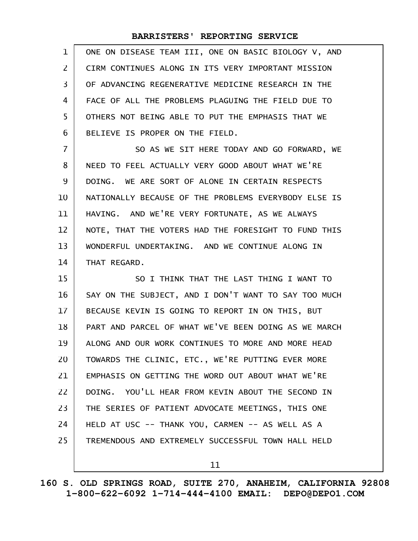| $\mathbf{1}$   | ONE ON DISEASE TEAM III, ONE ON BASIC BIOLOGY V, AND |
|----------------|------------------------------------------------------|
| $\mathbf{Z}$   | CIRM CONTINUES ALONG IN ITS VERY IMPORTANT MISSION   |
| 3              | OF ADVANCING REGENERATIVE MEDICINE RESEARCH IN THE   |
| 4              | FACE OF ALL THE PROBLEMS PLAGUING THE FIELD DUE TO   |
| 5              | OTHERS NOT BEING ABLE TO PUT THE EMPHASIS THAT WE    |
| 6              | BELIEVE IS PROPER ON THE FIELD.                      |
| $\overline{7}$ | SO AS WE SIT HERE TODAY AND GO FORWARD, WE           |
| 8              | NEED TO FEEL ACTUALLY VERY GOOD ABOUT WHAT WE'RE     |
| 9              | DOING. WE ARE SORT OF ALONE IN CERTAIN RESPECTS      |
| 10             | NATIONALLY BECAUSE OF THE PROBLEMS EVERYBODY ELSE IS |
| 11             | HAVING. AND WE'RE VERY FORTUNATE, AS WE ALWAYS       |
| 12             | NOTE, THAT THE VOTERS HAD THE FORESIGHT TO FUND THIS |
| 13             | WONDERFUL UNDERTAKING. AND WE CONTINUE ALONG IN      |
| 14             | THAT REGARD.                                         |
| 15             | SO I THINK THAT THE LAST THING I WANT TO             |
| 16             | SAY ON THE SUBJECT, AND I DON'T WANT TO SAY TOO MUCH |
| 17             | BECAUSE KEVIN IS GOING TO REPORT IN ON THIS, BUT     |
| 18             | PART AND PARCEL OF WHAT WE'VE BEEN DOING AS WE MARCH |
| 19             | ALONG AND OUR WORK CONTINUES TO MORE AND MORE HEAD   |
| 20             | TOWARDS THE CLINIC, ETC., WE'RE PUTTING EVER MORE    |
| 21             | EMPHASIS ON GETTING THE WORD OUT ABOUT WHAT WE'RE    |
| 22             | DOING. YOU'LL HEAR FROM KEVIN ABOUT THE SECOND IN    |
| 23             | THE SERIES OF PATIENT ADVOCATE MEETINGS, THIS ONE    |
| 24             | HELD AT USC -- THANK YOU, CARMEN -- AS WELL AS A     |
| 25             | TREMENDOUS AND EXTREMELY SUCCESSFUL TOWN HALL HELD   |
|                | 11                                                   |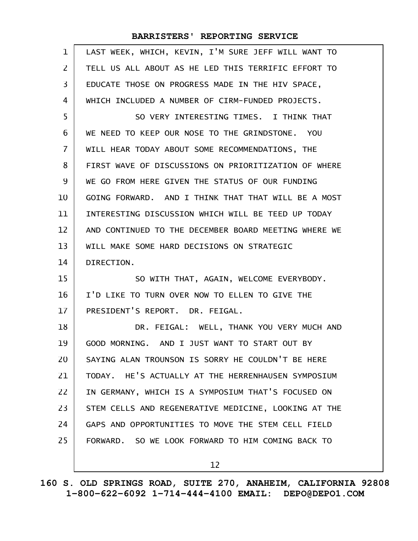| $\mathbf{1}$ | LAST WEEK, WHICH, KEVIN, I'M SURE JEFF WILL WANT TO  |
|--------------|------------------------------------------------------|
| 2            | TELL US ALL ABOUT AS HE LED THIS TERRIFIC EFFORT TO  |
| 3            | EDUCATE THOSE ON PROGRESS MADE IN THE HIV SPACE,     |
| 4            | WHICH INCLUDED A NUMBER OF CIRM-FUNDED PROJECTS.     |
| 5            | SO VERY INTERESTING TIMES. I THINK THAT              |
| 6            | WE NEED TO KEEP OUR NOSE TO THE GRINDSTONE. YOU      |
| 7            | WILL HEAR TODAY ABOUT SOME RECOMMENDATIONS, THE      |
| 8            | FIRST WAVE OF DISCUSSIONS ON PRIORITIZATION OF WHERE |
| 9            | WE GO FROM HERE GIVEN THE STATUS OF OUR FUNDING      |
| 10           | GOING FORWARD. AND I THINK THAT THAT WILL BE A MOST  |
| 11           | INTERESTING DISCUSSION WHICH WILL BE TEED UP TODAY   |
| 12           | AND CONTINUED TO THE DECEMBER BOARD MEETING WHERE WE |
| 13           | WILL MAKE SOME HARD DECISIONS ON STRATEGIC           |
| 14           | DIRECTION.                                           |
| 15           | SO WITH THAT, AGAIN, WELCOME EVERYBODY.              |
| 16           | I'D LIKE TO TURN OVER NOW TO ELLEN TO GIVE THE       |
| 17           | PRESIDENT'S REPORT. DR. FEIGAL.                      |
| 18           | DR. FEIGAL: WELL, THANK YOU VERY MUCH AND            |
| 19           | GOOD MORNING. AND I JUST WANT TO START OUT BY        |
| 20           | SAYING ALAN TROUNSON IS SORRY HE COULDN'T BE HERE    |
| 21           | TODAY. HE'S ACTUALLY AT THE HERRENHAUSEN SYMPOSIUM   |
| 22           | IN GERMANY, WHICH IS A SYMPOSIUM THAT'S FOCUSED ON   |
| 23           | STEM CELLS AND REGENERATIVE MEDICINE, LOOKING AT THE |
| 24           | GAPS AND OPPORTUNITIES TO MOVE THE STEM CELL FIELD   |
| 25           | FORWARD. SO WE LOOK FORWARD TO HIM COMING BACK TO    |
|              | 12                                                   |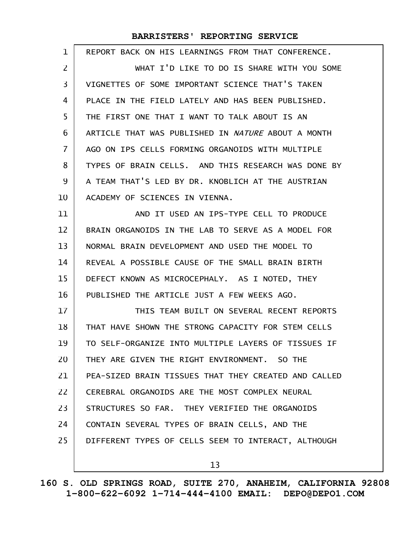| REPORT BACK ON HIS LEARNINGS FROM THAT CONFERENCE.   |
|------------------------------------------------------|
| WHAT I'D LIKE TO DO IS SHARE WITH YOU SOME           |
| VIGNETTES OF SOME IMPORTANT SCIENCE THAT'S TAKEN     |
| PLACE IN THE FIELD LATELY AND HAS BEEN PUBLISHED.    |
| THE FIRST ONE THAT I WANT TO TALK ABOUT IS AN        |
| ARTICLE THAT WAS PUBLISHED IN NATURE ABOUT A MONTH   |
| AGO ON IPS CELLS FORMING ORGANOIDS WITH MULTIPLE     |
| TYPES OF BRAIN CELLS. AND THIS RESEARCH WAS DONE BY  |
| A TEAM THAT'S LED BY DR. KNOBLICH AT THE AUSTRIAN    |
| ACADEMY OF SCIENCES IN VIENNA.                       |
| AND IT USED AN IPS-TYPE CELL TO PRODUCE              |
| BRAIN ORGANOIDS IN THE LAB TO SERVE AS A MODEL FOR   |
| NORMAL BRAIN DEVELOPMENT AND USED THE MODEL TO       |
| REVEAL A POSSIBLE CAUSE OF THE SMALL BRAIN BIRTH     |
| DEFECT KNOWN AS MICROCEPHALY. AS I NOTED, THEY       |
| PUBLISHED THE ARTICLE JUST A FEW WEEKS AGO.          |
| THIS TEAM BUILT ON SEVERAL RECENT REPORTS            |
| THAT HAVE SHOWN THE STRONG CAPACITY FOR STEM CELLS   |
| TO SELF-ORGANIZE INTO MULTIPLE LAYERS OF TISSUES IF  |
| THEY ARE GIVEN THE RIGHT ENVIRONMENT. SO THE         |
| PEA-SIZED BRAIN TISSUES THAT THEY CREATED AND CALLED |
| CEREBRAL ORGANOIDS ARE THE MOST COMPLEX NEURAL       |
| STRUCTURES SO FAR. THEY VERIFIED THE ORGANOIDS       |
| CONTAIN SEVERAL TYPES OF BRAIN CELLS, AND THE        |
| DIFFERENT TYPES OF CELLS SEEM TO INTERACT, ALTHOUGH  |
| 13                                                   |
|                                                      |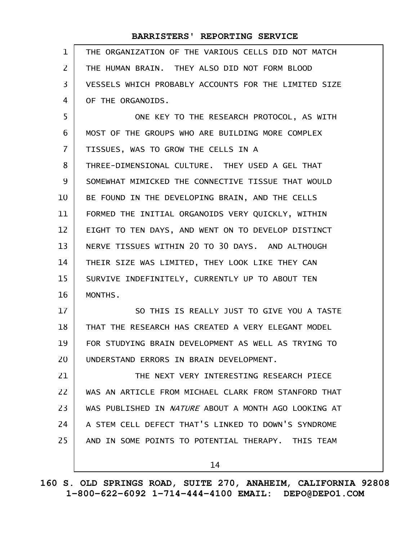| $\mathbf{1}$   | THE ORGANIZATION OF THE VARIOUS CELLS DID NOT MATCH  |
|----------------|------------------------------------------------------|
| $\overline{2}$ | THE HUMAN BRAIN. THEY ALSO DID NOT FORM BLOOD        |
| $\overline{3}$ | VESSELS WHICH PROBABLY ACCOUNTS FOR THE LIMITED SIZE |
| 4              | OF THE ORGANOIDS.                                    |
| 5              | ONE KEY TO THE RESEARCH PROTOCOL, AS WITH            |
| 6              | MOST OF THE GROUPS WHO ARE BUILDING MORE COMPLEX     |
| $\overline{I}$ | TISSUES, WAS TO GROW THE CELLS IN A                  |
| 8              | THREE-DIMENSIONAL CULTURE. THEY USED A GEL THAT      |
| 9              | SOMEWHAT MIMICKED THE CONNECTIVE TISSUE THAT WOULD   |
| 10             | BE FOUND IN THE DEVELOPING BRAIN, AND THE CELLS      |
| 11             | FORMED THE INITIAL ORGANOIDS VERY QUICKLY, WITHIN    |
| 12             | EIGHT TO TEN DAYS, AND WENT ON TO DEVELOP DISTINCT   |
| 13             | NERVE TISSUES WITHIN 20 TO 30 DAYS. AND ALTHOUGH     |
| 14             | THEIR SIZE WAS LIMITED, THEY LOOK LIKE THEY CAN      |
| 15             | SURVIVE INDEFINITELY, CURRENTLY UP TO ABOUT TEN      |
| 16             | MONTHS.                                              |
| 17             | SO THIS IS REALLY JUST TO GIVE YOU A TASTE           |
| 18             | THAT THE RESEARCH HAS CREATED A VERY ELEGANT MODEL   |
| 19             | FOR STUDYING BRAIN DEVELOPMENT AS WELL AS TRYING TO  |
| 20             | UNDERSTAND ERRORS IN BRAIN DEVELOPMENT.              |
| 21             | THE NEXT VERY INTERESTING RESEARCH PIECE             |
| 22             | WAS AN ARTICLE FROM MICHAEL CLARK FROM STANFORD THAT |
| 23             | WAS PUBLISHED IN NATURE ABOUT A MONTH AGO LOOKING AT |
| 24             | A STEM CELL DEFECT THAT'S LINKED TO DOWN'S SYNDROME  |
| 25             | AND IN SOME POINTS TO POTENTIAL THERAPY. THIS TEAM   |
|                |                                                      |
|                | 14                                                   |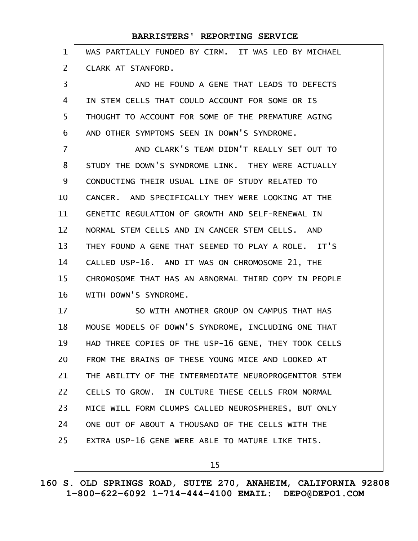| $\mathbf{1}$   | WAS PARTIALLY FUNDED BY CIRM. IT WAS LED BY MICHAEL  |
|----------------|------------------------------------------------------|
| $\overline{2}$ | CLARK AT STANFORD.                                   |
| 3              | AND HE FOUND A GENE THAT LEADS TO DEFECTS            |
| 4              | IN STEM CELLS THAT COULD ACCOUNT FOR SOME OR IS      |
| 5              | THOUGHT TO ACCOUNT FOR SOME OF THE PREMATURE AGING   |
| 6              | AND OTHER SYMPTOMS SEEN IN DOWN'S SYNDROME.          |
| $\overline{7}$ | AND CLARK'S TEAM DIDN'T REALLY SET OUT TO            |
| 8              | STUDY THE DOWN'S SYNDROME LINK. THEY WERE ACTUALLY   |
| 9              | CONDUCTING THEIR USUAL LINE OF STUDY RELATED TO      |
| 10             | CANCER. AND SPECIFICALLY THEY WERE LOOKING AT THE    |
| 11             | GENETIC REGULATION OF GROWTH AND SELF-RENEWAL IN     |
| 12             | NORMAL STEM CELLS AND IN CANCER STEM CELLS. AND      |
| 13             | THEY FOUND A GENE THAT SEEMED TO PLAY A ROLE. IT'S   |
| 14             | CALLED USP-16. AND IT WAS ON CHROMOSOME 21, THE      |
| 15             | CHROMOSOME THAT HAS AN ABNORMAL THIRD COPY IN PEOPLE |
| 16             | WITH DOWN'S SYNDROME.                                |
| 17             | SO WITH ANOTHER GROUP ON CAMPUS THAT HAS             |
| 18             | MOUSE MODELS OF DOWN'S SYNDROME, INCLUDING ONE THAT  |
| 19             | HAD THREE COPIES OF THE USP-16 GENE, THEY TOOK CELLS |
| 20             | FROM THE BRAINS OF THESE YOUNG MICE AND LOOKED AT    |
| 21             | THE ABILITY OF THE INTERMEDIATE NEUROPROGENITOR STEM |
| 22             | CELLS TO GROW. IN CULTURE THESE CELLS FROM NORMAL    |
| 23             | MICE WILL FORM CLUMPS CALLED NEUROSPHERES, BUT ONLY  |
| 24             | ONE OUT OF ABOUT A THOUSAND OF THE CELLS WITH THE    |
| 25             | EXTRA USP-16 GENE WERE ABLE TO MATURE LIKE THIS.     |
|                |                                                      |

15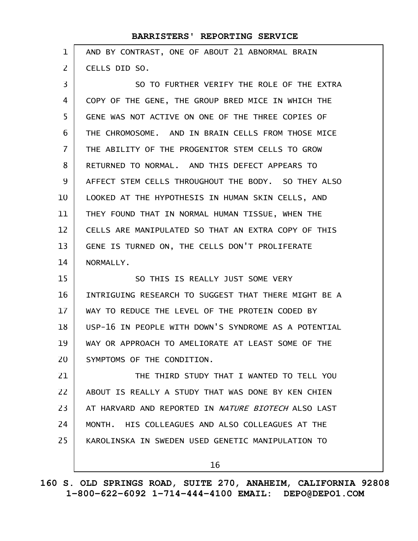| $\mathbf{1}$   | AND BY CONTRAST, ONE OF ABOUT 21 ABNORMAL BRAIN      |
|----------------|------------------------------------------------------|
| $\overline{2}$ | CELLS DID SO.                                        |
| 3              | SO TO FURTHER VERIFY THE ROLE OF THE EXTRA           |
| 4              | COPY OF THE GENE, THE GROUP BRED MICE IN WHICH THE   |
| 5              | GENE WAS NOT ACTIVE ON ONE OF THE THREE COPIES OF    |
| 6              | THE CHROMOSOME. AND IN BRAIN CELLS FROM THOSE MICE   |
| $\overline{7}$ | THE ABILITY OF THE PROGENITOR STEM CELLS TO GROW     |
| 8              | RETURNED TO NORMAL. AND THIS DEFECT APPEARS TO       |
| 9              | AFFECT STEM CELLS THROUGHOUT THE BODY. SO THEY ALSO  |
| 10             | LOOKED AT THE HYPOTHESIS IN HUMAN SKIN CELLS, AND    |
| 11             | THEY FOUND THAT IN NORMAL HUMAN TISSUE, WHEN THE     |
| 12             | CELLS ARE MANIPULATED SO THAT AN EXTRA COPY OF THIS  |
| 13             | GENE IS TURNED ON, THE CELLS DON'T PROLIFERATE       |
| 14             | NORMALLY.                                            |
| 15             | SO THIS IS REALLY JUST SOME VERY                     |
| 16             | INTRIGUING RESEARCH TO SUGGEST THAT THERE MIGHT BE A |
| 17             | WAY TO REDUCE THE LEVEL OF THE PROTEIN CODED BY      |
| 18             | USP-16 IN PEOPLE WITH DOWN'S SYNDROME AS A POTENTIAL |
| 19             | WAY OR APPROACH TO AMELIORATE AT LEAST SOME OF THE   |
| 20             | SYMPTOMS OF THE CONDITION.                           |
| 21             | THE THIRD STUDY THAT I WANTED TO TELL YOU            |
| 22             | ABOUT IS REALLY A STUDY THAT WAS DONE BY KEN CHIEN   |
| 23             | AT HARVARD AND REPORTED IN NATURE BIOTECH ALSO LAST  |
| 24             | MONTH. HIS COLLEAGUES AND ALSO COLLEAGUES AT THE     |
| 25             | KAROLINSKA IN SWEDEN USED GENETIC MANIPULATION TO    |
|                | 16                                                   |

**160 S. OLD SPRINGS ROAD, SUITE 270, ANAHEIM, CALIFORNIA 92808 1-800-622-6092 1-714-444-4100 EMAIL: DEPO@DEPO1.COM**

 $\mathsf{l}$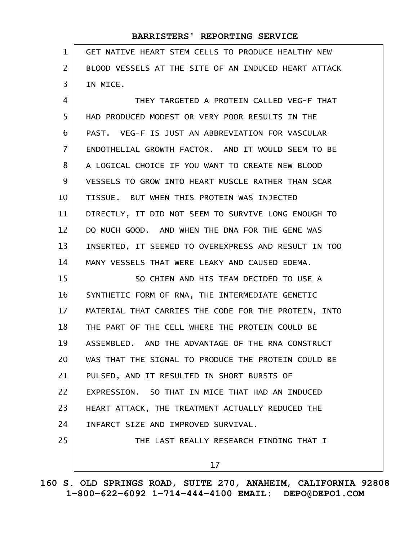| $\mathbf{1}$ | GET NATIVE HEART STEM CELLS TO PRODUCE HEALTHY NEW   |
|--------------|------------------------------------------------------|
| 2            | BLOOD VESSELS AT THE SITE OF AN INDUCED HEART ATTACK |
| 3            | IN MICE.                                             |
| 4            | THEY TARGETED A PROTEIN CALLED VEG-F THAT            |
| 5            | HAD PRODUCED MODEST OR VERY POOR RESULTS IN THE      |
| 6            | PAST. VEG-F IS JUST AN ABBREVIATION FOR VASCULAR     |
| 7            | ENDOTHELIAL GROWTH FACTOR. AND IT WOULD SEEM TO BE   |
| 8            | A LOGICAL CHOICE IF YOU WANT TO CREATE NEW BLOOD     |
| 9            | VESSELS TO GROW INTO HEART MUSCLE RATHER THAN SCAR   |
| 10           | TISSUE. BUT WHEN THIS PROTEIN WAS INJECTED           |
| 11           | DIRECTLY, IT DID NOT SEEM TO SURVIVE LONG ENOUGH TO  |
| 12           | DO MUCH GOOD. AND WHEN THE DNA FOR THE GENE WAS      |
| 13           | INSERTED, IT SEEMED TO OVEREXPRESS AND RESULT IN TOO |
| 14           | MANY VESSELS THAT WERE LEAKY AND CAUSED EDEMA.       |
| 15           | SO CHIEN AND HIS TEAM DECIDED TO USE A               |
| 16           | SYNTHETIC FORM OF RNA, THE INTERMEDIATE GENETIC      |
| 17           | MATERIAL THAT CARRIES THE CODE FOR THE PROTEIN, INTO |
| 18           | THE PART OF THE CELL WHERE THE PROTEIN COULD BE      |
| 19           | ASSEMBLED. AND THE ADVANTAGE OF THE RNA CONSTRUCT    |
| 20           | WAS THAT THE SIGNAL TO PRODUCE THE PROTEIN COULD BE  |
| 21           | PULSED, AND IT RESULTED IN SHORT BURSTS OF           |
| 22           | EXPRESSION. SO THAT IN MICE THAT HAD AN INDUCED      |
| 23           | HEART ATTACK, THE TREATMENT ACTUALLY REDUCED THE     |
| 24           | INFARCT SIZE AND IMPROVED SURVIVAL.                  |
| 25           | THE LAST REALLY RESEARCH FINDING THAT I              |
|              | 17                                                   |

**160 S. OLD SPRINGS ROAD, SUITE 270, ANAHEIM, CALIFORNIA 92808 1-800-622-6092 1-714-444-4100 EMAIL: DEPO@DEPO1.COM**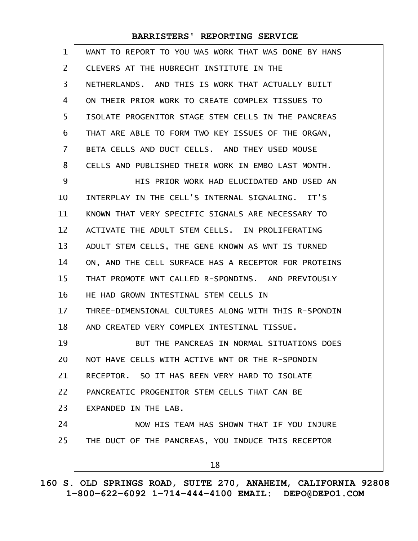| 1              | WANT TO REPORT TO YOU WAS WORK THAT WAS DONE BY HANS |
|----------------|------------------------------------------------------|
| 2              | CLEVERS AT THE HUBRECHT INSTITUTE IN THE             |
| 3              | NETHERLANDS. AND THIS IS WORK THAT ACTUALLY BUILT    |
| 4              | ON THEIR PRIOR WORK TO CREATE COMPLEX TISSUES TO     |
| 5              | ISOLATE PROGENITOR STAGE STEM CELLS IN THE PANCREAS  |
| 6              | THAT ARE ABLE TO FORM TWO KEY ISSUES OF THE ORGAN,   |
| $\overline{7}$ | BETA CELLS AND DUCT CELLS. AND THEY USED MOUSE       |
| 8              | CELLS AND PUBLISHED THEIR WORK IN EMBO LAST MONTH.   |
| 9              | HIS PRIOR WORK HAD ELUCIDATED AND USED AN            |
| 10             | INTERPLAY IN THE CELL'S INTERNAL SIGNALING. IT'S     |
| 11             | KNOWN THAT VERY SPECIFIC SIGNALS ARE NECESSARY TO    |
| 12             | ACTIVATE THE ADULT STEM CELLS. IN PROLIFERATING      |
| 13             | ADULT STEM CELLS, THE GENE KNOWN AS WNT IS TURNED    |
| 14             | ON, AND THE CELL SURFACE HAS A RECEPTOR FOR PROTEINS |
| 15             | THAT PROMOTE WNT CALLED R-SPONDINS. AND PREVIOUSLY   |
| 16             | HE HAD GROWN INTESTINAL STEM CELLS IN                |
| 17             | THREE-DIMENSIONAL CULTURES ALONG WITH THIS R-SPONDIN |
| 18             | AND CREATED VERY COMPLEX INTESTINAL TISSUE.          |
| 19             | BUT THE PANCREAS IN NORMAL SITUATIONS DOES           |
| 20             | NOT HAVE CELLS WITH ACTIVE WNT OR THE R-SPONDIN      |
| 21             | RECEPTOR. SO IT HAS BEEN VERY HARD TO ISOLATE        |
| 22             | PANCREATIC PROGENITOR STEM CELLS THAT CAN BE         |
| 23             | EXPANDED IN THE LAB.                                 |
| 24             | NOW HIS TEAM HAS SHOWN THAT IF YOU INJURE            |
| 25             | THE DUCT OF THE PANCREAS, YOU INDUCE THIS RECEPTOR   |
|                | 18                                                   |
|                |                                                      |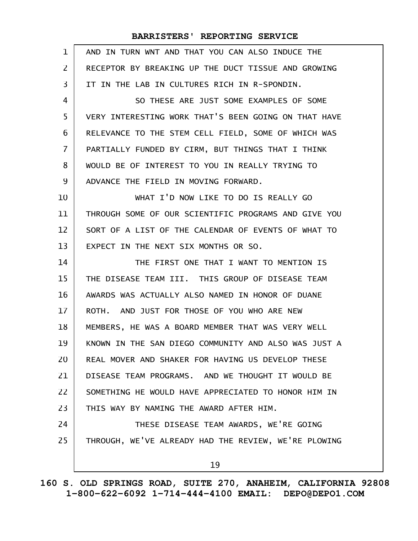| $\mathbf 1$    | AND IN TURN WNT AND THAT YOU CAN ALSO INDUCE THE     |
|----------------|------------------------------------------------------|
| 2              | RECEPTOR BY BREAKING UP THE DUCT TISSUE AND GROWING  |
| 3              | IT IN THE LAB IN CULTURES RICH IN R-SPONDIN.         |
| 4              | SO THESE ARE JUST SOME EXAMPLES OF SOME              |
| 5              | VERY INTERESTING WORK THAT'S BEEN GOING ON THAT HAVE |
| 6              | RELEVANCE TO THE STEM CELL FIELD, SOME OF WHICH WAS  |
| $\overline{7}$ | PARTIALLY FUNDED BY CIRM, BUT THINGS THAT I THINK    |
| 8              | WOULD BE OF INTEREST TO YOU IN REALLY TRYING TO      |
| 9              | ADVANCE THE FIELD IN MOVING FORWARD.                 |
| 10             | WHAT I'D NOW LIKE TO DO IS REALLY GO                 |
| 11             | THROUGH SOME OF OUR SCIENTIFIC PROGRAMS AND GIVE YOU |
| 12             | SORT OF A LIST OF THE CALENDAR OF EVENTS OF WHAT TO  |
| 13             | EXPECT IN THE NEXT SIX MONTHS OR SO.                 |
| 14             | THE FIRST ONE THAT I WANT TO MENTION IS              |
| 15             | THE DISEASE TEAM III. THIS GROUP OF DISEASE TEAM     |
| 16             | AWARDS WAS ACTUALLY ALSO NAMED IN HONOR OF DUANE     |
| 17             | ROTH. AND JUST FOR THOSE OF YOU WHO ARE NEW          |
| 18             | MEMBERS, HE WAS A BOARD MEMBER THAT WAS VERY WELL    |
| 19             | KNOWN IN THE SAN DIEGO COMMUNITY AND ALSO WAS JUST A |
| 20             | REAL MOVER AND SHAKER FOR HAVING US DEVELOP THESE    |
| 21             | DISEASE TEAM PROGRAMS. AND WE THOUGHT IT WOULD BE    |
| 22             | SOMETHING HE WOULD HAVE APPRECIATED TO HONOR HIM IN  |
| 23             | THIS WAY BY NAMING THE AWARD AFTER HIM.              |
| 24             | THESE DISEASE TEAM AWARDS, WE'RE GOING               |
| 25             | THROUGH, WE'VE ALREADY HAD THE REVIEW, WE'RE PLOWING |
|                | 19                                                   |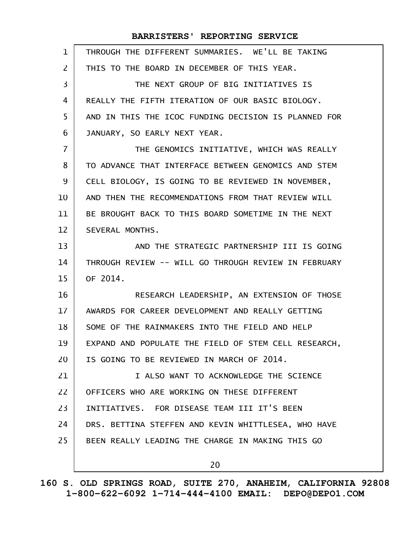| $\mathbf{1}$      | THROUGH THE DIFFERENT SUMMARIES. WE'LL BE TAKING     |
|-------------------|------------------------------------------------------|
| $\overline{2}$    | THIS TO THE BOARD IN DECEMBER OF THIS YEAR.          |
| 3                 | THE NEXT GROUP OF BIG INITIATIVES IS                 |
| 4                 | REALLY THE FIFTH ITERATION OF OUR BASIC BIOLOGY.     |
| 5                 | AND IN THIS THE ICOC FUNDING DECISION IS PLANNED FOR |
| 6                 | JANUARY, SO EARLY NEXT YEAR.                         |
| $\overline{7}$    | THE GENOMICS INITIATIVE, WHICH WAS REALLY            |
| 8                 | TO ADVANCE THAT INTERFACE BETWEEN GENOMICS AND STEM  |
| 9                 | CELL BIOLOGY, IS GOING TO BE REVIEWED IN NOVEMBER,   |
| 10                | AND THEN THE RECOMMENDATIONS FROM THAT REVIEW WILL   |
| 11                | BE BROUGHT BACK TO THIS BOARD SOMETIME IN THE NEXT   |
| $12 \overline{ }$ | SEVERAL MONTHS.                                      |
| 13                | AND THE STRATEGIC PARTNERSHIP III IS GOING           |
| 14                | THROUGH REVIEW -- WILL GO THROUGH REVIEW IN FEBRUARY |
| 15                | OF 2014.                                             |
| 16                | RESEARCH LEADERSHIP, AN EXTENSION OF THOSE           |
| 17                | AWARDS FOR CAREER DEVELOPMENT AND REALLY GETTING     |
| 18                | SOME OF THE RAINMAKERS INTO THE FIELD AND HELP       |
| 19                | EXPAND AND POPULATE THE FIELD OF STEM CELL RESEARCH, |
| 20                | IS GOING TO BE REVIEWED IN MARCH OF 2014.            |
| 21                | I ALSO WANT TO ACKNOWLEDGE THE SCIENCE               |
| 22                | OFFICERS WHO ARE WORKING ON THESE DIFFERENT          |
| 23                | INITIATIVES. FOR DISEASE TEAM III IT'S BEEN          |
| 24                | DRS. BETTINA STEFFEN AND KEVIN WHITTLESEA, WHO HAVE  |
| 25                | BEEN REALLY LEADING THE CHARGE IN MAKING THIS GO     |
|                   | 20                                                   |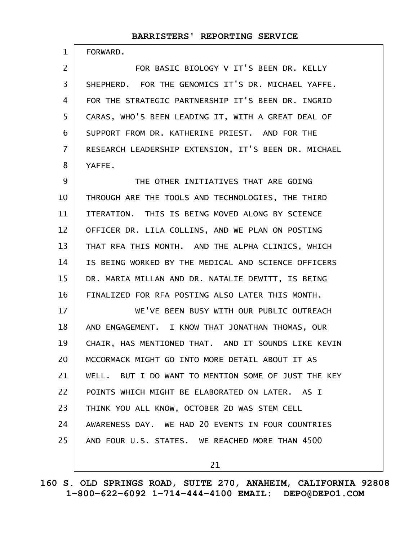FORWARD.

1

FOR BASIC BIOLOGY V IT'S BEEN DR. KELLY SHEPHERD. FOR THE GENOMICS IT'S DR. MICHAEL YAFFE. FOR THE STRATEGIC PARTNERSHIP IT'S BEEN DR. INGRID CARAS, WHO'S BEEN LEADING IT, WITH A GREAT DEAL OF SUPPORT FROM DR. KATHERINE PRIEST. AND FOR THE RESEARCH LEADERSHIP EXTENSION, IT'S BEEN DR. MICHAEL YAFFE. 2 3 4 5 6 7 8

THE OTHER INITIATIVES THAT ARE GOING THROUGH ARE THE TOOLS AND TECHNOLOGIES, THE THIRD ITERATION. THIS IS BEING MOVED ALONG BY SCIENCE OFFICER DR. LILA COLLINS, AND WE PLAN ON POSTING THAT RFA THIS MONTH. AND THE ALPHA CLINICS, WHICH IS BEING WORKED BY THE MEDICAL AND SCIENCE OFFICERS DR. MARIA MILLAN AND DR. NATALIE DEWITT, IS BEING FINALIZED FOR RFA POSTING ALSO LATER THIS MONTH. 9 10 11 12 13 14 15 16

WE'VE BEEN BUSY WITH OUR PUBLIC OUTREACH AND ENGAGEMENT. I KNOW THAT JONATHAN THOMAS, OUR CHAIR, HAS MENTIONED THAT. AND IT SOUNDS LIKE KEVIN MCCORMACK MIGHT GO INTO MORE DETAIL ABOUT IT AS WELL. BUT I DO WANT TO MENTION SOME OF JUST THE KEY POINTS WHICH MIGHT BE ELABORATED ON LATER. AS I THINK YOU ALL KNOW, OCTOBER 2D WAS STEM CELL AWARENESS DAY. WE HAD 20 EVENTS IN FOUR COUNTRIES AND FOUR U.S. STATES. WE REACHED MORE THAN 4500 17 18 19 20 21 22 23 24 25

21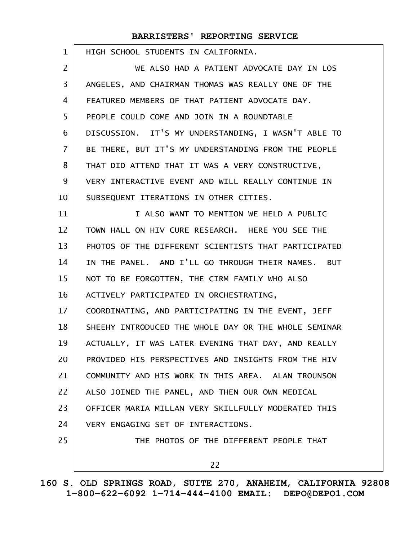| $\mathbf 1$    | HIGH SCHOOL STUDENTS IN CALIFORNIA.                  |
|----------------|------------------------------------------------------|
| $\overline{2}$ | WE ALSO HAD A PATIENT ADVOCATE DAY IN LOS            |
| 3              | ANGELES, AND CHAIRMAN THOMAS WAS REALLY ONE OF THE   |
| 4              | FEATURED MEMBERS OF THAT PATIENT ADVOCATE DAY.       |
| 5              | PEOPLE COULD COME AND JOIN IN A ROUNDTABLE           |
| 6              | DISCUSSION. IT'S MY UNDERSTANDING, I WASN'T ABLE TO  |
| 7              | BE THERE, BUT IT'S MY UNDERSTANDING FROM THE PEOPLE  |
| 8              | THAT DID ATTEND THAT IT WAS A VERY CONSTRUCTIVE,     |
| 9              | VERY INTERACTIVE EVENT AND WILL REALLY CONTINUE IN   |
| 10             | SUBSEQUENT ITERATIONS IN OTHER CITIES.               |
| 11             | I ALSO WANT TO MENTION WE HELD A PUBLIC              |
| 12             | TOWN HALL ON HIV CURE RESEARCH. HERE YOU SEE THE     |
| 13             | PHOTOS OF THE DIFFERENT SCIENTISTS THAT PARTICIPATED |
| 14             | IN THE PANEL. AND I'LL GO THROUGH THEIR NAMES. BUT   |
| 15             | NOT TO BE FORGOTTEN, THE CIRM FAMILY WHO ALSO        |
| 16             | ACTIVELY PARTICIPATED IN ORCHESTRATING,              |
| 17             | COORDINATING, AND PARTICIPATING IN THE EVENT, JEFF   |
| 18             | SHEEHY INTRODUCED THE WHOLE DAY OR THE WHOLE SEMINAR |
| 19             | ACTUALLY, IT WAS LATER EVENING THAT DAY, AND REALLY  |
| 20             | PROVIDED HIS PERSPECTIVES AND INSIGHTS FROM THE HIV  |
| 21             | COMMUNITY AND HIS WORK IN THIS AREA. ALAN TROUNSON   |
| 22             | ALSO JOINED THE PANEL, AND THEN OUR OWN MEDICAL      |
| 23             | OFFICER MARIA MILLAN VERY SKILLFULLY MODERATED THIS  |
| 24             | VERY ENGAGING SET OF INTERACTIONS.                   |
| 25             | THE PHOTOS OF THE DIFFERENT PEOPLE THAT              |
|                | 22                                                   |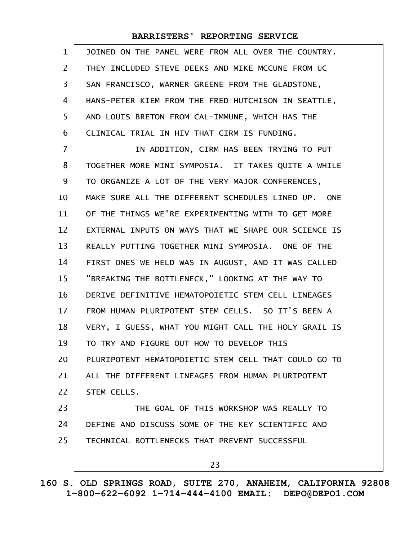| $\mathbf{1}$      | JOINED ON THE PANEL WERE FROM ALL OVER THE COUNTRY.  |
|-------------------|------------------------------------------------------|
| $\mathsf{Z}$      | THEY INCLUDED STEVE DEEKS AND MIKE MCCUNE FROM UC    |
| 3                 | SAN FRANCISCO, WARNER GREENE FROM THE GLADSTONE,     |
| 4                 | HANS-PETER KIEM FROM THE FRED HUTCHISON IN SEATTLE,  |
| 5                 | AND LOUIS BRETON FROM CAL-IMMUNE, WHICH HAS THE      |
| 6                 | CLINICAL TRIAL IN HIV THAT CIRM IS FUNDING.          |
| 7                 | IN ADDITION, CIRM HAS BEEN TRYING TO PUT             |
| 8                 | TOGETHER MORE MINI SYMPOSIA. IT TAKES QUITE A WHILE  |
| 9                 | TO ORGANIZE A LOT OF THE VERY MAJOR CONFERENCES,     |
| 10                | MAKE SURE ALL THE DIFFERENT SCHEDULES LINED UP. ONE  |
| 11                | OF THE THINGS WE'RE EXPERIMENTING WITH TO GET MORE   |
| $12 \overline{ }$ | EXTERNAL INPUTS ON WAYS THAT WE SHAPE OUR SCIENCE IS |
| 13                | REALLY PUTTING TOGETHER MINI SYMPOSIA. ONE OF THE    |
| 14                | FIRST ONES WE HELD WAS IN AUGUST, AND IT WAS CALLED  |
| 15                | "BREAKING THE BOTTLENECK," LOOKING AT THE WAY TO     |
| 16                | DERIVE DEFINITIVE HEMATOPOIETIC STEM CELL LINEAGES   |
| 17                | FROM HUMAN PLURIPOTENT STEM CELLS. SO IT'S BEEN A    |
| 18                | VERY, I GUESS, WHAT YOU MIGHT CALL THE HOLY GRAIL IS |
| 19                | TO TRY AND FIGURE OUT HOW TO DEVELOP THIS            |
| 20                | PLURIPOTENT HEMATOPOIETIC STEM CELL THAT COULD GO TO |
| 21                | ALL THE DIFFERENT LINEAGES FROM HUMAN PLURIPOTENT    |
| 22                | STEM CELLS.                                          |
| 23                | THE GOAL OF THIS WORKSHOP WAS REALLY TO              |
| 24                | DEFINE AND DISCUSS SOME OF THE KEY SCIENTIFIC AND    |
| 25                | TECHNICAL BOTTLENECKS THAT PREVENT SUCCESSFUL        |
|                   | 23                                                   |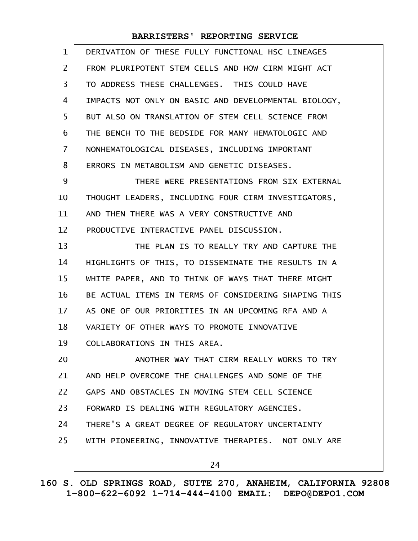| $\mathbf{1}$      | DERIVATION OF THESE FULLY FUNCTIONAL HSC LINEAGES    |
|-------------------|------------------------------------------------------|
| 2                 | FROM PLURIPOTENT STEM CELLS AND HOW CIRM MIGHT ACT   |
| 3                 | TO ADDRESS THESE CHALLENGES. THIS COULD HAVE         |
| 4                 | IMPACTS NOT ONLY ON BASIC AND DEVELOPMENTAL BIOLOGY, |
| 5                 | BUT ALSO ON TRANSLATION OF STEM CELL SCIENCE FROM    |
| 6                 | THE BENCH TO THE BEDSIDE FOR MANY HEMATOLOGIC AND    |
| $\overline{7}$    | NONHEMATOLOGICAL DISEASES, INCLUDING IMPORTANT       |
| 8                 | ERRORS IN METABOLISM AND GENETIC DISEASES.           |
| 9                 | THERE WERE PRESENTATIONS FROM SIX EXTERNAL           |
| 10                | THOUGHT LEADERS, INCLUDING FOUR CIRM INVESTIGATORS,  |
| 11                | AND THEN THERE WAS A VERY CONSTRUCTIVE AND           |
| $12 \overline{ }$ | PRODUCTIVE INTERACTIVE PANEL DISCUSSION.             |
| 13                | THE PLAN IS TO REALLY TRY AND CAPTURE THE            |
| 14                | HIGHLIGHTS OF THIS, TO DISSEMINATE THE RESULTS IN A  |
| 15                | WHITE PAPER, AND TO THINK OF WAYS THAT THERE MIGHT   |
| 16                | BE ACTUAL ITEMS IN TERMS OF CONSIDERING SHAPING THIS |
| 17                | AS ONE OF OUR PRIORITIES IN AN UPCOMING RFA AND A    |
| 18                | VARIETY OF OTHER WAYS TO PROMOTE INNOVATIVE          |
| 19                | COLLABORATIONS IN THIS AREA.                         |
| 20                | ANOTHER WAY THAT CIRM REALLY WORKS TO TRY            |
| 21                | AND HELP OVERCOME THE CHALLENGES AND SOME OF THE     |
| 22                | GAPS AND OBSTACLES IN MOVING STEM CELL SCIENCE       |
| 23                | FORWARD IS DEALING WITH REGULATORY AGENCIES.         |
| 24                | THERE'S A GREAT DEGREE OF REGULATORY UNCERTAINTY     |
| 25                | WITH PIONEERING, INNOVATIVE THERAPIES. NOT ONLY ARE  |
|                   | 24                                                   |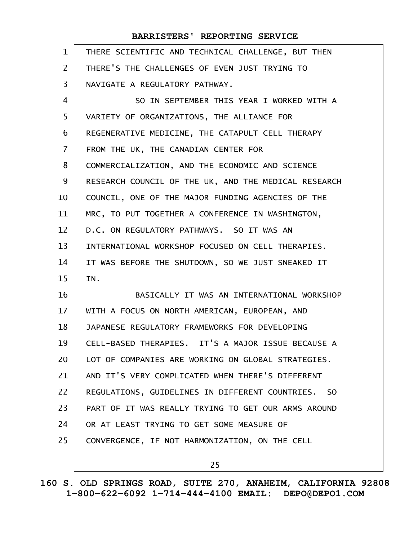| $\mathbf{1}$      | THERE SCIENTIFIC AND TECHNICAL CHALLENGE, BUT THEN   |
|-------------------|------------------------------------------------------|
| $\overline{2}$    | THERE'S THE CHALLENGES OF EVEN JUST TRYING TO        |
| 3                 | NAVIGATE A REGULATORY PATHWAY.                       |
| 4                 | SO IN SEPTEMBER THIS YEAR I WORKED WITH A            |
| 5                 | VARIETY OF ORGANIZATIONS, THE ALLIANCE FOR           |
| 6                 | REGENERATIVE MEDICINE, THE CATAPULT CELL THERAPY     |
| $\overline{7}$    | FROM THE UK, THE CANADIAN CENTER FOR                 |
| 8                 | COMMERCIALIZATION, AND THE ECONOMIC AND SCIENCE      |
| 9                 | RESEARCH COUNCIL OF THE UK, AND THE MEDICAL RESEARCH |
| 10                | COUNCIL, ONE OF THE MAJOR FUNDING AGENCIES OF THE    |
| 11                | MRC, TO PUT TOGETHER A CONFERENCE IN WASHINGTON,     |
| $12 \overline{ }$ | D.C. ON REGULATORY PATHWAYS. SO IT WAS AN            |
| 13                | INTERNATIONAL WORKSHOP FOCUSED ON CELL THERAPIES.    |
| 14                | IT WAS BEFORE THE SHUTDOWN, SO WE JUST SNEAKED IT    |
| 15                | IN.                                                  |
| 16                | BASICALLY IT WAS AN INTERNATIONAL WORKSHOP           |
| 17                | WITH A FOCUS ON NORTH AMERICAN, EUROPEAN, AND        |
| 18                | JAPANESE REGULATORY FRAMEWORKS FOR DEVELOPING        |
| 19                | CELL-BASED THERAPIES. IT'S A MAJOR ISSUE BECAUSE A   |
| 20                | LOT OF COMPANIES ARE WORKING ON GLOBAL STRATEGIES.   |
| 21                | AND IT'S VERY COMPLICATED WHEN THERE'S DIFFERENT     |
| 22                | REGULATIONS, GUIDELINES IN DIFFERENT COUNTRIES. SO   |
| 23                | PART OF IT WAS REALLY TRYING TO GET OUR ARMS AROUND  |
| 24                | OR AT LEAST TRYING TO GET SOME MEASURE OF            |
| 25                | CONVERGENCE, IF NOT HARMONIZATION, ON THE CELL       |
|                   | 25                                                   |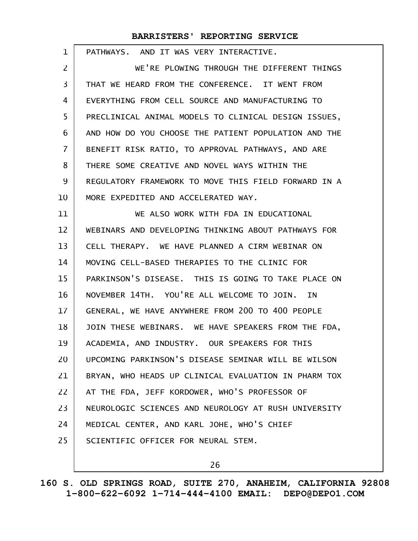| $\mathbf{1}$   | PATHWAYS. AND IT WAS VERY INTERACTIVE.               |
|----------------|------------------------------------------------------|
| $\overline{2}$ | WE'RE PLOWING THROUGH THE DIFFERENT THINGS           |
| 3              | THAT WE HEARD FROM THE CONFERENCE. IT WENT FROM      |
| 4              | EVERYTHING FROM CELL SOURCE AND MANUFACTURING TO     |
| 5              | PRECLINICAL ANIMAL MODELS TO CLINICAL DESIGN ISSUES, |
| 6              | AND HOW DO YOU CHOOSE THE PATIENT POPULATION AND THE |
| $\overline{7}$ | BENEFIT RISK RATIO, TO APPROVAL PATHWAYS, AND ARE    |
| 8              | THERE SOME CREATIVE AND NOVEL WAYS WITHIN THE        |
| 9              | REGULATORY FRAMEWORK TO MOVE THIS FIELD FORWARD IN A |
| 10             | MORE EXPEDITED AND ACCELERATED WAY.                  |
| 11             | WE ALSO WORK WITH FDA IN EDUCATIONAL                 |
| 12             | WEBINARS AND DEVELOPING THINKING ABOUT PATHWAYS FOR  |
| 13             | CELL THERAPY. WE HAVE PLANNED A CIRM WEBINAR ON      |
| 14             | MOVING CELL-BASED THERAPIES TO THE CLINIC FOR        |
| 15             | PARKINSON'S DISEASE. THIS IS GOING TO TAKE PLACE ON  |
| 16             | NOVEMBER 14TH. YOU'RE ALL WELCOME TO JOIN. IN        |
| 17             | GENERAL, WE HAVE ANYWHERE FROM 200 TO 400 PEOPLE     |
| 18             | JOIN THESE WEBINARS. WE HAVE SPEAKERS FROM THE FDA,  |
| 19             | ACADEMIA, AND INDUSTRY. OUR SPEAKERS FOR THIS        |
| 20             | UPCOMING PARKINSON'S DISEASE SEMINAR WILL BE WILSON  |
| 21             | BRYAN, WHO HEADS UP CLINICAL EVALUATION IN PHARM TOX |
| 22             | AT THE FDA, JEFF KORDOWER, WHO'S PROFESSOR OF        |
| 23             | NEUROLOGIC SCIENCES AND NEUROLOGY AT RUSH UNIVERSITY |
| 24             | MEDICAL CENTER, AND KARL JOHE, WHO'S CHIEF           |
| 25             | SCIENTIFIC OFFICER FOR NEURAL STEM.                  |
|                |                                                      |

26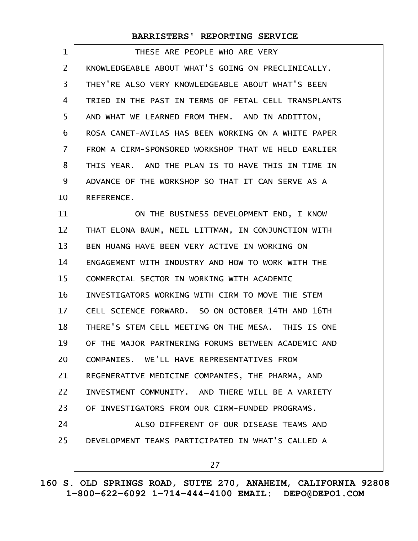| 1                       | THESE ARE PEOPLE WHO ARE VERY                        |
|-------------------------|------------------------------------------------------|
| $\overline{2}$          | KNOWLEDGEABLE ABOUT WHAT'S GOING ON PRECLINICALLY.   |
| $\overline{\mathbf{3}}$ | THEY'RE ALSO VERY KNOWLEDGEABLE ABOUT WHAT'S BEEN    |
| 4                       | TRIED IN THE PAST IN TERMS OF FETAL CELL TRANSPLANTS |
| 5                       | AND WHAT WE LEARNED FROM THEM. AND IN ADDITION,      |
| 6                       | ROSA CANET-AVILAS HAS BEEN WORKING ON A WHITE PAPER  |
| 7                       | FROM A CIRM-SPONSORED WORKSHOP THAT WE HELD EARLIER  |
| 8                       | THIS YEAR. AND THE PLAN IS TO HAVE THIS IN TIME IN   |
| 9                       | ADVANCE OF THE WORKSHOP SO THAT IT CAN SERVE AS A    |
| 10                      | REFERENCE.                                           |
| 11                      | ON THE BUSINESS DEVELOPMENT END, I KNOW              |
| 12                      | THAT ELONA BAUM, NEIL LITTMAN, IN CONJUNCTION WITH   |
| 13                      | BEN HUANG HAVE BEEN VERY ACTIVE IN WORKING ON        |
| 14                      | ENGAGEMENT WITH INDUSTRY AND HOW TO WORK WITH THE    |
| 15                      | COMMERCIAL SECTOR IN WORKING WITH ACADEMIC           |
| 16                      | INVESTIGATORS WORKING WITH CIRM TO MOVE THE STEM     |
| 17                      | CELL SCIENCE FORWARD. SO ON OCTOBER 14TH AND 16TH    |
| 18                      | THERE'S STEM CELL MEETING ON THE MESA. THIS IS ONE   |
| 19                      | OF THE MAJOR PARTNERING FORUMS BETWEEN ACADEMIC AND  |
| 20                      | COMPANIES. WE'LL HAVE REPRESENTATIVES FROM           |
| 21                      | REGENERATIVE MEDICINE COMPANIES, THE PHARMA, AND     |
| 22                      | INVESTMENT COMMUNITY. AND THERE WILL BE A VARIETY    |
| 23                      | OF INVESTIGATORS FROM OUR CIRM-FUNDED PROGRAMS.      |
| 24                      | ALSO DIFFERENT OF OUR DISEASE TEAMS AND              |
| 25                      | DEVELOPMENT TEAMS PARTICIPATED IN WHAT'S CALLED A    |
|                         | 27                                                   |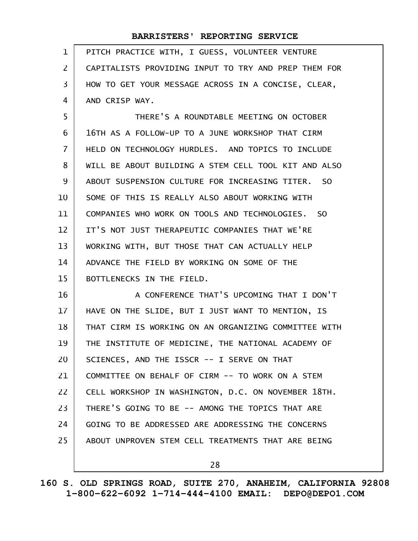| $\mathbf{1}$   | PITCH PRACTICE WITH, I GUESS, VOLUNTEER VENTURE      |
|----------------|------------------------------------------------------|
| $\mathsf{Z}$   | CAPITALISTS PROVIDING INPUT TO TRY AND PREP THEM FOR |
| 3              | HOW TO GET YOUR MESSAGE ACROSS IN A CONCISE, CLEAR,  |
| 4              | AND CRISP WAY.                                       |
| 5              | THERE'S A ROUNDTABLE MEETING ON OCTOBER              |
| 6              | 16TH AS A FOLLOW-UP TO A JUNE WORKSHOP THAT CIRM     |
| $\overline{7}$ | HELD ON TECHNOLOGY HURDLES. AND TOPICS TO INCLUDE    |
| 8              | WILL BE ABOUT BUILDING A STEM CELL TOOL KIT AND ALSO |
| 9              | ABOUT SUSPENSION CULTURE FOR INCREASING TITER. SO    |
| 10             | SOME OF THIS IS REALLY ALSO ABOUT WORKING WITH       |
| 11             | COMPANIES WHO WORK ON TOOLS AND TECHNOLOGIES. SO     |
| 12             | IT'S NOT JUST THERAPEUTIC COMPANIES THAT WE'RE       |
| 13             | WORKING WITH, BUT THOSE THAT CAN ACTUALLY HELP       |
| 14             | ADVANCE THE FIELD BY WORKING ON SOME OF THE          |
| 15             | BOTTLENECKS IN THE FIELD.                            |
| 16             | A CONFERENCE THAT'S UPCOMING THAT I DON'T            |
| $17 \,$        | HAVE ON THE SLIDE, BUT I JUST WANT TO MENTION, IS    |
| 18             | THAT CIRM IS WORKING ON AN ORGANIZING COMMITTEE WITH |
| 19             | THE INSTITUTE OF MEDICINE, THE NATIONAL ACADEMY OF   |
| 20             | SCIENCES, AND THE ISSCR -- I SERVE ON THAT           |
| 21             | COMMITTEE ON BEHALF OF CIRM -- TO WORK ON A STEM     |
| 22             | CELL WORKSHOP IN WASHINGTON, D.C. ON NOVEMBER 18TH.  |
| 23             | THERE'S GOING TO BE -- AMONG THE TOPICS THAT ARE     |
| 24             | GOING TO BE ADDRESSED ARE ADDRESSING THE CONCERNS    |
| 25             | ABOUT UNPROVEN STEM CELL TREATMENTS THAT ARE BEING   |
|                | 28                                                   |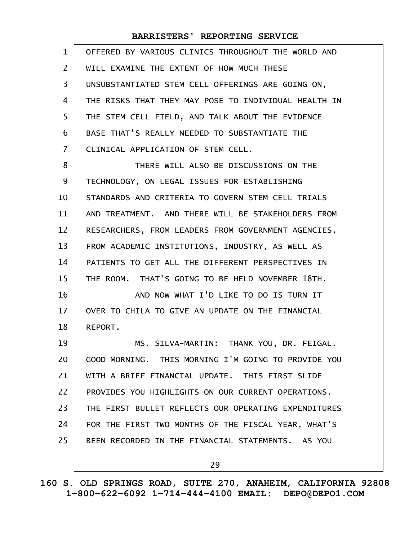| $\mathbf{1}$ | OFFERED BY VARIOUS CLINICS THROUGHOUT THE WORLD AND  |
|--------------|------------------------------------------------------|
| 2            | WILL EXAMINE THE EXTENT OF HOW MUCH THESE            |
| 3            | UNSUBSTANTIATED STEM CELL OFFERINGS ARE GOING ON,    |
| 4            | THE RISKS THAT THEY MAY POSE TO INDIVIDUAL HEALTH IN |
| 5            | THE STEM CELL FIELD, AND TALK ABOUT THE EVIDENCE     |
| 6            | BASE THAT'S REALLY NEEDED TO SUBSTANTIATE THE        |
| 7            | CLINICAL APPLICATION OF STEM CELL.                   |
| 8            | THERE WILL ALSO BE DISCUSSIONS ON THE                |
| 9            | TECHNOLOGY, ON LEGAL ISSUES FOR ESTABLISHING         |
| 10           | STANDARDS AND CRITERIA TO GOVERN STEM CELL TRIALS    |
| 11           | AND TREATMENT. AND THERE WILL BE STAKEHOLDERS FROM   |
| 12           | RESEARCHERS, FROM LEADERS FROM GOVERNMENT AGENCIES,  |
| 13           | FROM ACADEMIC INSTITUTIONS, INDUSTRY, AS WELL AS     |
| 14           | PATIENTS TO GET ALL THE DIFFERENT PERSPECTIVES IN    |
| 15           | THE ROOM. THAT'S GOING TO BE HELD NOVEMBER 18TH.     |
| 16           | AND NOW WHAT I'D LIKE TO DO IS TURN IT               |
| 17           | OVER TO CHILA TO GIVE AN UPDATE ON THE FINANCIAL     |
| 18           | REPORT.                                              |
| 19           | MS. SILVA-MARTIN: THANK YOU, DR. FEIGAL.             |
| 20           | GOOD MORNING. THIS MORNING I'M GOING TO PROVIDE YOU  |
| 21           | WITH A BRIEF FINANCIAL UPDATE. THIS FIRST SLIDE      |
| 22           | PROVIDES YOU HIGHLIGHTS ON OUR CURRENT OPERATIONS.   |
| 23           | THE FIRST BULLET REFLECTS OUR OPERATING EXPENDITURES |
| 24           | FOR THE FIRST TWO MONTHS OF THE FISCAL YEAR, WHAT'S  |
| 25           | BEEN RECORDED IN THE FINANCIAL STATEMENTS. AS YOU    |
|              | 29                                                   |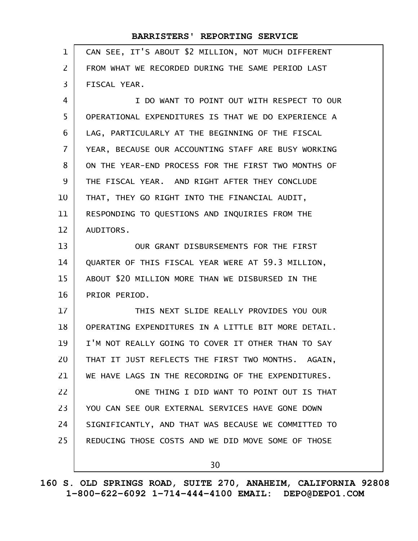| $\mathbf 1$    | CAN SEE, IT'S ABOUT \$2 MILLION, NOT MUCH DIFFERENT |
|----------------|-----------------------------------------------------|
| $\overline{2}$ | FROM WHAT WE RECORDED DURING THE SAME PERIOD LAST   |
| 3              | FISCAL YEAR.                                        |
| 4              | I DO WANT TO POINT OUT WITH RESPECT TO OUR          |
| 5              | OPERATIONAL EXPENDITURES IS THAT WE DO EXPERIENCE A |
| 6              | LAG, PARTICULARLY AT THE BEGINNING OF THE FISCAL    |
| $\overline{7}$ | YEAR, BECAUSE OUR ACCOUNTING STAFF ARE BUSY WORKING |
| 8              | ON THE YEAR-END PROCESS FOR THE FIRST TWO MONTHS OF |
| 9              | THE FISCAL YEAR. AND RIGHT AFTER THEY CONCLUDE      |
| 10             | THAT, THEY GO RIGHT INTO THE FINANCIAL AUDIT,       |
| 11             | RESPONDING TO QUESTIONS AND INQUIRIES FROM THE      |
| 12             | AUDITORS.                                           |
| 13             | OUR GRANT DISBURSEMENTS FOR THE FIRST               |
| 14             | QUARTER OF THIS FISCAL YEAR WERE AT 59.3 MILLION,   |
| 15             | ABOUT \$20 MILLION MORE THAN WE DISBURSED IN THE    |
| 16             | PRIOR PERIOD.                                       |
| 17             | THIS NEXT SLIDE REALLY PROVIDES YOU OUR             |
| 18             | OPERATING EXPENDITURES IN A LITTLE BIT MORE DETAIL. |
| 19             | I'M NOT REALLY GOING TO COVER IT OTHER THAN TO SAY  |
| 20             | THAT IT JUST REFLECTS THE FIRST TWO MONTHS. AGAIN,  |
| 21             | WE HAVE LAGS IN THE RECORDING OF THE EXPENDITURES.  |
| 22             | ONE THING I DID WANT TO POINT OUT IS THAT           |
| 23             | YOU CAN SEE OUR EXTERNAL SERVICES HAVE GONE DOWN    |
| 24             | SIGNIFICANTLY, AND THAT WAS BECAUSE WE COMMITTED TO |
| 25             | REDUCING THOSE COSTS AND WE DID MOVE SOME OF THOSE  |
|                | 30                                                  |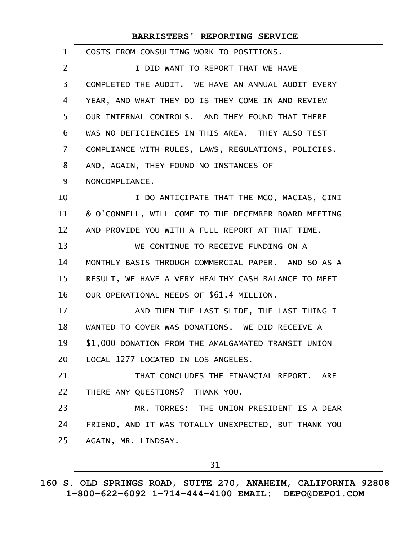| 1              | COSTS FROM CONSULTING WORK TO POSITIONS.             |
|----------------|------------------------------------------------------|
| 2              | I DID WANT TO REPORT THAT WE HAVE                    |
| 3              | COMPLETED THE AUDIT. WE HAVE AN ANNUAL AUDIT EVERY   |
| 4              | YEAR, AND WHAT THEY DO IS THEY COME IN AND REVIEW    |
| 5              | OUR INTERNAL CONTROLS. AND THEY FOUND THAT THERE     |
| 6              | WAS NO DEFICIENCIES IN THIS AREA. THEY ALSO TEST     |
| $\overline{7}$ | COMPLIANCE WITH RULES, LAWS, REGULATIONS, POLICIES.  |
| 8              | AND, AGAIN, THEY FOUND NO INSTANCES OF               |
| 9              | NONCOMPLIANCE.                                       |
| 10             | I DO ANTICIPATE THAT THE MGO, MACIAS, GINI           |
| 11             | & O'CONNELL, WILL COME TO THE DECEMBER BOARD MEETING |
| 12             | AND PROVIDE YOU WITH A FULL REPORT AT THAT TIME.     |
| 13             | WE CONTINUE TO RECEIVE FUNDING ON A                  |
| 14             | MONTHLY BASIS THROUGH COMMERCIAL PAPER. AND SO AS A  |
| 15             | RESULT, WE HAVE A VERY HEALTHY CASH BALANCE TO MEET  |
| 16             | OUR OPERATIONAL NEEDS OF \$61.4 MILLION.             |
| 17             | AND THEN THE LAST SLIDE, THE LAST THING I            |
| 18             | WANTED TO COVER WAS DONATIONS. WE DID RECEIVE A      |
| 19             | \$1,000 DONATION FROM THE AMALGAMATED TRANSIT UNION  |
| 20             | LOCAL 1277 LOCATED IN LOS ANGELES.                   |
| 21             | THAT CONCLUDES THE FINANCIAL REPORT. ARE             |
| 22             | THERE ANY QUESTIONS? THANK YOU.                      |
| 23             | MR. TORRES: THE UNION PRESIDENT IS A DEAR            |
| 24             | FRIEND, AND IT WAS TOTALLY UNEXPECTED, BUT THANK YOU |
| 25             | AGAIN, MR. LINDSAY.                                  |
|                | 31                                                   |

**160 S. OLD SPRINGS ROAD, SUITE 270, ANAHEIM, CALIFORNIA 92808 1-800-622-6092 1-714-444-4100 EMAIL: DEPO@DEPO1.COM**

 $\mathsf{l}$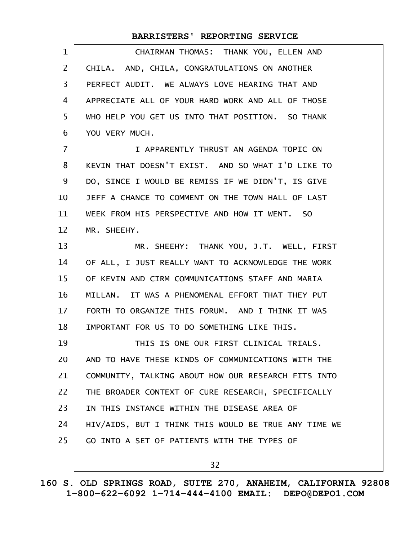| 1            | CHAIRMAN THOMAS: THANK YOU, ELLEN AND                |
|--------------|------------------------------------------------------|
| $\mathbf{Z}$ | CHILA. AND, CHILA, CONGRATULATIONS ON ANOTHER        |
| 3            | PERFECT AUDIT. WE ALWAYS LOVE HEARING THAT AND       |
| 4            | APPRECIATE ALL OF YOUR HARD WORK AND ALL OF THOSE    |
| 5            | WHO HELP YOU GET US INTO THAT POSITION. SO THANK     |
| 6            | YOU VERY MUCH.                                       |
| 7            | I APPARENTLY THRUST AN AGENDA TOPIC ON               |
| 8            | KEVIN THAT DOESN'T EXIST. AND SO WHAT I'D LIKE TO    |
| 9            | DO, SINCE I WOULD BE REMISS IF WE DIDN'T, IS GIVE    |
| 10           | JEFF A CHANCE TO COMMENT ON THE TOWN HALL OF LAST    |
| 11           | WEEK FROM HIS PERSPECTIVE AND HOW IT WENT. SO        |
| 12           | MR. SHEEHY.                                          |
| 13           | MR. SHEEHY: THANK YOU, J.T. WELL, FIRST              |
| 14           | OF ALL, I JUST REALLY WANT TO ACKNOWLEDGE THE WORK   |
| 15           | OF KEVIN AND CIRM COMMUNICATIONS STAFF AND MARIA     |
| 16           | MILLAN. IT WAS A PHENOMENAL EFFORT THAT THEY PUT     |
| 17           | FORTH TO ORGANIZE THIS FORUM. AND I THINK IT WAS     |
| 18           | IMPORTANT FOR US TO DO SOMETHING LIKE THIS.          |
| 19           | THIS IS ONE OUR FIRST CLINICAL TRIALS.               |
| 20           | AND TO HAVE THESE KINDS OF COMMUNICATIONS WITH THE   |
| 21           | COMMUNITY, TALKING ABOUT HOW OUR RESEARCH FITS INTO  |
| 22           | THE BROADER CONTEXT OF CURE RESEARCH, SPECIFICALLY   |
| 23           | IN THIS INSTANCE WITHIN THE DISEASE AREA OF          |
| 24           | HIV/AIDS, BUT I THINK THIS WOULD BE TRUE ANY TIME WE |
| 25           | GO INTO A SET OF PATIENTS WITH THE TYPES OF          |
|              | 32                                                   |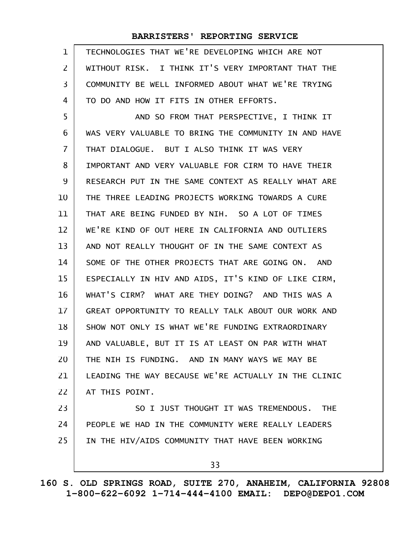| 1                 | TECHNOLOGIES THAT WE'RE DEVELOPING WHICH ARE NOT     |
|-------------------|------------------------------------------------------|
| 2                 | WITHOUT RISK. I THINK IT'S VERY IMPORTANT THAT THE   |
| 3                 | COMMUNITY BE WELL INFORMED ABOUT WHAT WE'RE TRYING   |
| 4                 | TO DO AND HOW IT FITS IN OTHER EFFORTS.              |
| 5                 | AND SO FROM THAT PERSPECTIVE, I THINK IT             |
| 6                 | WAS VERY VALUABLE TO BRING THE COMMUNITY IN AND HAVE |
| 7                 | THAT DIALOGUE. BUT I ALSO THINK IT WAS VERY          |
| 8                 | IMPORTANT AND VERY VALUABLE FOR CIRM TO HAVE THEIR   |
| 9                 | RESEARCH PUT IN THE SAME CONTEXT AS REALLY WHAT ARE  |
| 10                | THE THREE LEADING PROJECTS WORKING TOWARDS A CURE    |
| 11                | THAT ARE BEING FUNDED BY NIH. SO A LOT OF TIMES      |
| $12 \overline{ }$ | WE'RE KIND OF OUT HERE IN CALIFORNIA AND OUTLIERS    |
| 13                | AND NOT REALLY THOUGHT OF IN THE SAME CONTEXT AS     |
| 14                | SOME OF THE OTHER PROJECTS THAT ARE GOING ON. AND    |
| 15                | ESPECIALLY IN HIV AND AIDS, IT'S KIND OF LIKE CIRM,  |
| 16                | WHAT'S CIRM? WHAT ARE THEY DOING? AND THIS WAS A     |
| 17                | GREAT OPPORTUNITY TO REALLY TALK ABOUT OUR WORK AND  |
| 18                | SHOW NOT ONLY IS WHAT WE'RE FUNDING EXTRAORDINARY    |
| 19                | AND VALUABLE, BUT IT IS AT LEAST ON PAR WITH WHAT    |
| 20                | THE NIH IS FUNDING. AND IN MANY WAYS WE MAY BE       |
| 21                | LEADING THE WAY BECAUSE WE'RE ACTUALLY IN THE CLINIC |
| 22                | AT THIS POINT.                                       |
| 23                | SO I JUST THOUGHT IT WAS TREMENDOUS. THE             |
| 24                | PEOPLE WE HAD IN THE COMMUNITY WERE REALLY LEADERS   |
| 25                | IN THE HIV/AIDS COMMUNITY THAT HAVE BEEN WORKING     |
|                   | 33                                                   |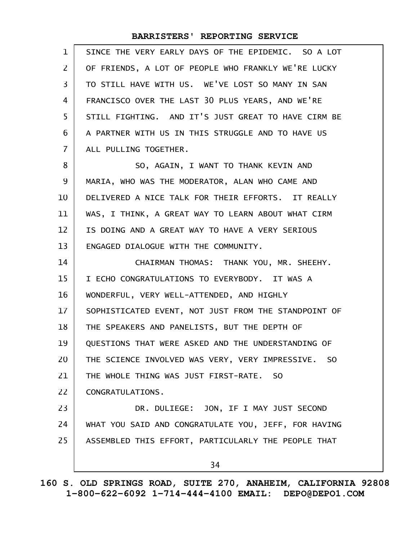| $\mathbf 1$    | SINCE THE VERY EARLY DAYS OF THE EPIDEMIC. SO A LOT  |
|----------------|------------------------------------------------------|
| 2              | OF FRIENDS, A LOT OF PEOPLE WHO FRANKLY WE'RE LUCKY  |
| 3              | TO STILL HAVE WITH US. WE'VE LOST SO MANY IN SAN     |
| 4              | FRANCISCO OVER THE LAST 30 PLUS YEARS, AND WE'RE     |
| 5              | STILL FIGHTING. AND IT'S JUST GREAT TO HAVE CIRM BE  |
| 6              | A PARTNER WITH US IN THIS STRUGGLE AND TO HAVE US    |
| $\overline{7}$ | ALL PULLING TOGETHER.                                |
| 8              | SO, AGAIN, I WANT TO THANK KEVIN AND                 |
| 9              | MARIA, WHO WAS THE MODERATOR, ALAN WHO CAME AND      |
| 10             | DELIVERED A NICE TALK FOR THEIR EFFORTS. IT REALLY   |
| 11             | WAS, I THINK, A GREAT WAY TO LEARN ABOUT WHAT CIRM   |
| 12             | IS DOING AND A GREAT WAY TO HAVE A VERY SERIOUS      |
| 13             | ENGAGED DIALOGUE WITH THE COMMUNITY.                 |
| 14             | CHAIRMAN THOMAS: THANK YOU, MR. SHEEHY.              |
| 15             | I ECHO CONGRATULATIONS TO EVERYBODY. IT WAS A        |
| 16             | WONDERFUL, VERY WELL-ATTENDED, AND HIGHLY            |
| 17             | SOPHISTICATED EVENT, NOT JUST FROM THE STANDPOINT OF |
| 18             | THE SPEAKERS AND PANELISTS, BUT THE DEPTH OF         |
| 19             | QUESTIONS THAT WERE ASKED AND THE UNDERSTANDING OF   |
| 20             | THE SCIENCE INVOLVED WAS VERY, VERY IMPRESSIVE. SO   |
| 21             | THE WHOLE THING WAS JUST FIRST-RATE. SO              |
| 22             | CONGRATULATIONS.                                     |
| 23             | DR. DULIEGE: JON, IF I MAY JUST SECOND               |
| 24             | WHAT YOU SAID AND CONGRATULATE YOU, JEFF, FOR HAVING |
| 25             | ASSEMBLED THIS EFFORT, PARTICULARLY THE PEOPLE THAT  |
|                | 34                                                   |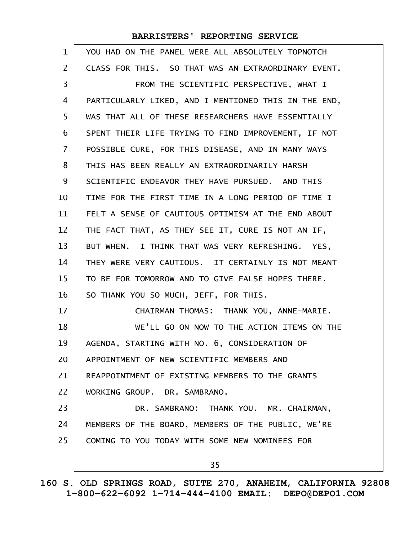| $\mathbf{1}$   | YOU HAD ON THE PANEL WERE ALL ABSOLUTELY TOPNOTCH    |
|----------------|------------------------------------------------------|
| 2              | CLASS FOR THIS. SO THAT WAS AN EXTRAORDINARY EVENT.  |
| 3              | FROM THE SCIENTIFIC PERSPECTIVE, WHAT I              |
| 4              | PARTICULARLY LIKED, AND I MENTIONED THIS IN THE END, |
| 5              | WAS THAT ALL OF THESE RESEARCHERS HAVE ESSENTIALLY   |
| 6              | SPENT THEIR LIFE TRYING TO FIND IMPROVEMENT, IF NOT  |
| $\overline{7}$ | POSSIBLE CURE, FOR THIS DISEASE, AND IN MANY WAYS    |
| 8              | THIS HAS BEEN REALLY AN EXTRAORDINARILY HARSH        |
| 9              | SCIENTIFIC ENDEAVOR THEY HAVE PURSUED. AND THIS      |
| 10             | TIME FOR THE FIRST TIME IN A LONG PERIOD OF TIME I   |
| 11             | FELT A SENSE OF CAUTIOUS OPTIMISM AT THE END ABOUT   |
| 12             | THE FACT THAT, AS THEY SEE IT, CURE IS NOT AN IF,    |
| 13             | BUT WHEN. I THINK THAT WAS VERY REFRESHING. YES,     |
| 14             | THEY WERE VERY CAUTIOUS. IT CERTAINLY IS NOT MEANT   |
| 15             | TO BE FOR TOMORROW AND TO GIVE FALSE HOPES THERE.    |
| 16             | SO THANK YOU SO MUCH, JEFF, FOR THIS.                |
| 17             | CHAIRMAN THOMAS: THANK YOU, ANNE-MARIE.              |
| 18             | WE'LL GO ON NOW TO THE ACTION ITEMS ON THE           |
| 19             | AGENDA, STARTING WITH NO. 6, CONSIDERATION OF        |
| 20             | APPOINTMENT OF NEW SCIENTIFIC MEMBERS AND            |
| 21             | REAPPOINTMENT OF EXISTING MEMBERS TO THE GRANTS      |
| 22             | WORKING GROUP. DR. SAMBRANO.                         |
| 23             | DR. SAMBRANO: THANK YOU. MR. CHAIRMAN,               |
| 24             | MEMBERS OF THE BOARD, MEMBERS OF THE PUBLIC, WE'RE   |
| 25             | COMING TO YOU TODAY WITH SOME NEW NOMINEES FOR       |
|                | 35                                                   |
|                |                                                      |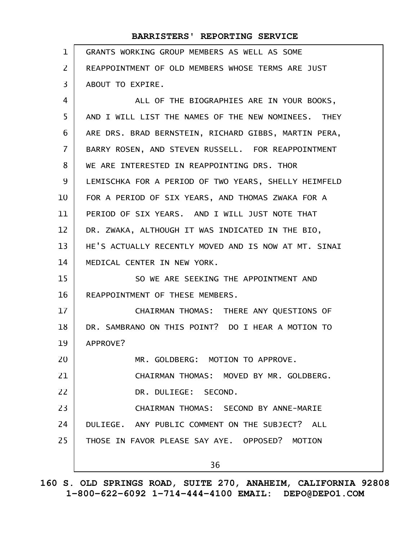| $\mathbf{1}$ | GRANTS WORKING GROUP MEMBERS AS WELL AS SOME         |
|--------------|------------------------------------------------------|
| 2            | REAPPOINTMENT OF OLD MEMBERS WHOSE TERMS ARE JUST    |
| 3            | ABOUT TO EXPIRE.                                     |
| 4            | ALL OF THE BIOGRAPHIES ARE IN YOUR BOOKS,            |
| 5            | AND I WILL LIST THE NAMES OF THE NEW NOMINEES. THEY  |
| 6            | ARE DRS. BRAD BERNSTEIN, RICHARD GIBBS, MARTIN PERA, |
| 7            | BARRY ROSEN, AND STEVEN RUSSELL. FOR REAPPOINTMENT   |
| 8            | WE ARE INTERESTED IN REAPPOINTING DRS. THOR          |
| 9            | LEMISCHKA FOR A PERIOD OF TWO YEARS, SHELLY HEIMFELD |
| 10           | FOR A PERIOD OF SIX YEARS, AND THOMAS ZWAKA FOR A    |
| 11           | PERIOD OF SIX YEARS. AND I WILL JUST NOTE THAT       |
| 12           | DR. ZWAKA, ALTHOUGH IT WAS INDICATED IN THE BIO,     |
| 13           | HE'S ACTUALLY RECENTLY MOVED AND IS NOW AT MT. SINAI |
| 14           | MEDICAL CENTER IN NEW YORK.                          |
| 15           | SO WE ARE SEEKING THE APPOINTMENT AND                |
| 16           | REAPPOINTMENT OF THESE MEMBERS.                      |
| 17           | CHAIRMAN THOMAS: THERE ANY QUESTIONS OF              |
| 18           | DR. SAMBRANO ON THIS POINT? DO I HEAR A MOTION TO    |
| 19           | APPROVE?                                             |
| 20           | MR. GOLDBERG: MOTION TO APPROVE.                     |
| 21           | CHAIRMAN THOMAS: MOVED BY MR. GOLDBERG.              |
| 22           | DR. DULIEGE: SECOND.                                 |
| 23           | CHAIRMAN THOMAS: SECOND BY ANNE-MARIE                |
| 24           | DULIEGE. ANY PUBLIC COMMENT ON THE SUBJECT? ALL      |
| 25           | THOSE IN FAVOR PLEASE SAY AYE. OPPOSED? MOTION       |
|              | 36                                                   |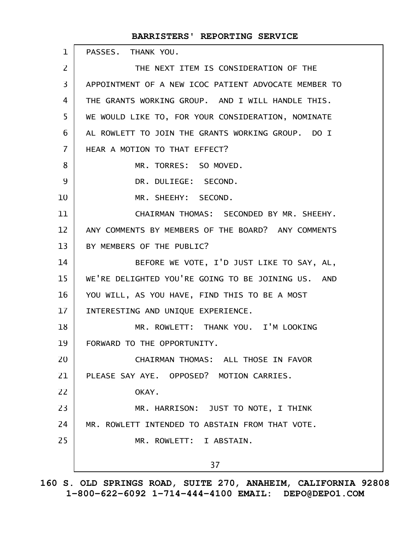| BARRISTERS' REPORTING SERVICE                        |
|------------------------------------------------------|
| PASSES. THANK YOU.                                   |
| THE NEXT ITEM IS CONSIDERATION OF THE                |
| APPOINTMENT OF A NEW ICOC PATIENT ADVOCATE MEMBER TO |
| THE GRANTS WORKING GROUP. AND I WILL HANDLE THIS.    |
| WE WOULD LIKE TO, FOR YOUR CONSIDERATION, NOMINATE   |
| AL ROWLETT TO JOIN THE GRANTS WORKING GROUP. DO I    |
| HEAR A MOTION TO THAT EFFECT?                        |
| MR. TORRES: SO MOVED.                                |
| DR. DULIEGE: SECOND.                                 |
| MR. SHEEHY: SECOND.                                  |
| CHAIRMAN THOMAS: SECONDED BY MR. SHEEHY.             |
| ANY COMMENTS BY MEMBERS OF THE BOARD? ANY COMMENTS   |
| BY MEMBERS OF THE PUBLIC?                            |
| BEFORE WE VOTE, I'D JUST LIKE TO SAY, AL,            |
| WE'RE DELIGHTED YOU'RE GOING TO BE JOINING US. AND   |
| YOU WILL, AS YOU HAVE, FIND THIS TO BE A MOST        |
| INTERESTING AND UNIQUE EXPERIENCE.                   |
| MR. ROWLETT: THANK YOU. I'M LOOKING                  |
| FORWARD TO THE OPPORTUNITY.                          |
| CHAIRMAN THOMAS: ALL THOSE IN FAVOR                  |
| PLEASE SAY AYE. OPPOSED? MOTION CARRIES.             |
| OKAY.                                                |
| MR. HARRISON: JUST TO NOTE, I THINK                  |
| MR. ROWLETT INTENDED TO ABSTAIN FROM THAT VOTE.      |
| MR. ROWLETT: I ABSTAIN.                              |
| 37                                                   |
|                                                      |

**160 S. OLD SPRINGS ROAD, SUITE 270, ANAHEIM, CALIFORNIA 92808 1-800-622-6092 1-714-444-4100 EMAIL: DEPO@DEPO1.COM**

 $\mathsf{l}$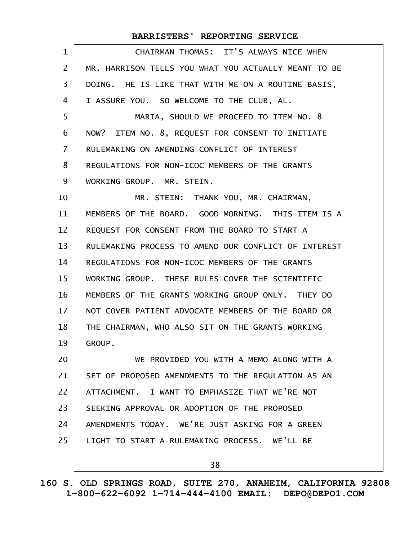| $\mathbf{1}$   | CHAIRMAN THOMAS: IT'S ALWAYS NICE WHEN               |
|----------------|------------------------------------------------------|
| $\overline{2}$ | MR. HARRISON TELLS YOU WHAT YOU ACTUALLY MEANT TO BE |
| 3              | DOING. HE IS LIKE THAT WITH ME ON A ROUTINE BASIS,   |
| 4              | I ASSURE YOU. SO WELCOME TO THE CLUB, AL.            |
| 5              | MARIA, SHOULD WE PROCEED TO ITEM NO. 8               |
| 6              | NOW? ITEM NO. 8, REQUEST FOR CONSENT TO INITIATE     |
| $\overline{7}$ | RULEMAKING ON AMENDING CONFLICT OF INTEREST          |
| 8              | REGULATIONS FOR NON-ICOC MEMBERS OF THE GRANTS       |
| 9              | WORKING GROUP. MR. STEIN.                            |
| 10             | MR. STEIN: THANK YOU, MR. CHAIRMAN,                  |
| 11             | MEMBERS OF THE BOARD. GOOD MORNING. THIS ITEM IS A   |
| 12             | REQUEST FOR CONSENT FROM THE BOARD TO START A        |
| 13             | RULEMAKING PROCESS TO AMEND OUR CONFLICT OF INTEREST |
| 14             | REGULATIONS FOR NON-ICOC MEMBERS OF THE GRANTS       |
| 15             | WORKING GROUP. THESE RULES COVER THE SCIENTIFIC      |
| 16             | MEMBERS OF THE GRANTS WORKING GROUP ONLY. THEY DO    |
| 17             | NOT COVER PATIENT ADVOCATE MEMBERS OF THE BOARD OR   |
| 18             | THE CHAIRMAN, WHO ALSO SIT ON THE GRANTS WORKING     |
| 19             | GROUP.                                               |
| 20             | WE PROVIDED YOU WITH A MEMO ALONG WITH A             |
| 21             | SET OF PROPOSED AMENDMENTS TO THE REGULATION AS AN   |
| 22             | ATTACHMENT. I WANT TO EMPHASIZE THAT WE'RE NOT       |
| 23             | SEEKING APPROVAL OR ADOPTION OF THE PROPOSED         |
| 24             | AMENDMENTS TODAY. WE'RE JUST ASKING FOR A GREEN      |
| 25             | LIGHT TO START A RULEMAKING PROCESS. WE'LL BE        |
|                | 38                                                   |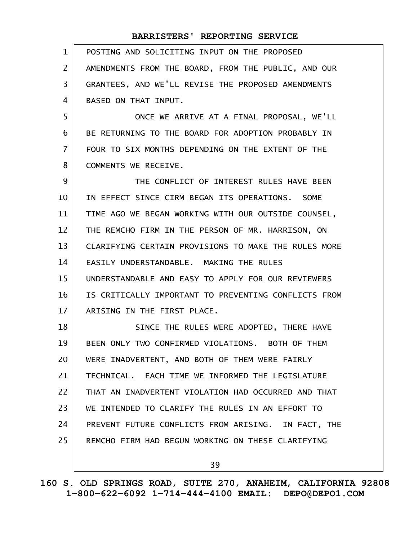| $\mathbf{1}$   | POSTING AND SOLICITING INPUT ON THE PROPOSED         |
|----------------|------------------------------------------------------|
| $\overline{2}$ | AMENDMENTS FROM THE BOARD, FROM THE PUBLIC, AND OUR  |
| $\overline{3}$ | GRANTEES, AND WE'LL REVISE THE PROPOSED AMENDMENTS   |
| 4              | BASED ON THAT INPUT.                                 |
| 5              | ONCE WE ARRIVE AT A FINAL PROPOSAL, WE'LL            |
| 6              | BE RETURNING TO THE BOARD FOR ADOPTION PROBABLY IN   |
| $\overline{7}$ | FOUR TO SIX MONTHS DEPENDING ON THE EXTENT OF THE    |
| 8              | COMMENTS WE RECEIVE.                                 |
| 9              | THE CONFLICT OF INTEREST RULES HAVE BEEN             |
| 10             | IN EFFECT SINCE CIRM BEGAN ITS OPERATIONS. SOME      |
| 11             | TIME AGO WE BEGAN WORKING WITH OUR OUTSIDE COUNSEL,  |
| 12             | THE REMCHO FIRM IN THE PERSON OF MR. HARRISON, ON    |
| 13             | CLARIFYING CERTAIN PROVISIONS TO MAKE THE RULES MORE |
| 14             | EASILY UNDERSTANDABLE. MAKING THE RULES              |
| 15             | UNDERSTANDABLE AND EASY TO APPLY FOR OUR REVIEWERS   |
| 16             | IS CRITICALLY IMPORTANT TO PREVENTING CONFLICTS FROM |
| 17             | ARISING IN THE FIRST PLACE.                          |
| 18             | SINCE THE RULES WERE ADOPTED, THERE HAVE             |
| 19             | BEEN ONLY TWO CONFIRMED VIOLATIONS. BOTH OF THEM     |
| 20             | WERE INADVERTENT, AND BOTH OF THEM WERE FAIRLY       |
| 21             | TECHNICAL. EACH TIME WE INFORMED THE LEGISLATURE     |
| 22             | THAT AN INADVERTENT VIOLATION HAD OCCURRED AND THAT  |
| 23             | WE INTENDED TO CLARIFY THE RULES IN AN EFFORT TO     |
| 24             | PREVENT FUTURE CONFLICTS FROM ARISING. IN FACT, THE  |
| 25             | REMCHO FIRM HAD BEGUN WORKING ON THESE CLARIFYING    |
|                | 39                                                   |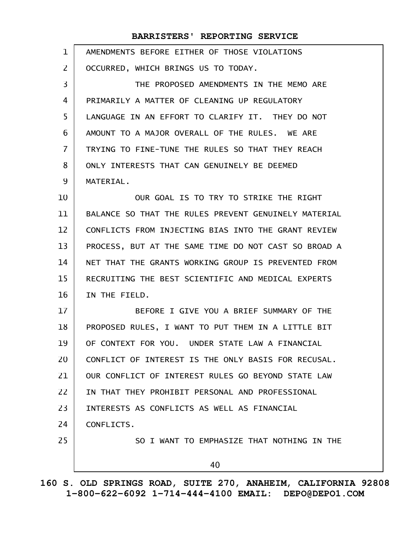| $\mathbf 1$    | AMENDMENTS BEFORE EITHER OF THOSE VIOLATIONS         |
|----------------|------------------------------------------------------|
| 2              | OCCURRED, WHICH BRINGS US TO TODAY.                  |
| 3              | THE PROPOSED AMENDMENTS IN THE MEMO ARE              |
| 4              | PRIMARILY A MATTER OF CLEANING UP REGULATORY         |
| 5              | LANGUAGE IN AN EFFORT TO CLARIFY IT. THEY DO NOT     |
| 6              | AMOUNT TO A MAJOR OVERALL OF THE RULES. WE ARE       |
| $\overline{7}$ | TRYING TO FINE-TUNE THE RULES SO THAT THEY REACH     |
| 8              | ONLY INTERESTS THAT CAN GENUINELY BE DEEMED          |
| 9              | MATERIAL.                                            |
| 10             | OUR GOAL IS TO TRY TO STRIKE THE RIGHT               |
| 11             | BALANCE SO THAT THE RULES PREVENT GENUINELY MATERIAL |
| 12             | CONFLICTS FROM INJECTING BIAS INTO THE GRANT REVIEW  |
| 13             | PROCESS, BUT AT THE SAME TIME DO NOT CAST SO BROAD A |
| 14             | NET THAT THE GRANTS WORKING GROUP IS PREVENTED FROM  |
| 15             | RECRUITING THE BEST SCIENTIFIC AND MEDICAL EXPERTS   |
| 16             | IN THE FIELD.                                        |
| 17             | BEFORE I GIVE YOU A BRIEF SUMMARY OF THE             |
| 18             | PROPOSED RULES, I WANT TO PUT THEM IN A LITTLE BIT   |
| 19             | OF CONTEXT FOR YOU. UNDER STATE LAW A FINANCIAL      |
| 20             | CONFLICT OF INTEREST IS THE ONLY BASIS FOR RECUSAL.  |
| 21             | OUR CONFLICT OF INTEREST RULES GO BEYOND STATE LAW   |
| 22             | IN THAT THEY PROHIBIT PERSONAL AND PROFESSIONAL      |
| 23             | INTERESTS AS CONFLICTS AS WELL AS FINANCIAL          |
| 24             | CONFLICTS.                                           |
| 25             | SO I WANT TO EMPHASIZE THAT NOTHING IN THE           |
|                | 40                                                   |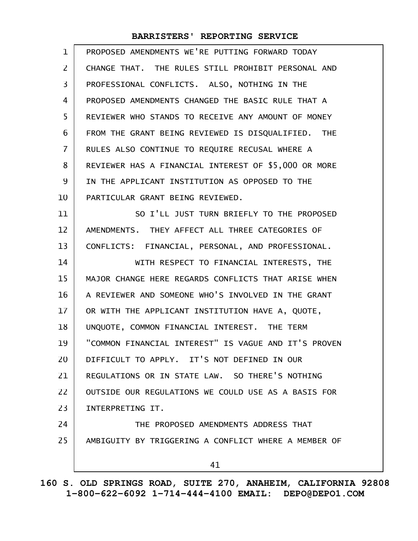| $\mathbf{1}$      | PROPOSED AMENDMENTS WE'RE PUTTING FORWARD TODAY      |
|-------------------|------------------------------------------------------|
| $\overline{2}$    | CHANGE THAT. THE RULES STILL PROHIBIT PERSONAL AND   |
| 3                 | PROFESSIONAL CONFLICTS. ALSO, NOTHING IN THE         |
| 4                 | PROPOSED AMENDMENTS CHANGED THE BASIC RULE THAT A    |
| 5                 | REVIEWER WHO STANDS TO RECEIVE ANY AMOUNT OF MONEY   |
| 6                 | FROM THE GRANT BEING REVIEWED IS DISQUALIFIED. THE   |
| $\overline{I}$    | RULES ALSO CONTINUE TO REQUIRE RECUSAL WHERE A       |
| 8                 | REVIEWER HAS A FINANCIAL INTEREST OF \$5,000 OR MORE |
| 9                 | IN THE APPLICANT INSTITUTION AS OPPOSED TO THE       |
| 10                | PARTICULAR GRANT BEING REVIEWED.                     |
| 11                | SO I'LL JUST TURN BRIEFLY TO THE PROPOSED            |
| $12 \overline{ }$ | AMENDMENTS. THEY AFFECT ALL THREE CATEGORIES OF      |
| 13                | CONFLICTS: FINANCIAL, PERSONAL, AND PROFESSIONAL.    |
| 14                | WITH RESPECT TO FINANCIAL INTERESTS, THE             |
| 15                | MAJOR CHANGE HERE REGARDS CONFLICTS THAT ARISE WHEN  |
| 16                | A REVIEWER AND SOMEONE WHO'S INVOLVED IN THE GRANT   |
| 17                | OR WITH THE APPLICANT INSTITUTION HAVE A, QUOTE,     |
| 18                | UNQUOTE, COMMON FINANCIAL INTEREST. THE TERM         |
| 19                | "COMMON FINANCIAL INTEREST" IS VAGUE AND IT'S PROVEN |
| 20                | DIFFICULT TO APPLY. IT'S NOT DEFINED IN OUR          |
| 21                | REGULATIONS OR IN STATE LAW. SO THERE'S NOTHING      |
| 22                | OUTSIDE OUR REGULATIONS WE COULD USE AS A BASIS FOR  |
| 23                | INTERPRETING IT.                                     |
| 24                | THE PROPOSED AMENDMENTS ADDRESS THAT                 |
| 25                | AMBIGUITY BY TRIGGERING A CONFLICT WHERE A MEMBER OF |
|                   | 41                                                   |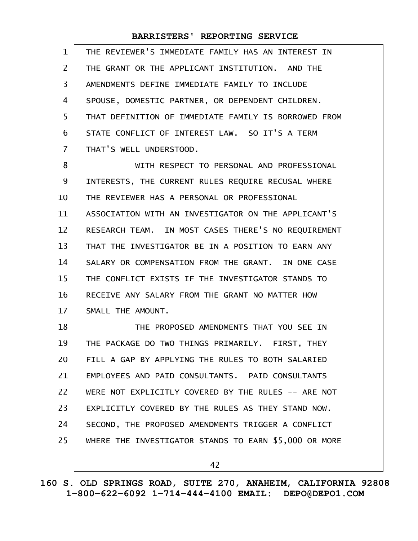| $\mathbf{1}$   | THE REVIEWER'S IMMEDIATE FAMILY HAS AN INTEREST IN    |
|----------------|-------------------------------------------------------|
| $\overline{2}$ | THE GRANT OR THE APPLICANT INSTITUTION. AND THE       |
| 3              | AMENDMENTS DEFINE IMMEDIATE FAMILY TO INCLUDE         |
| 4              | SPOUSE, DOMESTIC PARTNER, OR DEPENDENT CHILDREN.      |
| 5              | THAT DEFINITION OF IMMEDIATE FAMILY IS BORROWED FROM  |
| 6              | STATE CONFLICT OF INTEREST LAW. SO IT'S A TERM        |
| $\overline{7}$ | THAT'S WELL UNDERSTOOD.                               |
| 8              | WITH RESPECT TO PERSONAL AND PROFESSIONAL             |
| 9              | INTERESTS, THE CURRENT RULES REQUIRE RECUSAL WHERE    |
| 10             | THE REVIEWER HAS A PERSONAL OR PROFESSIONAL           |
| 11             | ASSOCIATION WITH AN INVESTIGATOR ON THE APPLICANT'S   |
| 12             | RESEARCH TEAM. IN MOST CASES THERE'S NO REQUIREMENT   |
| 13             | THAT THE INVESTIGATOR BE IN A POSITION TO EARN ANY    |
| 14             | SALARY OR COMPENSATION FROM THE GRANT. IN ONE CASE    |
| 15             | THE CONFLICT EXISTS IF THE INVESTIGATOR STANDS TO     |
| 16             | RECEIVE ANY SALARY FROM THE GRANT NO MATTER HOW       |
| 17             | SMALL THE AMOUNT.                                     |
| 18             | THE PROPOSED AMENDMENTS THAT YOU SEE IN               |
| 19             | THE PACKAGE DO TWO THINGS PRIMARILY. FIRST, THEY      |
| 20             | FILL A GAP BY APPLYING THE RULES TO BOTH SALARIED     |
| 21             | EMPLOYEES AND PAID CONSULTANTS. PAID CONSULTANTS      |
| 22             | WERE NOT EXPLICITLY COVERED BY THE RULES -- ARE NOT   |
| 23             | EXPLICITLY COVERED BY THE RULES AS THEY STAND NOW.    |
| 24             | SECOND, THE PROPOSED AMENDMENTS TRIGGER A CONFLICT    |
| 25             | WHERE THE INVESTIGATOR STANDS TO EARN \$5,000 OR MORE |
|                | 42                                                    |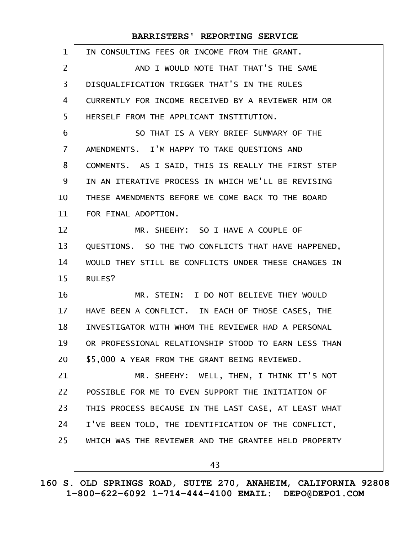| $\mathbf{1}$   | IN CONSULTING FEES OR INCOME FROM THE GRANT.         |
|----------------|------------------------------------------------------|
| $\overline{2}$ | AND I WOULD NOTE THAT THAT'S THE SAME                |
| 3              | DISQUALIFICATION TRIGGER THAT'S IN THE RULES         |
| 4              | CURRENTLY FOR INCOME RECEIVED BY A REVIEWER HIM OR   |
| 5              | HERSELF FROM THE APPLICANT INSTITUTION.              |
| 6              | SO THAT IS A VERY BRIEF SUMMARY OF THE               |
| $\overline{7}$ | AMENDMENTS. I'M HAPPY TO TAKE QUESTIONS AND          |
| 8              | COMMENTS. AS I SAID, THIS IS REALLY THE FIRST STEP   |
| 9              | IN AN ITERATIVE PROCESS IN WHICH WE'LL BE REVISING   |
| 10             | THESE AMENDMENTS BEFORE WE COME BACK TO THE BOARD    |
| 11             | FOR FINAL ADOPTION.                                  |
| 12             | MR. SHEEHY: SO I HAVE A COUPLE OF                    |
| 13             | QUESTIONS. SO THE TWO CONFLICTS THAT HAVE HAPPENED,  |
| 14             | WOULD THEY STILL BE CONFLICTS UNDER THESE CHANGES IN |
| 15             | RULES?                                               |
| 16             | MR. STEIN: I DO NOT BELIEVE THEY WOULD               |
| 17             | HAVE BEEN A CONFLICT. IN EACH OF THOSE CASES, THE    |
| 18             | INVESTIGATOR WITH WHOM THE REVIEWER HAD A PERSONAL   |
| 19             | OR PROFESSIONAL RELATIONSHIP STOOD TO EARN LESS THAN |
| 20             | \$5.000 A YEAR FROM THE GRANT BEING REVIEWED.        |
| 21             | MR. SHEEHY: WELL, THEN, I THINK IT'S NOT             |
| 22             | POSSIBLE FOR ME TO EVEN SUPPORT THE INITIATION OF    |
| 23             | THIS PROCESS BECAUSE IN THE LAST CASE, AT LEAST WHAT |
| 24             | I'VE BEEN TOLD, THE IDENTIFICATION OF THE CONFLICT,  |
| 25             | WHICH WAS THE REVIEWER AND THE GRANTEE HELD PROPERTY |
|                | 43                                                   |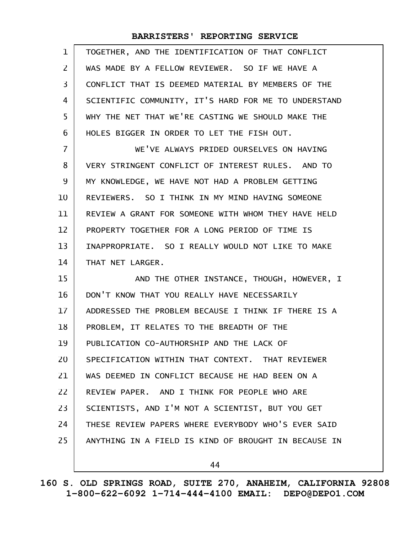| $\mathbf{1}$      | TOGETHER, AND THE IDENTIFICATION OF THAT CONFLICT    |
|-------------------|------------------------------------------------------|
| 2                 | WAS MADE BY A FELLOW REVIEWER. SO IF WE HAVE A       |
| 3                 | CONFLICT THAT IS DEEMED MATERIAL BY MEMBERS OF THE   |
| 4                 | SCIENTIFIC COMMUNITY, IT'S HARD FOR ME TO UNDERSTAND |
| 5                 | WHY THE NET THAT WE'RE CASTING WE SHOULD MAKE THE    |
| 6                 | HOLES BIGGER IN ORDER TO LET THE FISH OUT.           |
| $\overline{7}$    | WE'VE ALWAYS PRIDED OURSELVES ON HAVING              |
| 8                 | VERY STRINGENT CONFLICT OF INTEREST RULES. AND TO    |
| 9                 | MY KNOWLEDGE, WE HAVE NOT HAD A PROBLEM GETTING      |
| 10                | REVIEWERS. SO I THINK IN MY MIND HAVING SOMEONE      |
| 11                | REVIEW A GRANT FOR SOMEONE WITH WHOM THEY HAVE HELD  |
| $12 \overline{ }$ | PROPERTY TOGETHER FOR A LONG PERIOD OF TIME IS       |
| 13                | INAPPROPRIATE. SO I REALLY WOULD NOT LIKE TO MAKE    |
| 14                | THAT NET LARGER.                                     |
| 15                | AND THE OTHER INSTANCE, THOUGH, HOWEVER, I           |
| 16                | DON'T KNOW THAT YOU REALLY HAVE NECESSARILY          |
| 17                | ADDRESSED THE PROBLEM BECAUSE I THINK IF THERE IS A  |
| 18                | PROBLEM, IT RELATES TO THE BREADTH OF THE            |
| 19                | PUBLICATION CO-AUTHORSHIP AND THE LACK OF            |
| 20                | SPECIFICATION WITHIN THAT CONTEXT. THAT REVIEWER     |
| 21                | WAS DEEMED IN CONFLICT BECAUSE HE HAD BEEN ON A      |
| 22                | REVIEW PAPER. AND I THINK FOR PEOPLE WHO ARE         |
| 23                | SCIENTISTS, AND I'M NOT A SCIENTIST, BUT YOU GET     |
| 24                | THESE REVIEW PAPERS WHERE EVERYBODY WHO'S EVER SAID  |
| 25                | ANYTHING IN A FIELD IS KIND OF BROUGHT IN BECAUSE IN |
|                   | 44                                                   |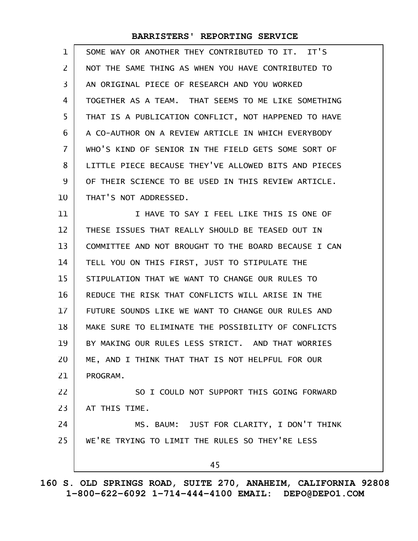| 1  | SOME WAY OR ANOTHER THEY CONTRIBUTED TO IT. IT'S     |
|----|------------------------------------------------------|
| 2  | NOT THE SAME THING AS WHEN YOU HAVE CONTRIBUTED TO   |
| 3  | AN ORIGINAL PIECE OF RESEARCH AND YOU WORKED         |
| 4  | TOGETHER AS A TEAM. THAT SEEMS TO ME LIKE SOMETHING  |
| 5  | THAT IS A PUBLICATION CONFLICT, NOT HAPPENED TO HAVE |
| 6  | A CO-AUTHOR ON A REVIEW ARTICLE IN WHICH EVERYBODY   |
| 7  | WHO'S KIND OF SENIOR IN THE FIELD GETS SOME SORT OF  |
| 8  | LITTLE PIECE BECAUSE THEY'VE ALLOWED BITS AND PIECES |
| 9  | OF THEIR SCIENCE TO BE USED IN THIS REVIEW ARTICLE.  |
| 10 | THAT'S NOT ADDRESSED.                                |
| 11 | I HAVE TO SAY I FEEL LIKE THIS IS ONE OF             |
| 12 | THESE ISSUES THAT REALLY SHOULD BE TEASED OUT IN     |
| 13 | COMMITTEE AND NOT BROUGHT TO THE BOARD BECAUSE I CAN |
| 14 | TELL YOU ON THIS FIRST, JUST TO STIPULATE THE        |
| 15 | STIPULATION THAT WE WANT TO CHANGE OUR RULES TO      |
| 16 | REDUCE THE RISK THAT CONFLICTS WILL ARISE IN THE     |
| 17 | FUTURE SOUNDS LIKE WE WANT TO CHANGE OUR RULES AND   |
| 18 | MAKE SURE TO ELIMINATE THE POSSIBILITY OF CONFLICTS  |
| 19 | BY MAKING OUR RULES LESS STRICT. AND THAT WORRIES    |
| 20 | ME, AND I THINK THAT THAT IS NOT HELPFUL FOR OUR     |
| 21 | PROGRAM.                                             |
| 22 | SO I COULD NOT SUPPORT THIS GOING FORWARD            |
| 23 | AT THIS TIME.                                        |
| 24 | MS. BAUM: JUST FOR CLARITY, I DON'T THINK            |
| 25 | WE'RE TRYING TO LIMIT THE RULES SO THEY'RE LESS      |
|    | 45                                                   |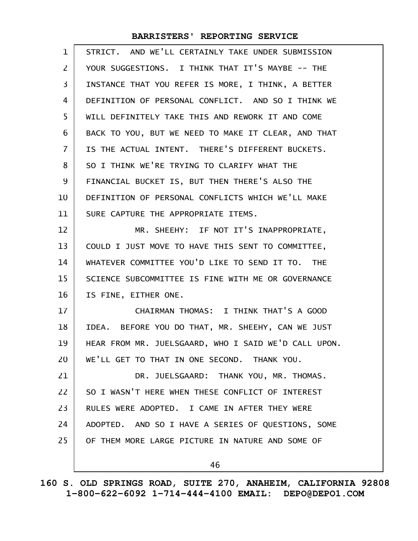| $\mathbf 1$    | STRICT. AND WE'LL CERTAINLY TAKE UNDER SUBMISSION    |
|----------------|------------------------------------------------------|
| $\mathsf{Z}$   | YOUR SUGGESTIONS. I THINK THAT IT'S MAYBE -- THE     |
| 3              | INSTANCE THAT YOU REFER IS MORE, I THINK, A BETTER   |
| 4              | DEFINITION OF PERSONAL CONFLICT. AND SO I THINK WE   |
| 5              | WILL DEFINITELY TAKE THIS AND REWORK IT AND COME     |
| 6              | BACK TO YOU, BUT WE NEED TO MAKE IT CLEAR, AND THAT  |
| $\overline{7}$ | IS THE ACTUAL INTENT. THERE'S DIFFERENT BUCKETS.     |
| 8              | SO I THINK WE'RE TRYING TO CLARIFY WHAT THE          |
| 9              | FINANCIAL BUCKET IS, BUT THEN THERE'S ALSO THE       |
| 10             | DEFINITION OF PERSONAL CONFLICTS WHICH WE'LL MAKE    |
| 11             | SURE CAPTURE THE APPROPRIATE ITEMS.                  |
| 12             | MR. SHEEHY: IF NOT IT'S INAPPROPRIATE,               |
| 13             | COULD I JUST MOVE TO HAVE THIS SENT TO COMMITTEE,    |
| 14             | WHATEVER COMMITTEE YOU'D LIKE TO SEND IT TO. THE     |
| 15             | SCIENCE SUBCOMMITTEE IS FINE WITH ME OR GOVERNANCE   |
| 16             | IS FINE, EITHER ONE.                                 |
| 17             | CHAIRMAN THOMAS: I THINK THAT'S A GOOD               |
| 18             | IDEA. BEFORE YOU DO THAT, MR. SHEEHY, CAN WE JUST    |
| 19             | HEAR FROM MR. JUELSGAARD, WHO I SAID WE'D CALL UPON. |
| 20             | WE'LL GET TO THAT IN ONE SECOND. THANK YOU.          |
| 21             | DR. JUELSGAARD: THANK YOU, MR. THOMAS.               |
| 22             | SO I WASN'T HERE WHEN THESE CONFLICT OF INTEREST     |
| 23             | RULES WERE ADOPTED. I CAME IN AFTER THEY WERE        |
| 24             | ADOPTED. AND SO I HAVE A SERIES OF QUESTIONS, SOME   |
| 25             | OF THEM MORE LARGE PICTURE IN NATURE AND SOME OF     |
|                | 46                                                   |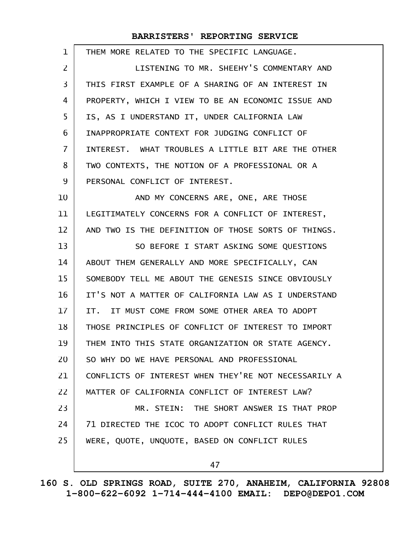| 1  | THEM MORE RELATED TO THE SPECIFIC LANGUAGE.          |
|----|------------------------------------------------------|
| 2  | LISTENING TO MR. SHEEHY'S COMMENTARY AND             |
| 3  | THIS FIRST EXAMPLE OF A SHARING OF AN INTEREST IN    |
| 4  | PROPERTY, WHICH I VIEW TO BE AN ECONOMIC ISSUE AND   |
| 5  | IS, AS I UNDERSTAND IT, UNDER CALIFORNIA LAW         |
| 6  | INAPPROPRIATE CONTEXT FOR JUDGING CONFLICT OF        |
| 7  | INTEREST. WHAT TROUBLES A LITTLE BIT ARE THE OTHER   |
| 8  | TWO CONTEXTS, THE NOTION OF A PROFESSIONAL OR A      |
| 9  | PERSONAL CONFLICT OF INTEREST.                       |
| 10 | AND MY CONCERNS ARE, ONE, ARE THOSE                  |
| 11 | LEGITIMATELY CONCERNS FOR A CONFLICT OF INTEREST,    |
| 12 | AND TWO IS THE DEFINITION OF THOSE SORTS OF THINGS.  |
| 13 | SO BEFORE I START ASKING SOME QUESTIONS              |
| 14 | ABOUT THEM GENERALLY AND MORE SPECIFICALLY, CAN      |
| 15 | SOMEBODY TELL ME ABOUT THE GENESIS SINCE OBVIOUSLY   |
| 16 | IT'S NOT A MATTER OF CALIFORNIA LAW AS I UNDERSTAND  |
| 17 | IT. IT MUST COME FROM SOME OTHER AREA TO ADOPT       |
| 18 | THOSE PRINCIPLES OF CONFLICT OF INTEREST TO IMPORT   |
| 19 | THEM INTO THIS STATE ORGANIZATION OR STATE AGENCY.   |
| 20 | SO WHY DO WE HAVE PERSONAL AND PROFESSIONAL          |
| 21 | CONFLICTS OF INTEREST WHEN THEY'RE NOT NECESSARILY A |
| 22 | MATTER OF CALIFORNIA CONFLICT OF INTEREST LAW?       |
| 23 | MR. STEIN: THE SHORT ANSWER IS THAT PROP             |
| 24 | 71 DIRECTED THE ICOC TO ADOPT CONFLICT RULES THAT    |
| 25 | WERE, QUOTE, UNQUOTE, BASED ON CONFLICT RULES        |
|    | 47                                                   |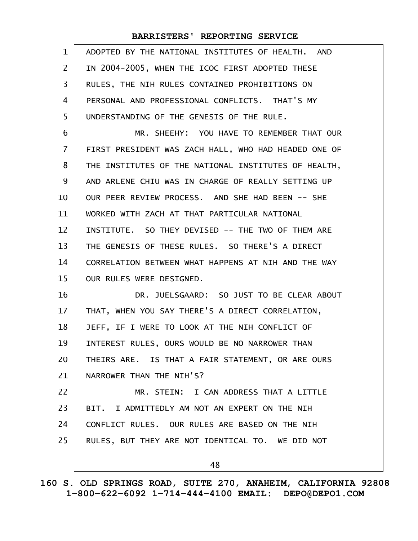| $\mathbf{1}$   | ADOPTED BY THE NATIONAL INSTITUTES OF HEALTH. AND    |
|----------------|------------------------------------------------------|
| $\mathsf{Z}$   | IN 2004-2005, WHEN THE ICOC FIRST ADOPTED THESE      |
| 3              | RULES, THE NIH RULES CONTAINED PROHIBITIONS ON       |
| 4              | PERSONAL AND PROFESSIONAL CONFLICTS. THAT'S MY       |
| 5              | UNDERSTANDING OF THE GENESIS OF THE RULE.            |
| 6              | MR. SHEEHY: YOU HAVE TO REMEMBER THAT OUR            |
| $\overline{7}$ | FIRST PRESIDENT WAS ZACH HALL, WHO HAD HEADED ONE OF |
| 8              | THE INSTITUTES OF THE NATIONAL INSTITUTES OF HEALTH, |
| 9              | AND ARLENE CHIU WAS IN CHARGE OF REALLY SETTING UP   |
| 10             | OUR PEER REVIEW PROCESS. AND SHE HAD BEEN -- SHE     |
| 11             | WORKED WITH ZACH AT THAT PARTICULAR NATIONAL         |
| 12             | INSTITUTE. SO THEY DEVISED -- THE TWO OF THEM ARE    |
| 13             | THE GENESIS OF THESE RULES. SO THERE'S A DIRECT      |
| 14             | CORRELATION BETWEEN WHAT HAPPENS AT NIH AND THE WAY  |
| 15             | OUR RULES WERE DESIGNED.                             |
| 16             | DR. JUELSGAARD: SO JUST TO BE CLEAR ABOUT            |
| 17             | THAT, WHEN YOU SAY THERE'S A DIRECT CORRELATION,     |
| 18             | JEFF, IF I WERE TO LOOK AT THE NIH CONFLICT OF       |
| 19             | INTEREST RULES, OURS WOULD BE NO NARROWER THAN       |
| 20             | THEIRS ARE. IS THAT A FAIR STATEMENT, OR ARE OURS    |
| 21             | NARROWER THAN THE NIH'S?                             |
| 22             | MR. STEIN: I CAN ADDRESS THAT A LITTLE               |
| 23             | BIT. I ADMITTEDLY AM NOT AN EXPERT ON THE NIH        |
| 24             | CONFLICT RULES. OUR RULES ARE BASED ON THE NIH       |
| 25             | RULES, BUT THEY ARE NOT IDENTICAL TO. WE DID NOT     |
|                | 48                                                   |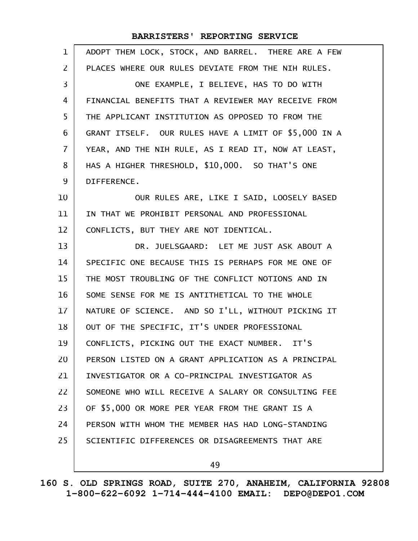| $\mathbf{1}$   | ADOPT THEM LOCK, STOCK, AND BARREL. THERE ARE A FEW  |
|----------------|------------------------------------------------------|
| $\overline{2}$ | PLACES WHERE OUR RULES DEVIATE FROM THE NIH RULES.   |
| 3              | ONE EXAMPLE, I BELIEVE, HAS TO DO WITH               |
| 4              | FINANCIAL BENEFITS THAT A REVIEWER MAY RECEIVE FROM  |
| 5              | THE APPLICANT INSTITUTION AS OPPOSED TO FROM THE     |
| 6              | GRANT ITSELF. OUR RULES HAVE A LIMIT OF \$5,000 IN A |
| $\mathbf{7}$   | YEAR, AND THE NIH RULE, AS I READ IT, NOW AT LEAST,  |
| 8              | HAS A HIGHER THRESHOLD, \$10,000. SO THAT'S ONE      |
| 9              | DIFFERENCE.                                          |
| 10             | OUR RULES ARE, LIKE I SAID, LOOSELY BASED            |
| 11             | IN THAT WE PROHIBIT PERSONAL AND PROFESSIONAL        |
| 12             | CONFLICTS, BUT THEY ARE NOT IDENTICAL.               |
| 13             | DR. JUELSGAARD: LET ME JUST ASK ABOUT A              |
| 14             | SPECIFIC ONE BECAUSE THIS IS PERHAPS FOR ME ONE OF   |
| 15             | THE MOST TROUBLING OF THE CONFLICT NOTIONS AND IN    |
| 16             | SOME SENSE FOR ME IS ANTITHETICAL TO THE WHOLE       |
| 17             | NATURE OF SCIENCE. AND SO I'LL, WITHOUT PICKING IT   |
| 18             | OUT OF THE SPECIFIC, IT'S UNDER PROFESSIONAL         |
| 19             | CONFLICTS, PICKING OUT THE EXACT NUMBER. IT'S        |
| 20             | PERSON LISTED ON A GRANT APPLICATION AS A PRINCIPAL  |
| 21             | INVESTIGATOR OR A CO-PRINCIPAL INVESTIGATOR AS       |
| 22             | SOMEONE WHO WILL RECEIVE A SALARY OR CONSULTING FEE  |
| 23             | OF \$5,000 OR MORE PER YEAR FROM THE GRANT IS A      |
| 24             | PERSON WITH WHOM THE MEMBER HAS HAD LONG-STANDING    |
| 25             | SCIENTIFIC DIFFERENCES OR DISAGREEMENTS THAT ARE     |
|                | 49                                                   |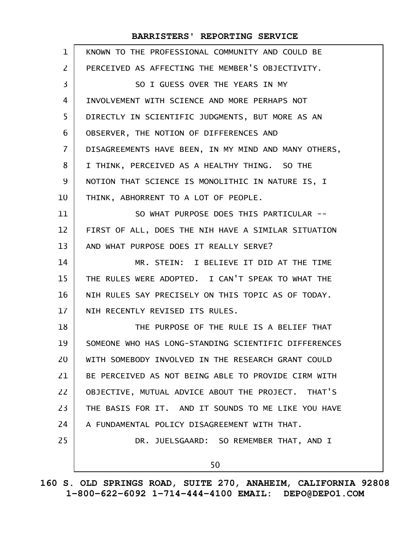| $\mathbf{1}$      | KNOWN TO THE PROFESSIONAL COMMUNITY AND COULD BE     |
|-------------------|------------------------------------------------------|
| $\overline{2}$    | PERCEIVED AS AFFECTING THE MEMBER'S OBJECTIVITY.     |
| 3                 | SO I GUESS OVER THE YEARS IN MY                      |
| 4                 | INVOLVEMENT WITH SCIENCE AND MORE PERHAPS NOT        |
| 5                 | DIRECTLY IN SCIENTIFIC JUDGMENTS, BUT MORE AS AN     |
| 6                 | OBSERVER, THE NOTION OF DIFFERENCES AND              |
| $\overline{7}$    | DISAGREEMENTS HAVE BEEN, IN MY MIND AND MANY OTHERS, |
| 8                 | I THINK, PERCEIVED AS A HEALTHY THING. SO THE        |
| 9                 | NOTION THAT SCIENCE IS MONOLITHIC IN NATURE IS, I    |
| 10                | THINK, ABHORRENT TO A LOT OF PEOPLE.                 |
| 11                | SO WHAT PURPOSE DOES THIS PARTICULAR --              |
| $12 \overline{ }$ | FIRST OF ALL, DOES THE NIH HAVE A SIMILAR SITUATION  |
| 13                | AND WHAT PURPOSE DOES IT REALLY SERVE?               |
| 14                | MR. STEIN: I BELIEVE IT DID AT THE TIME              |
| 15                | THE RULES WERE ADOPTED. I CAN'T SPEAK TO WHAT THE    |
| 16                | NIH RULES SAY PRECISELY ON THIS TOPIC AS OF TODAY.   |
| 17                | NIH RECENTLY REVISED ITS RULES.                      |
| 18                | THE PURPOSE OF THE RULE IS A BELIEF THAT             |
| 19                | SOMEONE WHO HAS LONG-STANDING SCIENTIFIC DIFFERENCES |
| 20                | WITH SOMEBODY INVOLVED IN THE RESEARCH GRANT COULD   |
| 21                | BE PERCEIVED AS NOT BEING ABLE TO PROVIDE CIRM WITH  |
| 22                | OBJECTIVE, MUTUAL ADVICE ABOUT THE PROJECT. THAT'S   |
| 23                | THE BASIS FOR IT. AND IT SOUNDS TO ME LIKE YOU HAVE  |
| 24                | A FUNDAMENTAL POLICY DISAGREEMENT WITH THAT.         |
| 25                | DR. JUELSGAARD: SO REMEMBER THAT, AND I              |
|                   | 50                                                   |
|                   |                                                      |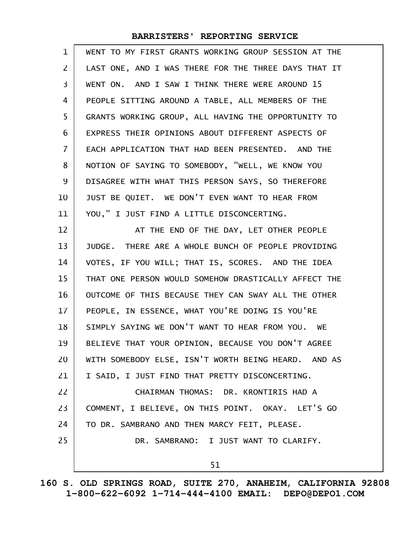| 1              | WENT TO MY FIRST GRANTS WORKING GROUP SESSION AT THE |
|----------------|------------------------------------------------------|
| 2              | LAST ONE, AND I WAS THERE FOR THE THREE DAYS THAT IT |
| 3              | WENT ON. AND I SAW I THINK THERE WERE AROUND 15      |
| 4              | PEOPLE SITTING AROUND A TABLE, ALL MEMBERS OF THE    |
| 5              | GRANTS WORKING GROUP, ALL HAVING THE OPPORTUNITY TO  |
| 6              | EXPRESS THEIR OPINIONS ABOUT DIFFERENT ASPECTS OF    |
| $\overline{7}$ | EACH APPLICATION THAT HAD BEEN PRESENTED. AND THE    |
| 8              | NOTION OF SAYING TO SOMEBODY, "WELL, WE KNOW YOU     |
| 9              | DISAGREE WITH WHAT THIS PERSON SAYS, SO THEREFORE    |
| 10             | JUST BE QUIET. WE DON'T EVEN WANT TO HEAR FROM       |
| 11             | YOU," I JUST FIND A LITTLE DISCONCERTING.            |
| 12             | AT THE END OF THE DAY, LET OTHER PEOPLE              |
| 13             | JUDGE. THERE ARE A WHOLE BUNCH OF PEOPLE PROVIDING   |
| 14             | VOTES, IF YOU WILL; THAT IS, SCORES. AND THE IDEA    |
| 15             | THAT ONE PERSON WOULD SOMEHOW DRASTICALLY AFFECT THE |
| 16             | OUTCOME OF THIS BECAUSE THEY CAN SWAY ALL THE OTHER  |
| $17 \,$        | PEOPLE, IN ESSENCE, WHAT YOU'RE DOING IS YOU'RE      |
| 18             | SIMPLY SAYING WE DON'T WANT TO HEAR FROM YOU. WE     |
| 19             | BELIEVE THAT YOUR OPINION, BECAUSE YOU DON'T AGREE   |
| 20             | WITH SOMEBODY ELSE, ISN'T WORTH BEING HEARD. AND AS  |
| 21             | I SAID, I JUST FIND THAT PRETTY DISCONCERTING.       |
| 22             | CHAIRMAN THOMAS: DR. KRONTIRIS HAD A                 |
| 23             | COMMENT, I BELIEVE, ON THIS POINT. OKAY. LET'S GO    |
| 24             | TO DR. SAMBRANO AND THEN MARCY FEIT, PLEASE.         |
| 25             | DR. SAMBRANO: I JUST WANT TO CLARIFY.                |
|                | 51                                                   |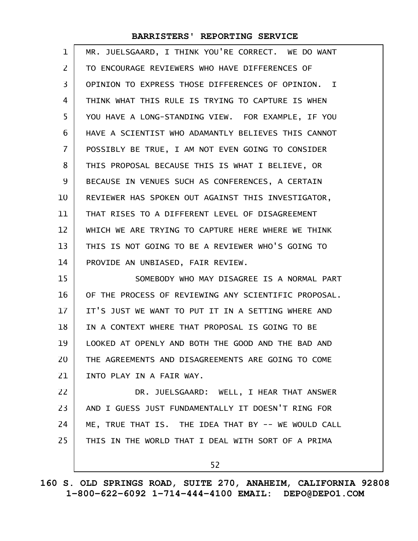| 1              | MR. JUELSGAARD, I THINK YOU'RE CORRECT. WE DO WANT   |
|----------------|------------------------------------------------------|
| 2              | TO ENCOURAGE REVIEWERS WHO HAVE DIFFERENCES OF       |
| 3              | OPINION TO EXPRESS THOSE DIFFERENCES OF OPINION. I   |
| 4              | THINK WHAT THIS RULE IS TRYING TO CAPTURE IS WHEN    |
| 5              | YOU HAVE A LONG-STANDING VIEW. FOR EXAMPLE, IF YOU   |
| 6              | HAVE A SCIENTIST WHO ADAMANTLY BELIEVES THIS CANNOT  |
| $\overline{7}$ | POSSIBLY BE TRUE, I AM NOT EVEN GOING TO CONSIDER    |
| 8              | THIS PROPOSAL BECAUSE THIS IS WHAT I BELIEVE, OR     |
| 9              | BECAUSE IN VENUES SUCH AS CONFERENCES, A CERTAIN     |
| 10             | REVIEWER HAS SPOKEN OUT AGAINST THIS INVESTIGATOR,   |
| 11             | THAT RISES TO A DIFFERENT LEVEL OF DISAGREEMENT      |
| 12             | WHICH WE ARE TRYING TO CAPTURE HERE WHERE WE THINK   |
| 13             | THIS IS NOT GOING TO BE A REVIEWER WHO'S GOING TO    |
| 14             | PROVIDE AN UNBIASED, FAIR REVIEW.                    |
| 15             | SOMEBODY WHO MAY DISAGREE IS A NORMAL PART           |
| 16             | OF THE PROCESS OF REVIEWING ANY SCIENTIFIC PROPOSAL. |
| 17             | IT'S JUST WE WANT TO PUT IT IN A SETTING WHERE AND   |
| 18             | IN A CONTEXT WHERE THAT PROPOSAL IS GOING TO BE      |
| 19             | LOOKED AT OPENLY AND BOTH THE GOOD AND THE BAD AND   |
| 20             | THE AGREEMENTS AND DISAGREEMENTS ARE GOING TO COME   |
| 21             | INTO PLAY IN A FAIR WAY.                             |
| 22             | DR. JUELSGAARD: WELL, I HEAR THAT ANSWER             |
| 23             | AND I GUESS JUST FUNDAMENTALLY IT DOESN'T RING FOR   |
| 24             | ME, TRUE THAT IS. THE IDEA THAT BY -- WE WOULD CALL  |
| 25             | THIS IN THE WORLD THAT I DEAL WITH SORT OF A PRIMA   |
|                | 52                                                   |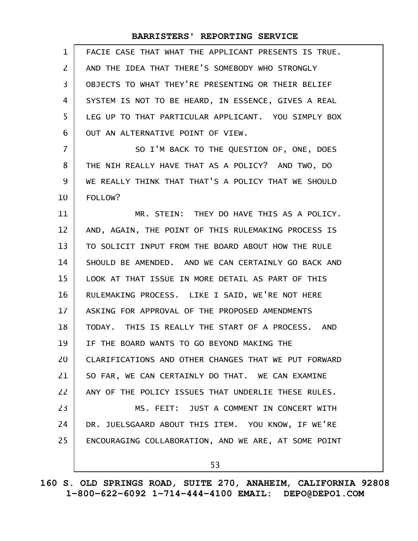| $\mathbf 1$    | FACIE CASE THAT WHAT THE APPLICANT PRESENTS IS TRUE. |
|----------------|------------------------------------------------------|
| $\mathsf{Z}$   | AND THE IDEA THAT THERE'S SOMEBODY WHO STRONGLY      |
| 3              | OBJECTS TO WHAT THEY'RE PRESENTING OR THEIR BELIEF   |
| 4              | SYSTEM IS NOT TO BE HEARD, IN ESSENCE, GIVES A REAL  |
| 5              | LEG UP TO THAT PARTICULAR APPLICANT. YOU SIMPLY BOX  |
| 6              | OUT AN ALTERNATIVE POINT OF VIEW.                    |
| $\overline{7}$ | SO I'M BACK TO THE QUESTION OF, ONE, DOES            |
| 8              | THE NIH REALLY HAVE THAT AS A POLICY? AND TWO, DO    |
| 9              | WE REALLY THINK THAT THAT'S A POLICY THAT WE SHOULD  |
| 10             | FOLLOW?                                              |
| 11             | MR. STEIN: THEY DO HAVE THIS AS A POLICY.            |
| 12             | AND, AGAIN, THE POINT OF THIS RULEMAKING PROCESS IS  |
| 13             | TO SOLICIT INPUT FROM THE BOARD ABOUT HOW THE RULE   |
| 14             | SHOULD BE AMENDED. AND WE CAN CERTAINLY GO BACK AND  |
| 15             | LOOK AT THAT ISSUE IN MORE DETAIL AS PART OF THIS    |
| 16             | RULEMAKING PROCESS. LIKE I SAID, WE'RE NOT HERE      |
| 17             | ASKING FOR APPROVAL OF THE PROPOSED AMENDMENTS       |
| 18             | TODAY. THIS IS REALLY THE START OF A PROCESS. AND    |
| 19             | IF THE BOARD WANTS TO GO BEYOND MAKING THE           |
| 20             | CLARIFICATIONS AND OTHER CHANGES THAT WE PUT FORWARD |
| 21             | SO FAR, WE CAN CERTAINLY DO THAT. WE CAN EXAMINE     |
| 22             | ANY OF THE POLICY ISSUES THAT UNDERLIE THESE RULES.  |
| 23             | MS. FEIT: JUST A COMMENT IN CONCERT WITH             |
| 24             | DR. JUELSGAARD ABOUT THIS ITEM. YOU KNOW, IF WE'RE   |
| 25             | ENCOURAGING COLLABORATION, AND WE ARE, AT SOME POINT |
|                |                                                      |
|                | 53                                                   |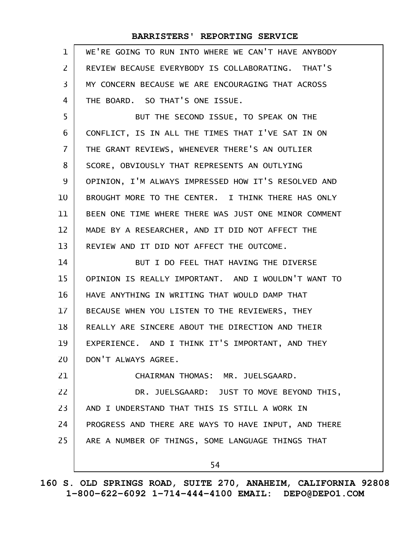| $\mathbf{1}$   | WE'RE GOING TO RUN INTO WHERE WE CAN'T HAVE ANYBODY  |
|----------------|------------------------------------------------------|
| $\overline{2}$ | REVIEW BECAUSE EVERYBODY IS COLLABORATING. THAT'S    |
| 3              | MY CONCERN BECAUSE WE ARE ENCOURAGING THAT ACROSS    |
| 4              | THE BOARD. SO THAT'S ONE ISSUE.                      |
| 5              | BUT THE SECOND ISSUE, TO SPEAK ON THE                |
| 6              | CONFLICT, IS IN ALL THE TIMES THAT I'VE SAT IN ON    |
| $\overline{7}$ | THE GRANT REVIEWS, WHENEVER THERE'S AN OUTLIER       |
| 8              | SCORE, OBVIOUSLY THAT REPRESENTS AN OUTLYING         |
| 9              | OPINION, I'M ALWAYS IMPRESSED HOW IT'S RESOLVED AND  |
| 10             | BROUGHT MORE TO THE CENTER. I THINK THERE HAS ONLY   |
| 11             | BEEN ONE TIME WHERE THERE WAS JUST ONE MINOR COMMENT |
| 12             | MADE BY A RESEARCHER, AND IT DID NOT AFFECT THE      |
| 13             | REVIEW AND IT DID NOT AFFECT THE OUTCOME.            |
| 14             | BUT I DO FEEL THAT HAVING THE DIVERSE                |
| 15             | OPINION IS REALLY IMPORTANT. AND I WOULDN'T WANT TO  |
| 16             | HAVE ANYTHING IN WRITING THAT WOULD DAMP THAT        |
| $17 \,$        | BECAUSE WHEN YOU LISTEN TO THE REVIEWERS, THEY       |
| 18             | REALLY ARE SINCERE ABOUT THE DIRECTION AND THEIR     |
| 19             | EXPERIENCE. AND I THINK IT'S IMPORTANT, AND THEY     |
| 20             | DON'T ALWAYS AGREE.                                  |
| 21             | CHAIRMAN THOMAS: MR. JUELSGAARD.                     |
| 22             | DR. JUELSGAARD: JUST TO MOVE BEYOND THIS,            |
| 23             | AND I UNDERSTAND THAT THIS IS STILL A WORK IN        |
| 24             | PROGRESS AND THERE ARE WAYS TO HAVE INPUT, AND THERE |
| 25             | ARE A NUMBER OF THINGS, SOME LANGUAGE THINGS THAT    |
|                | 54                                                   |
|                |                                                      |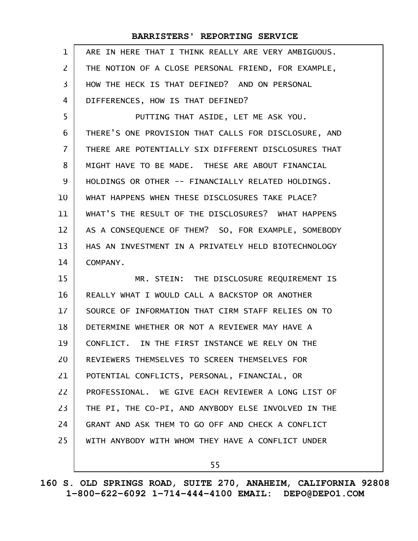| $\mathbf{1}$      | ARE IN HERE THAT I THINK REALLY ARE VERY AMBIGUOUS.  |
|-------------------|------------------------------------------------------|
| $\overline{2}$    | THE NOTION OF A CLOSE PERSONAL FRIEND, FOR EXAMPLE,  |
| 3                 | HOW THE HECK IS THAT DEFINED? AND ON PERSONAL        |
| 4                 | DIFFERENCES, HOW IS THAT DEFINED?                    |
| 5                 | PUTTING THAT ASIDE, LET ME ASK YOU.                  |
| 6                 | THERE'S ONE PROVISION THAT CALLS FOR DISCLOSURE, AND |
| $\overline{7}$    | THERE ARE POTENTIALLY SIX DIFFERENT DISCLOSURES THAT |
| 8                 | MIGHT HAVE TO BE MADE. THESE ARE ABOUT FINANCIAL     |
| 9                 | HOLDINGS OR OTHER -- FINANCIALLY RELATED HOLDINGS.   |
| 10                | WHAT HAPPENS WHEN THESE DISCLOSURES TAKE PLACE?      |
| 11                | WHAT'S THE RESULT OF THE DISCLOSURES? WHAT HAPPENS   |
| $12 \overline{ }$ | AS A CONSEQUENCE OF THEM? SO, FOR EXAMPLE, SOMEBODY  |
| 13                | HAS AN INVESTMENT IN A PRIVATELY HELD BIOTECHNOLOGY  |
| 14                | COMPANY.                                             |
| 15                | MR. STEIN: THE DISCLOSURE REQUIREMENT IS             |
|                   |                                                      |
| 16                | REALLY WHAT I WOULD CALL A BACKSTOP OR ANOTHER       |
| 17                | SOURCE OF INFORMATION THAT CIRM STAFF RELIES ON TO   |
| 18                | DETERMINE WHETHER OR NOT A REVIEWER MAY HAVE A       |
| 19                | CONFLICT. IN THE FIRST INSTANCE WE RELY ON THE       |
| 20                | REVIEWERS THEMSELVES TO SCREEN THEMSELVES FOR        |
| 21                | POTENTIAL CONFLICTS, PERSONAL, FINANCIAL, OR         |
| 22                | PROFESSIONAL. WE GIVE EACH REVIEWER A LONG LIST OF   |
| 23                | THE PI, THE CO-PI, AND ANYBODY ELSE INVOLVED IN THE  |
| 24                | GRANT AND ASK THEM TO GO OFF AND CHECK A CONFLICT    |
| 25                | WITH ANYBODY WITH WHOM THEY HAVE A CONFLICT UNDER    |

55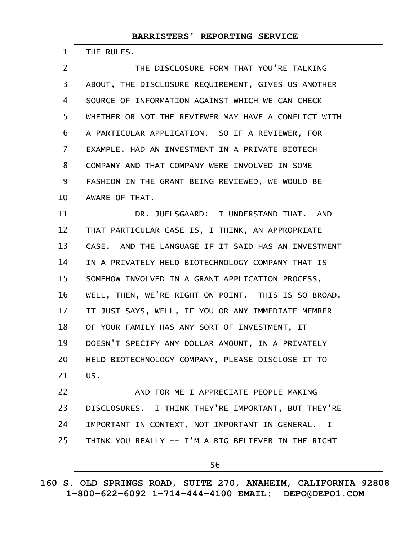THE RULES.

1

THE DISCLOSURE FORM THAT YOU'RE TALKING ABOUT, THE DISCLOSURE REQUIREMENT, GIVES US ANOTHER SOURCE OF INFORMATION AGAINST WHICH WE CAN CHECK WHETHER OR NOT THE REVIEWER MAY HAVE A CONFLICT WITH A PARTICULAR APPLICATION. SO IF A REVIEWER, FOR EXAMPLE, HAD AN INVESTMENT IN A PRIVATE BIOTECH COMPANY AND THAT COMPANY WERE INVOLVED IN SOME FASHION IN THE GRANT BEING REVIEWED, WE WOULD BE AWARE OF THAT. DR. JUELSGAARD: I UNDERSTAND THAT. AND THAT PARTICULAR CASE IS, I THINK, AN APPROPRIATE CASE. AND THE LANGUAGE IF IT SAID HAS AN INVESTMENT IN A PRIVATELY HELD BIOTECHNOLOGY COMPANY THAT IS SOMEHOW INVOLVED IN A GRANT APPLICATION PROCESS, WELL, THEN, WE'RE RIGHT ON POINT. THIS IS SO BROAD. 2 3 4 5 6 7 8 9 10 11 12 13 14 15 16

IT JUST SAYS, WELL, IF YOU OR ANY IMMEDIATE MEMBER OF YOUR FAMILY HAS ANY SORT OF INVESTMENT, IT DOESN'T SPECIFY ANY DOLLAR AMOUNT, IN A PRIVATELY HELD BIOTECHNOLOGY COMPANY, PLEASE DISCLOSE IT TO US. 17 18 19 20 21

AND FOR ME I APPRECIATE PEOPLE MAKING DISCLOSURES. I THINK THEY'RE IMPORTANT, BUT THEY'RE IMPORTANT IN CONTEXT, NOT IMPORTANT IN GENERAL. I THINK YOU REALLY -- I'M A BIG BELIEVER IN THE RIGHT 22 23 24 25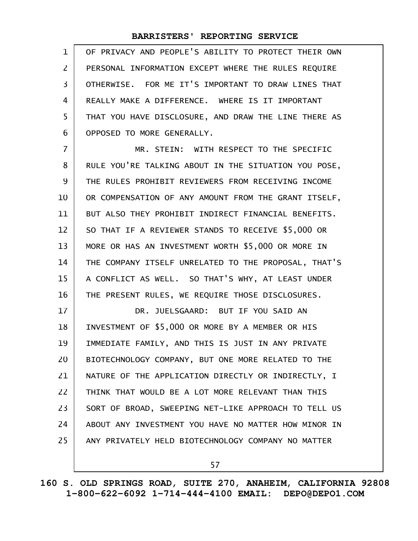OF PRIVACY AND PEOPLE'S ABILITY TO PROTECT THEIR OWN PERSONAL INFORMATION EXCEPT WHERE THE RULES REQUIRE OTHERWISE. FOR ME IT'S IMPORTANT TO DRAW LINES THAT REALLY MAKE A DIFFERENCE. WHERE IS IT IMPORTANT THAT YOU HAVE DISCLOSURE, AND DRAW THE LINE THERE AS OPPOSED TO MORE GENERALLY. 1 2 3 4 5 6

MR. STEIN: WITH RESPECT TO THE SPECIFIC RULE YOU'RE TALKING ABOUT IN THE SITUATION YOU POSE, THE RULES PROHIBIT REVIEWERS FROM RECEIVING INCOME OR COMPENSATION OF ANY AMOUNT FROM THE GRANT ITSELF, BUT ALSO THEY PROHIBIT INDIRECT FINANCIAL BENEFITS. SO THAT IF A REVIEWER STANDS TO RECEIVE \$5,000 OR MORE OR HAS AN INVESTMENT WORTH \$5,000 OR MORE IN THE COMPANY ITSELF UNRELATED TO THE PROPOSAL, THAT'S A CONFLICT AS WELL. SO THAT'S WHY, AT LEAST UNDER THE PRESENT RULES, WE REQUIRE THOSE DISCLOSURES. DR. JUELSGAARD: BUT IF YOU SAID AN INVESTMENT OF \$5,000 OR MORE BY A MEMBER OR HIS IMMEDIATE FAMILY, AND THIS IS JUST IN ANY PRIVATE BIOTECHNOLOGY COMPANY, BUT ONE MORE RELATED TO THE NATURE OF THE APPLICATION DIRECTLY OR INDIRECTLY, I THINK THAT WOULD BE A LOT MORE RELEVANT THAN THIS SORT OF BROAD, SWEEPING NET-LIKE APPROACH TO TELL US ABOUT ANY INVESTMENT YOU HAVE NO MATTER HOW MINOR IN ANY PRIVATELY HELD BIOTECHNOLOGY COMPANY NO MATTER 7 8 9 10 11 12 13 14 15 16 17 18 19 20 21 22 23 24 25

57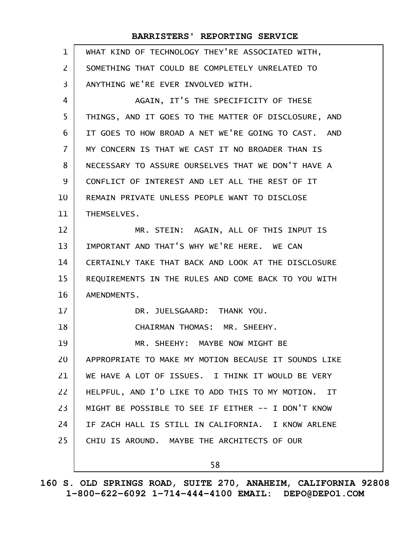| $\mathbf{1}$   | WHAT KIND OF TECHNOLOGY THEY'RE ASSOCIATED WITH,     |
|----------------|------------------------------------------------------|
| $\mathsf{Z}$   | SOMETHING THAT COULD BE COMPLETELY UNRELATED TO      |
| 3              | ANYTHING WE'RE EVER INVOLVED WITH.                   |
| 4              | AGAIN, IT'S THE SPECIFICITY OF THESE                 |
| 5              | THINGS, AND IT GOES TO THE MATTER OF DISCLOSURE, AND |
| 6              | IT GOES TO HOW BROAD A NET WE'RE GOING TO CAST. AND  |
| $\overline{7}$ | MY CONCERN IS THAT WE CAST IT NO BROADER THAN IS     |
| 8              | NECESSARY TO ASSURE OURSELVES THAT WE DON'T HAVE A   |
| 9              | CONFLICT OF INTEREST AND LET ALL THE REST OF IT      |
| 10             | REMAIN PRIVATE UNLESS PEOPLE WANT TO DISCLOSE        |
| 11             | THEMSELVES.                                          |
| 12             | MR. STEIN: AGAIN, ALL OF THIS INPUT IS               |
| 13             | IMPORTANT AND THAT'S WHY WE'RE HERE. WE CAN          |
| 14             | CERTAINLY TAKE THAT BACK AND LOOK AT THE DISCLOSURE  |
| 15             | REQUIREMENTS IN THE RULES AND COME BACK TO YOU WITH  |
| 16             | AMENDMENTS.                                          |
| 17             | DR. JUELSGAARD: THANK YOU.                           |
| 18             | CHAIRMAN THOMAS: MR. SHEEHY.                         |
| 19             | MR. SHEEHY: MAYBE NOW MIGHT BE                       |
| 20             | APPROPRIATE TO MAKE MY MOTION BECAUSE IT SOUNDS LIKE |
| 21             | WE HAVE A LOT OF ISSUES. I THINK IT WOULD BE VERY    |
| 22             | HELPFUL, AND I'D LIKE TO ADD THIS TO MY MOTION. IT   |
| 23             | MIGHT BE POSSIBLE TO SEE IF EITHER -- I DON'T KNOW   |
| 24             | IF ZACH HALL IS STILL IN CALIFORNIA. I KNOW ARLENE   |
| 25             | CHIU IS AROUND. MAYBE THE ARCHITECTS OF OUR          |
|                | 58                                                   |

**160 S. OLD SPRINGS ROAD, SUITE 270, ANAHEIM, CALIFORNIA 92808 1-800-622-6092 1-714-444-4100 EMAIL: DEPO@DEPO1.COM**

 $\mathsf{l}$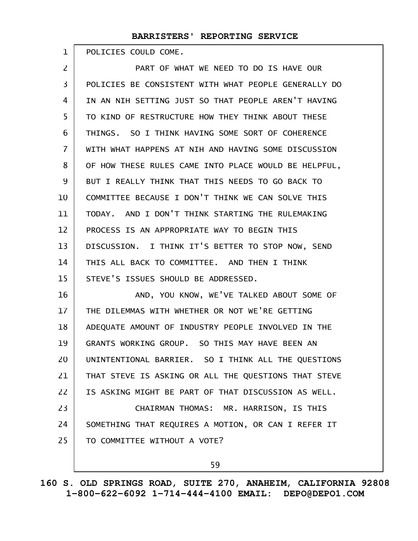POLICIES COULD COME. 1

PART OF WHAT WE NEED TO DO IS HAVE OUR POLICIES BE CONSISTENT WITH WHAT PEOPLE GENERALLY DO IN AN NIH SETTING JUST SO THAT PEOPLE AREN'T HAVING TO KIND OF RESTRUCTURE HOW THEY THINK ABOUT THESE THINGS. SO I THINK HAVING SOME SORT OF COHERENCE WITH WHAT HAPPENS AT NIH AND HAVING SOME DISCUSSION OF HOW THESE RULES CAME INTO PLACE WOULD BE HELPFUL, BUT I REALLY THINK THAT THIS NEEDS TO GO BACK TO COMMITTEE BECAUSE I DON'T THINK WE CAN SOLVE THIS TODAY. AND I DON'T THINK STARTING THE RULEMAKING PROCESS IS AN APPROPRIATE WAY TO BEGIN THIS DISCUSSION. I THINK IT'S BETTER TO STOP NOW, SEND THIS ALL BACK TO COMMITTEE. AND THEN I THINK STEVE'S ISSUES SHOULD BE ADDRESSED. AND, YOU KNOW, WE'VE TALKED ABOUT SOME OF THE DILEMMAS WITH WHETHER OR NOT WE'RE GETTING ADEQUATE AMOUNT OF INDUSTRY PEOPLE INVOLVED IN THE GRANTS WORKING GROUP. SO THIS MAY HAVE BEEN AN UNINTENTIONAL BARRIER. SO I THINK ALL THE QUESTIONS THAT STEVE IS ASKING OR ALL THE QUESTIONS THAT STEVE IS ASKING MIGHT BE PART OF THAT DISCUSSION AS WELL. CHAIRMAN THOMAS: MR. HARRISON, IS THIS 2 3 4 5 6 7 8 9 10 11 12 13 14 15 16 17 18 19 20 21 22 23

SOMETHING THAT REQUIRES A MOTION, OR CAN I REFER IT TO COMMITTEE WITHOUT A VOTE? 24 25

59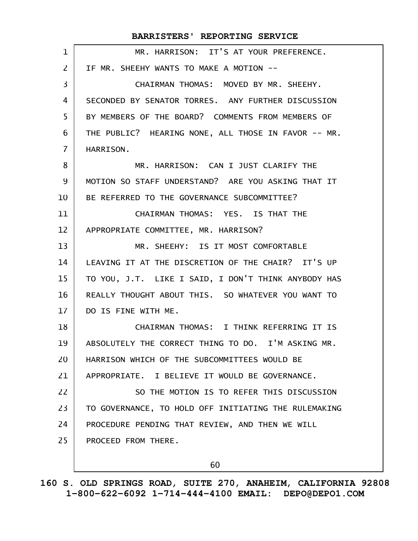| $\mathbf 1$    | MR. HARRISON: IT'S AT YOUR PREFERENCE.               |
|----------------|------------------------------------------------------|
| $\overline{2}$ | IF MR. SHEEHY WANTS TO MAKE A MOTION --              |
| 3              | CHAIRMAN THOMAS: MOVED BY MR. SHEEHY.                |
| 4              | SECONDED BY SENATOR TORRES. ANY FURTHER DISCUSSION   |
| 5              | BY MEMBERS OF THE BOARD? COMMENTS FROM MEMBERS OF    |
| 6              | THE PUBLIC? HEARING NONE, ALL THOSE IN FAVOR -- MR.  |
| $\overline{7}$ | HARRISON.                                            |
| 8              | MR. HARRISON: CAN I JUST CLARIFY THE                 |
| 9              | MOTION SO STAFF UNDERSTAND? ARE YOU ASKING THAT IT   |
| 10             | BE REFERRED TO THE GOVERNANCE SUBCOMMITTEE?          |
| 11             | CHAIRMAN THOMAS: YES, IS THAT THE                    |
| 12             | APPROPRIATE COMMITTEE, MR. HARRISON?                 |
| 13             | MR. SHEEHY: IS IT MOST COMFORTABLE                   |
| 14             | LEAVING IT AT THE DISCRETION OF THE CHAIR? IT'S UP   |
| 15             | TO YOU, J.T. LIKE I SAID, I DON'T THINK ANYBODY HAS  |
| 16             | REALLY THOUGHT ABOUT THIS. SO WHATEVER YOU WANT TO   |
| 17             | DO IS FINE WITH ME.                                  |
| 18             | CHAIRMAN THOMAS: I THINK REFERRING IT IS             |
| 19             | ABSOLUTELY THE CORRECT THING TO DO. I'M ASKING MR.   |
| 20             | HARRISON WHICH OF THE SUBCOMMITTEES WOULD BE         |
| 21             | APPROPRIATE. I BELIEVE IT WOULD BE GOVERNANCE.       |
| 22             | SO THE MOTION IS TO REFER THIS DISCUSSION            |
| 23             | TO GOVERNANCE, TO HOLD OFF INITIATING THE RULEMAKING |
| 24             | PROCEDURE PENDING THAT REVIEW, AND THEN WE WILL      |
| 25             | PROCEED FROM THERE.                                  |
|                | 60                                                   |
|                |                                                      |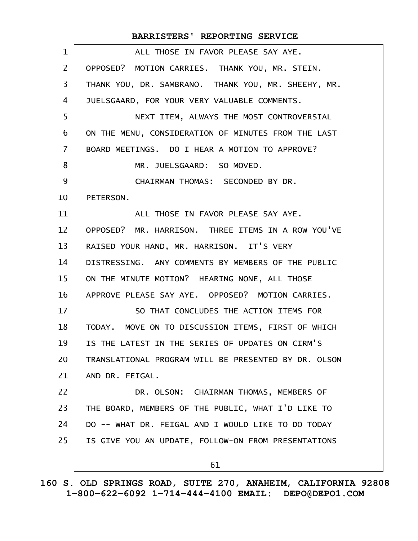#### ALL THOSE IN FAVOR PLEASE SAY AYE. OPPOSED? MOTION CARRIES. THANK YOU, MR. STEIN. THANK YOU, DR. SAMBRANO. THANK YOU, MR. SHEEHY, MR. JUELSGAARD, FOR YOUR VERY VALUABLE COMMENTS. NEXT ITEM, ALWAYS THE MOST CONTROVERSIAL ON THE MENU, CONSIDERATION OF MINUTES FROM THE LAST BOARD MEETINGS. DO I HEAR A MOTION TO APPROVE? MR. JUELSGAARD: SO MOVED. CHAIRMAN THOMAS: SECONDED BY DR. PETERSON. ALL THOSE IN FAVOR PLEASE SAY AYE. OPPOSED? MR. HARRISON. THREE ITEMS IN A ROW YOU'VE RAISED YOUR HAND, MR. HARRISON. IT'S VERY DISTRESSING. ANY COMMENTS BY MEMBERS OF THE PUBLIC ON THE MINUTE MOTION? HEARING NONE, ALL THOSE APPROVE PLEASE SAY AYE. OPPOSED? MOTION CARRIES. SO THAT CONCLUDES THE ACTION ITEMS FOR TODAY. MOVE ON TO DISCUSSION ITEMS, FIRST OF WHICH IS THE LATEST IN THE SERIES OF UPDATES ON CIRM'S TRANSLATIONAL PROGRAM WILL BE PRESENTED BY DR. OLSON AND DR. FEIGAL. DR. OLSON: CHAIRMAN THOMAS, MEMBERS OF THE BOARD, MEMBERS OF THE PUBLIC, WHAT I'D LIKE TO DO -- WHAT DR. FEIGAL AND I WOULD LIKE TO DO TODAY IS GIVE YOU AN UPDATE, FOLLOW-ON FROM PRESENTATIONS 61 **BARRISTERS' REPORTING SERVICE** 1 2 3 4 5 6 7 8 9 10 11 12 13 14 15 16 17 18 19 20 21 22 23 24 25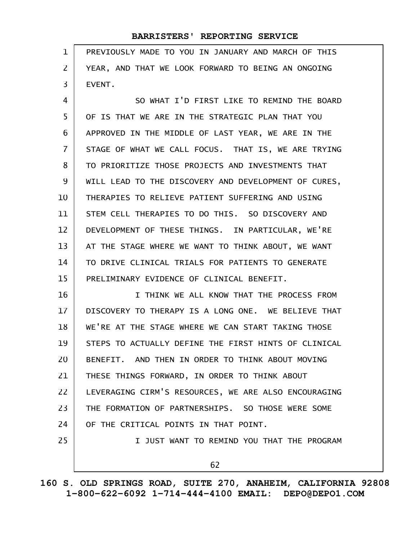| 1              | PREVIOUSLY MADE TO YOU IN JANUARY AND MARCH OF THIS  |
|----------------|------------------------------------------------------|
| $\overline{2}$ | YEAR, AND THAT WE LOOK FORWARD TO BEING AN ONGOING   |
| 3              | EVENT.                                               |
| 4              | SO WHAT I'D FIRST LIKE TO REMIND THE BOARD           |
| 5              | OF IS THAT WE ARE IN THE STRATEGIC PLAN THAT YOU     |
| 6              | APPROVED IN THE MIDDLE OF LAST YEAR, WE ARE IN THE   |
| $\overline{7}$ | STAGE OF WHAT WE CALL FOCUS. THAT IS, WE ARE TRYING  |
| 8              | TO PRIORITIZE THOSE PROJECTS AND INVESTMENTS THAT    |
| 9              | WILL LEAD TO THE DISCOVERY AND DEVELOPMENT OF CURES, |
| 10             | THERAPIES TO RELIEVE PATIENT SUFFERING AND USING     |
| 11             | STEM CELL THERAPIES TO DO THIS. SO DISCOVERY AND     |
| 12             | DEVELOPMENT OF THESE THINGS. IN PARTICULAR, WE'RE    |
| 13             | AT THE STAGE WHERE WE WANT TO THINK ABOUT, WE WANT   |
| 14             | TO DRIVE CLINICAL TRIALS FOR PATIENTS TO GENERATE    |
| 15             | PRELIMINARY EVIDENCE OF CLINICAL BENEFIT.            |
| 16             | I THINK WE ALL KNOW THAT THE PROCESS FROM            |
| 17             | DISCOVERY TO THERAPY IS A LONG ONE. WE BELIEVE THAT  |
| 18             | WE'RE AT THE STAGE WHERE WE CAN START TAKING THOSE   |
| 19             | STEPS TO ACTUALLY DEFINE THE FIRST HINTS OF CLINICAL |
| 20             | BENEFIT. AND THEN IN ORDER TO THINK ABOUT MOVING     |
| 21             | THESE THINGS FORWARD, IN ORDER TO THINK ABOUT        |
| 22             | LEVERAGING CIRM'S RESOURCES, WE ARE ALSO ENCOURAGING |
| 23             | THE FORMATION OF PARTNERSHIPS. SO THOSE WERE SOME    |
| 24             | OF THE CRITICAL POINTS IN THAT POINT.                |
| 25             | I JUST WANT TO REMIND YOU THAT THE PROGRAM           |
|                | 62                                                   |

**160 S. OLD SPRINGS ROAD, SUITE 270, ANAHEIM, CALIFORNIA 92808 1-800-622-6092 1-714-444-4100 EMAIL: DEPO@DEPO1.COM**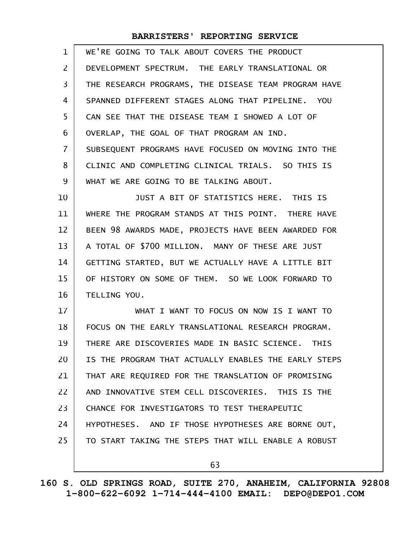| 1              | WE'RE GOING TO TALK ABOUT COVERS THE PRODUCT         |
|----------------|------------------------------------------------------|
| $\overline{2}$ | DEVELOPMENT SPECTRUM. THE EARLY TRANSLATIONAL OR     |
| 3              | THE RESEARCH PROGRAMS, THE DISEASE TEAM PROGRAM HAVE |
| 4              | SPANNED DIFFERENT STAGES ALONG THAT PIPELINE. YOU    |
| 5              | CAN SEE THAT THE DISEASE TEAM I SHOWED A LOT OF      |
| 6              | OVERLAP, THE GOAL OF THAT PROGRAM AN IND.            |
| $\overline{7}$ | SUBSEQUENT PROGRAMS HAVE FOCUSED ON MOVING INTO THE  |
| 8              | CLINIC AND COMPLETING CLINICAL TRIALS. SO THIS IS    |
| 9              | WHAT WE ARE GOING TO BE TALKING ABOUT.               |
| 10             | JUST A BIT OF STATISTICS HERE. THIS IS               |
| 11             | WHERE THE PROGRAM STANDS AT THIS POINT. THERE HAVE   |
| 12             | BEEN 98 AWARDS MADE, PROJECTS HAVE BEEN AWARDED FOR  |
| 13             | A TOTAL OF \$700 MILLION. MANY OF THESE ARE JUST     |
| 14             | GETTING STARTED, BUT WE ACTUALLY HAVE A LITTLE BIT   |
| 15             | OF HISTORY ON SOME OF THEM. SO WE LOOK FORWARD TO    |
| 16             | TELLING YOU.                                         |
| 17             | WHAT I WANT TO FOCUS ON NOW IS I WANT TO             |
| 18             | FOCUS ON THE EARLY TRANSLATIONAL RESEARCH PROGRAM.   |
| 19             | THERE ARE DISCOVERIES MADE IN BASIC SCIENCE. THIS    |
| 20             | IS THE PROGRAM THAT ACTUALLY ENABLES THE EARLY STEPS |
| 21             | THAT ARE REQUIRED FOR THE TRANSLATION OF PROMISING   |
| 22             | AND INNOVATIVE STEM CELL DISCOVERIES. THIS IS THE    |
| 23             | CHANCE FOR INVESTIGATORS TO TEST THERAPEUTIC         |
| 24             | HYPOTHESES. AND IF THOSE HYPOTHESES ARE BORNE OUT,   |
| 25             | TO START TAKING THE STEPS THAT WILL ENABLE A ROBUST  |
|                | 63                                                   |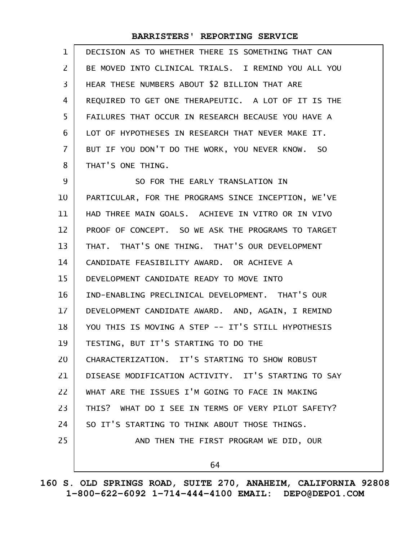| $\mathbf 1$ | DECISION AS TO WHETHER THERE IS SOMETHING THAT CAN  |
|-------------|-----------------------------------------------------|
| 2           | BE MOVED INTO CLINICAL TRIALS. I REMIND YOU ALL YOU |
| 3           | HEAR THESE NUMBERS ABOUT \$2 BILLION THAT ARE       |
| 4           | REQUIRED TO GET ONE THERAPEUTIC. A LOT OF IT IS THE |
| 5           | FAILURES THAT OCCUR IN RESEARCH BECAUSE YOU HAVE A  |
| 6           | LOT OF HYPOTHESES IN RESEARCH THAT NEVER MAKE IT.   |
| 7           | BUT IF YOU DON'T DO THE WORK, YOU NEVER KNOW. SO    |
| 8           | THAT'S ONE THING.                                   |
| 9           | SO FOR THE EARLY TRANSLATION IN                     |
| 10          | PARTICULAR, FOR THE PROGRAMS SINCE INCEPTION, WE'VE |
| 11          | HAD THREE MAIN GOALS. ACHIEVE IN VITRO OR IN VIVO   |
| 12          | PROOF OF CONCEPT. SO WE ASK THE PROGRAMS TO TARGET  |
| 13          | THAT. THAT'S ONE THING. THAT'S OUR DEVELOPMENT      |
| 14          | CANDIDATE FEASIBILITY AWARD. OR ACHIEVE A           |
| 15          | DEVELOPMENT CANDIDATE READY TO MOVE INTO            |
| 16          | IND-ENABLING PRECLINICAL DEVELOPMENT. THAT'S OUR    |
| 17          | DEVELOPMENT CANDIDATE AWARD. AND, AGAIN, I REMIND   |
| 18          | YOU THIS IS MOVING A STEP -- IT'S STILL HYPOTHESIS  |
| 19          | TESTING, BUT IT'S STARTING TO DO THE                |
| 20          | CHARACTERIZATION. IT'S STARTING TO SHOW ROBUST      |
| 21          | DISEASE MODIFICATION ACTIVITY, IT'S STARTING TO SAY |
| 22          | WHAT ARE THE ISSUES I'M GOING TO FACE IN MAKING     |
| 23          | THIS? WHAT DO I SEE IN TERMS OF VERY PILOT SAFETY?  |
| 24          | SO IT'S STARTING TO THINK ABOUT THOSE THINGS.       |
| 25          | AND THEN THE FIRST PROGRAM WE DID, OUR              |
|             | 64                                                  |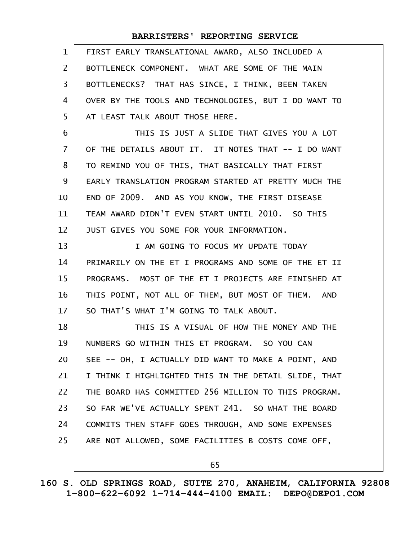| $\mathbf{1}$   | FIRST EARLY TRANSLATIONAL AWARD, ALSO INCLUDED A     |
|----------------|------------------------------------------------------|
| 2              | BOTTLENECK COMPONENT. WHAT ARE SOME OF THE MAIN      |
| 3              | BOTTLENECKS? THAT HAS SINCE, I THINK, BEEN TAKEN     |
| 4              | OVER BY THE TOOLS AND TECHNOLOGIES, BUT I DO WANT TO |
| 5              | AT LEAST TALK ABOUT THOSE HERE.                      |
| 6              | THIS IS JUST A SLIDE THAT GIVES YOU A LOT            |
| $\overline{I}$ | OF THE DETAILS ABOUT IT. IT NOTES THAT -- I DO WANT  |
| 8              | TO REMIND YOU OF THIS, THAT BASICALLY THAT FIRST     |
| 9              | EARLY TRANSLATION PROGRAM STARTED AT PRETTY MUCH THE |
| 10             | END OF 2009. AND AS YOU KNOW, THE FIRST DISEASE      |
| 11             | TEAM AWARD DIDN'T EVEN START UNTIL 2010. SO THIS     |
| 12             | JUST GIVES YOU SOME FOR YOUR INFORMATION.            |
| 13             | I AM GOING TO FOCUS MY UPDATE TODAY                  |
| 14             | PRIMARILY ON THE ET I PROGRAMS AND SOME OF THE ET II |
| 15             | PROGRAMS. MOST OF THE ET I PROJECTS ARE FINISHED AT  |
| 16             | THIS POINT, NOT ALL OF THEM, BUT MOST OF THEM. AND   |
| 17             | SO THAT'S WHAT I'M GOING TO TALK ABOUT.              |
| 18             | THIS IS A VISUAL OF HOW THE MONEY AND THE            |
| 19             | NUMBERS GO WITHIN THIS ET PROGRAM. SO YOU CAN        |
| 20             | SEE -- OH, I ACTUALLY DID WANT TO MAKE A POINT, AND  |
| 21             | I THINK I HIGHLIGHTED THIS IN THE DETAIL SLIDE, THAT |
| 22             | THE BOARD HAS COMMITTED 256 MILLION TO THIS PROGRAM. |
| 23             | SO FAR WE'VE ACTUALLY SPENT 241. SO WHAT THE BOARD   |
| 24             | COMMITS THEN STAFF GOES THROUGH, AND SOME EXPENSES   |
| 25             | ARE NOT ALLOWED, SOME FACILITIES B COSTS COME OFF,   |
|                | 65                                                   |
|                |                                                      |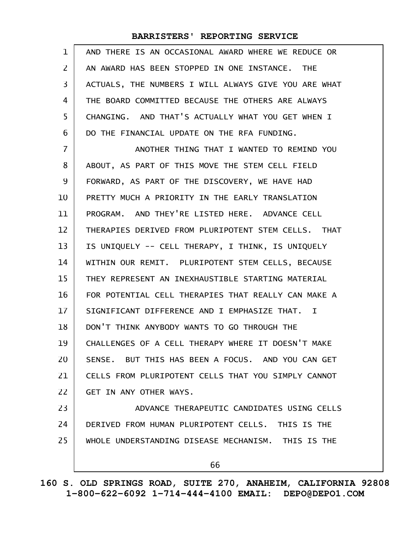| $\mathbf{1}$ | AND THERE IS AN OCCASIONAL AWARD WHERE WE REDUCE OR  |
|--------------|------------------------------------------------------|
| 2            | AN AWARD HAS BEEN STOPPED IN ONE INSTANCE. THE       |
| 3            | ACTUALS, THE NUMBERS I WILL ALWAYS GIVE YOU ARE WHAT |
| 4            | THE BOARD COMMITTED BECAUSE THE OTHERS ARE ALWAYS    |
| 5            | CHANGING. AND THAT'S ACTUALLY WHAT YOU GET WHEN I    |
| 6            | DO THE FINANCIAL UPDATE ON THE RFA FUNDING.          |
| 7            | ANOTHER THING THAT I WANTED TO REMIND YOU            |
| 8            | ABOUT, AS PART OF THIS MOVE THE STEM CELL FIELD      |
| 9            | FORWARD, AS PART OF THE DISCOVERY, WE HAVE HAD       |
| 10           | PRETTY MUCH A PRIORITY IN THE EARLY TRANSLATION      |
| 11           | PROGRAM. AND THEY'RE LISTED HERE. ADVANCE CELL       |
| 12           | THERAPIES DERIVED FROM PLURIPOTENT STEM CELLS. THAT  |
| 13           | IS UNIQUELY -- CELL THERAPY, I THINK, IS UNIQUELY    |
| 14           | WITHIN OUR REMIT. PLURIPOTENT STEM CELLS, BECAUSE    |
| 15           | THEY REPRESENT AN INEXHAUSTIBLE STARTING MATERIAL    |
| 16           | FOR POTENTIAL CELL THERAPIES THAT REALLY CAN MAKE A  |
| 17           | SIGNIFICANT DIFFERENCE AND I EMPHASIZE THAT. I       |
| 18           | DON'T THINK ANYBODY WANTS TO GO THROUGH THE          |
| 19           | CHALLENGES OF A CELL THERAPY WHERE IT DOESN'T MAKE   |
| 20           | SENSE. BUT THIS HAS BEEN A FOCUS. AND YOU CAN GET    |
| 21           | CELLS FROM PLURIPOTENT CELLS THAT YOU SIMPLY CANNOT  |
| 22           | GET IN ANY OTHER WAYS.                               |
| 23           | ADVANCE THERAPEUTIC CANDIDATES USING CELLS           |
| 24           | DERIVED FROM HUMAN PLURIPOTENT CELLS. THIS IS THE    |
| 25           | WHOLE UNDERSTANDING DISEASE MECHANISM. THIS IS THE   |
|              |                                                      |
|              | 66                                                   |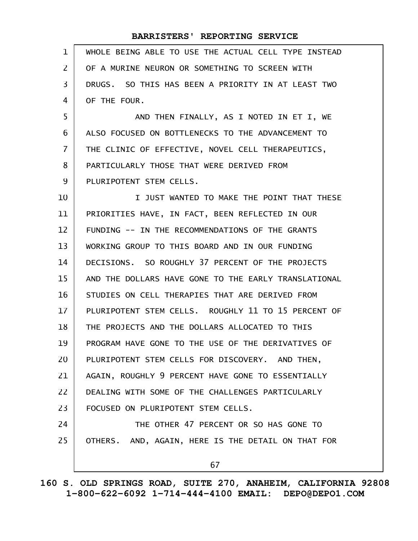| $\mathbf{1}$ | WHOLE BEING ABLE TO USE THE ACTUAL CELL TYPE INSTEAD |
|--------------|------------------------------------------------------|
| 2            | OF A MURINE NEURON OR SOMETHING TO SCREEN WITH       |
| 3            | DRUGS. SO THIS HAS BEEN A PRIORITY IN AT LEAST TWO   |
| 4            | OF THE FOUR.                                         |
| 5            | AND THEN FINALLY, AS I NOTED IN ET I, WE             |
| 6            | ALSO FOCUSED ON BOTTLENECKS TO THE ADVANCEMENT TO    |
| 7            | THE CLINIC OF EFFECTIVE, NOVEL CELL THERAPEUTICS,    |
| 8            | PARTICULARLY THOSE THAT WERE DERIVED FROM            |
| 9            | PLURIPOTENT STEM CELLS.                              |
| 10           | I JUST WANTED TO MAKE THE POINT THAT THESE           |
| 11           | PRIORITIES HAVE, IN FACT, BEEN REFLECTED IN OUR      |
| 12           | FUNDING -- IN THE RECOMMENDATIONS OF THE GRANTS      |
| 13           | WORKING GROUP TO THIS BOARD AND IN OUR FUNDING       |
| 14           | DECISIONS. SO ROUGHLY 37 PERCENT OF THE PROJECTS     |
| 15           | AND THE DOLLARS HAVE GONE TO THE EARLY TRANSLATIONAL |
| 16           | STUDIES ON CELL THERAPIES THAT ARE DERIVED FROM      |
| 17           | PLURIPOTENT STEM CELLS. ROUGHLY 11 TO 15 PERCENT OF  |
| 18           | THE PROJECTS AND THE DOLLARS ALLOCATED TO THIS       |
| 19           | PROGRAM HAVE GONE TO THE USE OF THE DERIVATIVES OF   |
| 20           | PLURIPOTENT STEM CELLS FOR DISCOVERY. AND THEN,      |
| 21           | AGAIN, ROUGHLY 9 PERCENT HAVE GONE TO ESSENTIALLY    |
| 22           | DEALING WITH SOME OF THE CHALLENGES PARTICULARLY     |
| 23           | FOCUSED ON PLURIPOTENT STEM CELLS.                   |
| 24           | THE OTHER 47 PERCENT OR SO HAS GONE TO               |
| 25           | OTHERS. AND, AGAIN, HERE IS THE DETAIL ON THAT FOR   |
|              | 67                                                   |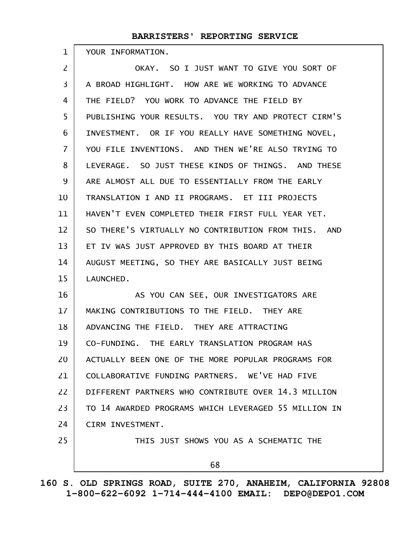YOUR INFORMATION.

1

OKAY. SO I JUST WANT TO GIVE YOU SORT OF A BROAD HIGHLIGHT. HOW ARE WE WORKING TO ADVANCE THE FIELD? YOU WORK TO ADVANCE THE FIELD BY PUBLISHING YOUR RESULTS. YOU TRY AND PROTECT CIRM'S INVESTMENT. OR IF YOU REALLY HAVE SOMETHING NOVEL, YOU FILE INVENTIONS. AND THEN WE'RE ALSO TRYING TO LEVERAGE. SO JUST THESE KINDS OF THINGS. AND THESE ARE ALMOST ALL DUE TO ESSENTIALLY FROM THE EARLY TRANSLATION I AND II PROGRAMS. ET III PROJECTS HAVEN'T EVEN COMPLETED THEIR FIRST FULL YEAR YET. SO THERE'S VIRTUALLY NO CONTRIBUTION FROM THIS. AND ET IV WAS JUST APPROVED BY THIS BOARD AT THEIR AUGUST MEETING, SO THEY ARE BASICALLY JUST BEING LAUNCHED. AS YOU CAN SEE, OUR INVESTIGATORS ARE MAKING CONTRIBUTIONS TO THE FIELD. THEY ARE ADVANCING THE FIELD. THEY ARE ATTRACTING CO-FUNDING. THE EARLY TRANSLATION PROGRAM HAS ACTUALLY BEEN ONE OF THE MORE POPULAR PROGRAMS FOR COLLABORATIVE FUNDING PARTNERS. WE'VE HAD FIVE DIFFERENT PARTNERS WHO CONTRIBUTE OVER 14.3 MILLION TO 14 AWARDED PROGRAMS WHICH LEVERAGED 55 MILLION IN CIRM INVESTMENT. THIS JUST SHOWS YOU AS A SCHEMATIC THE 68 2 3 4 5 6 7 8 9 10 11 12 13 14 15 16 17 18 19 20 21 22 23 24 25

**160 S. OLD SPRINGS ROAD, SUITE 270, ANAHEIM, CALIFORNIA 92808 1-800-622-6092 1-714-444-4100 EMAIL: DEPO@DEPO1.COM**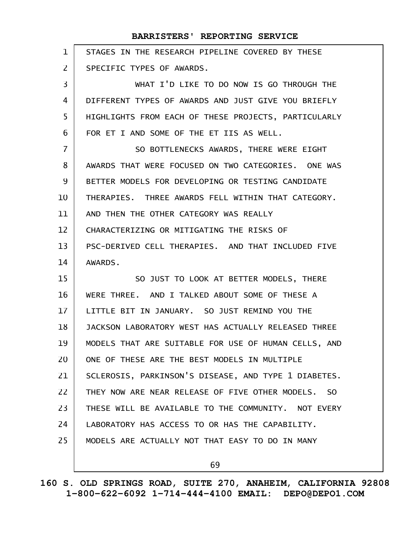| $\mathbf{1}$      | STAGES IN THE RESEARCH PIPELINE COVERED BY THESE     |
|-------------------|------------------------------------------------------|
| $\overline{2}$    | SPECIFIC TYPES OF AWARDS.                            |
| 3                 | WHAT I'D LIKE TO DO NOW IS GO THROUGH THE            |
| 4                 | DIFFERENT TYPES OF AWARDS AND JUST GIVE YOU BRIEFLY  |
| 5                 | HIGHLIGHTS FROM EACH OF THESE PROJECTS, PARTICULARLY |
| 6                 | FOR ET I AND SOME OF THE ET IIS AS WELL.             |
| $\overline{7}$    | SO BOTTLENECKS AWARDS, THERE WERE EIGHT              |
| 8                 | AWARDS THAT WERE FOCUSED ON TWO CATEGORIES. ONE WAS  |
| 9                 | BETTER MODELS FOR DEVELOPING OR TESTING CANDIDATE    |
| 10                | THERAPIES. THREE AWARDS FELL WITHIN THAT CATEGORY.   |
| 11                | AND THEN THE OTHER CATEGORY WAS REALLY               |
| $12 \overline{ }$ | CHARACTERIZING OR MITIGATING THE RISKS OF            |
| 13                | PSC-DERIVED CELL THERAPIES. AND THAT INCLUDED FIVE   |
|                   |                                                      |
| 14                | AWARDS.                                              |
| 15                | SO JUST TO LOOK AT BETTER MODELS, THERE              |
| 16                | WERE THREE. AND I TALKED ABOUT SOME OF THESE A       |
| 17                | LITTLE BIT IN JANUARY. SO JUST REMIND YOU THE        |
| 18                | JACKSON LABORATORY WEST HAS ACTUALLY RELEASED THREE  |
| 19                | MODELS THAT ARE SUITABLE FOR USE OF HUMAN CELLS, AND |
| 20                | ONE OF THESE ARE THE BEST MODELS IN MULTIPLE         |
| 21                | SCLEROSIS, PARKINSON'S DISEASE, AND TYPE 1 DIABETES. |
| 22                | THEY NOW ARE NEAR RELEASE OF FIVE OTHER MODELS. SO   |
| 23                | THESE WILL BE AVAILABLE TO THE COMMUNITY. NOT EVERY  |
| 24                | LABORATORY HAS ACCESS TO OR HAS THE CAPABILITY.      |
| 25                | MODELS ARE ACTUALLY NOT THAT EASY TO DO IN MANY      |

69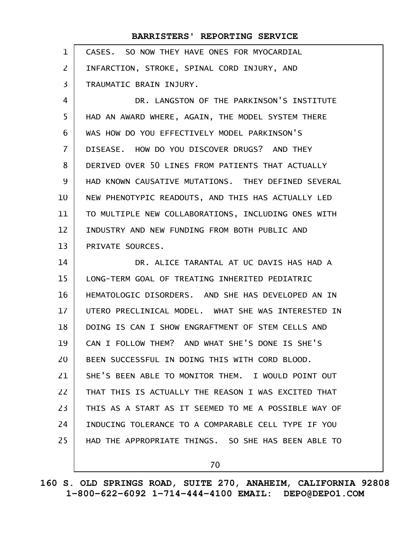| $\mathbf 1$    | CASES. SO NOW THEY HAVE ONES FOR MYOCARDIAL          |
|----------------|------------------------------------------------------|
| $\mathsf{Z}$   | INFARCTION, STROKE, SPINAL CORD INJURY, AND          |
| 3              | TRAUMATIC BRAIN INJURY.                              |
| 4              | DR. LANGSTON OF THE PARKINSON'S INSTITUTE            |
| 5              | HAD AN AWARD WHERE, AGAIN, THE MODEL SYSTEM THERE    |
| 6              | WAS HOW DO YOU EFFECTIVELY MODEL PARKINSON'S         |
| $\overline{7}$ | DISEASE. HOW DO YOU DISCOVER DRUGS? AND THEY         |
| 8              | DERIVED OVER 50 LINES FROM PATIENTS THAT ACTUALLY    |
| 9              | HAD KNOWN CAUSATIVE MUTATIONS. THEY DEFINED SEVERAL  |
| 10             | NEW PHENOTYPIC READOUTS, AND THIS HAS ACTUALLY LED   |
| 11             | TO MULTIPLE NEW COLLABORATIONS, INCLUDING ONES WITH  |
| 12             | INDUSTRY AND NEW FUNDING FROM BOTH PUBLIC AND        |
| 13             | PRIVATE SOURCES.                                     |
| 14             | DR. ALICE TARANTAL AT UC DAVIS HAS HAD A             |
| 15             | LONG-TERM GOAL OF TREATING INHERITED PEDIATRIC       |
| 16             | HEMATOLOGIC DISORDERS. AND SHE HAS DEVELOPED AN IN   |
| 17             | UTERO PRECLINICAL MODEL. WHAT SHE WAS INTERESTED IN  |
| 18             | DOING IS CAN I SHOW ENGRAFTMENT OF STEM CELLS AND    |
| 19             | CAN I FOLLOW THEM? AND WHAT SHE'S DONE IS SHE'S      |
| 20             | BEEN SUCCESSFUL IN DOING THIS WITH CORD BLOOD.       |
| 21             | SHE'S BEEN ABLE TO MONITOR THEM. I WOULD POINT OUT   |
| 22             | THAT THIS IS ACTUALLY THE REASON I WAS EXCITED THAT  |
| 23             | THIS AS A START AS IT SEEMED TO ME A POSSIBLE WAY OF |
| 24             | INDUCING TOLERANCE TO A COMPARABLE CELL TYPE IF YOU  |
| 25             | HAD THE APPROPRIATE THINGS. SO SHE HAS BEEN ABLE TO  |
|                | 70                                                   |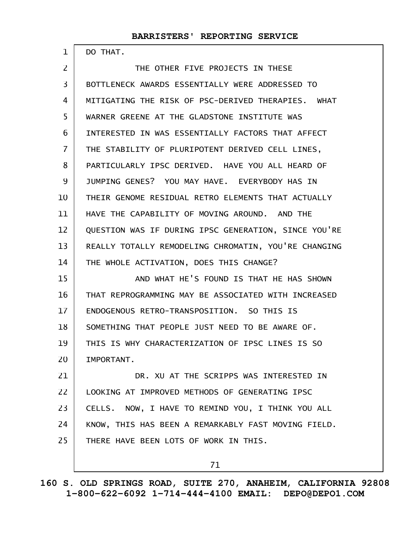DO THAT.

1

| $\overline{2}$ | THE OTHER FIVE PROJECTS IN THESE                     |
|----------------|------------------------------------------------------|
| 3              | BOTTLENECK AWARDS ESSENTIALLY WERE ADDRESSED TO      |
| 4              | MITIGATING THE RISK OF PSC-DERIVED THERAPIES. WHAT   |
| 5              | WARNER GREENE AT THE GLADSTONE INSTITUTE WAS         |
| 6              | INTERESTED IN WAS ESSENTIALLY FACTORS THAT AFFECT    |
| $\overline{7}$ | THE STABILITY OF PLURIPOTENT DERIVED CELL LINES,     |
| 8              | PARTICULARLY IPSC DERIVED. HAVE YOU ALL HEARD OF     |
| 9              | JUMPING GENES? YOU MAY HAVE. EVERYBODY HAS IN        |
| 10             | THEIR GENOME RESIDUAL RETRO ELEMENTS THAT ACTUALLY   |
| 11             | HAVE THE CAPABILITY OF MOVING AROUND. AND THE        |
| 12             | QUESTION WAS IF DURING IPSC GENERATION, SINCE YOU'RE |
| 13             | REALLY TOTALLY REMODELING CHROMATIN, YOU'RE CHANGING |
| 14             | THE WHOLE ACTIVATION, DOES THIS CHANGE?              |
| 15             | AND WHAT HE'S FOUND IS THAT HE HAS SHOWN             |
| 16             | THAT REPROGRAMMING MAY BE ASSOCIATED WITH INCREASED  |
| 17             | ENDOGENOUS RETRO-TRANSPOSITION. SO THIS IS           |
| 18             | SOMETHING THAT PEOPLE JUST NEED TO BE AWARE OF.      |
| 19             | THIS IS WHY CHARACTERIZATION OF IPSC LINES IS SO     |
| 20             | IMPORTANT.                                           |
| 21             | DR. XU AT THE SCRIPPS WAS INTERESTED IN              |
| 22             | LOOKING AT IMPROVED METHODS OF GENERATING IPSC       |
| 23             | CELLS. NOW, I HAVE TO REMIND YOU, I THINK YOU ALL    |
| 24             | KNOW, THIS HAS BEEN A REMARKABLY FAST MOVING FIELD.  |
| 25             | THERE HAVE BEEN LOTS OF WORK IN THIS.                |
|                |                                                      |

71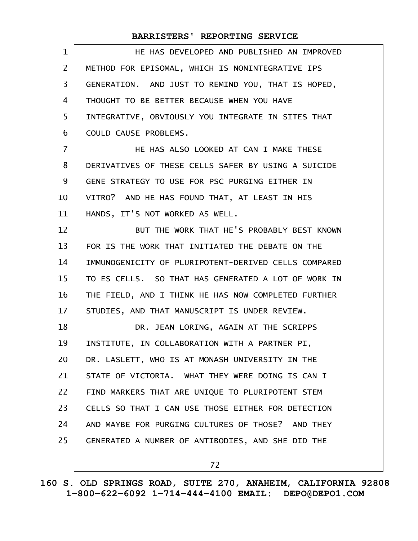| 1              | HE HAS DEVELOPED AND PUBLISHED AN IMPROVED           |
|----------------|------------------------------------------------------|
| $\overline{2}$ | METHOD FOR EPISOMAL, WHICH IS NONINTEGRATIVE IPS     |
| 3              | GENERATION. AND JUST TO REMIND YOU, THAT IS HOPED,   |
| 4              | THOUGHT TO BE BETTER BECAUSE WHEN YOU HAVE           |
| 5              | INTEGRATIVE, OBVIOUSLY YOU INTEGRATE IN SITES THAT   |
| 6              | COULD CAUSE PROBLEMS.                                |
| $\overline{7}$ | HE HAS ALSO LOOKED AT CAN I MAKE THESE               |
| 8              | DERIVATIVES OF THESE CELLS SAFER BY USING A SUICIDE  |
| 9              | GENE STRATEGY TO USE FOR PSC PURGING EITHER IN       |
| 10             | VITRO? AND HE HAS FOUND THAT, AT LEAST IN HIS        |
| 11             | HANDS, IT'S NOT WORKED AS WELL.                      |
| 12             | BUT THE WORK THAT HE'S PROBABLY BEST KNOWN           |
| 13             | FOR IS THE WORK THAT INITIATED THE DEBATE ON THE     |
| 14             | IMMUNOGENICITY OF PLURIPOTENT-DERIVED CELLS COMPARED |
| 15             | TO ES CELLS. SO THAT HAS GENERATED A LOT OF WORK IN  |
| 16             | THE FIELD, AND I THINK HE HAS NOW COMPLETED FURTHER  |
| 17             | STUDIES, AND THAT MANUSCRIPT IS UNDER REVIEW.        |
| 18             | DR. JEAN LORING, AGAIN AT THE SCRIPPS                |
| 19             | INSTITUTE, IN COLLABORATION WITH A PARTNER PI,       |
| 20             | DR. LASLETT, WHO IS AT MONASH UNIVERSITY IN THE      |
| 21             | STATE OF VICTORIA. WHAT THEY WERE DOING IS CAN I     |
| 22             | FIND MARKERS THAT ARE UNIQUE TO PLURIPOTENT STEM     |
| 23             | CELLS SO THAT I CAN USE THOSE EITHER FOR DETECTION   |
| 24             | AND MAYBE FOR PURGING CULTURES OF THOSE? AND THEY    |
| 25             | GENERATED A NUMBER OF ANTIBODIES, AND SHE DID THE    |
|                | 72                                                   |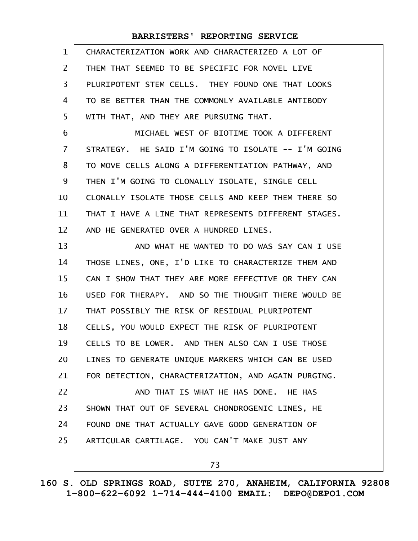| $\mathbf{1}$    | CHARACTERIZATION WORK AND CHARACTERIZED A LOT OF     |
|-----------------|------------------------------------------------------|
| $\mathsf{Z}$    | THEM THAT SEEMED TO BE SPECIFIC FOR NOVEL LIVE       |
| 3               | PLURIPOTENT STEM CELLS. THEY FOUND ONE THAT LOOKS    |
| 4               | TO BE BETTER THAN THE COMMONLY AVAILABLE ANTIBODY    |
| 5               | WITH THAT, AND THEY ARE PURSUING THAT.               |
| 6               | MICHAEL WEST OF BIOTIME TOOK A DIFFERENT             |
| $\overline{7}$  | STRATEGY. HE SAID I'M GOING TO ISOLATE -- I'M GOING  |
| 8               | TO MOVE CELLS ALONG A DIFFERENTIATION PATHWAY, AND   |
| 9               | THEN I'M GOING TO CLONALLY ISOLATE, SINGLE CELL      |
| 10              | CLONALLY ISOLATE THOSE CELLS AND KEEP THEM THERE SO  |
| 11              | THAT I HAVE A LINE THAT REPRESENTS DIFFERENT STAGES. |
| 12              | AND HE GENERATED OVER A HUNDRED LINES.               |
| 13              | AND WHAT HE WANTED TO DO WAS SAY CAN I USE           |
| 14              | THOSE LINES, ONE, I'D LIKE TO CHARACTERIZE THEM AND  |
| 15              | CAN I SHOW THAT THEY ARE MORE EFFECTIVE OR THEY CAN  |
| 16              | USED FOR THERAPY. AND SO THE THOUGHT THERE WOULD BE  |
| 17 <sup>2</sup> | THAT POSSIBLY THE RISK OF RESIDUAL PLURIPOTENT       |
| 18              | CELLS, YOU WOULD EXPECT THE RISK OF PLURIPOTENT      |
| 19              | CELLS TO BE LOWER. AND THEN ALSO CAN I USE THOSE     |
| 20              | LINES TO GENERATE UNIQUE MARKERS WHICH CAN BE USED   |
| 21              | FOR DETECTION, CHARACTERIZATION, AND AGAIN PURGING.  |
| 22              | AND THAT IS WHAT HE HAS DONE. HE HAS                 |
| 23              | SHOWN THAT OUT OF SEVERAL CHONDROGENIC LINES, HE     |
| 24              | FOUND ONE THAT ACTUALLY GAVE GOOD GENERATION OF      |
| 25              | ARTICULAR CARTILAGE. YOU CAN'T MAKE JUST ANY         |
|                 | 73                                                   |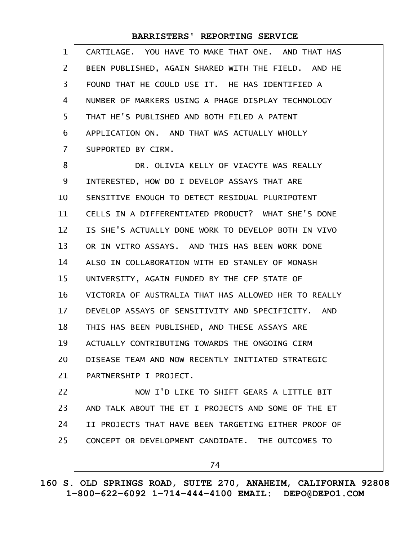| $\mathbf{1}$   | CARTILAGE. YOU HAVE TO MAKE THAT ONE. AND THAT HAS   |
|----------------|------------------------------------------------------|
| $\overline{2}$ | BEEN PUBLISHED, AGAIN SHARED WITH THE FIELD. AND HE  |
| 3              | FOUND THAT HE COULD USE IT. HE HAS IDENTIFIED A      |
| 4              | NUMBER OF MARKERS USING A PHAGE DISPLAY TECHNOLOGY   |
| 5              | THAT HE'S PUBLISHED AND BOTH FILED A PATENT          |
| 6              | APPLICATION ON. AND THAT WAS ACTUALLY WHOLLY         |
| $\overline{7}$ | SUPPORTED BY CIRM.                                   |
| 8              | DR. OLIVIA KELLY OF VIACYTE WAS REALLY               |
| 9              | INTERESTED, HOW DO I DEVELOP ASSAYS THAT ARE         |
| 10             | SENSITIVE ENOUGH TO DETECT RESIDUAL PLURIPOTENT      |
| 11             | CELLS IN A DIFFERENTIATED PRODUCT? WHAT SHE'S DONE   |
| 12             | IS SHE'S ACTUALLY DONE WORK TO DEVELOP BOTH IN VIVO  |
| 13             | OR IN VITRO ASSAYS. AND THIS HAS BEEN WORK DONE      |
| 14             | ALSO IN COLLABORATION WITH ED STANLEY OF MONASH      |
| 15             | UNIVERSITY, AGAIN FUNDED BY THE CFP STATE OF         |
| 16             | VICTORIA OF AUSTRALIA THAT HAS ALLOWED HER TO REALLY |
| 17             | DEVELOP ASSAYS OF SENSITIVITY AND SPECIFICITY. AND   |
| 18             | THIS HAS BEEN PUBLISHED, AND THESE ASSAYS ARE        |
| 19             | ACTUALLY CONTRIBUTING TOWARDS THE ONGOING CIRM       |
| 20             | DISEASE TEAM AND NOW RECENTLY INITIATED STRATEGIC    |
| 21             | PARTNERSHIP I PROJECT.                               |
| 22             | NOW I'D LIKE TO SHIFT GEARS A LITTLE BIT             |
| 23             | AND TALK ABOUT THE ET I PROJECTS AND SOME OF THE ET  |
| 24             | II PROJECTS THAT HAVE BEEN TARGETING EITHER PROOF OF |
| 25             | CONCEPT OR DEVELOPMENT CANDIDATE. THE OUTCOMES TO    |
|                | 74                                                   |

**160 S. OLD SPRINGS ROAD, SUITE 270, ANAHEIM, CALIFORNIA 92808 1-800-622-6092 1-714-444-4100 EMAIL: DEPO@DEPO1.COM**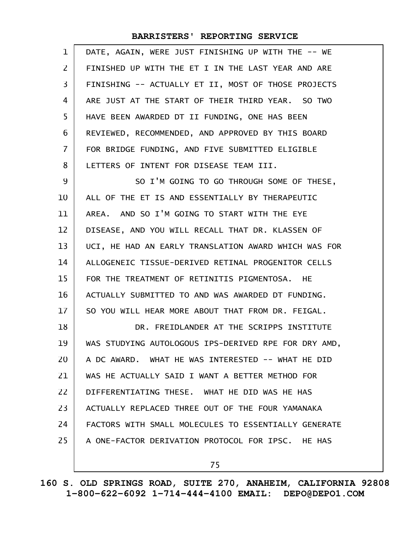| 1  | DATE, AGAIN, WERE JUST FINISHING UP WITH THE -- WE   |
|----|------------------------------------------------------|
| 2  | FINISHED UP WITH THE ET I IN THE LAST YEAR AND ARE   |
| 3  | FINISHING -- ACTUALLY ET II, MOST OF THOSE PROJECTS  |
| 4  | ARE JUST AT THE START OF THEIR THIRD YEAR. SO TWO    |
| 5  | HAVE BEEN AWARDED DT II FUNDING, ONE HAS BEEN        |
| 6  | REVIEWED, RECOMMENDED, AND APPROVED BY THIS BOARD    |
| 7  | FOR BRIDGE FUNDING, AND FIVE SUBMITTED ELIGIBLE      |
| 8  | LETTERS OF INTENT FOR DISEASE TEAM III.              |
| 9  | SO I'M GOING TO GO THROUGH SOME OF THESE,            |
| 10 | ALL OF THE ET IS AND ESSENTIALLY BY THERAPEUTIC      |
| 11 | AREA. AND SO I'M GOING TO START WITH THE EYE         |
| 12 | DISEASE, AND YOU WILL RECALL THAT DR. KLASSEN OF     |
| 13 | UCI, HE HAD AN EARLY TRANSLATION AWARD WHICH WAS FOR |
| 14 | ALLOGENEIC TISSUE-DERIVED RETINAL PROGENITOR CELLS   |
| 15 | FOR THE TREATMENT OF RETINITIS PIGMENTOSA. HE        |
| 16 | ACTUALLY SUBMITTED TO AND WAS AWARDED DT FUNDING.    |
| 17 | SO YOU WILL HEAR MORE ABOUT THAT FROM DR. FEIGAL.    |
| 18 | DR. FREIDLANDER AT THE SCRIPPS INSTITUTE             |
| 19 | WAS STUDYING AUTOLOGOUS IPS-DERIVED RPE FOR DRY AMD, |
| 20 | A DC AWARD. WHAT HE WAS INTERESTED -- WHAT HE DID    |
| 21 | WAS HE ACTUALLY SAID I WANT A BETTER METHOD FOR      |
| 22 | DIFFERENTIATING THESE. WHAT HE DID WAS HE HAS        |
| 23 | ACTUALLY REPLACED THREE OUT OF THE FOUR YAMANAKA     |
| 24 | FACTORS WITH SMALL MOLECULES TO ESSENTIALLY GENERATE |
| 25 | A ONE-FACTOR DERIVATION PROTOCOL FOR IPSC. HE HAS    |
|    | 75                                                   |

**160 S. OLD SPRINGS ROAD, SUITE 270, ANAHEIM, CALIFORNIA 92808 1-800-622-6092 1-714-444-4100 EMAIL: DEPO@DEPO1.COM**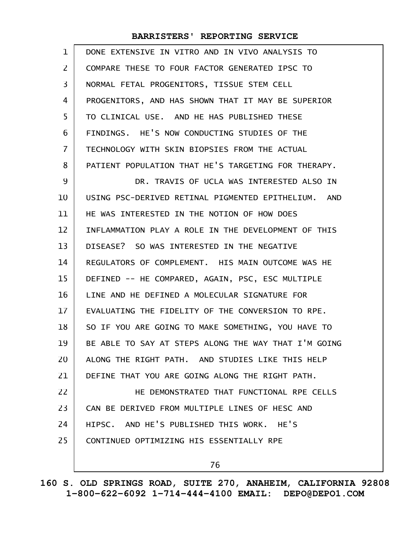| $\mathbf 1$       | DONE EXTENSIVE IN VITRO AND IN VIVO ANALYSIS TO      |
|-------------------|------------------------------------------------------|
| 2                 | COMPARE THESE TO FOUR FACTOR GENERATED IPSC TO       |
| 3                 | NORMAL FETAL PROGENITORS, TISSUE STEM CELL           |
| 4                 | PROGENITORS, AND HAS SHOWN THAT IT MAY BE SUPERIOR   |
| 5                 | TO CLINICAL USE. AND HE HAS PUBLISHED THESE          |
| 6                 | FINDINGS. HE'S NOW CONDUCTING STUDIES OF THE         |
| $\overline{7}$    | TECHNOLOGY WITH SKIN BIOPSIES FROM THE ACTUAL        |
| 8                 | PATIENT POPULATION THAT HE'S TARGETING FOR THERAPY.  |
| 9                 | DR. TRAVIS OF UCLA WAS INTERESTED ALSO IN            |
| 10                | USING PSC-DERIVED RETINAL PIGMENTED EPITHELIUM. AND  |
| 11                | HE WAS INTERESTED IN THE NOTION OF HOW DOES          |
| $12 \overline{ }$ | INFLAMMATION PLAY A ROLE IN THE DEVELOPMENT OF THIS  |
| 13                | DISEASE? SO WAS INTERESTED IN THE NEGATIVE           |
| 14                | REGULATORS OF COMPLEMENT. HIS MAIN OUTCOME WAS HE    |
| 15                | DEFINED -- HE COMPARED, AGAIN, PSC, ESC MULTIPLE     |
| 16                | LINE AND HE DEFINED A MOLECULAR SIGNATURE FOR        |
| 17                | EVALUATING THE FIDELITY OF THE CONVERSION TO RPE.    |
| 18                | SO IF YOU ARE GOING TO MAKE SOMETHING, YOU HAVE TO   |
| 19                | BE ABLE TO SAY AT STEPS ALONG THE WAY THAT I'M GOING |
| 20                | ALONG THE RIGHT PATH. AND STUDIES LIKE THIS HELP     |
| 21                | DEFINE THAT YOU ARE GOING ALONG THE RIGHT PATH.      |
| 22                | HE DEMONSTRATED THAT FUNCTIONAL RPE CELLS            |
| 23                | CAN BE DERIVED FROM MULTIPLE LINES OF HESC AND       |
| 24                | HIPSC. AND HE'S PUBLISHED THIS WORK.<br>HE'S         |
| 25                | CONTINUED OPTIMIZING HIS ESSENTIALLY RPE             |
|                   | 76                                                   |

**160 S. OLD SPRINGS ROAD, SUITE 270, ANAHEIM, CALIFORNIA 92808 1-800-622-6092 1-714-444-4100 EMAIL: DEPO@DEPO1.COM**

 $\mathbf{I}$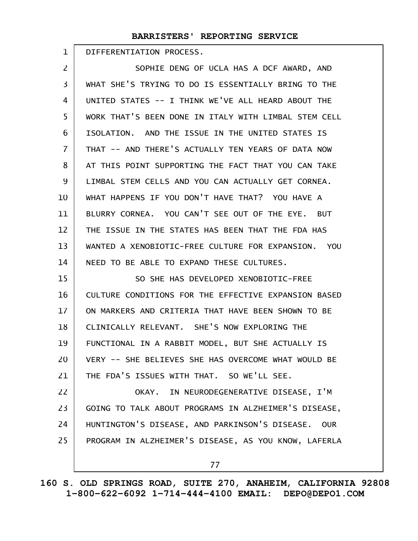DIFFERENTIATION PROCESS. 1

SOPHIE DENG OF UCLA HAS A DCF AWARD, AND WHAT SHE'S TRYING TO DO IS ESSENTIALLY BRING TO THE UNITED STATES -- I THINK WE'VE ALL HEARD ABOUT THE WORK THAT'S BEEN DONE IN ITALY WITH LIMBAL STEM CELL ISOLATION. AND THE ISSUE IN THE UNITED STATES IS THAT -- AND THERE'S ACTUALLY TEN YEARS OF DATA NOW AT THIS POINT SUPPORTING THE FACT THAT YOU CAN TAKE LIMBAL STEM CELLS AND YOU CAN ACTUALLY GET CORNEA. WHAT HAPPENS IF YOU DON'T HAVE THAT? YOU HAVE A BLURRY CORNEA. YOU CAN'T SEE OUT OF THE EYE. BUT THE ISSUE IN THE STATES HAS BEEN THAT THE FDA HAS WANTED A XENOBIOTIC-FREE CULTURE FOR EXPANSION. YOU NEED TO BE ABLE TO EXPAND THESE CULTURES. SO SHE HAS DEVELOPED XENOBIOTIC-FREE CULTURE CONDITIONS FOR THE EFFECTIVE EXPANSION BASED ON MARKERS AND CRITERIA THAT HAVE BEEN SHOWN TO BE CLINICALLY RELEVANT. SHE'S NOW EXPLORING THE FUNCTIONAL IN A RABBIT MODEL, BUT SHE ACTUALLY IS VERY -- SHE BELIEVES SHE HAS OVERCOME WHAT WOULD BE THE FDA'S ISSUES WITH THAT. SO WE'LL SEE. OKAY. IN NEURODEGENERATIVE DISEASE, I'M GOING TO TALK ABOUT PROGRAMS IN ALZHEIMER'S DISEASE, HUNTINGTON'S DISEASE, AND PARKINSON'S DISEASE. OUR PROGRAM IN ALZHEIMER'S DISEASE, AS YOU KNOW, LAFERLA 77 2 3 4 5 6 7 8 9 10 11 12 13 14 15 16 17 18 19 20 21 22 23 24 25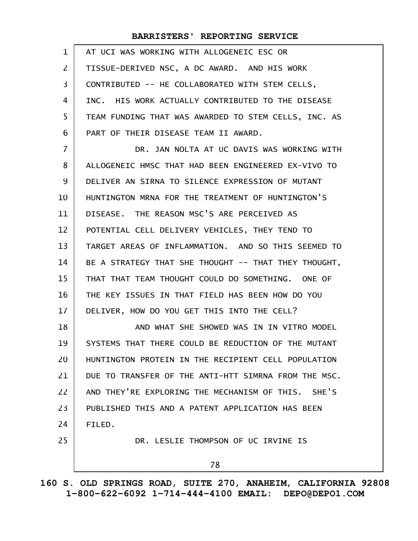| $\mathbf{1}$   | AT UCI WAS WORKING WITH ALLOGENEIC ESC OR            |
|----------------|------------------------------------------------------|
| $\overline{2}$ | TISSUE-DERIVED NSC, A DC AWARD. AND HIS WORK         |
| $\overline{3}$ | CONTRIBUTED -- HE COLLABORATED WITH STEM CELLS,      |
| 4              | INC. HIS WORK ACTUALLY CONTRIBUTED TO THE DISEASE    |
| 5              | TEAM FUNDING THAT WAS AWARDED TO STEM CELLS, INC. AS |
| 6              | PART OF THEIR DISEASE TEAM II AWARD.                 |
| $\overline{7}$ | DR. JAN NOLTA AT UC DAVIS WAS WORKING WITH           |
| 8              | ALLOGENEIC HMSC THAT HAD BEEN ENGINEERED EX-VIVO TO  |
| 9              | DELIVER AN SIRNA TO SILENCE EXPRESSION OF MUTANT     |
| 10             | HUNTINGTON MRNA FOR THE TREATMENT OF HUNTINGTON'S    |
| 11             | DISEASE. THE REASON MSC'S ARE PERCEIVED AS           |
| 12             | POTENTIAL CELL DELIVERY VEHICLES, THEY TEND TO       |
| 13             | TARGET AREAS OF INFLAMMATION. AND SO THIS SEEMED TO  |
| 14             | BE A STRATEGY THAT SHE THOUGHT -- THAT THEY THOUGHT, |
| 15             | THAT THAT TEAM THOUGHT COULD DO SOMETHING. ONE OF    |
| 16             | THE KEY ISSUES IN THAT FIELD HAS BEEN HOW DO YOU     |
| $17 \,$        | DELIVER, HOW DO YOU GET THIS INTO THE CELL?          |
| 18             | AND WHAT SHE SHOWED WAS IN IN VITRO MODEL            |
| 19             | SYSTEMS THAT THERE COULD BE REDUCTION OF THE MUTANT  |
| 20             | HUNTINGTON PROTEIN IN THE RECIPIENT CELL POPULATION  |
| 21             | DUE TO TRANSFER OF THE ANTI-HTT SIMRNA FROM THE MSC. |
| 22             | AND THEY'RE EXPLORING THE MECHANISM OF THIS. SHE'S   |
| 23             | PUBLISHED THIS AND A PATENT APPLICATION HAS BEEN     |
| 24             | FILED.                                               |
| 25             | DR. LESLIE THOMPSON OF UC IRVINE IS                  |
|                | 78                                                   |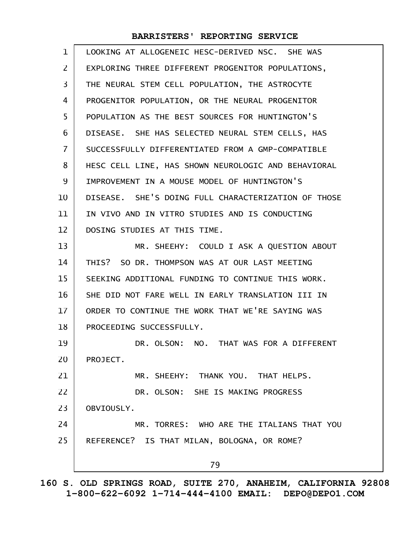| $\mathbf{1}$   | LOOKING AT ALLOGENEIC HESC-DERIVED NSC. SHE WAS     |
|----------------|-----------------------------------------------------|
| $\overline{2}$ | EXPLORING THREE DIFFERENT PROGENITOR POPULATIONS,   |
| 3              | THE NEURAL STEM CELL POPULATION, THE ASTROCYTE      |
| 4              | PROGENITOR POPULATION, OR THE NEURAL PROGENITOR     |
| 5              | POPULATION AS THE BEST SOURCES FOR HUNTINGTON'S     |
| 6              | DISEASE. SHE HAS SELECTED NEURAL STEM CELLS, HAS    |
| $\overline{7}$ | SUCCESSFULLY DIFFERENTIATED FROM A GMP-COMPATIBLE   |
| 8              | HESC CELL LINE, HAS SHOWN NEUROLOGIC AND BEHAVIORAL |
| 9              | IMPROVEMENT IN A MOUSE MODEL OF HUNTINGTON'S        |
| 10             | DISEASE. SHE'S DOING FULL CHARACTERIZATION OF THOSE |
| 11             | IN VIVO AND IN VITRO STUDIES AND IS CONDUCTING      |
| 12             | DOSING STUDIES AT THIS TIME.                        |
| 13             | MR. SHEEHY: COULD I ASK A QUESTION ABOUT            |
| 14             | THIS? SO DR. THOMPSON WAS AT OUR LAST MEETING       |
| 15             | SEEKING ADDITIONAL FUNDING TO CONTINUE THIS WORK.   |
| 16             | SHE DID NOT FARE WELL IN EARLY TRANSLATION III IN   |
| $17 \,$        | ORDER TO CONTINUE THE WORK THAT WE'RE SAYING WAS    |
| 18             | PROCEEDING SUCCESSFULLY.                            |
| 19             | DR. OLSON: NO. THAT WAS FOR A DIFFERENT             |
| 20             | PROJECT.                                            |
| 21             | MR. SHEEHY: THANK YOU. THAT HELPS.                  |
| 22             | DR. OLSON: SHE IS MAKING PROGRESS                   |
| 23             | OBVIOUSLY.                                          |
| 24             | MR. TORRES: WHO ARE THE ITALIANS THAT YOU           |
| 25             | REFERENCE? IS THAT MILAN, BOLOGNA, OR ROME?         |
|                | 79                                                  |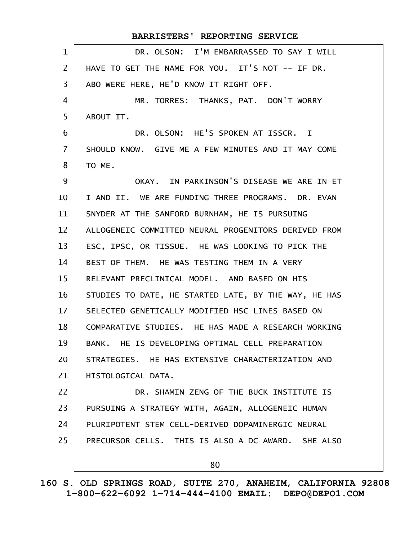DR. OLSON: I'M EMBARRASSED TO SAY I WILL HAVE TO GET THE NAME FOR YOU. IT'S NOT -- IF DR. ABO WERE HERE, HE'D KNOW IT RIGHT OFF. MR. TORRES: THANKS, PAT. DON'T WORRY ABOUT IT. DR. OLSON: HE'S SPOKEN AT ISSCR. I SHOULD KNOW. GIVE ME A FEW MINUTES AND IT MAY COME TO ME. OKAY. IN PARKINSON'S DISEASE WE ARE IN ET I AND II. WE ARE FUNDING THREE PROGRAMS. DR. EVAN SNYDER AT THE SANFORD BURNHAM, HE IS PURSUING ALLOGENEIC COMMITTED NEURAL PROGENITORS DERIVED FROM ESC, IPSC, OR TISSUE. HE WAS LOOKING TO PICK THE BEST OF THEM. HE WAS TESTING THEM IN A VERY RELEVANT PRECLINICAL MODEL. AND BASED ON HIS STUDIES TO DATE, HE STARTED LATE, BY THE WAY, HE HAS SELECTED GENETICALLY MODIFIED HSC LINES BASED ON COMPARATIVE STUDIES. HE HAS MADE A RESEARCH WORKING BANK. HE IS DEVELOPING OPTIMAL CELL PREPARATION STRATEGIES. HE HAS EXTENSIVE CHARACTERIZATION AND HISTOLOGICAL DATA. DR. SHAMIN ZENG OF THE BUCK INSTITUTE IS PURSUING A STRATEGY WITH, AGAIN, ALLOGENEIC HUMAN PLURIPOTENT STEM CELL-DERIVED DOPAMINERGIC NEURAL PRECURSOR CELLS. THIS IS ALSO A DC AWARD. SHE ALSO 80 **BARRISTERS' REPORTING SERVICE** 1 2 3 4 5 6 7 8 9 10 11 12 13 14 15 16 17 18 19 20 21 22 23 24 25

**160 S. OLD SPRINGS ROAD, SUITE 270, ANAHEIM, CALIFORNIA 92808 1-800-622-6092 1-714-444-4100 EMAIL: DEPO@DEPO1.COM**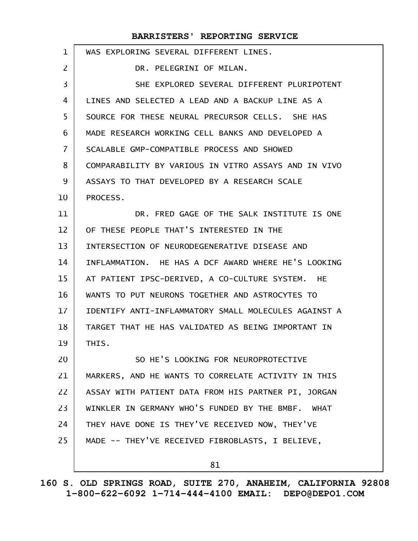| $\mathbf 1$ | WAS EXPLORING SEVERAL DIFFERENT LINES.               |
|-------------|------------------------------------------------------|
| 2           | DR. PELEGRINI OF MILAN.                              |
| 3           | SHE EXPLORED SEVERAL DIFFERENT PLURIPOTENT           |
| 4           | LINES AND SELECTED A LEAD AND A BACKUP LINE AS A     |
| 5           | SOURCE FOR THESE NEURAL PRECURSOR CELLS. SHE HAS     |
| 6           | MADE RESEARCH WORKING CELL BANKS AND DEVELOPED A     |
| 7           | SCALABLE GMP-COMPATIBLE PROCESS AND SHOWED           |
| 8           | COMPARABILITY BY VARIOUS IN VITRO ASSAYS AND IN VIVO |
| 9           | ASSAYS TO THAT DEVELOPED BY A RESEARCH SCALE         |
| 10          | PROCESS.                                             |
| 11          | DR. FRED GAGE OF THE SALK INSTITUTE IS ONE           |
| 12          | OF THESE PEOPLE THAT'S INTERESTED IN THE             |
| 13          | INTERSECTION OF NEURODEGENERATIVE DISEASE AND        |
| 14          | INFLAMMATION. HE HAS A DCF AWARD WHERE HE'S LOOKING  |
| 15          | AT PATIENT IPSC-DERIVED, A CO-CULTURE SYSTEM. HE     |
| 16          | WANTS TO PUT NEURONS TOGETHER AND ASTROCYTES TO      |
| 17          | IDENTIFY ANTI-INFLAMMATORY SMALL MOLECULES AGAINST A |
| 18          | TARGET THAT HE HAS VALIDATED AS BEING IMPORTANT IN   |
| 19          | THIS.                                                |
| 20          | SO HE'S LOOKING FOR NEUROPROTECTIVE                  |
| 21          | MARKERS, AND HE WANTS TO CORRELATE ACTIVITY IN THIS  |
| 22          | ASSAY WITH PATIENT DATA FROM HIS PARTNER PI, JORGAN  |
| 23          | WINKLER IN GERMANY WHO'S FUNDED BY THE BMBF. WHAT    |
| 24          | THEY HAVE DONE IS THEY'VE RECEIVED NOW, THEY'VE      |
| 25          | MADE -- THEY'VE RECEIVED FIBROBLASTS, I BELIEVE,     |
|             | 81                                                   |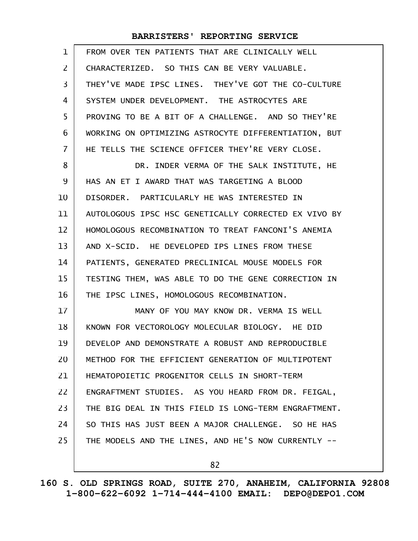| $\mathbf 1$    | FROM OVER TEN PATIENTS THAT ARE CLINICALLY WELL      |
|----------------|------------------------------------------------------|
| $\overline{2}$ | CHARACTERIZED. SO THIS CAN BE VERY VALUABLE.         |
| 3              | THEY'VE MADE IPSC LINES. THEY'VE GOT THE CO-CULTURE  |
| 4              | SYSTEM UNDER DEVELOPMENT. THE ASTROCYTES ARE         |
| 5              | PROVING TO BE A BIT OF A CHALLENGE. AND SO THEY'RE   |
| 6              | WORKING ON OPTIMIZING ASTROCYTE DIFFERENTIATION, BUT |
| 7              | HE TELLS THE SCIENCE OFFICER THEY'RE VERY CLOSE.     |
| 8              | DR. INDER VERMA OF THE SALK INSTITUTE, HE            |
| 9              | HAS AN ET I AWARD THAT WAS TARGETING A BLOOD         |
| 10             | DISORDER. PARTICULARLY HE WAS INTERESTED IN          |
| 11             | AUTOLOGOUS IPSC HSC GENETICALLY CORRECTED EX VIVO BY |
| 12             | HOMOLOGOUS RECOMBINATION TO TREAT FANCONI'S ANEMIA   |
| 13             | AND X-SCID. HE DEVELOPED IPS LINES FROM THESE        |
| 14             | PATIENTS, GENERATED PRECLINICAL MOUSE MODELS FOR     |
| 15             | TESTING THEM, WAS ABLE TO DO THE GENE CORRECTION IN  |
| 16             | THE IPSC LINES, HOMOLOGOUS RECOMBINATION.            |
| 17             | MANY OF YOU MAY KNOW DR. VERMA IS WELL               |
| 18             | KNOWN FOR VECTOROLOGY MOLECULAR BIOLOGY. HE DID      |
| 19             | DEVELOP AND DEMONSTRATE A ROBUST AND REPRODUCIBLE    |
| 20             | METHOD FOR THE EFFICIENT GENERATION OF MULTIPOTENT   |
| 21             | HEMATOPOIETIC PROGENITOR CELLS IN SHORT-TERM         |
| 22             | ENGRAFTMENT STUDIES. AS YOU HEARD FROM DR. FEIGAL,   |
| 23             | THE BIG DEAL IN THIS FIELD IS LONG-TERM ENGRAFTMENT. |
| 24             | SO THIS HAS JUST BEEN A MAJOR CHALLENGE. SO HE HAS   |
| 25             | THE MODELS AND THE LINES, AND HE'S NOW CURRENTLY --  |
|                |                                                      |

82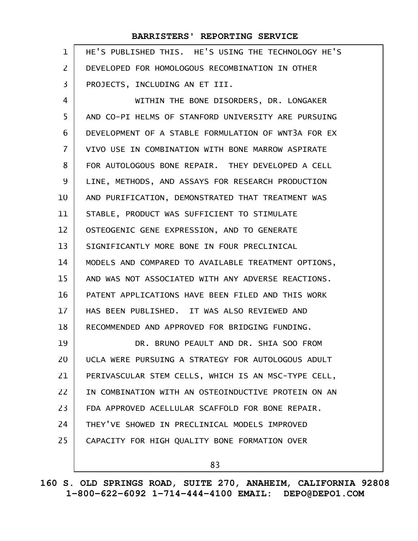| $\mathbf{1}$   | HE'S PUBLISHED THIS. HE'S USING THE TECHNOLOGY HE'S |
|----------------|-----------------------------------------------------|
| $\overline{2}$ | DEVELOPED FOR HOMOLOGOUS RECOMBINATION IN OTHER     |
| 3              | PROJECTS, INCLUDING AN ET III.                      |
| 4              | WITHIN THE BONE DISORDERS, DR. LONGAKER             |
| 5              | AND CO-PI HELMS OF STANFORD UNIVERSITY ARE PURSUING |
| 6              | DEVELOPMENT OF A STABLE FORMULATION OF WNT3A FOR EX |
| $\overline{7}$ | VIVO USE IN COMBINATION WITH BONE MARROW ASPIRATE   |
| 8              | FOR AUTOLOGOUS BONE REPAIR. THEY DEVELOPED A CELL   |
| 9              | LINE, METHODS, AND ASSAYS FOR RESEARCH PRODUCTION   |
| 10             | AND PURIFICATION, DEMONSTRATED THAT TREATMENT WAS   |
| 11             | STABLE, PRODUCT WAS SUFFICIENT TO STIMULATE         |
| 12             | OSTEOGENIC GENE EXPRESSION, AND TO GENERATE         |
| 13             | SIGNIFICANTLY MORE BONE IN FOUR PRECLINICAL         |
| 14             | MODELS AND COMPARED TO AVAILABLE TREATMENT OPTIONS, |
| 15             | AND WAS NOT ASSOCIATED WITH ANY ADVERSE REACTIONS.  |
| 16             | PATENT APPLICATIONS HAVE BEEN FILED AND THIS WORK   |
| 17             | HAS BEEN PUBLISHED. IT WAS ALSO REVIEWED AND        |
| 18             | RECOMMENDED AND APPROVED FOR BRIDGING FUNDING.      |
| 19             | DR. BRUNO PEAULT AND DR. SHIA SOO FROM              |
| 20             | UCLA WERE PURSUING A STRATEGY FOR AUTOLOGOUS ADULT  |
| 21             | PERIVASCULAR STEM CELLS, WHICH IS AN MSC-TYPE CELL, |
| 22             | IN COMBINATION WITH AN OSTEOINDUCTIVE PROTEIN ON AN |
| 23             | FDA APPROVED ACELLULAR SCAFFOLD FOR BONE REPAIR.    |
| 24             | THEY'VE SHOWED IN PRECLINICAL MODELS IMPROVED       |
| 25             | CAPACITY FOR HIGH QUALITY BONE FORMATION OVER       |
|                | 83                                                  |

**160 S. OLD SPRINGS ROAD, SUITE 270, ANAHEIM, CALIFORNIA 92808 1-800-622-6092 1-714-444-4100 EMAIL: DEPO@DEPO1.COM**

 $\mathsf{l}$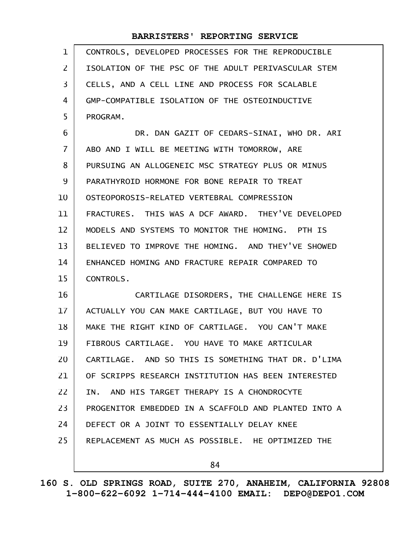| $\mathbf{1}$   | CONTROLS, DEVELOPED PROCESSES FOR THE REPRODUCIBLE   |
|----------------|------------------------------------------------------|
| $\overline{2}$ | ISOLATION OF THE PSC OF THE ADULT PERIVASCULAR STEM  |
| 3              | CELLS, AND A CELL LINE AND PROCESS FOR SCALABLE      |
| 4              | GMP-COMPATIBLE ISOLATION OF THE OSTEOINDUCTIVE       |
| 5              | PROGRAM.                                             |
| 6              | DR. DAN GAZIT OF CEDARS-SINAI, WHO DR. ARI           |
| $\overline{7}$ | ABO AND I WILL BE MEETING WITH TOMORROW, ARE         |
| 8              | PURSUING AN ALLOGENEIC MSC STRATEGY PLUS OR MINUS    |
| 9              | PARATHYROID HORMONE FOR BONE REPAIR TO TREAT         |
| 10             | OSTEOPOROSIS-RELATED VERTEBRAL COMPRESSION           |
| 11             | FRACTURES. THIS WAS A DCF AWARD. THEY'VE DEVELOPED   |
| 12             | MODELS AND SYSTEMS TO MONITOR THE HOMING. PTH IS     |
| 13             | BELIEVED TO IMPROVE THE HOMING. AND THEY'VE SHOWED   |
| 14             | ENHANCED HOMING AND FRACTURE REPAIR COMPARED TO      |
| 15             | CONTROLS.                                            |
| 16             | CARTILAGE DISORDERS, THE CHALLENGE HERE IS           |
| 17             | ACTUALLY YOU CAN MAKE CARTILAGE, BUT YOU HAVE TO     |
| 18             | MAKE THE RIGHT KIND OF CARTILAGE. YOU CAN'T MAKE     |
| 19             | FIBROUS CARTILAGE. YOU HAVE TO MAKE ARTICULAR        |
| 20             | CARTILAGE. AND SO THIS IS SOMETHING THAT DR. D'LIMA  |
| 21             | OF SCRIPPS RESEARCH INSTITUTION HAS BEEN INTERESTED  |
| 22             | IN. AND HIS TARGET THERAPY IS A CHONDROCYTE          |
| 23             | PROGENITOR EMBEDDED IN A SCAFFOLD AND PLANTED INTO A |
| 24             | DEFECT OR A JOINT TO ESSENTIALLY DELAY KNEE          |
| 25             | REPLACEMENT AS MUCH AS POSSIBLE. HE OPTIMIZED THE    |
|                | 84                                                   |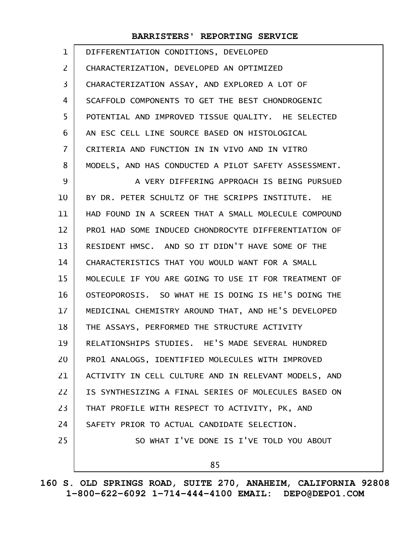| 1              | DIFFERENTIATION CONDITIONS, DEVELOPED                |
|----------------|------------------------------------------------------|
| 2              | CHARACTERIZATION, DEVELOPED AN OPTIMIZED             |
| 3              | CHARACTERIZATION ASSAY, AND EXPLORED A LOT OF        |
| 4              | SCAFFOLD COMPONENTS TO GET THE BEST CHONDROGENIC     |
| 5              | POTENTIAL AND IMPROVED TISSUE QUALITY. HE SELECTED   |
| 6              | AN ESC CELL LINE SOURCE BASED ON HISTOLOGICAL        |
| $\overline{7}$ | CRITERIA AND FUNCTION IN IN VIVO AND IN VITRO        |
| 8              | MODELS, AND HAS CONDUCTED A PILOT SAFETY ASSESSMENT. |
| 9              | A VERY DIFFERING APPROACH IS BEING PURSUED           |
| 10             | BY DR. PETER SCHULTZ OF THE SCRIPPS INSTITUTE. HE    |
| 11             | HAD FOUND IN A SCREEN THAT A SMALL MOLECULE COMPOUND |
| 12             | PRO1 HAD SOME INDUCED CHONDROCYTE DIFFERENTIATION OF |
| 13             | RESIDENT HMSC. AND SO IT DIDN'T HAVE SOME OF THE     |
| 14             | CHARACTERISTICS THAT YOU WOULD WANT FOR A SMALL      |
| 15             | MOLECULE IF YOU ARE GOING TO USE IT FOR TREATMENT OF |
| 16             | OSTEOPOROSIS. SO WHAT HE IS DOING IS HE'S DOING THE  |
| 17             | MEDICINAL CHEMISTRY AROUND THAT, AND HE'S DEVELOPED  |
| 18             | THE ASSAYS, PERFORMED THE STRUCTURE ACTIVITY         |
| 19             | RELATIONSHIPS STUDIES. HE'S MADE SEVERAL HUNDRED     |
| 20             | PRO1 ANALOGS, IDENTIFIED MOLECULES WITH IMPROVED     |
| 21             | ACTIVITY IN CELL CULTURE AND IN RELEVANT MODELS, AND |
| 22             | IS SYNTHESIZING A FINAL SERIES OF MOLECULES BASED ON |
| 23             | THAT PROFILE WITH RESPECT TO ACTIVITY, PK, AND       |
| 24             | SAFETY PRIOR TO ACTUAL CANDIDATE SELECTION.          |
| 25             | SO WHAT I'VE DONE IS I'VE TOLD YOU ABOUT             |
|                | 85                                                   |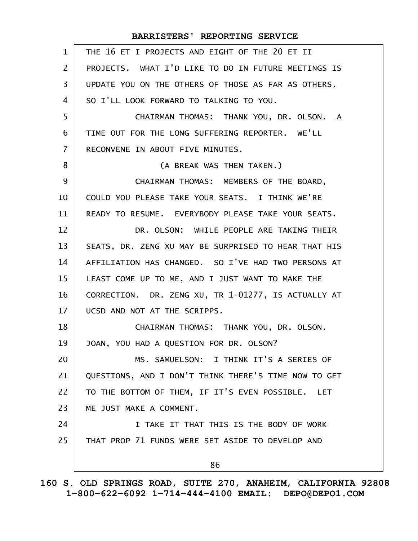| $\mathbf{1}$ | THE 16 ET I PROJECTS AND EIGHT OF THE 20 ET II       |
|--------------|------------------------------------------------------|
| 2            | PROJECTS. WHAT I'D LIKE TO DO IN FUTURE MEETINGS IS  |
| 3            | UPDATE YOU ON THE OTHERS OF THOSE AS FAR AS OTHERS.  |
| 4            | SO I'LL LOOK FORWARD TO TALKING TO YOU.              |
| 5            | CHAIRMAN THOMAS: THANK YOU, DR. OLSON. A             |
| 6            | TIME OUT FOR THE LONG SUFFERING REPORTER. WE'LL      |
| 7            | RECONVENE IN ABOUT FIVE MINUTES.                     |
| 8            | (A BREAK WAS THEN TAKEN.)                            |
| 9            | CHAIRMAN THOMAS: MEMBERS OF THE BOARD,               |
| 10           | COULD YOU PLEASE TAKE YOUR SEATS. I THINK WE'RE      |
| 11           | READY TO RESUME. EVERYBODY PLEASE TAKE YOUR SEATS.   |
| 12           | DR. OLSON: WHILE PEOPLE ARE TAKING THEIR             |
| 13           | SEATS, DR. ZENG XU MAY BE SURPRISED TO HEAR THAT HIS |
| 14           | AFFILIATION HAS CHANGED. SO I'VE HAD TWO PERSONS AT  |
| 15           | LEAST COME UP TO ME, AND I JUST WANT TO MAKE THE     |
| 16           | CORRECTION. DR. ZENG XU, TR 1-01277, IS ACTUALLY AT  |
| 17           | UCSD AND NOT AT THE SCRIPPS.                         |
| 18           | CHAIRMAN THOMAS: THANK YOU, DR. OLSON.               |
| 19           | JOAN, YOU HAD A QUESTION FOR DR. OLSON?              |
| 20           | MS. SAMUELSON: I THINK IT'S A SERIES OF              |
| 21           | QUESTIONS, AND I DON'T THINK THERE'S TIME NOW TO GET |
| 22           | TO THE BOTTOM OF THEM, IF IT'S EVEN POSSIBLE. LET    |
| 23           | ME JUST MAKE A COMMENT.                              |
| 24           | I TAKE IT THAT THIS IS THE BODY OF WORK              |
| 25           | THAT PROP 71 FUNDS WERE SET ASIDE TO DEVELOP AND     |
|              | 86                                                   |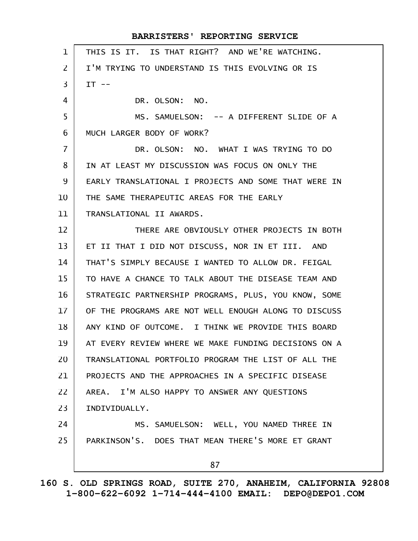| $\mathbf 1$    | THIS IS IT. IS THAT RIGHT? AND WE'RE WATCHING.       |
|----------------|------------------------------------------------------|
| $\overline{2}$ | I'M TRYING TO UNDERSTAND IS THIS EVOLVING OR IS      |
| 3              | $IT$ --                                              |
| 4              | DR. OLSON: NO.                                       |
| 5              | MS. SAMUELSON: -- A DIFFERENT SLIDE OF A             |
| 6              | MUCH LARGER BODY OF WORK?                            |
| $\overline{7}$ | DR. OLSON: NO. WHAT I WAS TRYING TO DO               |
| 8              | IN AT LEAST MY DISCUSSION WAS FOCUS ON ONLY THE      |
| 9              | EARLY TRANSLATIONAL I PROJECTS AND SOME THAT WERE IN |
| 10             | THE SAME THERAPEUTIC AREAS FOR THE EARLY             |
| 11             | TRANSLATIONAL II AWARDS.                             |
| 12             | THERE ARE OBVIOUSLY OTHER PROJECTS IN BOTH           |
| 13             | ET II THAT I DID NOT DISCUSS, NOR IN ET III. AND     |
| 14             | THAT'S SIMPLY BECAUSE I WANTED TO ALLOW DR. FEIGAL   |
| 15             | TO HAVE A CHANCE TO TALK ABOUT THE DISEASE TEAM AND  |
| 16             | STRATEGIC PARTNERSHIP PROGRAMS, PLUS, YOU KNOW, SOME |
| 17             | OF THE PROGRAMS ARE NOT WELL ENOUGH ALONG TO DISCUSS |
| 18             | ANY KIND OF OUTCOME. I THINK WE PROVIDE THIS BOARD   |
| 19             | AT EVERY REVIEW WHERE WE MAKE FUNDING DECISIONS ON A |
| 20             | TRANSLATIONAL PORTFOLIO PROGRAM THE LIST OF ALL THE  |
| 21             | PROJECTS AND THE APPROACHES IN A SPECIFIC DISEASE    |
| 22             | AREA. I'M ALSO HAPPY TO ANSWER ANY QUESTIONS         |
| 23             | INDIVIDUALLY.                                        |
| 24             | MS. SAMUELSON: WELL, YOU NAMED THREE IN              |
| 25             | PARKINSON'S. DOES THAT MEAN THERE'S MORE ET GRANT    |
|                | 87                                                   |
|                |                                                      |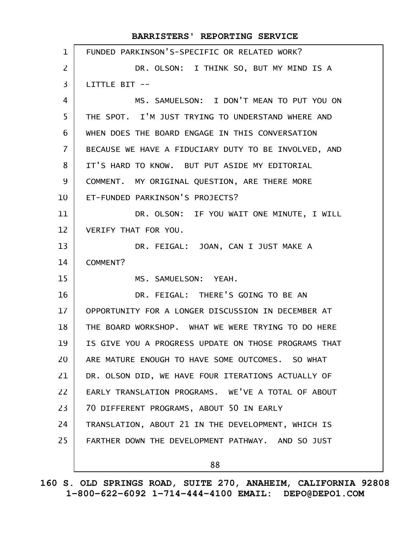| $\mathbf{1}$    | FUNDED PARKINSON'S-SPECIFIC OR RELATED WORK?         |
|-----------------|------------------------------------------------------|
| $\overline{2}$  | DR. OLSON: I THINK SO, BUT MY MIND IS A              |
| 3               | LITTLE BIT --                                        |
| 4               | MS. SAMUELSON: I DON'T MEAN TO PUT YOU ON            |
| 5               | THE SPOT. I'M JUST TRYING TO UNDERSTAND WHERE AND    |
| 6               | WHEN DOES THE BOARD ENGAGE IN THIS CONVERSATION      |
| $\overline{7}$  | BECAUSE WE HAVE A FIDUCIARY DUTY TO BE INVOLVED, AND |
| 8               | IT'S HARD TO KNOW. BUT PUT ASIDE MY EDITORIAL        |
| 9               | COMMENT. MY ORIGINAL QUESTION, ARE THERE MORE        |
| 10              | ET-FUNDED PARKINSON'S PROJECTS?                      |
| 11              | DR. OLSON: IF YOU WAIT ONE MINUTE, I WILL            |
| 12 <sup>2</sup> | VERIFY THAT FOR YOU.                                 |
| 13              | DR. FEIGAL: JOAN, CAN I JUST MAKE A                  |
| 14              | COMMENT?                                             |
| 15              | MS. SAMUELSON: YEAH.                                 |
| 16              | DR. FEIGAL: THERE'S GOING TO BE AN                   |
| 17 <sup>2</sup> | OPPORTUNITY FOR A LONGER DISCUSSION IN DECEMBER AT   |
| 18              | THE BOARD WORKSHOP. WHAT WE WERE TRYING TO DO HERE   |
| 19              | IS GIVE YOU A PROGRESS UPDATE ON THOSE PROGRAMS THAT |
| 20              | ARE MATURE ENOUGH TO HAVE SOME OUTCOMES. SO WHAT     |
| 21              | DR. OLSON DID, WE HAVE FOUR ITERATIONS ACTUALLY OF   |
| 22              | EARLY TRANSLATION PROGRAMS, WE'VE A TOTAL OF ABOUT   |
| 23              | 70 DIFFERENT PROGRAMS, ABOUT 50 IN EARLY             |
| 24              | TRANSLATION, ABOUT 21 IN THE DEVELOPMENT, WHICH IS   |
| 25              | FARTHER DOWN THE DEVELOPMENT PATHWAY. AND SO JUST    |
|                 | 88                                                   |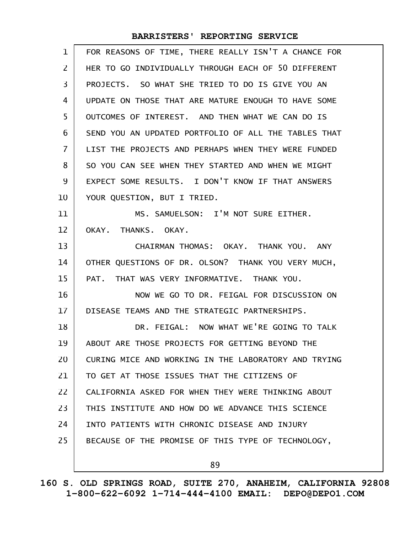| $\mathbf{1}$      | FOR REASONS OF TIME, THERE REALLY ISN'T A CHANCE FOR |
|-------------------|------------------------------------------------------|
| $\overline{2}$    | HER TO GO INDIVIDUALLY THROUGH EACH OF 50 DIFFERENT  |
| 3                 | PROJECTS. SO WHAT SHE TRIED TO DO IS GIVE YOU AN     |
| 4                 | UPDATE ON THOSE THAT ARE MATURE ENOUGH TO HAVE SOME  |
| 5                 | OUTCOMES OF INTEREST. AND THEN WHAT WE CAN DO IS     |
| 6                 | SEND YOU AN UPDATED PORTFOLIO OF ALL THE TABLES THAT |
| $\overline{7}$    | LIST THE PROJECTS AND PERHAPS WHEN THEY WERE FUNDED  |
| 8                 | SO YOU CAN SEE WHEN THEY STARTED AND WHEN WE MIGHT   |
| 9                 | EXPECT SOME RESULTS. I DON'T KNOW IF THAT ANSWERS    |
| 10                | YOUR QUESTION, BUT I TRIED.                          |
| 11                | MS. SAMUELSON: I'M NOT SURE EITHER.                  |
| $12 \overline{ }$ | OKAY. THANKS. OKAY.                                  |
| 13                | CHAIRMAN THOMAS: OKAY. THANK YOU. ANY                |
| 14                | OTHER QUESTIONS OF DR. OLSON? THANK YOU VERY MUCH,   |
| 15                | PAT. THAT WAS VERY INFORMATIVE. THANK YOU.           |
| 16                | NOW WE GO TO DR. FEIGAL FOR DISCUSSION ON            |
| 17                | DISEASE TEAMS AND THE STRATEGIC PARTNERSHIPS.        |
| 18                | DR. FEIGAL: NOW WHAT WE'RE GOING TO TALK             |
| 19                | ABOUT ARE THOSE PROJECTS FOR GETTING BEYOND THE      |
| 20                | CURING MICE AND WORKING IN THE LABORATORY AND TRYING |
| 21                | TO GET AT THOSE ISSUES THAT THE CITIZENS OF          |
| 22                | CALIFORNIA ASKED FOR WHEN THEY WERE THINKING ABOUT   |
| 23                | THIS INSTITUTE AND HOW DO WE ADVANCE THIS SCIENCE    |
| 24                | INTO PATIENTS WITH CHRONIC DISEASE AND INJURY        |
| 25                | BECAUSE OF THE PROMISE OF THIS TYPE OF TECHNOLOGY,   |
|                   | 89                                                   |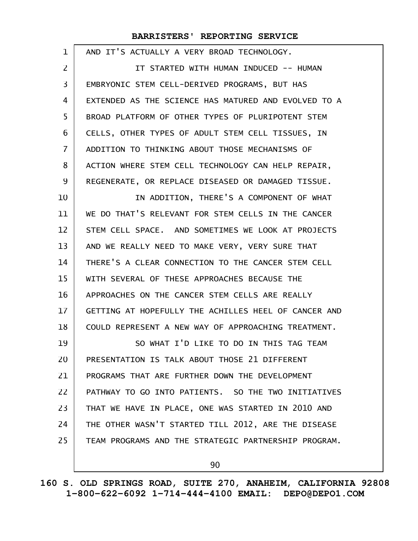| 1              | AND IT'S ACTUALLY A VERY BROAD TECHNOLOGY.           |
|----------------|------------------------------------------------------|
| 2              | IT STARTED WITH HUMAN INDUCED -- HUMAN               |
| 3              | EMBRYONIC STEM CELL-DERIVED PROGRAMS, BUT HAS        |
| 4              | EXTENDED AS THE SCIENCE HAS MATURED AND EVOLVED TO A |
| 5              | BROAD PLATFORM OF OTHER TYPES OF PLURIPOTENT STEM    |
| 6              | CELLS, OTHER TYPES OF ADULT STEM CELL TISSUES, IN    |
| $\overline{7}$ | ADDITION TO THINKING ABOUT THOSE MECHANISMS OF       |
| 8              | ACTION WHERE STEM CELL TECHNOLOGY CAN HELP REPAIR,   |
| 9              | REGENERATE, OR REPLACE DISEASED OR DAMAGED TISSUE.   |
| 10             | IN ADDITION, THERE'S A COMPONENT OF WHAT             |
| 11             | WE DO THAT'S RELEVANT FOR STEM CELLS IN THE CANCER   |
| 12             | STEM CELL SPACE. AND SOMETIMES WE LOOK AT PROJECTS   |
| 13             | AND WE REALLY NEED TO MAKE VERY, VERY SURE THAT      |
| 14             | THERE'S A CLEAR CONNECTION TO THE CANCER STEM CELL   |
| 15             | WITH SEVERAL OF THESE APPROACHES BECAUSE THE         |
| 16             | APPROACHES ON THE CANCER STEM CELLS ARE REALLY       |
| 17             | GETTING AT HOPEFULLY THE ACHILLES HEEL OF CANCER AND |
| 18             | COULD REPRESENT A NEW WAY OF APPROACHING TREATMENT.  |
| 19             | SO WHAT I'D LIKE TO DO IN THIS TAG TEAM              |
| 20             | PRESENTATION IS TALK ABOUT THOSE 21 DIFFERENT        |
| 21             | PROGRAMS THAT ARE FURTHER DOWN THE DEVELOPMENT       |
| 22             | PATHWAY TO GO INTO PATIENTS. SO THE TWO INITIATIVES  |
| 23             | THAT WE HAVE IN PLACE, ONE WAS STARTED IN 2010 AND   |
| 24             | THE OTHER WASN'T STARTED TILL 2012, ARE THE DISEASE  |
| 25             | TEAM PROGRAMS AND THE STRATEGIC PARTNERSHIP PROGRAM. |
|                |                                                      |

90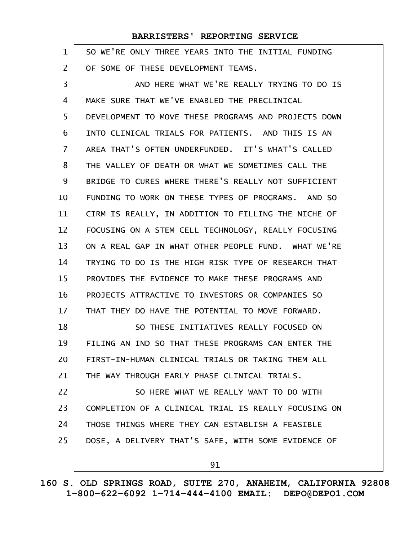| 1              | SO WE'RE ONLY THREE YEARS INTO THE INITIAL FUNDING   |
|----------------|------------------------------------------------------|
| $\overline{2}$ | OF SOME OF THESE DEVELOPMENT TEAMS.                  |
| 3              | AND HERE WHAT WE'RE REALLY TRYING TO DO IS           |
| 4              | MAKE SURE THAT WE'VE ENABLED THE PRECLINICAL         |
| 5              | DEVELOPMENT TO MOVE THESE PROGRAMS AND PROJECTS DOWN |
| 6              | INTO CLINICAL TRIALS FOR PATIENTS. AND THIS IS AN    |
| 7              | AREA THAT'S OFTEN UNDERFUNDED. IT'S WHAT'S CALLED    |
| 8              | THE VALLEY OF DEATH OR WHAT WE SOMETIMES CALL THE    |
| 9              | BRIDGE TO CURES WHERE THERE'S REALLY NOT SUFFICIENT  |
| 10             | FUNDING TO WORK ON THESE TYPES OF PROGRAMS. AND SO   |
| 11             | CIRM IS REALLY, IN ADDITION TO FILLING THE NICHE OF  |
| 12             | FOCUSING ON A STEM CELL TECHNOLOGY, REALLY FOCUSING  |
| 13             | ON A REAL GAP IN WHAT OTHER PEOPLE FUND. WHAT WE'RE  |
| 14             | TRYING TO DO IS THE HIGH RISK TYPE OF RESEARCH THAT  |
| 15             | PROVIDES THE EVIDENCE TO MAKE THESE PROGRAMS AND     |
| 16             | PROJECTS ATTRACTIVE TO INVESTORS OR COMPANIES SO     |
| 17             | THAT THEY DO HAVE THE POTENTIAL TO MOVE FORWARD.     |
| 18             | SO THESE INITIATIVES REALLY FOCUSED ON               |
| 19             | FILING AN IND SO THAT THESE PROGRAMS CAN ENTER THE   |
| 20             | FIRST-IN-HUMAN CLINICAL TRIALS OR TAKING THEM ALL    |
| 21             | THE WAY THROUGH EARLY PHASE CLINICAL TRIALS.         |
| 22             | SO HERE WHAT WE REALLY WANT TO DO WITH               |
| 23             | COMPLETION OF A CLINICAL TRIAL IS REALLY FOCUSING ON |
| 24             | THOSE THINGS WHERE THEY CAN ESTABLISH A FEASIBLE     |
| 25             | DOSE, A DELIVERY THAT'S SAFE, WITH SOME EVIDENCE OF  |
|                | 91                                                   |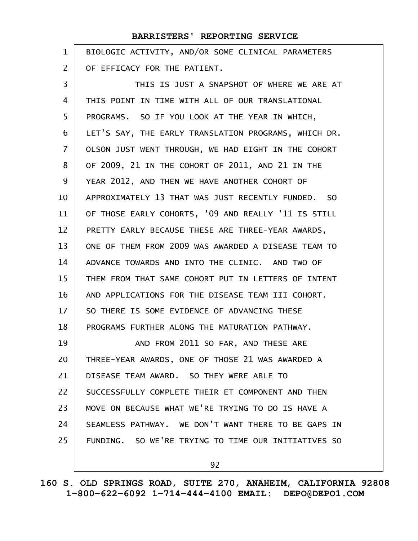| 1              | BIOLOGIC ACTIVITY, AND/OR SOME CLINICAL PARAMETERS   |
|----------------|------------------------------------------------------|
| $\overline{2}$ | OF EFFICACY FOR THE PATIENT.                         |
| 3              | THIS IS JUST A SNAPSHOT OF WHERE WE ARE AT           |
| 4              | THIS POINT IN TIME WITH ALL OF OUR TRANSLATIONAL     |
| 5              | PROGRAMS. SO IF YOU LOOK AT THE YEAR IN WHICH,       |
| 6              | LET'S SAY, THE EARLY TRANSLATION PROGRAMS, WHICH DR. |
| $\overline{7}$ | OLSON JUST WENT THROUGH, WE HAD EIGHT IN THE COHORT  |
| 8              | OF 2009, 21 IN THE COHORT OF 2011, AND 21 IN THE     |
| 9              | YEAR 2012, AND THEN WE HAVE ANOTHER COHORT OF        |
| 10             | APPROXIMATELY 13 THAT WAS JUST RECENTLY FUNDED. SO   |
| 11             | OF THOSE EARLY COHORTS, '09 AND REALLY '11 IS STILL  |
| 12             | PRETTY EARLY BECAUSE THESE ARE THREE-YEAR AWARDS,    |
| 13             | ONE OF THEM FROM 2009 WAS AWARDED A DISEASE TEAM TO  |
| 14             | ADVANCE TOWARDS AND INTO THE CLINIC. AND TWO OF      |
| 15             | THEM FROM THAT SAME COHORT PUT IN LETTERS OF INTENT  |
| 16             | AND APPLICATIONS FOR THE DISEASE TEAM III COHORT.    |
| 17             | SO THERE IS SOME EVIDENCE OF ADVANCING THESE         |
| 18             | PROGRAMS FURTHER ALONG THE MATURATION PATHWAY.       |
| 19             | AND FROM 2011 SO FAR, AND THESE ARE                  |
| 20             | THREE-YEAR AWARDS, ONE OF THOSE 21 WAS AWARDED A     |
| 21             | DISEASE TEAM AWARD. SO THEY WERE ABLE TO             |
| 22             | SUCCESSFULLY COMPLETE THEIR ET COMPONENT AND THEN    |
| 23             | MOVE ON BECAUSE WHAT WE'RE TRYING TO DO IS HAVE A    |
| 24             | SEAMLESS PATHWAY. WE DON'T WANT THERE TO BE GAPS IN  |
| 25             | FUNDING. SO WE'RE TRYING TO TIME OUR INITIATIVES SO  |
|                | 92                                                   |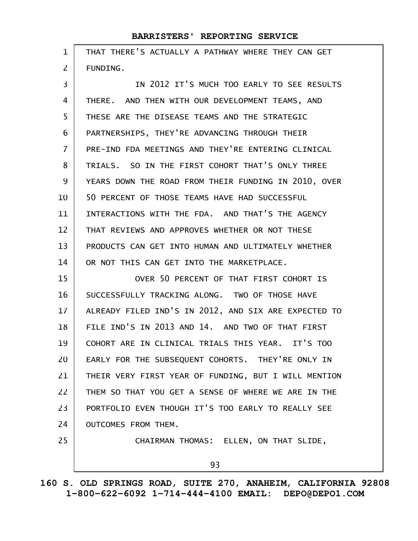| $\mathbf 1$    | THAT THERE'S ACTUALLY A PATHWAY WHERE THEY CAN GET   |
|----------------|------------------------------------------------------|
| 2              | FUNDING.                                             |
| 3              | IN 2012 IT'S MUCH TOO EARLY TO SEE RESULTS           |
| 4              | THERE. AND THEN WITH OUR DEVELOPMENT TEAMS, AND      |
| 5              | THESE ARE THE DISEASE TEAMS AND THE STRATEGIC        |
| 6              | PARTNERSHIPS, THEY'RE ADVANCING THROUGH THEIR        |
| $\overline{7}$ | PRE-IND FDA MEETINGS AND THEY'RE ENTERING CLINICAL   |
| 8              | TRIALS. SO IN THE FIRST COHORT THAT'S ONLY THREE     |
| 9              | YEARS DOWN THE ROAD FROM THEIR FUNDING IN 2010, OVER |
| 10             | 50 PERCENT OF THOSE TEAMS HAVE HAD SUCCESSFUL        |
| 11             | INTERACTIONS WITH THE FDA. AND THAT'S THE AGENCY     |
| 12             | THAT REVIEWS AND APPROVES WHETHER OR NOT THESE       |
| 13             | PRODUCTS CAN GET INTO HUMAN AND ULTIMATELY WHETHER   |
| 14             | OR NOT THIS CAN GET INTO THE MARKETPLACE.            |
| 15             | OVER 50 PERCENT OF THAT FIRST COHORT IS              |
| 16             | SUCCESSFULLY TRACKING ALONG. TWO OF THOSE HAVE       |
| 17             | ALREADY FILED IND'S IN 2012, AND SIX ARE EXPECTED TO |
| 18             | FILE IND'S IN 2013 AND 14. AND TWO OF THAT FIRST     |
| 19             | COHORT ARE IN CLINICAL TRIALS THIS YEAR. IT'S TOO    |
| 20             | EARLY FOR THE SUBSEQUENT COHORTS. THEY'RE ONLY IN    |
| 21             | THEIR VERY FIRST YEAR OF FUNDING, BUT I WILL MENTION |
| 22             | THEM SO THAT YOU GET A SENSE OF WHERE WE ARE IN THE  |
| 23             | PORTFOLIO EVEN THOUGH IT'S TOO EARLY TO REALLY SEE   |
| 24             | OUTCOMES FROM THEM.                                  |
| 25             | CHAIRMAN THOMAS: ELLEN, ON THAT SLIDE,               |
|                | 93                                                   |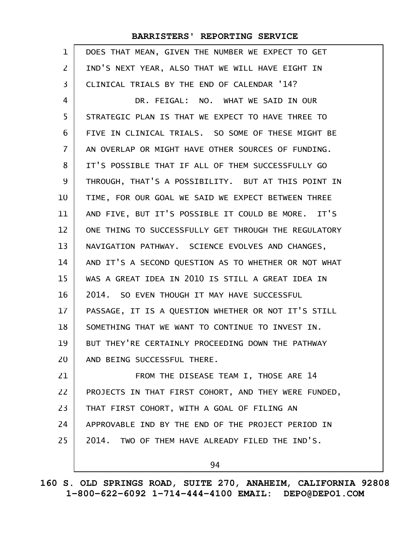| 1              | DOES THAT MEAN, GIVEN THE NUMBER WE EXPECT TO GET    |
|----------------|------------------------------------------------------|
| $\overline{2}$ | IND'S NEXT YEAR, ALSO THAT WE WILL HAVE EIGHT IN     |
| 3              | CLINICAL TRIALS BY THE END OF CALENDAR '14?          |
| 4              | DR. FEIGAL: NO. WHAT WE SAID IN OUR                  |
| 5              | STRATEGIC PLAN IS THAT WE EXPECT TO HAVE THREE TO    |
| 6              | FIVE IN CLINICAL TRIALS. SO SOME OF THESE MIGHT BE   |
| $\overline{7}$ | AN OVERLAP OR MIGHT HAVE OTHER SOURCES OF FUNDING.   |
| 8              | IT'S POSSIBLE THAT IF ALL OF THEM SUCCESSFULLY GO    |
| 9              | THROUGH, THAT'S A POSSIBILITY. BUT AT THIS POINT IN  |
| 10             | TIME, FOR OUR GOAL WE SAID WE EXPECT BETWEEN THREE   |
| 11             | AND FIVE, BUT IT'S POSSIBLE IT COULD BE MORE. IT'S   |
| 12             | ONE THING TO SUCCESSFULLY GET THROUGH THE REGULATORY |
| 13             | NAVIGATION PATHWAY. SCIENCE EVOLVES AND CHANGES,     |
| 14             | AND IT'S A SECOND QUESTION AS TO WHETHER OR NOT WHAT |
| 15             | WAS A GREAT IDEA IN 2010 IS STILL A GREAT IDEA IN    |
| 16             | 2014. SO EVEN THOUGH IT MAY HAVE SUCCESSFUL          |
| 17             | PASSAGE, IT IS A QUESTION WHETHER OR NOT IT'S STILL  |
| 18             | SOMETHING THAT WE WANT TO CONTINUE TO INVEST IN.     |
| 19             | BUT THEY'RE CERTAINLY PROCEEDING DOWN THE PATHWAY    |
| 20             | AND BEING SUCCESSFUL THERE.                          |
| 21             | FROM THE DISEASE TEAM I, THOSE ARE 14                |
| 22             | PROJECTS IN THAT FIRST COHORT, AND THEY WERE FUNDED, |
| 23             | THAT FIRST COHORT, WITH A GOAL OF FILING AN          |
| 24             | APPROVABLE IND BY THE END OF THE PROJECT PERIOD IN   |
| 25             | 2014. TWO OF THEM HAVE ALREADY FILED THE IND'S.      |
|                | 94                                                   |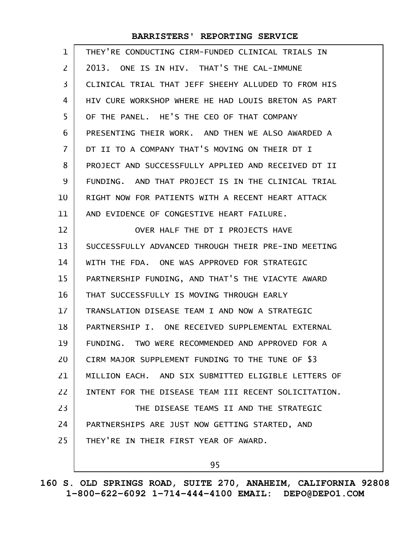| 1  | THEY'RE CONDUCTING CIRM-FUNDED CLINICAL TRIALS IN    |
|----|------------------------------------------------------|
| 2  | 2013. ONE IS IN HIV. THAT'S THE CAL-IMMUNE           |
| 3  | CLINICAL TRIAL THAT JEFF SHEEHY ALLUDED TO FROM HIS  |
| 4  | HIV CURE WORKSHOP WHERE HE HAD LOUIS BRETON AS PART  |
| 5  | OF THE PANEL, HE'S THE CEO OF THAT COMPANY           |
| 6  | PRESENTING THEIR WORK, AND THEN WE ALSO AWARDED A    |
| 7  | DT II TO A COMPANY THAT'S MOVING ON THEIR DT I       |
| 8  | PROJECT AND SUCCESSFULLY APPLIED AND RECEIVED DT II  |
| 9  | FUNDING. AND THAT PROJECT IS IN THE CLINICAL TRIAL   |
| 10 | RIGHT NOW FOR PATIENTS WITH A RECENT HEART ATTACK    |
| 11 | AND EVIDENCE OF CONGESTIVE HEART FAILURE.            |
| 12 | OVER HALF THE DT I PROJECTS HAVE                     |
| 13 | SUCCESSFULLY ADVANCED THROUGH THEIR PRE-IND MEETING  |
| 14 | WITH THE FDA. ONE WAS APPROVED FOR STRATEGIC         |
| 15 | PARTNERSHIP FUNDING, AND THAT'S THE VIACYTE AWARD    |
| 16 | THAT SUCCESSFULLY IS MOVING THROUGH EARLY            |
| 17 | TRANSLATION DISEASE TEAM I AND NOW A STRATEGIC       |
| 18 | PARTNERSHIP I. ONE RECEIVED SUPPLEMENTAL EXTERNAL    |
| 19 | FUNDING. TWO WERE RECOMMENDED AND APPROVED FOR A     |
| 20 | CIRM MAJOR SUPPLEMENT FUNDING TO THE TUNE OF \$3     |
| 21 | MILLION EACH. AND SIX SUBMITTED ELIGIBLE LETTERS OF  |
| 22 | INTENT FOR THE DISEASE TEAM III RECENT SOLICITATION. |
| 23 | THE DISEASE TEAMS II AND THE STRATEGIC               |
| 24 | PARTNERSHIPS ARE JUST NOW GETTING STARTED, AND       |
| 25 | THEY'RE IN THEIR FIRST YEAR OF AWARD.                |
|    | 95                                                   |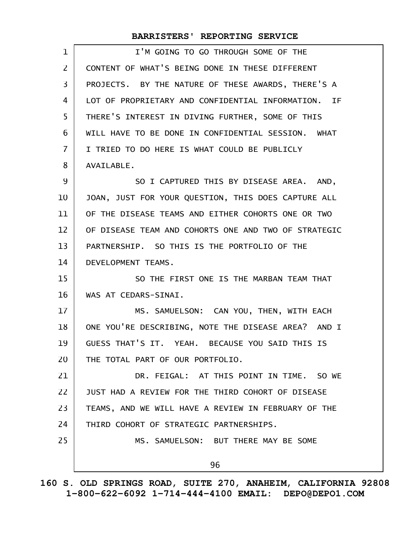| CONTENT OF WHAT'S BEING DONE IN THESE DIFFERENT      |
|------------------------------------------------------|
| PROJECTS. BY THE NATURE OF THESE AWARDS, THERE'S A   |
| LOT OF PROPRIETARY AND CONFIDENTIAL INFORMATION. IF  |
| THERE'S INTEREST IN DIVING FURTHER, SOME OF THIS     |
| WILL HAVE TO BE DONE IN CONFIDENTIAL SESSION. WHAT   |
| I TRIED TO DO HERE IS WHAT COULD BE PUBLICLY         |
| AVAILABLE.                                           |
| SO I CAPTURED THIS BY DISEASE AREA. AND,             |
| JOAN, JUST FOR YOUR QUESTION, THIS DOES CAPTURE ALL  |
| OF THE DISEASE TEAMS AND EITHER COHORTS ONE OR TWO   |
| OF DISEASE TEAM AND COHORTS ONE AND TWO OF STRATEGIC |
| PARTNERSHIP. SO THIS IS THE PORTFOLIO OF THE         |
| DEVELOPMENT TEAMS.                                   |
| SO THE FIRST ONE IS THE MARBAN TEAM THAT             |
| WAS AT CEDARS-SINAI.                                 |
| MS. SAMUELSON: CAN YOU, THEN, WITH EACH              |
| ONE YOU'RE DESCRIBING, NOTE THE DISEASE AREA? AND I  |
| GUESS THAT'S IT. YEAH. BECAUSE YOU SAID THIS IS      |
| THE TOTAL PART OF OUR PORTFOLIO.                     |
| DR. FEIGAL: AT THIS POINT IN TIME. SO WE             |
| JUST HAD A REVIEW FOR THE THIRD COHORT OF DISEASE    |
| TEAMS, AND WE WILL HAVE A REVIEW IN FEBRUARY OF THE  |
| THIRD COHORT OF STRATEGIC PARTNERSHIPS.              |
| MS. SAMUELSON: BUT THERE MAY BE SOME                 |
| 96                                                   |
|                                                      |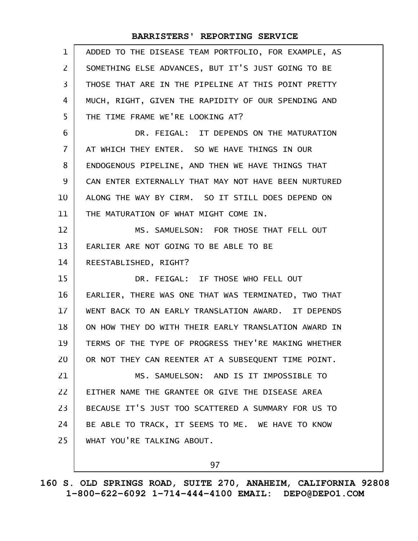| $\mathbf{1}$    | ADDED TO THE DISEASE TEAM PORTFOLIO, FOR EXAMPLE, AS |
|-----------------|------------------------------------------------------|
| $\overline{2}$  | SOMETHING ELSE ADVANCES, BUT IT'S JUST GOING TO BE   |
| 3               | THOSE THAT ARE IN THE PIPELINE AT THIS POINT PRETTY  |
| 4               | MUCH, RIGHT, GIVEN THE RAPIDITY OF OUR SPENDING AND  |
| 5               | THE TIME FRAME WE'RE LOOKING AT?                     |
| 6               | DR. FEIGAL: IT DEPENDS ON THE MATURATION             |
| $\overline{7}$  | AT WHICH THEY ENTER. SO WE HAVE THINGS IN OUR        |
| 8               | ENDOGENOUS PIPELINE, AND THEN WE HAVE THINGS THAT    |
| 9               | CAN ENTER EXTERNALLY THAT MAY NOT HAVE BEEN NURTURED |
| 10              | ALONG THE WAY BY CIRM. SO IT STILL DOES DEPEND ON    |
| 11              | THE MATURATION OF WHAT MIGHT COME IN.                |
| 12              | MS. SAMUELSON: FOR THOSE THAT FELL OUT               |
| 13              | EARLIER ARE NOT GOING TO BE ABLE TO BE               |
| 14              | REESTABLISHED, RIGHT?                                |
| 15              | DR. FEIGAL: IF THOSE WHO FELL OUT                    |
| 16              | EARLIER, THERE WAS ONE THAT WAS TERMINATED, TWO THAT |
| 17 <sup>2</sup> | WENT BACK TO AN EARLY TRANSLATION AWARD. IT DEPENDS  |
| 18              | ON HOW THEY DO WITH THEIR EARLY TRANSLATION AWARD IN |
| 19              | TERMS OF THE TYPE OF PROGRESS THEY'RE MAKING WHETHER |
| 20              | OR NOT THEY CAN REENTER AT A SUBSEQUENT TIME POINT.  |
| 21              | MS. SAMUELSON: AND IS IT IMPOSSIBLE TO               |
| 22              | EITHER NAME THE GRANTEE OR GIVE THE DISEASE AREA     |
| 23              | BECAUSE IT'S JUST TOO SCATTERED A SUMMARY FOR US TO  |
| 24              | BE ABLE TO TRACK, IT SEEMS TO ME. WE HAVE TO KNOW    |
| 25              | WHAT YOU'RE TALKING ABOUT.                           |
|                 |                                                      |

97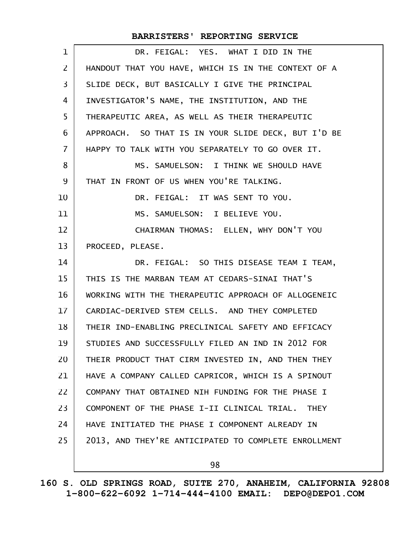| DR. FEIGAL: YES. WHAT I DID IN THE                   |
|------------------------------------------------------|
| HANDOUT THAT YOU HAVE, WHICH IS IN THE CONTEXT OF A  |
| SLIDE DECK, BUT BASICALLY I GIVE THE PRINCIPAL       |
| INVESTIGATOR'S NAME, THE INSTITUTION, AND THE        |
| THERAPEUTIC AREA, AS WELL AS THEIR THERAPEUTIC       |
| APPROACH. SO THAT IS IN YOUR SLIDE DECK, BUT I'D BE  |
| HAPPY TO TALK WITH YOU SEPARATELY TO GO OVER IT.     |
| MS. SAMUELSON: I THINK WE SHOULD HAVE                |
| THAT IN FRONT OF US WHEN YOU'RE TALKING.             |
| DR. FEIGAL: IT WAS SENT TO YOU.                      |
| MS. SAMUELSON: I BELIEVE YOU.                        |
| CHAIRMAN THOMAS: ELLEN, WHY DON'T YOU                |
| PROCEED, PLEASE.                                     |
| DR. FEIGAL: SO THIS DISEASE TEAM I TEAM,             |
| THIS IS THE MARBAN TEAM AT CEDARS-SINAI THAT'S       |
| WORKING WITH THE THERAPEUTIC APPROACH OF ALLOGENEIC  |
| CARDIAC-DERIVED STEM CELLS. AND THEY COMPLETED       |
| THEIR IND-ENABLING PRECLINICAL SAFETY AND EFFICACY   |
| STUDIES AND SUCCESSFULLY FILED AN IND IN 2012 FOR    |
| THEIR PRODUCT THAT CIRM INVESTED IN, AND THEN THEY   |
| HAVE A COMPANY CALLED CAPRICOR, WHICH IS A SPINOUT   |
| COMPANY THAT OBTAINED NIH FUNDING FOR THE PHASE I    |
| COMPONENT OF THE PHASE I-II CLINICAL TRIAL. THEY     |
| HAVE INITIATED THE PHASE I COMPONENT ALREADY IN      |
| 2013, AND THEY'RE ANTICIPATED TO COMPLETE ENROLLMENT |
| 98                                                   |
|                                                      |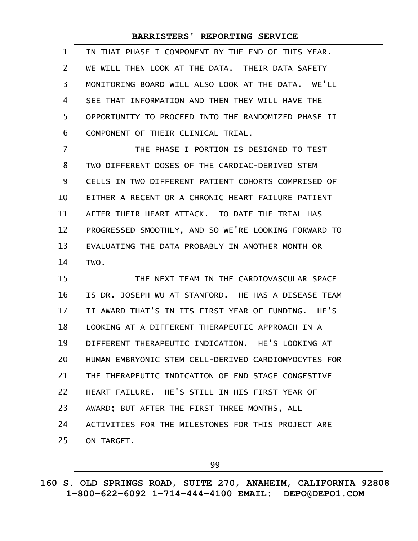| 1  | IN THAT PHASE I COMPONENT BY THE END OF THIS YEAR.   |
|----|------------------------------------------------------|
| 2  | WE WILL THEN LOOK AT THE DATA. THEIR DATA SAFETY     |
| 3  | MONITORING BOARD WILL ALSO LOOK AT THE DATA. WE'LL   |
| 4  | SEE THAT INFORMATION AND THEN THEY WILL HAVE THE     |
| 5  | OPPORTUNITY TO PROCEED INTO THE RANDOMIZED PHASE II  |
| 6  | COMPONENT OF THEIR CLINICAL TRIAL.                   |
| 7  | THE PHASE I PORTION IS DESIGNED TO TEST              |
| 8  | TWO DIFFERENT DOSES OF THE CARDIAC-DERIVED STEM      |
| 9  | CELLS IN TWO DIFFERENT PATIENT COHORTS COMPRISED OF  |
| 10 | EITHER A RECENT OR A CHRONIC HEART FAILURE PATIENT   |
| 11 | AFTER THEIR HEART ATTACK. TO DATE THE TRIAL HAS      |
| 12 | PROGRESSED SMOOTHLY, AND SO WE'RE LOOKING FORWARD TO |
| 13 | EVALUATING THE DATA PROBABLY IN ANOTHER MONTH OR     |
| 14 | TWO.                                                 |
| 15 | THE NEXT TEAM IN THE CARDIOVASCULAR SPACE            |
| 16 |                                                      |
|    | IS DR. JOSEPH WU AT STANFORD. HE HAS A DISEASE TEAM  |
| 17 | II AWARD THAT'S IN ITS FIRST YEAR OF FUNDING. HE'S   |
| 18 | LOOKING AT A DIFFERENT THERAPEUTIC APPROACH IN A     |
| 19 | DIFFERENT THERAPEUTIC INDICATION. HE'S LOOKING AT    |
| 20 | HUMAN EMBRYONIC STEM CELL-DERIVED CARDIOMYOCYTES FOR |
| 21 | THE THERAPEUTIC INDICATION OF END STAGE CONGESTIVE   |
| 22 | HEART FAILURE. HE'S STILL IN HIS FIRST YEAR OF       |
| 23 | AWARD; BUT AFTER THE FIRST THREE MONTHS, ALL         |
| 24 | ACTIVITIES FOR THE MILESTONES FOR THIS PROJECT ARE   |
| 25 | ON TARGET.                                           |

99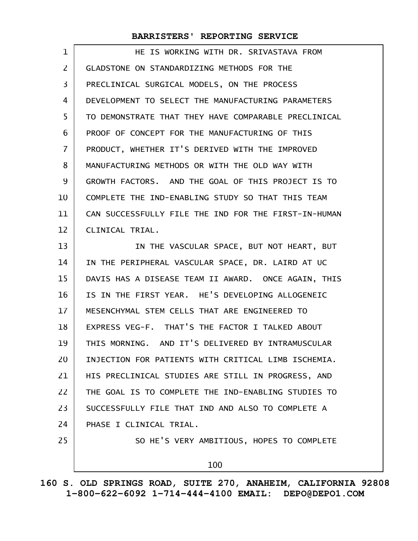| 1              | HE IS WORKING WITH DR. SRIVASTAVA FROM               |
|----------------|------------------------------------------------------|
| $\overline{2}$ | GLADSTONE ON STANDARDIZING METHODS FOR THE           |
| 3              | PRECLINICAL SURGICAL MODELS, ON THE PROCESS          |
| 4              | DEVELOPMENT TO SELECT THE MANUFACTURING PARAMETERS   |
| 5              | TO DEMONSTRATE THAT THEY HAVE COMPARABLE PRECLINICAL |
| 6              | PROOF OF CONCEPT FOR THE MANUFACTURING OF THIS       |
| $\overline{7}$ | PRODUCT, WHETHER IT'S DERIVED WITH THE IMPROVED      |
| 8              | MANUFACTURING METHODS OR WITH THE OLD WAY WITH       |
| 9              | GROWTH FACTORS. AND THE GOAL OF THIS PROJECT IS TO   |
| 10             | COMPLETE THE IND-ENABLING STUDY SO THAT THIS TEAM    |
| 11             | CAN SUCCESSFULLY FILE THE IND FOR THE FIRST-IN-HUMAN |
| 12             | CLINICAL TRIAL.                                      |
| 13             | IN THE VASCULAR SPACE, BUT NOT HEART, BUT            |
| 14             | IN THE PERIPHERAL VASCULAR SPACE, DR. LAIRD AT UC    |
| 15             | DAVIS HAS A DISEASE TEAM II AWARD. ONCE AGAIN, THIS  |
| 16             | IS IN THE FIRST YEAR. HE'S DEVELOPING ALLOGENEIC     |
| 17             | MESENCHYMAL STEM CELLS THAT ARE ENGINEERED TO        |
| 18             | EXPRESS VEG-F. THAT'S THE FACTOR I TALKED ABOUT      |
| 19             | THIS MORNING. AND IT'S DELIVERED BY INTRAMUSCULAR    |
| 20             | INJECTION FOR PATIENTS WITH CRITICAL LIMB ISCHEMIA.  |
| 21             | HIS PRECLINICAL STUDIES ARE STILL IN PROGRESS, AND   |
| 22             | THE GOAL IS TO COMPLETE THE IND-ENABLING STUDIES TO  |
| 23             | SUCCESSFULLY FILE THAT IND AND ALSO TO COMPLETE A    |
| 24             | PHASE I CLINICAL TRIAL.                              |
| 25             | SO HE'S VERY AMBITIOUS, HOPES TO COMPLETE            |
|                | 100                                                  |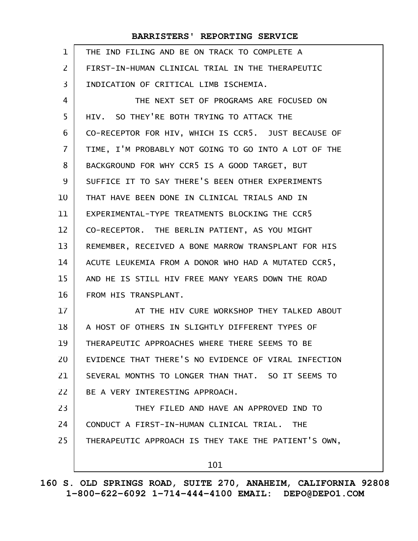| $\mathbf{1}$   | THE IND FILING AND BE ON TRACK TO COMPLETE A           |
|----------------|--------------------------------------------------------|
| $\overline{2}$ | FIRST-IN-HUMAN CLINICAL TRIAL IN THE THERAPEUTIC       |
| 3              | INDICATION OF CRITICAL LIMB ISCHEMIA.                  |
| 4              | THE NEXT SET OF PROGRAMS ARE FOCUSED ON                |
| 5              | HIV. SO THEY'RE BOTH TRYING TO ATTACK THE              |
| 6              | CO-RECEPTOR FOR HIV, WHICH IS CCR5. JUST BECAUSE OF    |
| $\overline{7}$ | TIME, I'M PROBABLY NOT GOING TO GO INTO A LOT OF THE   |
| 8              | BACKGROUND FOR WHY CCR5 IS A GOOD TARGET, BUT          |
| 9              | SUFFICE IT TO SAY THERE'S BEEN OTHER EXPERIMENTS       |
| 10             | THAT HAVE BEEN DONE IN CLINICAL TRIALS AND IN          |
| 11             | EXPERIMENTAL-TYPE TREATMENTS BLOCKING THE CCR5         |
| 12             | CO-RECEPTOR. THE BERLIN PATIENT, AS YOU MIGHT          |
| 13             | REMEMBER, RECEIVED A BONE MARROW TRANSPLANT FOR HIS    |
| 14             | ACUTE LEUKEMIA FROM A DONOR WHO HAD A MUTATED CCR5,    |
| 15             | AND HE IS STILL HIV FREE MANY YEARS DOWN THE ROAD      |
| 16             | FROM HIS TRANSPLANT.                                   |
| 17             | AT THE HIV CURE WORKSHOP THEY TALKED ABOUT             |
| 18             | A HOST OF OTHERS IN SLIGHTLY DIFFERENT TYPES OF        |
| 19             | THERAPEUTIC APPROACHES WHERE THERE SEEMS TO BE         |
| 20             | EVIDENCE THAT THERE'S NO EVIDENCE OF VIRAL INFECTION   |
| 21             | SEVERAL MONTHS TO LONGER THAN THAT. SO IT SEEMS TO     |
| 22             | BE A VERY INTERESTING APPROACH.                        |
| 23             | THEY FILED AND HAVE AN APPROVED IND TO                 |
| 24             | CONDUCT A FIRST-IN-HUMAN CLINICAL TRIAL.<br><b>THE</b> |
| 25             | THERAPEUTIC APPROACH IS THEY TAKE THE PATIENT'S OWN,   |
|                | 101                                                    |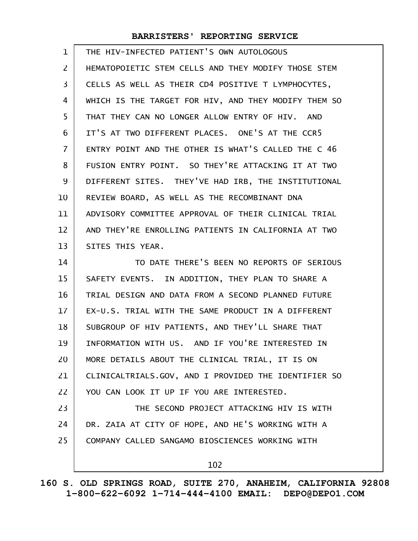| $\mathbf{1}$   | THE HIV-INFECTED PATIENT'S OWN AUTOLOGOUS            |
|----------------|------------------------------------------------------|
| $\overline{2}$ | HEMATOPOIETIC STEM CELLS AND THEY MODIFY THOSE STEM  |
| 3              | CELLS AS WELL AS THEIR CD4 POSITIVE T LYMPHOCYTES,   |
| 4              | WHICH IS THE TARGET FOR HIV, AND THEY MODIFY THEM SO |
| 5              | THAT THEY CAN NO LONGER ALLOW ENTRY OF HIV. AND      |
| 6              | IT'S AT TWO DIFFERENT PLACES. ONE'S AT THE CCR5      |
| $\overline{7}$ | ENTRY POINT AND THE OTHER IS WHAT'S CALLED THE C 46  |
| 8              | FUSION ENTRY POINT. SO THEY'RE ATTACKING IT AT TWO   |
| 9              | DIFFERENT SITES. THEY'VE HAD IRB, THE INSTITUTIONAL  |
| 10             | REVIEW BOARD, AS WELL AS THE RECOMBINANT DNA         |
| 11             | ADVISORY COMMITTEE APPROVAL OF THEIR CLINICAL TRIAL  |
| 12             | AND THEY'RE ENROLLING PATIENTS IN CALIFORNIA AT TWO  |
| 13             | SITES THIS YEAR.                                     |
| 14             | TO DATE THERE'S BEEN NO REPORTS OF SERIOUS           |
| 15             | SAFETY EVENTS. IN ADDITION, THEY PLAN TO SHARE A     |
| 16             | TRIAL DESIGN AND DATA FROM A SECOND PLANNED FUTURE   |
| 17             | EX-U.S. TRIAL WITH THE SAME PRODUCT IN A DIFFERENT   |
| 18             | SUBGROUP OF HIV PATIENTS, AND THEY'LL SHARE THAT     |
| 19             | INFORMATION WITH US. AND IF YOU'RE INTERESTED IN     |
| 20             | MORE DETAILS ABOUT THE CLINICAL TRIAL, IT IS ON      |
| 21             | CLINICALTRIALS.GOV, AND I PROVIDED THE IDENTIFIER SO |
| 22             | YOU CAN LOOK IT UP IF YOU ARE INTERESTED.            |
| 23             | THE SECOND PROJECT ATTACKING HIV IS WITH             |
| 24             | DR. ZAIA AT CITY OF HOPE, AND HE'S WORKING WITH A    |
| 25             | COMPANY CALLED SANGAMO BIOSCIENCES WORKING WITH      |
|                | 102                                                  |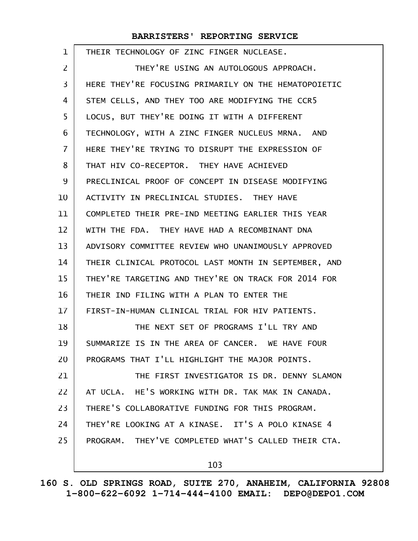| 1              | THEIR TECHNOLOGY OF ZINC FINGER NUCLEASE.            |
|----------------|------------------------------------------------------|
| 2              | THEY'RE USING AN AUTOLOGOUS APPROACH.                |
| 3              | HERE THEY'RE FOCUSING PRIMARILY ON THE HEMATOPOIETIC |
| 4              | STEM CELLS, AND THEY TOO ARE MODIFYING THE CCR5      |
| 5              | LOCUS, BUT THEY'RE DOING IT WITH A DIFFERENT         |
| 6              | TECHNOLOGY, WITH A ZINC FINGER NUCLEUS MRNA. AND     |
| $\overline{7}$ | HERE THEY'RE TRYING TO DISRUPT THE EXPRESSION OF     |
| 8              | THAT HIV CO-RECEPTOR. THEY HAVE ACHIEVED             |
| 9              | PRECLINICAL PROOF OF CONCEPT IN DISEASE MODIFYING    |
| 10             | ACTIVITY IN PRECLINICAL STUDIES. THEY HAVE           |
| 11             | COMPLETED THEIR PRE-IND MEETING EARLIER THIS YEAR    |
| 12             | WITH THE FDA. THEY HAVE HAD A RECOMBINANT DNA        |
| 13             | ADVISORY COMMITTEE REVIEW WHO UNANIMOUSLY APPROVED   |
| 14             | THEIR CLINICAL PROTOCOL LAST MONTH IN SEPTEMBER, AND |
| 15             | THEY'RE TARGETING AND THEY'RE ON TRACK FOR 2014 FOR  |
| 16             | THEIR IND FILING WITH A PLAN TO ENTER THE            |
| 17             | FIRST-IN-HUMAN CLINICAL TRIAL FOR HIV PATIENTS.      |
| 18             | THE NEXT SET OF PROGRAMS I'LL TRY AND                |
| 19             | SUMMARIZE IS IN THE AREA OF CANCER. WE HAVE FOUR     |
| 20             | PROGRAMS THAT I'LL HIGHLIGHT THE MAJOR POINTS.       |
| 21             | THE FIRST INVESTIGATOR IS DR. DENNY SLAMON           |
| 22             | AT UCLA. HE'S WORKING WITH DR. TAK MAK IN CANADA.    |
| 23             | THERE'S COLLABORATIVE FUNDING FOR THIS PROGRAM.      |
| 24             | THEY'RE LOOKING AT A KINASE. IT'S A POLO KINASE 4    |
| 25             | PROGRAM. THEY'VE COMPLETED WHAT'S CALLED THEIR CTA.  |
|                | 103                                                  |

**160 S. OLD SPRINGS ROAD, SUITE 270, ANAHEIM, CALIFORNIA 92808 1-800-622-6092 1-714-444-4100 EMAIL: DEPO@DEPO1.COM**

 $\mathsf{l}$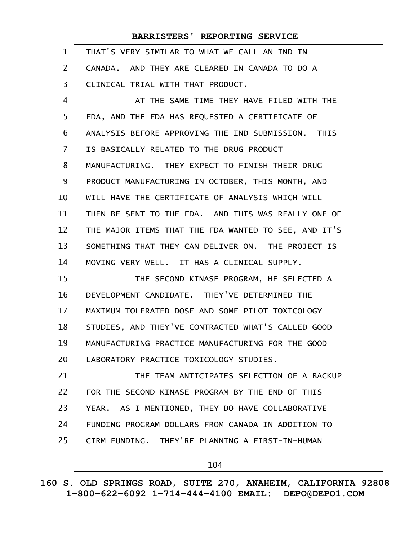| $\mathbf 1$    | THAT'S VERY SIMILAR TO WHAT WE CALL AN IND IN        |
|----------------|------------------------------------------------------|
| $\overline{2}$ | CANADA. AND THEY ARE CLEARED IN CANADA TO DO A       |
| 3              | CLINICAL TRIAL WITH THAT PRODUCT.                    |
| 4              | AT THE SAME TIME THEY HAVE FILED WITH THE            |
| 5              | FDA, AND THE FDA HAS REQUESTED A CERTIFICATE OF      |
| 6              | ANALYSIS BEFORE APPROVING THE IND SUBMISSION. THIS   |
| $\overline{7}$ | IS BASICALLY RELATED TO THE DRUG PRODUCT             |
| 8              | MANUFACTURING. THEY EXPECT TO FINISH THEIR DRUG      |
| 9              | PRODUCT MANUFACTURING IN OCTOBER, THIS MONTH, AND    |
| 10             | WILL HAVE THE CERTIFICATE OF ANALYSIS WHICH WILL     |
| 11             | THEN BE SENT TO THE FDA. AND THIS WAS REALLY ONE OF  |
| 12             | THE MAJOR ITEMS THAT THE FDA WANTED TO SEE, AND IT'S |
| 13             | SOMETHING THAT THEY CAN DELIVER ON. THE PROJECT IS   |
| 14             | MOVING VERY WELL. IT HAS A CLINICAL SUPPLY.          |
| 15             | THE SECOND KINASE PROGRAM, HE SELECTED A             |
| 16             | DEVELOPMENT CANDIDATE. THEY'VE DETERMINED THE        |
| 17             | MAXIMUM TOLERATED DOSE AND SOME PILOT TOXICOLOGY     |
| 18             | STUDIES, AND THEY'VE CONTRACTED WHAT'S CALLED GOOD   |
| 19             | MANUFACTURING PRACTICE MANUFACTURING FOR THE GOOD    |
| 20             | LABORATORY PRACTICE TOXICOLOGY STUDIES.              |
| 21             | THE TEAM ANTICIPATES SELECTION OF A BACKUP           |
| 22             | FOR THE SECOND KINASE PROGRAM BY THE END OF THIS     |
| 23             | YEAR. AS I MENTIONED, THEY DO HAVE COLLABORATIVE     |
| 24             | FUNDING PROGRAM DOLLARS FROM CANADA IN ADDITION TO   |
| 25             | CIRM FUNDING. THEY'RE PLANNING A FIRST-IN-HUMAN      |
|                | 104                                                  |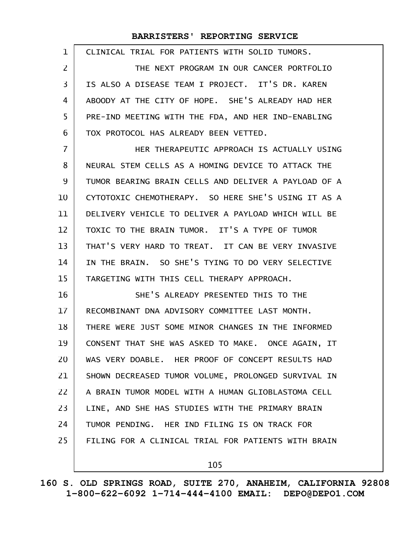| 1              | CLINICAL TRIAL FOR PATIENTS WITH SOLID TUMORS.       |
|----------------|------------------------------------------------------|
| $\overline{2}$ | THE NEXT PROGRAM IN OUR CANCER PORTFOLIO             |
| 3              | IS ALSO A DISEASE TEAM I PROJECT. IT'S DR. KAREN     |
| 4              | ABOODY AT THE CITY OF HOPE. SHE'S ALREADY HAD HER    |
| 5              | PRE-IND MEETING WITH THE FDA, AND HER IND-ENABLING   |
| 6              | TOX PROTOCOL HAS ALREADY BEEN VETTED.                |
| $\overline{7}$ | HER THERAPEUTIC APPROACH IS ACTUALLY USING           |
| 8              | NEURAL STEM CELLS AS A HOMING DEVICE TO ATTACK THE   |
| 9              | TUMOR BEARING BRAIN CELLS AND DELIVER A PAYLOAD OF A |
| 10             | CYTOTOXIC CHEMOTHERAPY. SO HERE SHE'S USING IT AS A  |
| 11             | DELIVERY VEHICLE TO DELIVER A PAYLOAD WHICH WILL BE  |
| 12             | TOXIC TO THE BRAIN TUMOR. IT'S A TYPE OF TUMOR       |
| 13             | THAT'S VERY HARD TO TREAT. IT CAN BE VERY INVASIVE   |
| 14             | IN THE BRAIN. SO SHE'S TYING TO DO VERY SELECTIVE    |
| 15             | TARGETING WITH THIS CELL THERAPY APPROACH.           |
| 16             | SHE'S ALREADY PRESENTED THIS TO THE                  |
| 17             | RECOMBINANT DNA ADVISORY COMMITTEE LAST MONTH.       |
| 18             | THERE WERE JUST SOME MINOR CHANGES IN THE INFORMED   |
| 19             | CONSENT THAT SHE WAS ASKED TO MAKE. ONCE AGAIN, IT   |
| 20             | WAS VERY DOABLE. HER PROOF OF CONCEPT RESULTS HAD    |
| 21             | SHOWN DECREASED TUMOR VOLUME, PROLONGED SURVIVAL IN  |
| 22             | A BRAIN TUMOR MODEL WITH A HUMAN GLIOBLASTOMA CELL   |
| 23             | LINE, AND SHE HAS STUDIES WITH THE PRIMARY BRAIN     |
| 24             | TUMOR PENDING. HER IND FILING IS ON TRACK FOR        |
| 25             | FILING FOR A CLINICAL TRIAL FOR PATIENTS WITH BRAIN  |
|                | 105                                                  |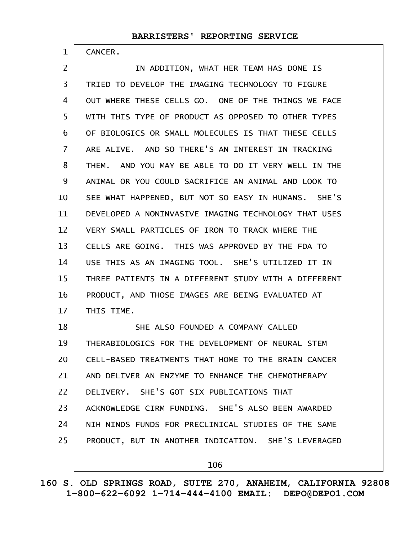CANCER.

1

IN ADDITION, WHAT HER TEAM HAS DONE IS TRIED TO DEVELOP THE IMAGING TECHNOLOGY TO FIGURE OUT WHERE THESE CELLS GO. ONE OF THE THINGS WE FACE WITH THIS TYPE OF PRODUCT AS OPPOSED TO OTHER TYPES OF BIOLOGICS OR SMALL MOLECULES IS THAT THESE CELLS ARE ALIVE. AND SO THERE'S AN INTEREST IN TRACKING THEM. AND YOU MAY BE ABLE TO DO IT VERY WELL IN THE ANIMAL OR YOU COULD SACRIFICE AN ANIMAL AND LOOK TO SEE WHAT HAPPENED, BUT NOT SO EASY IN HUMANS. SHE'S DEVELOPED A NONINVASIVE IMAGING TECHNOLOGY THAT USES VERY SMALL PARTICLES OF IRON TO TRACK WHERE THE CELLS ARE GOING. THIS WAS APPROVED BY THE FDA TO USE THIS AS AN IMAGING TOOL. SHE'S UTILIZED IT IN THREE PATIENTS IN A DIFFERENT STUDY WITH A DIFFERENT PRODUCT, AND THOSE IMAGES ARE BEING EVALUATED AT THIS TIME. SHE ALSO FOUNDED A COMPANY CALLED THERABIOLOGICS FOR THE DEVELOPMENT OF NEURAL STEM CELL-BASED TREATMENTS THAT HOME TO THE BRAIN CANCER AND DELIVER AN ENZYME TO ENHANCE THE CHEMOTHERAPY DELIVERY. SHE'S GOT SIX PUBLICATIONS THAT ACKNOWLEDGE CIRM FUNDING. SHE'S ALSO BEEN AWARDED NIH NINDS FUNDS FOR PRECLINICAL STUDIES OF THE SAME PRODUCT, BUT IN ANOTHER INDICATION. SHE'S LEVERAGED 2 3 4 5 6 7 8 9 10 11 12 13 14 15 16 17 18 19 20 21 22 23 24 25

106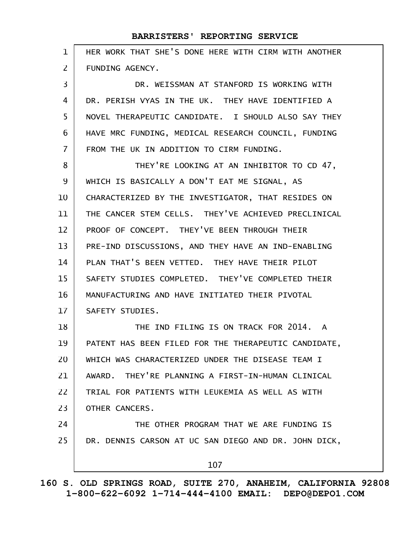| $\mathbf 1$    | HER WORK THAT SHE'S DONE HERE WITH CIRM WITH ANOTHER |
|----------------|------------------------------------------------------|
| $\overline{2}$ | FUNDING AGENCY.                                      |
| 3              | DR. WEISSMAN AT STANFORD IS WORKING WITH             |
| 4              | DR. PERISH VYAS IN THE UK. THEY HAVE IDENTIFIED A    |
| 5              | NOVEL THERAPEUTIC CANDIDATE. I SHOULD ALSO SAY THEY  |
| 6              | HAVE MRC FUNDING, MEDICAL RESEARCH COUNCIL, FUNDING  |
| $\overline{7}$ | FROM THE UK IN ADDITION TO CIRM FUNDING.             |
| 8              | THEY'RE LOOKING AT AN INHIBITOR TO CD 47,            |
| 9              | WHICH IS BASICALLY A DON'T EAT ME SIGNAL, AS         |
| 10             | CHARACTERIZED BY THE INVESTIGATOR, THAT RESIDES ON   |
| 11             | THE CANCER STEM CELLS. THEY'VE ACHIEVED PRECLINICAL  |
| 12             | PROOF OF CONCEPT. THEY'VE BEEN THROUGH THEIR         |
| 13             | PRE-IND DISCUSSIONS, AND THEY HAVE AN IND-ENABLING   |
| 14             | PLAN THAT'S BEEN VETTED. THEY HAVE THEIR PILOT       |
| 15             | SAFETY STUDIES COMPLETED. THEY'VE COMPLETED THEIR    |
| 16             | MANUFACTURING AND HAVE INITIATED THEIR PIVOTAL       |
| 17             | SAFETY STUDIES.                                      |
| 18             | THE IND FILING IS ON TRACK FOR 2014. A               |
| 19             | PATENT HAS BEEN FILED FOR THE THERAPEUTIC CANDIDATE, |
| 20             | WHICH WAS CHARACTERIZED UNDER THE DISEASE TEAM I     |
| 21             | AWARD. THEY'RE PLANNING A FIRST-IN-HUMAN CLINICAL    |
| 22             | TRIAL FOR PATIENTS WITH LEUKEMIA AS WELL AS WITH     |
| 23             | OTHER CANCERS.                                       |
| 24             | THE OTHER PROGRAM THAT WE ARE FUNDING IS             |
| 25             | DR. DENNIS CARSON AT UC SAN DIEGO AND DR. JOHN DICK, |
|                | 107                                                  |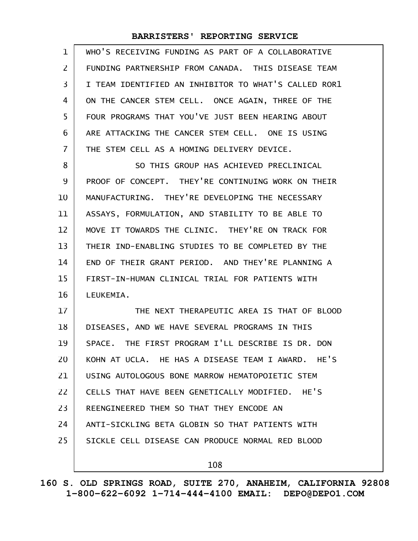| $\mathbf{1}$   | WHO'S RECEIVING FUNDING AS PART OF A COLLABORATIVE   |
|----------------|------------------------------------------------------|
| $\overline{2}$ | FUNDING PARTNERSHIP FROM CANADA. THIS DISEASE TEAM   |
| 3              | I TEAM IDENTIFIED AN INHIBITOR TO WHAT'S CALLED ROR1 |
| 4              | ON THE CANCER STEM CELL. ONCE AGAIN, THREE OF THE    |
| 5              | FOUR PROGRAMS THAT YOU'VE JUST BEEN HEARING ABOUT    |
| 6              | ARE ATTACKING THE CANCER STEM CELL. ONE IS USING     |
| $\overline{7}$ | THE STEM CELL AS A HOMING DELIVERY DEVICE.           |
| 8              | SO THIS GROUP HAS ACHIEVED PRECLINICAL               |
| 9              | PROOF OF CONCEPT. THEY'RE CONTINUING WORK ON THEIR   |
| 10             | MANUFACTURING. THEY'RE DEVELOPING THE NECESSARY      |
| 11             | ASSAYS, FORMULATION, AND STABILITY TO BE ABLE TO     |
| 12             | MOVE IT TOWARDS THE CLINIC. THEY'RE ON TRACK FOR     |
| 13             | THEIR IND-ENABLING STUDIES TO BE COMPLETED BY THE    |
| 14             | END OF THEIR GRANT PERIOD. AND THEY'RE PLANNING A    |
| 15             | FIRST-IN-HUMAN CLINICAL TRIAL FOR PATIENTS WITH      |
| 16             | LEUKEMIA.                                            |
| 17             | THE NEXT THERAPEUTIC AREA IS THAT OF BLOOD           |
| 18             | DISEASES, AND WE HAVE SEVERAL PROGRAMS IN THIS       |
| 19             | SPACE. THE FIRST PROGRAM I'LL DESCRIBE IS DR. DON    |
| 20             | KOHN AT UCLA. HE HAS A DISEASE TEAM I AWARD. HE'S    |
| 21             | USING AUTOLOGOUS BONE MARROW HEMATOPOIETIC STEM      |
| 22             | CELLS THAT HAVE BEEN GENETICALLY MODIFIED. HE'S      |
| 23             | REENGINEERED THEM SO THAT THEY ENCODE AN             |
| 24             | ANTI-SICKLING BETA GLOBIN SO THAT PATIENTS WITH      |
| 25             | SICKLE CELL DISEASE CAN PRODUCE NORMAL RED BLOOD     |
|                | 108                                                  |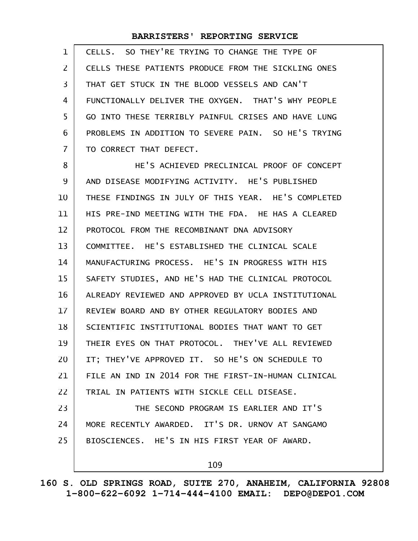| 1              | CELLS. SO THEY'RE TRYING TO CHANGE THE TYPE OF      |
|----------------|-----------------------------------------------------|
| $\overline{2}$ | CELLS THESE PATIENTS PRODUCE FROM THE SICKLING ONES |
| 3              | THAT GET STUCK IN THE BLOOD VESSELS AND CAN'T       |
| 4              | FUNCTIONALLY DELIVER THE OXYGEN. THAT'S WHY PEOPLE  |
| 5              | GO INTO THESE TERRIBLY PAINFUL CRISES AND HAVE LUNG |
| 6              | PROBLEMS IN ADDITION TO SEVERE PAIN. SO HE'S TRYING |
| $\overline{7}$ | TO CORRECT THAT DEFECT.                             |
| 8              | HE'S ACHIEVED PRECLINICAL PROOF OF CONCEPT          |
| 9              | AND DISEASE MODIFYING ACTIVITY. HE'S PUBLISHED      |
| 10             | THESE FINDINGS IN JULY OF THIS YEAR. HE'S COMPLETED |
| 11             | HIS PRE-IND MEETING WITH THE FDA. HE HAS A CLEARED  |
| 12             | PROTOCOL FROM THE RECOMBINANT DNA ADVISORY          |
| 13             | COMMITTEE. HE'S ESTABLISHED THE CLINICAL SCALE      |
| 14             | MANUFACTURING PROCESS. HE'S IN PROGRESS WITH HIS    |
| 15             | SAFETY STUDIES, AND HE'S HAD THE CLINICAL PROTOCOL  |
| 16             | ALREADY REVIEWED AND APPROVED BY UCLA INSTITUTIONAL |
| 17             | REVIEW BOARD AND BY OTHER REGULATORY BODIES AND     |
| 18             | SCIENTIFIC INSTITUTIONAL BODIES THAT WANT TO GET    |

THEIR EYES ON THAT PROTOCOL. THEY'VE ALL REVIEWED 19

IT; THEY'VE APPROVED IT. SO HE'S ON SCHEDULE TO FILE AN IND IN 2014 FOR THE FIRST-IN-HUMAN CLINICAL 20 21

TRIAL IN PATIENTS WITH SICKLE CELL DISEASE. 22

THE SECOND PROGRAM IS EARLIER AND IT'S MORE RECENTLY AWARDED. IT'S DR. URNOV AT SANGAMO BIOSCIENCES. HE'S IN HIS FIRST YEAR OF AWARD. 23 24 25

109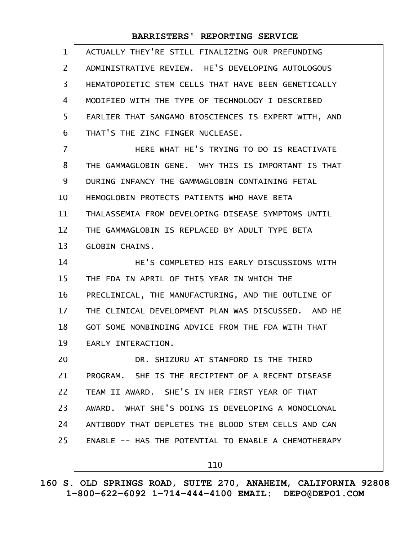| $\mathbf{1}$   | ACTUALLY THEY'RE STILL FINALIZING OUR PREFUNDING     |
|----------------|------------------------------------------------------|
| $\overline{2}$ | ADMINISTRATIVE REVIEW. HE'S DEVELOPING AUTOLOGOUS    |
| 3              | HEMATOPOIETIC STEM CELLS THAT HAVE BEEN GENETICALLY  |
| 4              | MODIFIED WITH THE TYPE OF TECHNOLOGY I DESCRIBED     |
| 5              | EARLIER THAT SANGAMO BIOSCIENCES IS EXPERT WITH, AND |
| 6              | THAT'S THE ZINC FINGER NUCLEASE.                     |
| $\overline{7}$ | HERE WHAT HE'S TRYING TO DO IS REACTIVATE            |
| 8              | THE GAMMAGLOBIN GENE. WHY THIS IS IMPORTANT IS THAT  |
| 9              | DURING INFANCY THE GAMMAGLOBIN CONTAINING FETAL      |
| 10             | HEMOGLOBIN PROTECTS PATIENTS WHO HAVE BETA           |
| 11             | THALASSEMIA FROM DEVELOPING DISEASE SYMPTOMS UNTIL   |
| 12             | THE GAMMAGLOBIN IS REPLACED BY ADULT TYPE BETA       |
| 13             | <b>GLOBIN CHAINS.</b>                                |
| 14             | HE'S COMPLETED HIS EARLY DISCUSSIONS WITH            |
| 15             | THE FDA IN APRIL OF THIS YEAR IN WHICH THE           |
| 16             | PRECLINICAL, THE MANUFACTURING, AND THE OUTLINE OF   |
| 17             | THE CLINICAL DEVELOPMENT PLAN WAS DISCUSSED. AND HE  |
| 18             | GOT SOME NONBINDING ADVICE FROM THE FDA WITH THAT    |
| 19             | EARLY INTERACTION.                                   |
| 20             | DR. SHIZURU AT STANFORD IS THE THIRD                 |
| 21             | PROGRAM. SHE IS THE RECIPIENT OF A RECENT DISEASE    |
| 22             | TEAM II AWARD. SHE'S IN HER FIRST YEAR OF THAT       |
| 23             | AWARD. WHAT SHE'S DOING IS DEVELOPING A MONOCLONAL   |
| 24             | ANTIBODY THAT DEPLETES THE BLOOD STEM CELLS AND CAN  |
| 25             | ENABLE -- HAS THE POTENTIAL TO ENABLE A CHEMOTHERAPY |
|                | 110                                                  |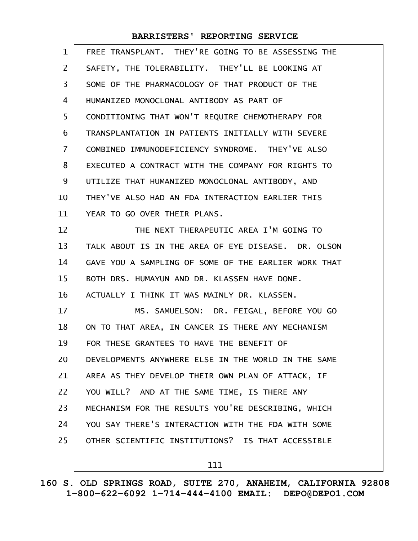| $\mathbf{1}$   | FREE TRANSPLANT. THEY'RE GOING TO BE ASSESSING THE   |
|----------------|------------------------------------------------------|
| $\overline{2}$ | SAFETY, THE TOLERABILITY. THEY'LL BE LOOKING AT      |
| 3              | SOME OF THE PHARMACOLOGY OF THAT PRODUCT OF THE      |
| 4              | HUMANIZED MONOCLONAL ANTIBODY AS PART OF             |
| 5              | CONDITIONING THAT WON'T REQUIRE CHEMOTHERAPY FOR     |
| 6              | TRANSPLANTATION IN PATIENTS INITIALLY WITH SEVERE    |
| $\overline{7}$ | COMBINED IMMUNODEFICIENCY SYNDROME. THEY'VE ALSO     |
| 8              | EXECUTED A CONTRACT WITH THE COMPANY FOR RIGHTS TO   |
| 9              | UTILIZE THAT HUMANIZED MONOCLONAL ANTIBODY, AND      |
| 10             | THEY'VE ALSO HAD AN FDA INTERACTION EARLIER THIS     |
| 11             | YEAR TO GO OVER THEIR PLANS.                         |
| 12             | THE NEXT THERAPEUTIC AREA I'M GOING TO               |
| 13             | TALK ABOUT IS IN THE AREA OF EYE DISEASE. DR. OLSON  |
| 14             | GAVE YOU A SAMPLING OF SOME OF THE EARLIER WORK THAT |
| 15             | BOTH DRS. HUMAYUN AND DR. KLASSEN HAVE DONE.         |
| 16             | ACTUALLY I THINK IT WAS MAINLY DR. KLASSEN.          |
| 17             | MS. SAMUELSON: DR. FEIGAL, BEFORE YOU GO             |
| 18             | ON TO THAT AREA, IN CANCER IS THERE ANY MECHANISM    |
| 19             | FOR THESE GRANTEES TO HAVE THE BENEFIT OF            |
| 20             | DEVELOPMENTS ANYWHERE ELSE IN THE WORLD IN THE SAME  |
| 21             | AREA AS THEY DEVELOP THEIR OWN PLAN OF ATTACK, IF    |
| 22             | YOU WILL? AND AT THE SAME TIME, IS THERE ANY         |
| 23             | MECHANISM FOR THE RESULTS YOU'RE DESCRIBING, WHICH   |
| 24             | YOU SAY THERE'S INTERACTION WITH THE FDA WITH SOME   |
| 25             | OTHER SCIENTIFIC INSTITUTIONS? IS THAT ACCESSIBLE    |
|                | 111                                                  |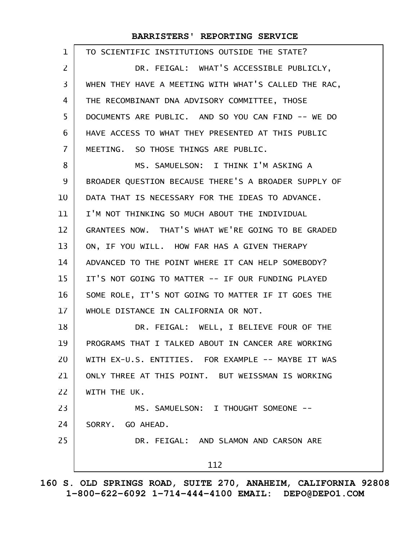| $\mathbf{1}$   | TO SCIENTIFIC INSTITUTIONS OUTSIDE THE STATE?        |
|----------------|------------------------------------------------------|
| $\overline{2}$ | DR. FEIGAL: WHAT'S ACCESSIBLE PUBLICLY,              |
| 3              | WHEN THEY HAVE A MEETING WITH WHAT'S CALLED THE RAC, |
| 4              | THE RECOMBINANT DNA ADVISORY COMMITTEE, THOSE        |
| 5              | DOCUMENTS ARE PUBLIC. AND SO YOU CAN FIND -- WE DO   |
| 6              | HAVE ACCESS TO WHAT THEY PRESENTED AT THIS PUBLIC    |
| $\overline{7}$ | MEETING. SO THOSE THINGS ARE PUBLIC.                 |
| 8              | MS. SAMUELSON: I THINK I'M ASKING A                  |
| 9              | BROADER QUESTION BECAUSE THERE'S A BROADER SUPPLY OF |
| 10             | DATA THAT IS NECESSARY FOR THE IDEAS TO ADVANCE.     |
| 11             | I'M NOT THINKING SO MUCH ABOUT THE INDIVIDUAL        |
| 12             | GRANTEES NOW. THAT'S WHAT WE'RE GOING TO BE GRADED   |
| 13             | ON, IF YOU WILL. HOW FAR HAS A GIVEN THERAPY         |
| 14             | ADVANCED TO THE POINT WHERE IT CAN HELP SOMEBODY?    |
| 15             | IT'S NOT GOING TO MATTER -- IF OUR FUNDING PLAYED    |
| 16             | SOME ROLE, IT'S NOT GOING TO MATTER IF IT GOES THE   |
| 17             | WHOLE DISTANCE IN CALIFORNIA OR NOT.                 |
| 18             | DR. FEIGAL: WELL, I BELIEVE FOUR OF THE              |
| 19             | PROGRAMS THAT I TALKED ABOUT IN CANCER ARE WORKING   |
| 20             | WITH EX-U.S. ENTITIES. FOR EXAMPLE -- MAYBE IT WAS   |
| 21             | ONLY THREE AT THIS POINT. BUT WEISSMAN IS WORKING    |
| 22             | WITH THE UK.                                         |
| 23             | MS. SAMUELSON: I THOUGHT SOMEONE --                  |
| 24             | SORRY. GO AHEAD.                                     |
| 25             | DR. FEIGAL: AND SLAMON AND CARSON ARE                |
|                | 112                                                  |
|                |                                                      |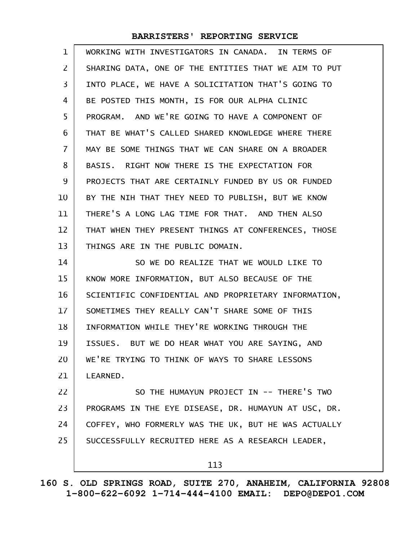| $\mathbf{1}$   | WORKING WITH INVESTIGATORS IN CANADA. IN TERMS OF    |
|----------------|------------------------------------------------------|
| $\overline{2}$ | SHARING DATA, ONE OF THE ENTITIES THAT WE AIM TO PUT |
| 3              | INTO PLACE, WE HAVE A SOLICITATION THAT'S GOING TO   |
| 4              | BE POSTED THIS MONTH, IS FOR OUR ALPHA CLINIC        |
| 5              | PROGRAM. AND WE'RE GOING TO HAVE A COMPONENT OF      |
| 6              | THAT BE WHAT'S CALLED SHARED KNOWLEDGE WHERE THERE   |
| $\overline{7}$ | MAY BE SOME THINGS THAT WE CAN SHARE ON A BROADER    |
| 8              | BASIS. RIGHT NOW THERE IS THE EXPECTATION FOR        |
| 9              | PROJECTS THAT ARE CERTAINLY FUNDED BY US OR FUNDED   |
| 10             | BY THE NIH THAT THEY NEED TO PUBLISH, BUT WE KNOW    |
| 11             | THERE'S A LONG LAG TIME FOR THAT. AND THEN ALSO      |
| 12             | THAT WHEN THEY PRESENT THINGS AT CONFERENCES, THOSE  |
| 13             | THINGS ARE IN THE PUBLIC DOMAIN.                     |
| 14             | SO WE DO REALIZE THAT WE WOULD LIKE TO               |
| 15             | KNOW MORE INFORMATION, BUT ALSO BECAUSE OF THE       |
| 16             | SCIENTIFIC CONFIDENTIAL AND PROPRIETARY INFORMATION, |
| 17             | SOMETIMES THEY REALLY CAN'T SHARE SOME OF THIS       |
| 18             | INFORMATION WHILE THEY'RE WORKING THROUGH THE        |
| 19             | ISSUES. BUT WE DO HEAR WHAT YOU ARE SAYING, AND      |
| 20             | WE'RE TRYING TO THINK OF WAYS TO SHARE LESSONS       |
| 21             | LEARNED.                                             |
| 22             | SO THE HUMAYUN PROJECT IN -- THERE'S TWO             |
| 23             | PROGRAMS IN THE EYE DISEASE, DR. HUMAYUN AT USC, DR. |
| 24             | COFFEY, WHO FORMERLY WAS THE UK, BUT HE WAS ACTUALLY |
| 25             | SUCCESSFULLY RECRUITED HERE AS A RESEARCH LEADER,    |
|                | 113                                                  |
|                |                                                      |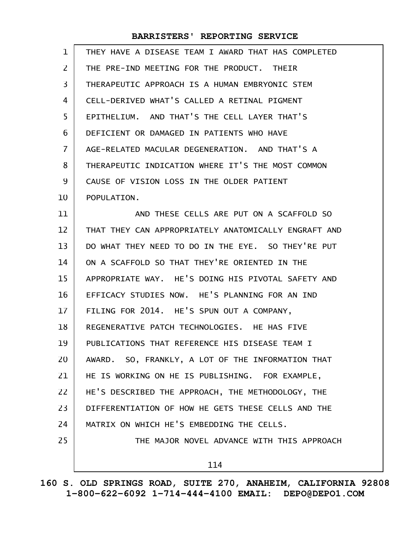| 1              | THEY HAVE A DISEASE TEAM I AWARD THAT HAS COMPLETED  |
|----------------|------------------------------------------------------|
| $\overline{2}$ | THE PRE-IND MEETING FOR THE PRODUCT. THEIR           |
| 3              | THERAPEUTIC APPROACH IS A HUMAN EMBRYONIC STEM       |
| 4              | CELL-DERIVED WHAT'S CALLED A RETINAL PIGMENT         |
| 5              | EPITHELIUM. AND THAT'S THE CELL LAYER THAT'S         |
| 6              | DEFICIENT OR DAMAGED IN PATIENTS WHO HAVE            |
| 7              | AGE-RELATED MACULAR DEGENERATION. AND THAT'S A       |
| 8              | THERAPEUTIC INDICATION WHERE IT'S THE MOST COMMON    |
| 9              | CAUSE OF VISION LOSS IN THE OLDER PATIENT            |
| 10             | POPULATION.                                          |
| 11             | AND THESE CELLS ARE PUT ON A SCAFFOLD SO             |
| 12             | THAT THEY CAN APPROPRIATELY ANATOMICALLY ENGRAFT AND |
| 13             | DO WHAT THEY NEED TO DO IN THE EYE. SO THEY'RE PUT   |
| 14             | ON A SCAFFOLD SO THAT THEY'RE ORIENTED IN THE        |
| 15             | APPROPRIATE WAY. HE'S DOING HIS PIVOTAL SAFETY AND   |
| 16             | EFFICACY STUDIES NOW. HE'S PLANNING FOR AN IND       |
| 17             | FILING FOR 2014. HE'S SPUN OUT A COMPANY,            |
| 18             | REGENERATIVE PATCH TECHNOLOGIES. HE HAS FIVE         |
| 19             | PUBLICATIONS THAT REFERENCE HIS DISEASE TEAM I       |
| 20             | AWARD. SO, FRANKLY, A LOT OF THE INFORMATION THAT    |
| 21             | HE IS WORKING ON HE IS PUBLISHING. FOR EXAMPLE,      |
| 22             | HE'S DESCRIBED THE APPROACH, THE METHODOLOGY, THE    |
| 23             | DIFFERENTIATION OF HOW HE GETS THESE CELLS AND THE   |
| 24             | MATRIX ON WHICH HE'S EMBEDDING THE CELLS.            |
| 25             | THE MAJOR NOVEL ADVANCE WITH THIS APPROACH           |
|                | 114                                                  |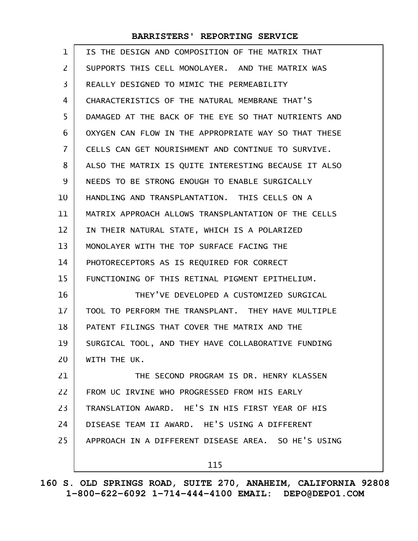| 1              | IS THE DESIGN AND COMPOSITION OF THE MATRIX THAT     |
|----------------|------------------------------------------------------|
| 2              | SUPPORTS THIS CELL MONOLAYER. AND THE MATRIX WAS     |
| 3              | REALLY DESIGNED TO MIMIC THE PERMEABILITY            |
| 4              | CHARACTERISTICS OF THE NATURAL MEMBRANE THAT'S       |
| 5              | DAMAGED AT THE BACK OF THE EYE SO THAT NUTRIENTS AND |
| 6              | OXYGEN CAN FLOW IN THE APPROPRIATE WAY SO THAT THESE |
| $\overline{7}$ | CELLS CAN GET NOURISHMENT AND CONTINUE TO SURVIVE.   |
| 8              | ALSO THE MATRIX IS QUITE INTERESTING BECAUSE IT ALSO |
| 9              | NEEDS TO BE STRONG ENOUGH TO ENABLE SURGICALLY       |
| 10             | HANDLING AND TRANSPLANTATION. THIS CELLS ON A        |
| 11             | MATRIX APPROACH ALLOWS TRANSPLANTATION OF THE CELLS  |
| 12             | IN THEIR NATURAL STATE, WHICH IS A POLARIZED         |
| 13             | MONOLAYER WITH THE TOP SURFACE FACING THE            |
| 14             | PHOTORECEPTORS AS IS REQUIRED FOR CORRECT            |
| 15             | FUNCTIONING OF THIS RETINAL PIGMENT EPITHELIUM.      |
| 16             | THEY'VE DEVELOPED A CUSTOMIZED SURGICAL              |
| 17             | TOOL TO PERFORM THE TRANSPLANT. THEY HAVE MULTIPLE   |
| 18             | PATENT FILINGS THAT COVER THE MATRIX AND THE         |
| 19             | SURGICAL TOOL, AND THEY HAVE COLLABORATIVE FUNDING   |
| 20             | WITH THE UK.                                         |
| 21             | THE SECOND PROGRAM IS DR. HENRY KLASSEN              |
| 22             | FROM UC IRVINE WHO PROGRESSED FROM HIS EARLY         |
| 23             | TRANSLATION AWARD. HE'S IN HIS FIRST YEAR OF HIS     |
| 24             | DISEASE TEAM II AWARD. HE'S USING A DIFFERENT        |
| 25             | APPROACH IN A DIFFERENT DISEASE AREA. SO HE'S USING  |
|                | 115                                                  |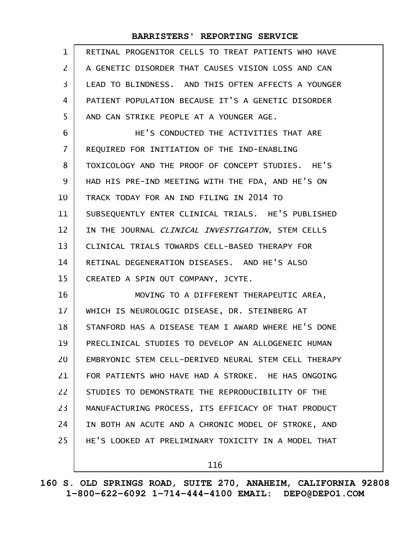| $\mathbf{1}$   | RETINAL PROGENITOR CELLS TO TREAT PATIENTS WHO HAVE  |
|----------------|------------------------------------------------------|
| $\overline{2}$ | A GENETIC DISORDER THAT CAUSES VISION LOSS AND CAN   |
| 3              | LEAD TO BLINDNESS. AND THIS OFTEN AFFECTS A YOUNGER  |
| 4              | PATIENT POPULATION BECAUSE IT'S A GENETIC DISORDER   |
| 5              | AND CAN STRIKE PEOPLE AT A YOUNGER AGE.              |
| 6              | HE'S CONDUCTED THE ACTIVITIES THAT ARE               |
| $\overline{7}$ | REQUIRED FOR INITIATION OF THE IND-ENABLING          |
| 8              | TOXICOLOGY AND THE PROOF OF CONCEPT STUDIES. HE'S    |
| 9              | HAD HIS PRE-IND MEETING WITH THE FDA, AND HE'S ON    |
| 10             | TRACK TODAY FOR AN IND FILING IN 2014 TO             |
| 11             | SUBSEQUENTLY ENTER CLINICAL TRIALS. HE'S PUBLISHED   |
| 12             | IN THE JOURNAL CLINICAL INVESTIGATION, STEM CELLS    |
| 13             | CLINICAL TRIALS TOWARDS CELL-BASED THERAPY FOR       |
| 14             | RETINAL DEGENERATION DISEASES. AND HE'S ALSO         |
| 15             | CREATED A SPIN OUT COMPANY, JCYTE.                   |
| 16             | MOVING TO A DIFFERENT THERAPEUTIC AREA,              |
| 17             | WHICH IS NEUROLOGIC DISEASE, DR. STEINBERG AT        |
| 18             | STANFORD HAS A DISEASE TEAM I AWARD WHERE HE'S DONE  |
| 19             | PRECLINICAL STUDIES TO DEVELOP AN ALLOGENEIC HUMAN   |
| 20             | EMBRYONIC STEM CELL-DERIVED NEURAL STEM CELL THERAPY |
| 21             | FOR PATIENTS WHO HAVE HAD A STROKE. HE HAS ONGOING   |
| 22             | STUDIES TO DEMONSTRATE THE REPRODUCIBILITY OF THE    |
| 23             | MANUFACTURING PROCESS, ITS EFFICACY OF THAT PRODUCT  |
| 24             | IN BOTH AN ACUTE AND A CHRONIC MODEL OF STROKE, AND  |
| 25             | HE'S LOOKED AT PRELIMINARY TOXICITY IN A MODEL THAT  |
|                | 116                                                  |

**160 S. OLD SPRINGS ROAD, SUITE 270, ANAHEIM, CALIFORNIA 92808 1-800-622-6092 1-714-444-4100 EMAIL: DEPO@DEPO1.COM**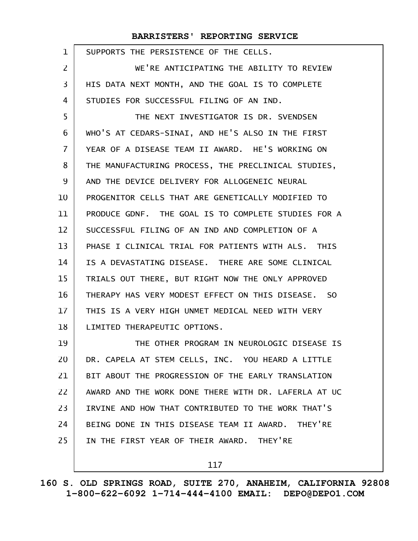| $\mathbf{1}$ | SUPPORTS THE PERSISTENCE OF THE CELLS.               |
|--------------|------------------------------------------------------|
| 2            | WE'RE ANTICIPATING THE ABILITY TO REVIEW             |
| 3            | HIS DATA NEXT MONTH, AND THE GOAL IS TO COMPLETE     |
| 4            | STUDIES FOR SUCCESSFUL FILING OF AN IND.             |
| 5            | THE NEXT INVESTIGATOR IS DR. SVENDSEN                |
| 6            | WHO'S AT CEDARS-SINAI, AND HE'S ALSO IN THE FIRST    |
| 7            | YEAR OF A DISEASE TEAM II AWARD. HE'S WORKING ON     |
| 8            | THE MANUFACTURING PROCESS, THE PRECLINICAL STUDIES,  |
| 9            | AND THE DEVICE DELIVERY FOR ALLOGENEIC NEURAL        |
| 10           | PROGENITOR CELLS THAT ARE GENETICALLY MODIFIED TO    |
| 11           | PRODUCE GDNF. THE GOAL IS TO COMPLETE STUDIES FOR A  |
| 12           | SUCCESSFUL FILING OF AN IND AND COMPLETION OF A      |
| 13           | PHASE I CLINICAL TRIAL FOR PATIENTS WITH ALS. THIS   |
| 14           | IS A DEVASTATING DISEASE. THERE ARE SOME CLINICAL    |
| 15           | TRIALS OUT THERE, BUT RIGHT NOW THE ONLY APPROVED    |
| 16           | THERAPY HAS VERY MODEST EFFECT ON THIS DISEASE. SO   |
| 17           | THIS IS A VERY HIGH UNMET MEDICAL NEED WITH VERY     |
| 18           | LIMITED THERAPEUTIC OPTIONS.                         |
| 19           | THE OTHER PROGRAM IN NEUROLOGIC DISEASE IS           |
| 20           | DR. CAPELA AT STEM CELLS, INC. YOU HEARD A LITTLE    |
| 21           | BIT ABOUT THE PROGRESSION OF THE EARLY TRANSLATION   |
| 22           | AWARD AND THE WORK DONE THERE WITH DR. LAFERLA AT UC |
| 23           | IRVINE AND HOW THAT CONTRIBUTED TO THE WORK THAT'S   |
| 24           | BEING DONE IN THIS DISEASE TEAM II AWARD. THEY'RE    |
| 25           | IN THE FIRST YEAR OF THEIR AWARD. THEY'RE            |
|              | 117                                                  |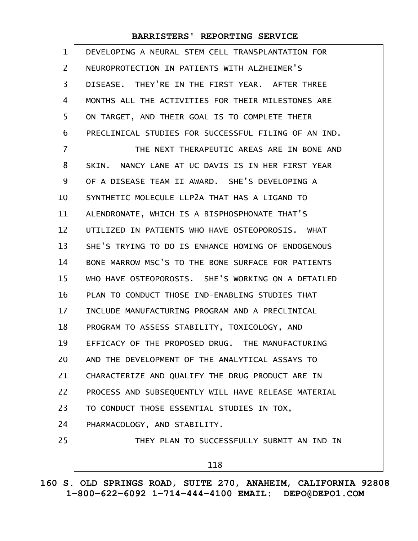| $\mathbf{1}$   | DEVELOPING A NEURAL STEM CELL TRANSPLANTATION FOR    |
|----------------|------------------------------------------------------|
| $\overline{2}$ | NEUROPROTECTION IN PATIENTS WITH ALZHEIMER'S         |
| 3              | DISEASE. THEY'RE IN THE FIRST YEAR. AFTER THREE      |
| 4              | MONTHS ALL THE ACTIVITIES FOR THEIR MILESTONES ARE   |
| 5              | ON TARGET, AND THEIR GOAL IS TO COMPLETE THEIR       |
| 6              | PRECLINICAL STUDIES FOR SUCCESSFUL FILING OF AN IND. |
| 7              | THE NEXT THERAPEUTIC AREAS ARE IN BONE AND           |
| 8              | SKIN. NANCY LANE AT UC DAVIS IS IN HER FIRST YEAR    |
| 9              | OF A DISEASE TEAM II AWARD. SHE'S DEVELOPING A       |
| 10             | SYNTHETIC MOLECULE LLP2A THAT HAS A LIGAND TO        |
| 11             | ALENDRONATE, WHICH IS A BISPHOSPHONATE THAT'S        |
| 12             | UTILIZED IN PATIENTS WHO HAVE OSTEOPOROSIS. WHAT     |
| 13             | SHE'S TRYING TO DO IS ENHANCE HOMING OF ENDOGENOUS   |
| 14             | BONE MARROW MSC'S TO THE BONE SURFACE FOR PATIENTS   |
| 15             | WHO HAVE OSTEOPOROSIS. SHE'S WORKING ON A DETAILED   |
| 16             | PLAN TO CONDUCT THOSE IND-ENABLING STUDIES THAT      |
| 17             | INCLUDE MANUFACTURING PROGRAM AND A PRECLINICAL      |
| 18             | PROGRAM TO ASSESS STABILITY, TOXICOLOGY, AND         |
| 19             | EFFICACY OF THE PROPOSED DRUG. THE MANUFACTURING     |
| 20             | AND THE DEVELOPMENT OF THE ANALYTICAL ASSAYS TO      |
| 21             | CHARACTERIZE AND QUALIFY THE DRUG PRODUCT ARE IN     |
| 22             | PROCESS AND SUBSEQUENTLY WILL HAVE RELEASE MATERIAL  |
| 23             | TO CONDUCT THOSE ESSENTIAL STUDIES IN TOX,           |
| 24             | PHARMACOLOGY, AND STABILITY.                         |
| 25             | THEY PLAN TO SUCCESSFULLY SUBMIT AN IND IN           |
|                | 118                                                  |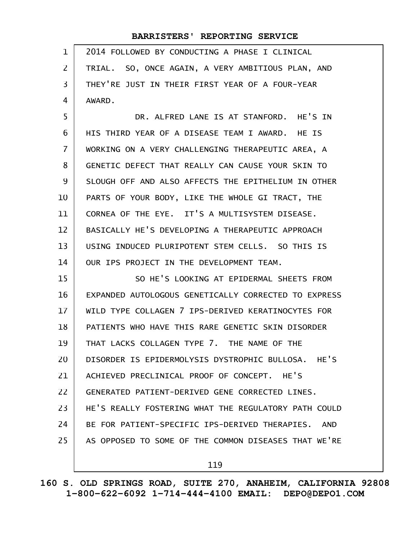| $\mathbf 1$ | 2014 FOLLOWED BY CONDUCTING A PHASE I CLINICAL       |
|-------------|------------------------------------------------------|
| 2           | TRIAL. SO, ONCE AGAIN, A VERY AMBITIOUS PLAN, AND    |
| 3           | THEY'RE JUST IN THEIR FIRST YEAR OF A FOUR-YEAR      |
| 4           | AWARD.                                               |
| 5           | DR. ALFRED LANE IS AT STANFORD. HE'S IN              |
| 6           | HIS THIRD YEAR OF A DISEASE TEAM I AWARD. HE IS      |
| 7           | WORKING ON A VERY CHALLENGING THERAPEUTIC AREA, A    |
| 8           | GENETIC DEFECT THAT REALLY CAN CAUSE YOUR SKIN TO    |
| 9           | SLOUGH OFF AND ALSO AFFECTS THE EPITHELIUM IN OTHER  |
| 10          | PARTS OF YOUR BODY, LIKE THE WHOLE GI TRACT, THE     |
| 11          | CORNEA OF THE EYE. IT'S A MULTISYSTEM DISEASE.       |
| 12          | BASICALLY HE'S DEVELOPING A THERAPEUTIC APPROACH     |
| 13          | USING INDUCED PLURIPOTENT STEM CELLS. SO THIS IS     |
| 14          | OUR IPS PROJECT IN THE DEVELOPMENT TEAM.             |
| 15          | SO HE'S LOOKING AT EPIDERMAL SHEETS FROM             |
| 16          | EXPANDED AUTOLOGOUS GENETICALLY CORRECTED TO EXPRESS |
| 17          | WILD TYPE COLLAGEN 7 IPS-DERIVED KERATINOCYTES FOR   |
| 18          | PATIENTS WHO HAVE THIS RARE GENETIC SKIN DISORDER    |
| 19          | THAT LACKS COLLAGEN TYPE 7. THE NAME OF THE          |
| 20          | DISORDER IS EPIDERMOLYSIS DYSTROPHIC BULLOSA. HE'S   |
| 21          | ACHIEVED PRECLINICAL PROOF OF CONCEPT. HE'S          |
| 22          | GENERATED PATIENT-DERIVED GENE CORRECTED LINES.      |
| 23          | HE'S REALLY FOSTERING WHAT THE REGULATORY PATH COULD |
| 24          | BE FOR PATIENT-SPECIFIC IPS-DERIVED THERAPIES. AND   |
| 25          | AS OPPOSED TO SOME OF THE COMMON DISEASES THAT WE'RE |
|             | 119                                                  |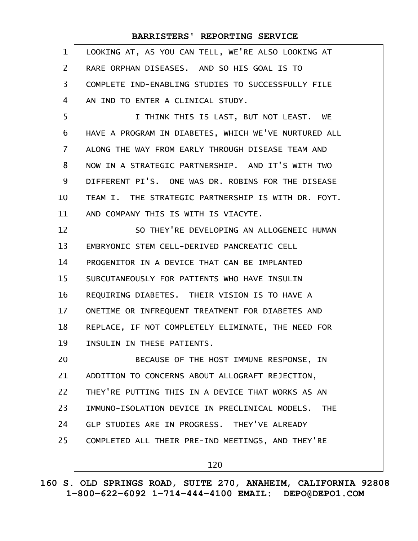|                | BARRISTERS' REPORTING SERVICE                                |
|----------------|--------------------------------------------------------------|
| 1              | LOOKING AT, AS YOU CAN TELL, WE'RE ALSO LOOKING AT           |
| $\overline{2}$ | RARE ORPHAN DISEASES. AND SO HIS GOAL IS TO                  |
| 3              | COMPLETE IND-ENABLING STUDIES TO SUCCESSFULLY FILE           |
| 4              | AN IND TO ENTER A CLINICAL STUDY.                            |
| 5              | I THINK THIS IS LAST, BUT NOT LEAST. WE                      |
| 6              | HAVE A PROGRAM IN DIABETES, WHICH WE'VE NURTURED ALL         |
| 7              | ALONG THE WAY FROM EARLY THROUGH DISEASE TEAM AND            |
| 8              | NOW IN A STRATEGIC PARTNERSHIP. AND IT'S WITH TWO            |
| 9              | DIFFERENT PI'S. ONE WAS DR. ROBINS FOR THE DISEASE           |
| 10             | TEAM I. THE STRATEGIC PARTNERSHIP IS WITH DR. FOYT.          |
| 11             | AND COMPANY THIS IS WITH IS VIACYTE.                         |
| 12             | SO THEY'RE DEVELOPING AN ALLOGENEIC HUMAN                    |
| 13             | EMBRYONIC STEM CELL-DERIVED PANCREATIC CELL                  |
| 14             | PROGENITOR IN A DEVICE THAT CAN BE IMPLANTED                 |
| 15             | SUBCUTANEOUSLY FOR PATIENTS WHO HAVE INSULIN                 |
| 16             | REQUIRING DIABETES. THEIR VISION IS TO HAVE A                |
| 17             | ONETIME OR INFREQUENT TREATMENT FOR DIABETES AND             |
| 18             | REPLACE, IF NOT COMPLETELY ELIMINATE, THE NEED FOR           |
| 19             | INSULIN IN THESE PATIENTS.                                   |
| 20             | BECAUSE OF THE HOST IMMUNE RESPONSE, IN                      |
| 21             | ADDITION TO CONCERNS ABOUT ALLOGRAFT REJECTION,              |
| 22             | THEY'RE PUTTING THIS IN A DEVICE THAT WORKS AS AN            |
| 23             | IMMUNO-ISOLATION DEVICE IN PRECLINICAL MODELS.<br><b>THE</b> |
| 24             | GLP STUDIES ARE IN PROGRESS. THEY'VE ALREADY                 |
| 25             | COMPLETED ALL THEIR PRE-IND MEETINGS, AND THEY'RE            |
|                |                                                              |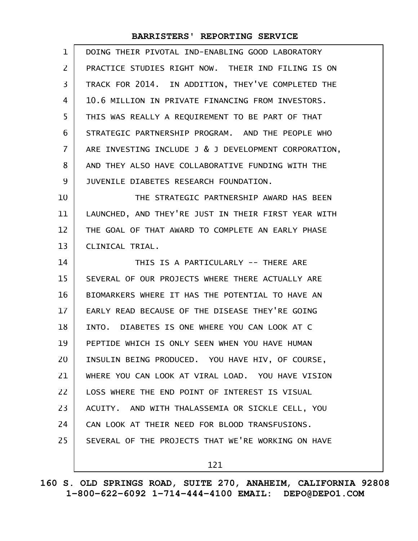| $\mathbf 1$       | DOING THEIR PIVOTAL IND-ENABLING GOOD LABORATORY     |
|-------------------|------------------------------------------------------|
| $\overline{2}$    | PRACTICE STUDIES RIGHT NOW. THEIR IND FILING IS ON   |
| 3                 | TRACK FOR 2014. IN ADDITION, THEY'VE COMPLETED THE   |
| 4                 | 10.6 MILLION IN PRIVATE FINANCING FROM INVESTORS.    |
| 5                 | THIS WAS REALLY A REQUIREMENT TO BE PART OF THAT     |
| 6                 | STRATEGIC PARTNERSHIP PROGRAM. AND THE PEOPLE WHO    |
| $\overline{7}$    | ARE INVESTING INCLUDE J & J DEVELOPMENT CORPORATION, |
| 8                 | AND THEY ALSO HAVE COLLABORATIVE FUNDING WITH THE    |
| 9                 | JUVENILE DIABETES RESEARCH FOUNDATION.               |
| 10                | THE STRATEGIC PARTNERSHIP AWARD HAS BEEN             |
| 11                | LAUNCHED, AND THEY'RE JUST IN THEIR FIRST YEAR WITH  |
| $12 \overline{ }$ | THE GOAL OF THAT AWARD TO COMPLETE AN EARLY PHASE    |
| 13                | CLINICAL TRIAL.                                      |
| 14                | THIS IS A PARTICULARLY -- THERE ARE                  |
| 15                | SEVERAL OF OUR PROJECTS WHERE THERE ACTUALLY ARE     |
| 16                | BIOMARKERS WHERE IT HAS THE POTENTIAL TO HAVE AN     |
| 17                | EARLY READ BECAUSE OF THE DISEASE THEY'RE GOING      |
| 18                | INTO. DIABETES IS ONE WHERE YOU CAN LOOK AT C        |
| 19                | PEPTIDE WHICH IS ONLY SEEN WHEN YOU HAVE HUMAN       |
| 20                | INSULIN BEING PRODUCED. YOU HAVE HIV, OF COURSE,     |
| 21                | WHERE YOU CAN LOOK AT VIRAL LOAD. YOU HAVE VISION    |
| 22                | LOSS WHERE THE END POINT OF INTEREST IS VISUAL       |
| 23                | ACUITY. AND WITH THALASSEMIA OR SICKLE CELL, YOU     |
| 24                | CAN LOOK AT THEIR NEED FOR BLOOD TRANSFUSIONS.       |
| 25                | SEVERAL OF THE PROJECTS THAT WE'RE WORKING ON HAVE   |
|                   | 121                                                  |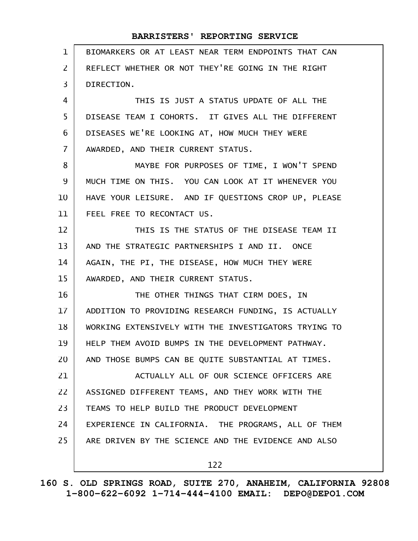| $\mathbf{1}$      | BIOMARKERS OR AT LEAST NEAR TERM ENDPOINTS THAT CAN  |
|-------------------|------------------------------------------------------|
| $\overline{2}$    | REFLECT WHETHER OR NOT THEY'RE GOING IN THE RIGHT    |
| 3                 | DIRECTION.                                           |
| 4                 | THIS IS JUST A STATUS UPDATE OF ALL THE              |
| 5                 | DISEASE TEAM I COHORTS. IT GIVES ALL THE DIFFERENT   |
| 6                 | DISEASES WE'RE LOOKING AT, HOW MUCH THEY WERE        |
| $\overline{7}$    | AWARDED, AND THEIR CURRENT STATUS.                   |
| 8                 | MAYBE FOR PURPOSES OF TIME, I WON'T SPEND            |
| 9                 | MUCH TIME ON THIS. YOU CAN LOOK AT IT WHENEVER YOU   |
| 10                | HAVE YOUR LEISURE. AND IF QUESTIONS CROP UP, PLEASE  |
| 11                | FEEL FREE TO RECONTACT US.                           |
| $12 \overline{ }$ | THIS IS THE STATUS OF THE DISEASE TEAM II            |
| 13                | AND THE STRATEGIC PARTNERSHIPS I AND II. ONCE        |
| 14                | AGAIN, THE PI, THE DISEASE, HOW MUCH THEY WERE       |
| 15                | AWARDED, AND THEIR CURRENT STATUS.                   |
| 16                | THE OTHER THINGS THAT CIRM DOES, IN                  |
| 17                | ADDITION TO PROVIDING RESEARCH FUNDING, IS ACTUALLY  |
| 18                | WORKING EXTENSIVELY WITH THE INVESTIGATORS TRYING TO |
| 19                | HELP THEM AVOID BUMPS IN THE DEVELOPMENT PATHWAY.    |
| 20                | AND THOSE BUMPS CAN BE QUITE SUBSTANTIAL AT TIMES.   |
| 21                | ACTUALLY ALL OF OUR SCIENCE OFFICERS ARE             |
| 22                | ASSIGNED DIFFERENT TEAMS, AND THEY WORK WITH THE     |
| 23                | TEAMS TO HELP BUILD THE PRODUCT DEVELOPMENT          |
| 24                | EXPERIENCE IN CALIFORNIA. THE PROGRAMS, ALL OF THEM  |
| 25                | ARE DRIVEN BY THE SCIENCE AND THE EVIDENCE AND ALSO  |
|                   | 122                                                  |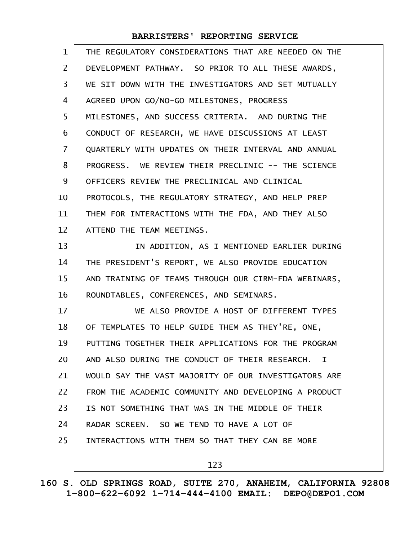| $\mathbf{1}$   | THE REGULATORY CONSIDERATIONS THAT ARE NEEDED ON THE |
|----------------|------------------------------------------------------|
| $\overline{2}$ | DEVELOPMENT PATHWAY. SO PRIOR TO ALL THESE AWARDS,   |
| 3              | WE SIT DOWN WITH THE INVESTIGATORS AND SET MUTUALLY  |
| 4              | AGREED UPON GO/NO-GO MILESTONES, PROGRESS            |
| 5              | MILESTONES, AND SUCCESS CRITERIA. AND DURING THE     |
| 6              | CONDUCT OF RESEARCH, WE HAVE DISCUSSIONS AT LEAST    |
| $\overline{7}$ | QUARTERLY WITH UPDATES ON THEIR INTERVAL AND ANNUAL  |
| 8              | PROGRESS. WE REVIEW THEIR PRECLINIC -- THE SCIENCE   |
| 9              | OFFICERS REVIEW THE PRECLINICAL AND CLINICAL         |
| 10             | PROTOCOLS, THE REGULATORY STRATEGY, AND HELP PREP    |
| 11             | THEM FOR INTERACTIONS WITH THE FDA, AND THEY ALSO    |
| 12             | ATTEND THE TEAM MEETINGS.                            |
| 13             | IN ADDITION, AS I MENTIONED EARLIER DURING           |
| 14             | THE PRESIDENT'S REPORT, WE ALSO PROVIDE EDUCATION    |
| 15             | AND TRAINING OF TEAMS THROUGH OUR CIRM-FDA WEBINARS, |
| 16             | ROUNDTABLES, CONFERENCES, AND SEMINARS.              |
| 17             | WE ALSO PROVIDE A HOST OF DIFFERENT TYPES            |
| 18             | OF TEMPLATES TO HELP GUIDE THEM AS THEY'RE, ONE,     |
| 19             | PUTTING TOGETHER THEIR APPLICATIONS FOR THE PROGRAM  |
| 20             | AND ALSO DURING THE CONDUCT OF THEIR RESEARCH. I     |
| 21             | WOULD SAY THE VAST MAJORITY OF OUR INVESTIGATORS ARE |
| 22             | FROM THE ACADEMIC COMMUNITY AND DEVELOPING A PRODUCT |
| 23             | IS NOT SOMETHING THAT WAS IN THE MIDDLE OF THEIR     |
| 24             | RADAR SCREEN. SO WE TEND TO HAVE A LOT OF            |
| 25             | INTERACTIONS WITH THEM SO THAT THEY CAN BE MORE      |
|                | 123                                                  |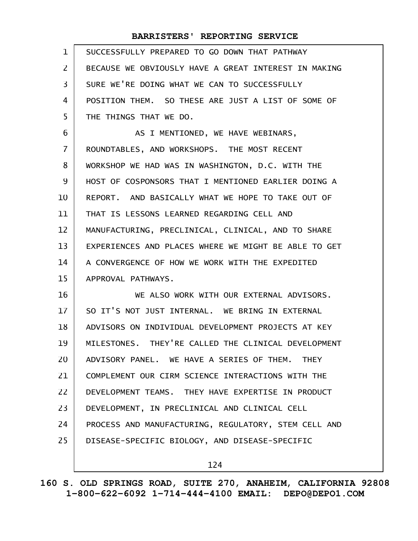| $\mathbf{1}$   | SUCCESSFULLY PREPARED TO GO DOWN THAT PATHWAY        |
|----------------|------------------------------------------------------|
| $\overline{2}$ | BECAUSE WE OBVIOUSLY HAVE A GREAT INTEREST IN MAKING |
| $\overline{3}$ | SURE WE'RE DOING WHAT WE CAN TO SUCCESSFULLY         |
| 4              | POSITION THEM. SO THESE ARE JUST A LIST OF SOME OF   |
| 5              | THE THINGS THAT WE DO.                               |
| 6              | AS I MENTIONED, WE HAVE WEBINARS,                    |
| $\overline{7}$ | ROUNDTABLES, AND WORKSHOPS. THE MOST RECENT          |
| 8              | WORKSHOP WE HAD WAS IN WASHINGTON, D.C. WITH THE     |
| 9              | HOST OF COSPONSORS THAT I MENTIONED EARLIER DOING A  |
| 10             | REPORT. AND BASICALLY WHAT WE HOPE TO TAKE OUT OF    |
| 11             | THAT IS LESSONS LEARNED REGARDING CELL AND           |
| 12             | MANUFACTURING, PRECLINICAL, CLINICAL, AND TO SHARE   |
| 13             | EXPERIENCES AND PLACES WHERE WE MIGHT BE ABLE TO GET |
| 14             | A CONVERGENCE OF HOW WE WORK WITH THE EXPEDITED      |
| 15             | APPROVAL PATHWAYS.                                   |
| 16             | WE ALSO WORK WITH OUR EXTERNAL ADVISORS.             |
| 17             | SO IT'S NOT JUST INTERNAL. WE BRING IN EXTERNAL      |
| 18             | ADVISORS ON INDIVIDUAL DEVELOPMENT PROJECTS AT KEY   |
| 19             | MILESTONES. THEY'RE CALLED THE CLINICAL DEVELOPMENT  |
| 20             | ADVISORY PANEL. WE HAVE A SERIES OF THEM. THEY       |
| 21             | COMPLEMENT OUR CIRM SCIENCE INTERACTIONS WITH THE    |
| 22             | DEVELOPMENT TEAMS. THEY HAVE EXPERTISE IN PRODUCT    |
| 23             | DEVELOPMENT, IN PRECLINICAL AND CLINICAL CELL        |
| 24             | PROCESS AND MANUFACTURING, REGULATORY, STEM CELL AND |
| 25             | DISEASE-SPECIFIC BIOLOGY, AND DISEASE-SPECIFIC       |
|                |                                                      |

124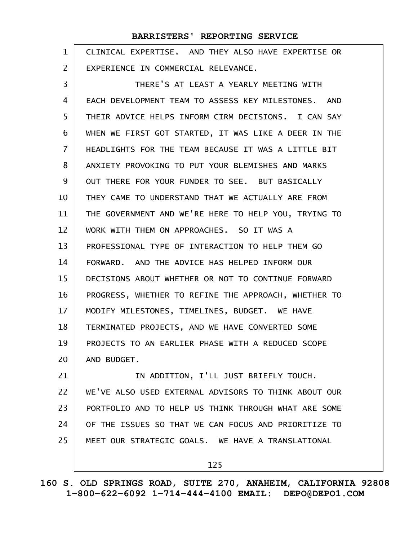| $\mathbf 1$ | CLINICAL EXPERTISE. AND THEY ALSO HAVE EXPERTISE OR  |
|-------------|------------------------------------------------------|
| 2           | EXPERIENCE IN COMMERCIAL RELEVANCE.                  |
| 3           | THERE'S AT LEAST A YEARLY MEETING WITH               |
| 4           | EACH DEVELOPMENT TEAM TO ASSESS KEY MILESTONES. AND  |
| 5           | THEIR ADVICE HELPS INFORM CIRM DECISIONS. I CAN SAY  |
| 6           | WHEN WE FIRST GOT STARTED, IT WAS LIKE A DEER IN THE |
| 7           | HEADLIGHTS FOR THE TEAM BECAUSE IT WAS A LITTLE BIT  |
| 8           | ANXIETY PROVOKING TO PUT YOUR BLEMISHES AND MARKS    |
| 9           | OUT THERE FOR YOUR FUNDER TO SEE. BUT BASICALLY      |
| 10          | THEY CAME TO UNDERSTAND THAT WE ACTUALLY ARE FROM    |
| 11          | THE GOVERNMENT AND WE'RE HERE TO HELP YOU, TRYING TO |
| 12          | WORK WITH THEM ON APPROACHES. SO IT WAS A            |
| 13          | PROFESSIONAL TYPE OF INTERACTION TO HELP THEM GO     |
| 14          | FORWARD. AND THE ADVICE HAS HELPED INFORM OUR        |
| 15          | DECISIONS ABOUT WHETHER OR NOT TO CONTINUE FORWARD   |
| 16          | PROGRESS, WHETHER TO REFINE THE APPROACH, WHETHER TO |
| 17          | MODIFY MILESTONES, TIMELINES, BUDGET. WE HAVE        |
| 18          | TERMINATED PROJECTS, AND WE HAVE CONVERTED SOME      |
| 19          | PROJECTS TO AN EARLIER PHASE WITH A REDUCED SCOPE    |
| 20          | AND BUDGET.                                          |
| 21          | IN ADDITION, I'LL JUST BRIEFLY TOUCH.                |
| 22          | WE'VE ALSO USED EXTERNAL ADVISORS TO THINK ABOUT OUR |
| 23          | PORTFOLIO AND TO HELP US THINK THROUGH WHAT ARE SOME |
| 24          | OF THE ISSUES SO THAT WE CAN FOCUS AND PRIORITIZE TO |
| 25          | MEET OUR STRATEGIC GOALS. WE HAVE A TRANSLATIONAL    |
|             | 125                                                  |
|             |                                                      |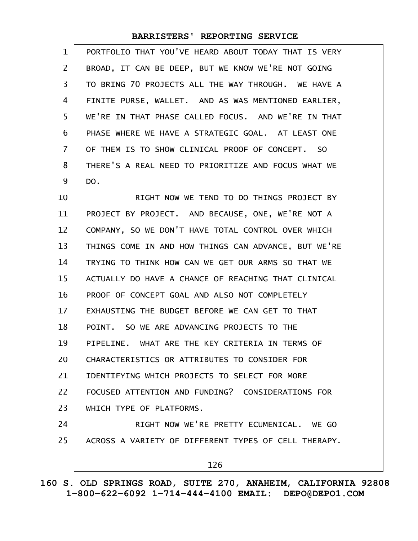| 1              | PORTFOLIO THAT YOU'VE HEARD ABOUT TODAY THAT IS VERY |
|----------------|------------------------------------------------------|
| $\overline{2}$ | BROAD, IT CAN BE DEEP, BUT WE KNOW WE'RE NOT GOING   |
| 3              | TO BRING 70 PROJECTS ALL THE WAY THROUGH. WE HAVE A  |
| 4              | FINITE PURSE, WALLET. AND AS WAS MENTIONED EARLIER,  |
| 5              | WE'RE IN THAT PHASE CALLED FOCUS. AND WE'RE IN THAT  |
| 6              | PHASE WHERE WE HAVE A STRATEGIC GOAL, AT LEAST ONE   |
| $\overline{7}$ | OF THEM IS TO SHOW CLINICAL PROOF OF CONCEPT. SO     |
| 8              | THERE'S A REAL NEED TO PRIORITIZE AND FOCUS WHAT WE  |
| 9              | DO.                                                  |
| 10             | RIGHT NOW WE TEND TO DO THINGS PROJECT BY            |
| 11             | PROJECT BY PROJECT. AND BECAUSE, ONE, WE'RE NOT A    |
| 12             | COMPANY, SO WE DON'T HAVE TOTAL CONTROL OVER WHICH   |
| 13             | THINGS COME IN AND HOW THINGS CAN ADVANCE, BUT WE'RE |
| 14             | TRYING TO THINK HOW CAN WE GET OUR ARMS SO THAT WE   |
| 15             | ACTUALLY DO HAVE A CHANCE OF REACHING THAT CLINICAL  |
| 16             | PROOF OF CONCEPT GOAL AND ALSO NOT COMPLETELY        |
| 17             | EXHAUSTING THE BUDGET BEFORE WE CAN GET TO THAT      |
| 18             | SO WE ARE ADVANCING PROJECTS TO THE<br>POINT.        |
| 19             | PIPELINE. WHAT ARE THE KEY CRITERIA IN TERMS OF      |
| 20             | CHARACTERISTICS OR ATTRIBUTES TO CONSIDER FOR        |
| 21             | IDENTIFYING WHICH PROJECTS TO SELECT FOR MORE        |
| 22             | FOCUSED ATTENTION AND FUNDING? CONSIDERATIONS FOR    |
| 23             | WHICH TYPE OF PLATFORMS.                             |
| 24             | RIGHT NOW WE'RE PRETTY ECUMENICAL, WE GO             |
| 25             | ACROSS A VARIETY OF DIFFERENT TYPES OF CELL THERAPY. |
|                | 126                                                  |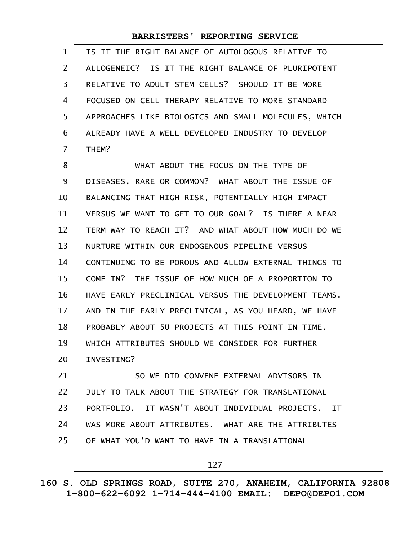| $\mathbf{1}$ | IS IT THE RIGHT BALANCE OF AUTOLOGOUS RELATIVE TO    |
|--------------|------------------------------------------------------|
| 2            | ALLOGENEIC? IS IT THE RIGHT BALANCE OF PLURIPOTENT   |
| 3            | RELATIVE TO ADULT STEM CELLS? SHOULD IT BE MORE      |
| 4            | FOCUSED ON CELL THERAPY RELATIVE TO MORE STANDARD    |
| 5            | APPROACHES LIKE BIOLOGICS AND SMALL MOLECULES, WHICH |
| 6            | ALREADY HAVE A WELL-DEVELOPED INDUSTRY TO DEVELOP    |
| 7            | THEM?                                                |
| 8            | WHAT ABOUT THE FOCUS ON THE TYPE OF                  |
| 9            | DISEASES, RARE OR COMMON? WHAT ABOUT THE ISSUE OF    |
| 10           | BALANCING THAT HIGH RISK, POTENTIALLY HIGH IMPACT    |
| 11           | VERSUS WE WANT TO GET TO OUR GOAL? IS THERE A NEAR   |
| 12           | TERM WAY TO REACH IT? AND WHAT ABOUT HOW MUCH DO WE  |
| 13           | NURTURE WITHIN OUR ENDOGENOUS PIPELINE VERSUS        |
| 14           | CONTINUING TO BE POROUS AND ALLOW EXTERNAL THINGS TO |
| 15           | COME IN? THE ISSUE OF HOW MUCH OF A PROPORTION TO    |
| 16           | HAVE EARLY PRECLINICAL VERSUS THE DEVELOPMENT TEAMS. |
| 17           | AND IN THE EARLY PRECLINICAL, AS YOU HEARD, WE HAVE  |
| 18           | PROBABLY ABOUT 50 PROJECTS AT THIS POINT IN TIME.    |
| 19           | WHICH ATTRIBUTES SHOULD WE CONSIDER FOR FURTHER      |
| 20           | INVESTING?                                           |
| 21           | SO WE DID CONVENE EXTERNAL ADVISORS IN               |
| 22           | JULY TO TALK ABOUT THE STRATEGY FOR TRANSLATIONAL    |
| 23           | PORTFOLIO, IT WASN'T ABOUT INDIVIDUAL PROJECTS, IT   |
| 24           | WAS MORE ABOUT ATTRIBUTES. WHAT ARE THE ATTRIBUTES   |
| 25           | OF WHAT YOU'D WANT TO HAVE IN A TRANSLATIONAL        |
|              | 127                                                  |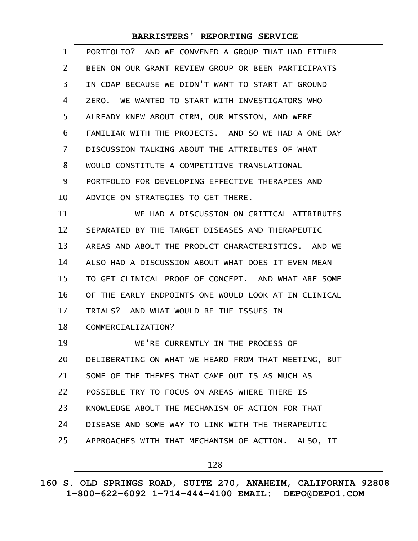| $\mathbf 1$    | PORTFOLIO? AND WE CONVENED A GROUP THAT HAD EITHER   |
|----------------|------------------------------------------------------|
| $\overline{2}$ | BEEN ON OUR GRANT REVIEW GROUP OR BEEN PARTICIPANTS  |
| 3              | IN CDAP BECAUSE WE DIDN'T WANT TO START AT GROUND    |
| 4              | ZERO. WE WANTED TO START WITH INVESTIGATORS WHO      |
| 5              | ALREADY KNEW ABOUT CIRM, OUR MISSION, AND WERE       |
| 6              | FAMILIAR WITH THE PROJECTS. AND SO WE HAD A ONE-DAY  |
| $\overline{7}$ | DISCUSSION TALKING ABOUT THE ATTRIBUTES OF WHAT      |
| 8              | WOULD CONSTITUTE A COMPETITIVE TRANSLATIONAL         |
| 9              | PORTFOLIO FOR DEVELOPING EFFECTIVE THERAPIES AND     |
| 10             | ADVICE ON STRATEGIES TO GET THERE.                   |
| 11             | WE HAD A DISCUSSION ON CRITICAL ATTRIBUTES           |
| 12             | SEPARATED BY THE TARGET DISEASES AND THERAPEUTIC     |
| 13             | AREAS AND ABOUT THE PRODUCT CHARACTERISTICS. AND WE  |
| 14             | ALSO HAD A DISCUSSION ABOUT WHAT DOES IT EVEN MEAN   |
| 15             | TO GET CLINICAL PROOF OF CONCEPT. AND WHAT ARE SOME  |
| 16             | OF THE EARLY ENDPOINTS ONE WOULD LOOK AT IN CLINICAL |
| 17             | TRIALS? AND WHAT WOULD BE THE ISSUES IN              |
| 18             | COMMERCIALIZATION?                                   |
| 19             | WE'RE CURRENTLY IN THE PROCESS OF                    |
| 20             | DELIBERATING ON WHAT WE HEARD FROM THAT MEETING, BUT |
| 21             | SOME OF THE THEMES THAT CAME OUT IS AS MUCH AS       |
| 22             | POSSIBLE TRY TO FOCUS ON AREAS WHERE THERE IS        |
| 23             | KNOWLEDGE ABOUT THE MECHANISM OF ACTION FOR THAT     |
| 24             | DISEASE AND SOME WAY TO LINK WITH THE THERAPEUTIC    |
| 25             | APPROACHES WITH THAT MECHANISM OF ACTION. ALSO, IT   |
|                | 128                                                  |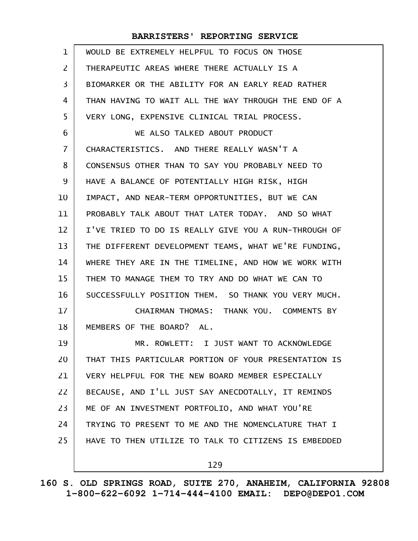| $\mathbf{1}$   | WOULD BE EXTREMELY HELPFUL TO FOCUS ON THOSE         |
|----------------|------------------------------------------------------|
| $\overline{2}$ | THERAPEUTIC AREAS WHERE THERE ACTUALLY IS A          |
| 3              | BIOMARKER OR THE ABILITY FOR AN EARLY READ RATHER    |
| 4              | THAN HAVING TO WAIT ALL THE WAY THROUGH THE END OF A |
| 5              | VERY LONG, EXPENSIVE CLINICAL TRIAL PROCESS.         |
| 6              | WE ALSO TALKED ABOUT PRODUCT                         |
| $\overline{7}$ | CHARACTERISTICS. AND THERE REALLY WASN'T A           |
| 8              | CONSENSUS OTHER THAN TO SAY YOU PROBABLY NEED TO     |
| 9              | HAVE A BALANCE OF POTENTIALLY HIGH RISK, HIGH        |
| 10             | IMPACT, AND NEAR-TERM OPPORTUNITIES, BUT WE CAN      |
| 11             | PROBABLY TALK ABOUT THAT LATER TODAY. AND SO WHAT    |
| 12             | I'VE TRIED TO DO IS REALLY GIVE YOU A RUN-THROUGH OF |
| 13             | THE DIFFERENT DEVELOPMENT TEAMS, WHAT WE'RE FUNDING, |
| 14             | WHERE THEY ARE IN THE TIMELINE, AND HOW WE WORK WITH |
| 15             | THEM TO MANAGE THEM TO TRY AND DO WHAT WE CAN TO     |
| 16             | SUCCESSFULLY POSITION THEM. SO THANK YOU VERY MUCH.  |
| 17             | CHAIRMAN THOMAS: THANK YOU. COMMENTS BY              |
| 18             | MEMBERS OF THE BOARD? AL.                            |
| 19             | MR. ROWLETT: I JUST WANT TO ACKNOWLEDGE              |
| 20             | THAT THIS PARTICULAR PORTION OF YOUR PRESENTATION IS |
| 21             | VERY HELPFUL FOR THE NEW BOARD MEMBER ESPECIALLY     |
| 22             | BECAUSE, AND I'LL JUST SAY ANECDOTALLY, IT REMINDS   |
| 23             | ME OF AN INVESTMENT PORTFOLIO, AND WHAT YOU'RE       |
| 24             | TRYING TO PRESENT TO ME AND THE NOMENCLATURE THAT I  |
| 25             | HAVE TO THEN UTILIZE TO TALK TO CITIZENS IS EMBEDDED |
|                | 129                                                  |

**160 S. OLD SPRINGS ROAD, SUITE 270, ANAHEIM, CALIFORNIA 92808 1-800-622-6092 1-714-444-4100 EMAIL: DEPO@DEPO1.COM**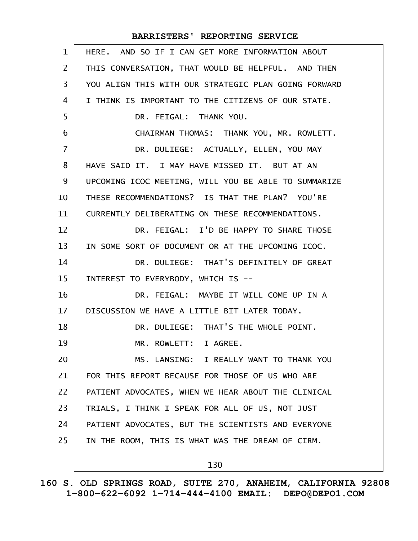| $\mathbf 1$    | HERE. AND SO IF I CAN GET MORE INFORMATION ABOUT     |
|----------------|------------------------------------------------------|
| $\overline{2}$ | THIS CONVERSATION, THAT WOULD BE HELPFUL. AND THEN   |
| 3              | YOU ALIGN THIS WITH OUR STRATEGIC PLAN GOING FORWARD |
| 4              | I THINK IS IMPORTANT TO THE CITIZENS OF OUR STATE.   |
| 5              | DR. FEIGAL: THANK YOU.                               |
| 6              | CHAIRMAN THOMAS: THANK YOU, MR. ROWLETT.             |
| $\overline{7}$ | DR. DULIEGE: ACTUALLY, ELLEN, YOU MAY                |
| 8              | HAVE SAID IT. I MAY HAVE MISSED IT. BUT AT AN        |
| 9              | UPCOMING ICOC MEETING, WILL YOU BE ABLE TO SUMMARIZE |
| 10             | THESE RECOMMENDATIONS? IS THAT THE PLAN? YOU'RE      |
| 11             | CURRENTLY DELIBERATING ON THESE RECOMMENDATIONS.     |
| 12             | DR. FEIGAL: I'D BE HAPPY TO SHARE THOSE              |
| 13             | IN SOME SORT OF DOCUMENT OR AT THE UPCOMING ICOC.    |
| 14             | DR. DULIEGE: THAT'S DEFINITELY OF GREAT              |
| 15             | INTEREST TO EVERYBODY, WHICH IS --                   |
| 16             | DR. FEIGAL: MAYBE IT WILL COME UP IN A               |
| 17             | DISCUSSION WE HAVE A LITTLE BIT LATER TODAY.         |
| 18             | DR. DULIEGE: THAT'S THE WHOLE POINT.                 |
| 19             | MR. ROWLETT: I AGREE.                                |
| 20             | MS. LANSING: I REALLY WANT TO THANK YOU              |
| 21             | FOR THIS REPORT BECAUSE FOR THOSE OF US WHO ARE      |
| 22             | PATIENT ADVOCATES, WHEN WE HEAR ABOUT THE CLINICAL   |
| 23             | TRIALS, I THINK I SPEAK FOR ALL OF US, NOT JUST      |
| 24             | PATIENT ADVOCATES, BUT THE SCIENTISTS AND EVERYONE   |
| 25             | IN THE ROOM, THIS IS WHAT WAS THE DREAM OF CIRM.     |
|                | 130                                                  |

**160 S. OLD SPRINGS ROAD, SUITE 270, ANAHEIM, CALIFORNIA 92808 1-800-622-6092 1-714-444-4100 EMAIL: DEPO@DEPO1.COM**

 $\mathsf{l}$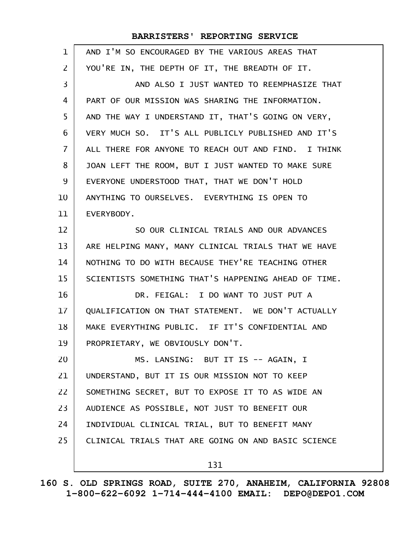| $\mathbf{1}$   | AND I'M SO ENCOURAGED BY THE VARIOUS AREAS THAT      |
|----------------|------------------------------------------------------|
| $\overline{2}$ | YOU'RE IN, THE DEPTH OF IT, THE BREADTH OF IT.       |
| 3              | AND ALSO I JUST WANTED TO REEMPHASIZE THAT           |
| 4              | PART OF OUR MISSION WAS SHARING THE INFORMATION.     |
| 5              | AND THE WAY I UNDERSTAND IT, THAT'S GOING ON VERY,   |
| 6              | VERY MUCH SO. IT'S ALL PUBLICLY PUBLISHED AND IT'S   |
| $\overline{7}$ | ALL THERE FOR ANYONE TO REACH OUT AND FIND. I THINK  |
| 8              | JOAN LEFT THE ROOM, BUT I JUST WANTED TO MAKE SURE   |
| 9              | EVERYONE UNDERSTOOD THAT, THAT WE DON'T HOLD         |
| 10             | ANYTHING TO OURSELVES. EVERYTHING IS OPEN TO         |
| 11             | EVERYBODY.                                           |
| 12             | SO OUR CLINICAL TRIALS AND OUR ADVANCES              |
| 13             | ARE HELPING MANY, MANY CLINICAL TRIALS THAT WE HAVE  |
| 14             | NOTHING TO DO WITH BECAUSE THEY'RE TEACHING OTHER    |
| 15             | SCIENTISTS SOMETHING THAT'S HAPPENING AHEAD OF TIME. |
| 16             | DR. FEIGAL: I DO WANT TO JUST PUT A                  |
| 17             | QUALIFICATION ON THAT STATEMENT. WE DON'T ACTUALLY   |
| 18             | MAKE EVERYTHING PUBLIC. IF IT'S CONFIDENTIAL AND     |
| 19             | PROPRIETARY, WE OBVIOUSLY DON'T.                     |
| 20             | MS. LANSING: BUT IT IS -- AGAIN, I                   |
| 21             | UNDERSTAND, BUT IT IS OUR MISSION NOT TO KEEP        |
| 22             | SOMETHING SECRET, BUT TO EXPOSE IT TO AS WIDE AN     |
| 23             | AUDIENCE AS POSSIBLE, NOT JUST TO BENEFIT OUR        |
| 24             | INDIVIDUAL CLINICAL TRIAL, BUT TO BENEFIT MANY       |
| 25             | CLINICAL TRIALS THAT ARE GOING ON AND BASIC SCIENCE  |
|                | 131                                                  |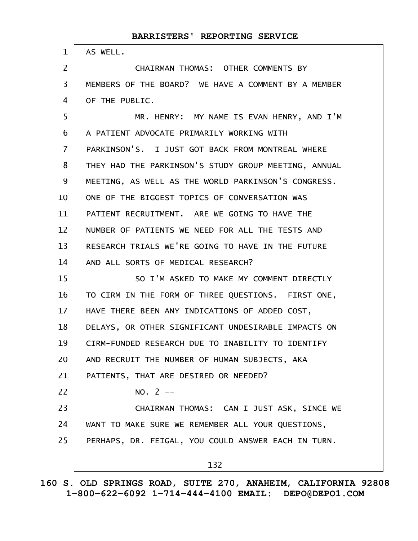| $\mathbf{1}$    | AS WELL.                                             |
|-----------------|------------------------------------------------------|
| $\overline{2}$  | CHAIRMAN THOMAS: OTHER COMMENTS BY                   |
| 3               | MEMBERS OF THE BOARD? WE HAVE A COMMENT BY A MEMBER  |
| 4               | OF THE PUBLIC.                                       |
| 5               | MR. HENRY: MY NAME IS EVAN HENRY, AND I'M            |
| 6               | A PATIENT ADVOCATE PRIMARILY WORKING WITH            |
| $\overline{7}$  | PARKINSON'S. I JUST GOT BACK FROM MONTREAL WHERE     |
| 8               | THEY HAD THE PARKINSON'S STUDY GROUP MEETING, ANNUAL |
| 9               | MEETING, AS WELL AS THE WORLD PARKINSON'S CONGRESS.  |
| 10              | ONE OF THE BIGGEST TOPICS OF CONVERSATION WAS        |
| 11              | PATIENT RECRUITMENT. ARE WE GOING TO HAVE THE        |
| 12              | NUMBER OF PATIENTS WE NEED FOR ALL THE TESTS AND     |
| 13              | RESEARCH TRIALS WE'RE GOING TO HAVE IN THE FUTURE    |
| 14              | AND ALL SORTS OF MEDICAL RESEARCH?                   |
| 15              | SO I'M ASKED TO MAKE MY COMMENT DIRECTLY             |
| 16              | TO CIRM IN THE FORM OF THREE QUESTIONS. FIRST ONE,   |
| 17 <sup>2</sup> | HAVE THERE BEEN ANY INDICATIONS OF ADDED COST,       |
| 18              | DELAYS, OR OTHER SIGNIFICANT UNDESIRABLE IMPACTS ON  |
| 19              | CIRM-FUNDED RESEARCH DUE TO INABILITY TO IDENTIFY    |
| 20              | AND RECRUIT THE NUMBER OF HUMAN SUBJECTS, AKA        |
| 21              | PATIENTS, THAT ARE DESIRED OR NEEDED?                |
| 22              | $NO. 2 --$                                           |
| 23              | CHAIRMAN THOMAS: CAN I JUST ASK, SINCE WE            |
| 24              | WANT TO MAKE SURE WE REMEMBER ALL YOUR QUESTIONS,    |
| 25              | PERHAPS, DR. FEIGAL, YOU COULD ANSWER EACH IN TURN.  |
|                 | 132                                                  |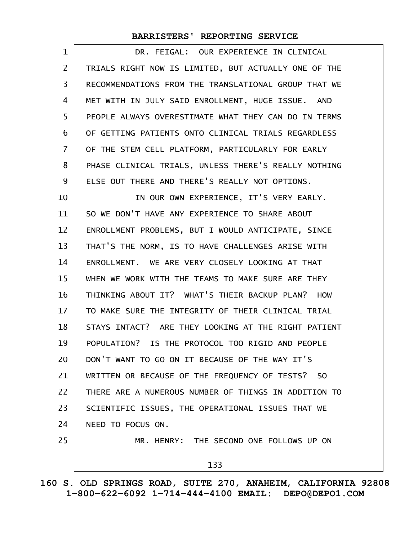| 1                 | DR. FEIGAL: OUR EXPERIENCE IN CLINICAL               |
|-------------------|------------------------------------------------------|
| $\overline{2}$    | TRIALS RIGHT NOW IS LIMITED, BUT ACTUALLY ONE OF THE |
| 3                 | RECOMMENDATIONS FROM THE TRANSLATIONAL GROUP THAT WE |
| 4                 | MET WITH IN JULY SAID ENROLLMENT, HUGE ISSUE. AND    |
| 5                 | PEOPLE ALWAYS OVERESTIMATE WHAT THEY CAN DO IN TERMS |
| 6                 | OF GETTING PATIENTS ONTO CLINICAL TRIALS REGARDLESS  |
| 7                 | OF THE STEM CELL PLATFORM, PARTICULARLY FOR EARLY    |
| 8                 | PHASE CLINICAL TRIALS, UNLESS THERE'S REALLY NOTHING |
| 9                 | ELSE OUT THERE AND THERE'S REALLY NOT OPTIONS.       |
| 10                | IN OUR OWN EXPERIENCE, IT'S VERY EARLY.              |
| 11                | SO WE DON'T HAVE ANY EXPERIENCE TO SHARE ABOUT       |
| $12 \overline{ }$ | ENROLLMENT PROBLEMS, BUT I WOULD ANTICIPATE, SINCE   |
| 13                | THAT'S THE NORM, IS TO HAVE CHALLENGES ARISE WITH    |
| 14                | ENROLLMENT. WE ARE VERY CLOSELY LOOKING AT THAT      |
| 15                | WHEN WE WORK WITH THE TEAMS TO MAKE SURE ARE THEY    |
| 16                | THINKING ABOUT IT? WHAT'S THEIR BACKUP PLAN? HOW     |
| 17                | TO MAKE SURE THE INTEGRITY OF THEIR CLINICAL TRIAL   |
| 18                | STAYS INTACT? ARE THEY LOOKING AT THE RIGHT PATIENT  |
| 19                | POPULATION? IS THE PROTOCOL TOO RIGID AND PEOPLE     |
| 20                | DON'T WANT TO GO ON IT BECAUSE OF THE WAY IT'S       |
| 21                | WRITTEN OR BECAUSE OF THE FREQUENCY OF TESTS? SO     |
| 22                | THERE ARE A NUMEROUS NUMBER OF THINGS IN ADDITION TO |
| 23                | SCIENTIFIC ISSUES, THE OPERATIONAL ISSUES THAT WE    |
| 24                | NEED TO FOCUS ON.                                    |
| 25                | MR. HENRY: THE SECOND ONE FOLLOWS UP ON              |
|                   | 133                                                  |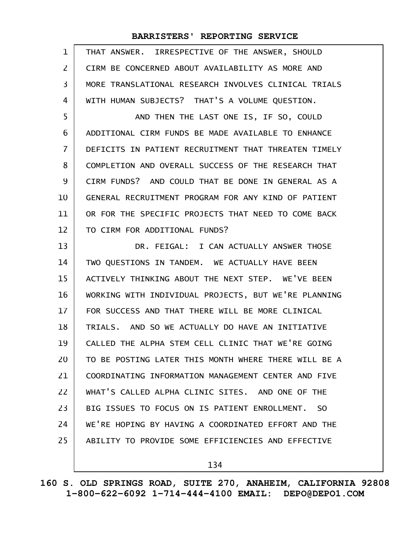| 1                 | THAT ANSWER. IRRESPECTIVE OF THE ANSWER, SHOULD      |
|-------------------|------------------------------------------------------|
| 2                 | CIRM BE CONCERNED ABOUT AVAILABILITY AS MORE AND     |
| 3                 | MORE TRANSLATIONAL RESEARCH INVOLVES CLINICAL TRIALS |
| 4                 | WITH HUMAN SUBJECTS? THAT'S A VOLUME QUESTION.       |
| 5                 | AND THEN THE LAST ONE IS, IF SO, COULD               |
| 6                 | ADDITIONAL CIRM FUNDS BE MADE AVAILABLE TO ENHANCE   |
| $\overline{7}$    | DEFICITS IN PATIENT RECRUITMENT THAT THREATEN TIMELY |
| 8                 | COMPLETION AND OVERALL SUCCESS OF THE RESEARCH THAT  |
| 9                 | CIRM FUNDS? AND COULD THAT BE DONE IN GENERAL AS A   |
| 10                | GENERAL RECRUITMENT PROGRAM FOR ANY KIND OF PATIENT  |
| 11                | OR FOR THE SPECIFIC PROJECTS THAT NEED TO COME BACK  |
| $12 \overline{ }$ | TO CIRM FOR ADDITIONAL FUNDS?                        |
| 13                | DR. FEIGAL: I CAN ACTUALLY ANSWER THOSE              |
| 14                | TWO QUESTIONS IN TANDEM. WE ACTUALLY HAVE BEEN       |
| 15                | ACTIVELY THINKING ABOUT THE NEXT STEP. WE'VE BEEN    |
| 16                | WORKING WITH INDIVIDUAL PROJECTS, BUT WE'RE PLANNING |
| 17                | FOR SUCCESS AND THAT THERE WILL BE MORE CLINICAL     |
| 18                | TRIALS. AND SO WE ACTUALLY DO HAVE AN INITIATIVE     |
| 19                | CALLED THE ALPHA STEM CELL CLINIC THAT WE'RE GOING   |
| 20                | TO BE POSTING LATER THIS MONTH WHERE THERE WILL BE A |
| 21                | COORDINATING INFORMATION MANAGEMENT CENTER AND FIVE  |
| 22                | WHAT'S CALLED ALPHA CLINIC SITES. AND ONE OF THE     |
| 23                | BIG ISSUES TO FOCUS ON IS PATIENT ENROLLMENT. SO     |
| 24                | WE'RE HOPING BY HAVING A COORDINATED EFFORT AND THE  |
| 25                | ABILITY TO PROVIDE SOME EFFICIENCIES AND EFFECTIVE   |
|                   | 134                                                  |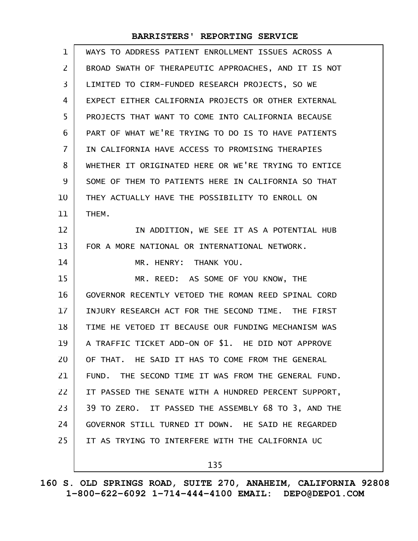| $\mathbf{1}$   | WAYS TO ADDRESS PATIENT ENROLLMENT ISSUES ACROSS A   |
|----------------|------------------------------------------------------|
| 2              | BROAD SWATH OF THERAPEUTIC APPROACHES, AND IT IS NOT |
| $\overline{3}$ | LIMITED TO CIRM-FUNDED RESEARCH PROJECTS, SO WE      |
| 4              | EXPECT EITHER CALIFORNIA PROJECTS OR OTHER EXTERNAL  |
| 5              | PROJECTS THAT WANT TO COME INTO CALIFORNIA BECAUSE   |
| 6              | PART OF WHAT WE'RE TRYING TO DO IS TO HAVE PATIENTS  |
| $\overline{7}$ | IN CALIFORNIA HAVE ACCESS TO PROMISING THERAPIES     |
| 8              | WHETHER IT ORIGINATED HERE OR WE'RE TRYING TO ENTICE |
| 9              | SOME OF THEM TO PATIENTS HERE IN CALIFORNIA SO THAT  |
| 10             | THEY ACTUALLY HAVE THE POSSIBILITY TO ENROLL ON      |
| 11             | THEM.                                                |
| 12             | IN ADDITION, WE SEE IT AS A POTENTIAL HUB            |
| 13             | FOR A MORE NATIONAL OR INTERNATIONAL NETWORK.        |
|                |                                                      |
| 14             | MR. HENRY: THANK YOU.                                |
| 15             | MR. REED: AS SOME OF YOU KNOW, THE                   |
| 16             | GOVERNOR RECENTLY VETOED THE ROMAN REED SPINAL CORD  |
| 17             | INJURY RESEARCH ACT FOR THE SECOND TIME. THE FIRST   |
| 18             | TIME HE VETOED IT BECAUSE OUR FUNDING MECHANISM WAS  |
| 19             | A TRAFFIC TICKET ADD-ON OF \$1. HE DID NOT APPROVE   |
| 20             | OF THAT. HE SAID IT HAS TO COME FROM THE GENERAL     |
| 21             | FUND. THE SECOND TIME IT WAS FROM THE GENERAL FUND.  |
| 22             | IT PASSED THE SENATE WITH A HUNDRED PERCENT SUPPORT, |
| 23             | 39 TO ZERO. IT PASSED THE ASSEMBLY 68 TO 3, AND THE  |
| 24             | GOVERNOR STILL TURNED IT DOWN. HE SAID HE REGARDED   |
| 25             | IT AS TRYING TO INTERFERE WITH THE CALIFORNIA UC     |

135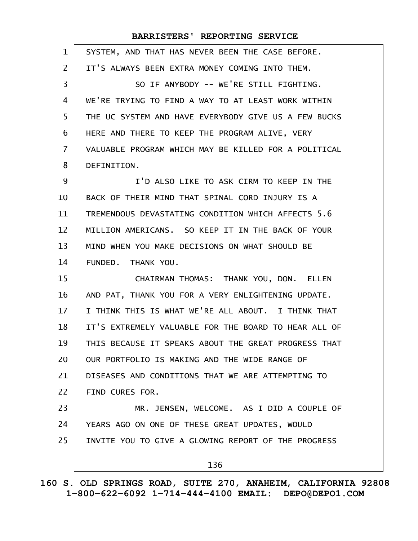| $\mathbf{1}$   | SYSTEM, AND THAT HAS NEVER BEEN THE CASE BEFORE.     |
|----------------|------------------------------------------------------|
| $\overline{2}$ | IT'S ALWAYS BEEN EXTRA MONEY COMING INTO THEM.       |
| 3              | SO IF ANYBODY -- WE'RE STILL FIGHTING.               |
| 4              | WE'RE TRYING TO FIND A WAY TO AT LEAST WORK WITHIN   |
| 5              | THE UC SYSTEM AND HAVE EVERYBODY GIVE US A FEW BUCKS |
| 6              | HERE AND THERE TO KEEP THE PROGRAM ALIVE, VERY       |
| $\overline{7}$ | VALUABLE PROGRAM WHICH MAY BE KILLED FOR A POLITICAL |
| 8              | DEFINITION.                                          |
| 9              | I'D ALSO LIKE TO ASK CIRM TO KEEP IN THE             |
| 10             | BACK OF THEIR MIND THAT SPINAL CORD INJURY IS A      |
| 11             | TREMENDOUS DEVASTATING CONDITION WHICH AFFECTS 5.6   |
| 12             | MILLION AMERICANS. SO KEEP IT IN THE BACK OF YOUR    |
| 13             | MIND WHEN YOU MAKE DECISIONS ON WHAT SHOULD BE       |
| 14             | FUNDED. THANK YOU.                                   |
| 15             | CHAIRMAN THOMAS: THANK YOU, DON. ELLEN               |
| 16             | AND PAT, THANK YOU FOR A VERY ENLIGHTENING UPDATE.   |
| 17             | I THINK THIS IS WHAT WE'RE ALL ABOUT. I THINK THAT   |
| 18             | IT'S EXTREMELY VALUABLE FOR THE BOARD TO HEAR ALL OF |
| 19             | THIS BECAUSE IT SPEAKS ABOUT THE GREAT PROGRESS THAT |
| 20             | OUR PORTFOLIO IS MAKING AND THE WIDE RANGE OF        |
| 21             | DISEASES AND CONDITIONS THAT WE ARE ATTEMPTING TO    |
| 22             | FIND CURES FOR.                                      |
| 23             | MR. JENSEN, WELCOME. AS I DID A COUPLE OF            |
| 24             | YEARS AGO ON ONE OF THESE GREAT UPDATES, WOULD       |
| 25             | INVITE YOU TO GIVE A GLOWING REPORT OF THE PROGRESS  |
|                | 136                                                  |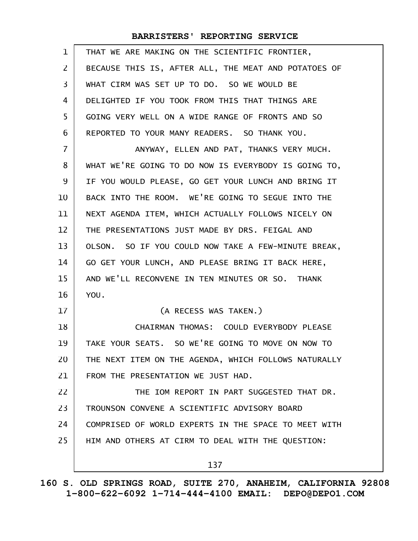| $\mathbf 1$ | THAT WE ARE MAKING ON THE SCIENTIFIC FRONTIER,       |
|-------------|------------------------------------------------------|
| 2           | BECAUSE THIS IS, AFTER ALL, THE MEAT AND POTATOES OF |
| 3           | WHAT CIRM WAS SET UP TO DO. SO WE WOULD BE           |
| 4           | DELIGHTED IF YOU TOOK FROM THIS THAT THINGS ARE      |
| 5           | GOING VERY WELL ON A WIDE RANGE OF FRONTS AND SO     |
| 6           | REPORTED TO YOUR MANY READERS. SO THANK YOU.         |
| 7           | ANYWAY, ELLEN AND PAT, THANKS VERY MUCH.             |
| 8           | WHAT WE'RE GOING TO DO NOW IS EVERYBODY IS GOING TO, |
| 9           | IF YOU WOULD PLEASE, GO GET YOUR LUNCH AND BRING IT  |
| 10          | BACK INTO THE ROOM. WE'RE GOING TO SEGUE INTO THE    |
| 11          | NEXT AGENDA ITEM, WHICH ACTUALLY FOLLOWS NICELY ON   |
| 12          | THE PRESENTATIONS JUST MADE BY DRS. FEIGAL AND       |
| 13          | OLSON. SO IF YOU COULD NOW TAKE A FEW-MINUTE BREAK,  |
| 14          | GO GET YOUR LUNCH, AND PLEASE BRING IT BACK HERE,    |
| 15          | AND WE'LL RECONVENE IN TEN MINUTES OR SO. THANK      |
| 16          | YOU.                                                 |
| 17          | (A RECESS WAS TAKEN.)                                |
| 18          | CHAIRMAN THOMAS: COULD EVERYBODY PLEASE              |
| 19          | TAKE YOUR SEATS. SO WE'RE GOING TO MOVE ON NOW TO    |
| 20          | THE NEXT ITEM ON THE AGENDA, WHICH FOLLOWS NATURALLY |
| 21          | FROM THE PRESENTATION WE JUST HAD.                   |
| 22          | THE IOM REPORT IN PART SUGGESTED THAT DR.            |
| 23          | TROUNSON CONVENE A SCIENTIFIC ADVISORY BOARD         |
| 24          | COMPRISED OF WORLD EXPERTS IN THE SPACE TO MEET WITH |
| 25          | HIM AND OTHERS AT CIRM TO DEAL WITH THE QUESTION:    |
|             | 137                                                  |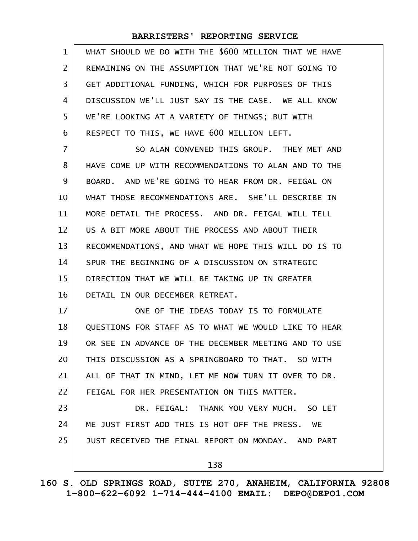| $\mathbf{1}$   | WHAT SHOULD WE DO WITH THE \$600 MILLION THAT WE HAVE |
|----------------|-------------------------------------------------------|
| $\overline{2}$ | REMAINING ON THE ASSUMPTION THAT WE'RE NOT GOING TO   |
| 3              | GET ADDITIONAL FUNDING, WHICH FOR PURPOSES OF THIS    |
| 4              | DISCUSSION WE'LL JUST SAY IS THE CASE. WE ALL KNOW    |
| 5              | WE'RE LOOKING AT A VARIETY OF THINGS; BUT WITH        |
| 6              | RESPECT TO THIS, WE HAVE 600 MILLION LEFT.            |
| $\overline{7}$ | SO ALAN CONVENED THIS GROUP. THEY MET AND             |
| 8              | HAVE COME UP WITH RECOMMENDATIONS TO ALAN AND TO THE  |
| 9              | BOARD. AND WE'RE GOING TO HEAR FROM DR. FEIGAL ON     |
| 10             | WHAT THOSE RECOMMENDATIONS ARE. SHE'LL DESCRIBE IN    |
| 11             | MORE DETAIL THE PROCESS. AND DR. FEIGAL WILL TELL     |
| 12             | US A BIT MORE ABOUT THE PROCESS AND ABOUT THEIR       |
| 13             | RECOMMENDATIONS, AND WHAT WE HOPE THIS WILL DO IS TO  |
| 14             | SPUR THE BEGINNING OF A DISCUSSION ON STRATEGIC       |
| 15             | DIRECTION THAT WE WILL BE TAKING UP IN GREATER        |
| 16             | DETAIL IN OUR DECEMBER RETREAT.                       |
| 17             | ONE OF THE IDEAS TODAY IS TO FORMULATE                |
| 18             | QUESTIONS FOR STAFF AS TO WHAT WE WOULD LIKE TO HEAR  |
| 19             | OR SEE IN ADVANCE OF THE DECEMBER MEETING AND TO USE  |
| 20             | THIS DISCUSSION AS A SPRINGBOARD TO THAT. SO WITH     |
| 21             | ALL OF THAT IN MIND, LET ME NOW TURN IT OVER TO DR.   |
| 22             | FEIGAL FOR HER PRESENTATION ON THIS MATTER.           |
| 23             | DR. FEIGAL: THANK YOU VERY MUCH. SO LET               |
| 24             | ME JUST FIRST ADD THIS IS HOT OFF THE PRESS. WE       |
| 25             | JUST RECEIVED THE FINAL REPORT ON MONDAY. AND PART    |
|                | 138                                                   |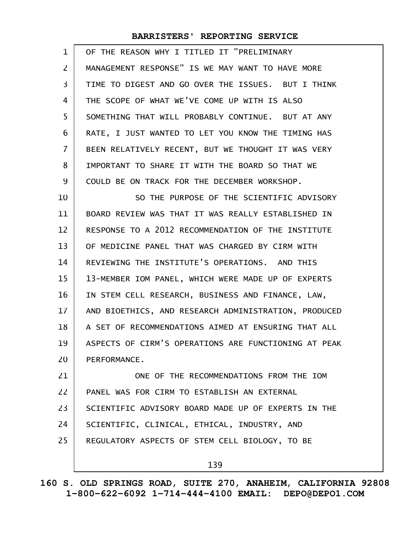| 1              | OF THE REASON WHY I TITLED IT "PRELIMINARY           |
|----------------|------------------------------------------------------|
| 2              | MANAGEMENT RESPONSE" IS WE MAY WANT TO HAVE MORE     |
| 3              | TIME TO DIGEST AND GO OVER THE ISSUES. BUT I THINK   |
| 4              | THE SCOPE OF WHAT WE'VE COME UP WITH IS ALSO         |
| 5              | SOMETHING THAT WILL PROBABLY CONTINUE. BUT AT ANY    |
| 6              | RATE, I JUST WANTED TO LET YOU KNOW THE TIMING HAS   |
| $\overline{7}$ | BEEN RELATIVELY RECENT, BUT WE THOUGHT IT WAS VERY   |
| 8              | IMPORTANT TO SHARE IT WITH THE BOARD SO THAT WE      |
| 9              | COULD BE ON TRACK FOR THE DECEMBER WORKSHOP.         |
| 10             | SO THE PURPOSE OF THE SCIENTIFIC ADVISORY            |
| 11             | BOARD REVIEW WAS THAT IT WAS REALLY ESTABLISHED IN   |
| 12             | RESPONSE TO A 2012 RECOMMENDATION OF THE INSTITUTE   |
| 13             | OF MEDICINE PANEL THAT WAS CHARGED BY CIRM WITH      |
| 14             | REVIEWING THE INSTITUTE'S OPERATIONS. AND THIS       |
| 15             | 13-MEMBER IOM PANEL, WHICH WERE MADE UP OF EXPERTS   |
| 16             | IN STEM CELL RESEARCH, BUSINESS AND FINANCE, LAW,    |
| 17             | AND BIOETHICS, AND RESEARCH ADMINISTRATION, PRODUCED |
| 18             | A SET OF RECOMMENDATIONS AIMED AT ENSURING THAT ALL  |
| 19             | ASPECTS OF CIRM'S OPERATIONS ARE FUNCTIONING AT PEAK |
| 20             | PERFORMANCE.                                         |
| 21             | ONE OF THE RECOMMENDATIONS FROM THE IOM              |
| 22             | PANEL WAS FOR CIRM TO ESTABLISH AN EXTERNAL          |
| 23             | SCIENTIFIC ADVISORY BOARD MADE UP OF EXPERTS IN THE  |
| 24             | SCIENTIFIC, CLINICAL, ETHICAL, INDUSTRY, AND         |
| 25             | REGULATORY ASPECTS OF STEM CELL BIOLOGY, TO BE       |
|                | 139                                                  |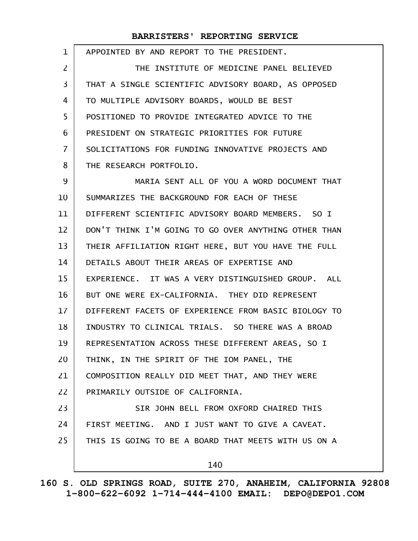| 1              | APPOINTED BY AND REPORT TO THE PRESIDENT.            |
|----------------|------------------------------------------------------|
| 2              | THE INSTITUTE OF MEDICINE PANEL BELIEVED             |
| 3              | THAT A SINGLE SCIENTIFIC ADVISORY BOARD, AS OPPOSED  |
| 4              | TO MULTIPLE ADVISORY BOARDS, WOULD BE BEST           |
| 5              | POSITIONED TO PROVIDE INTEGRATED ADVICE TO THE       |
| 6              | PRESIDENT ON STRATEGIC PRIORITIES FOR FUTURE         |
| $\overline{7}$ | SOLICITATIONS FOR FUNDING INNOVATIVE PROJECTS AND    |
| 8              | THE RESEARCH PORTFOLIO.                              |
| 9              | MARIA SENT ALL OF YOU A WORD DOCUMENT THAT           |
| 10             | SUMMARIZES THE BACKGROUND FOR EACH OF THESE          |
| 11             | DIFFERENT SCIENTIFIC ADVISORY BOARD MEMBERS. SO I    |
| 12             | DON'T THINK I'M GOING TO GO OVER ANYTHING OTHER THAN |
| 13             | THEIR AFFILIATION RIGHT HERE, BUT YOU HAVE THE FULL  |
| 14             | DETAILS ABOUT THEIR AREAS OF EXPERTISE AND           |
| 15             | EXPERIENCE. IT WAS A VERY DISTINGUISHED GROUP. ALL   |
| 16             | BUT ONE WERE EX-CALIFORNIA. THEY DID REPRESENT       |
| 17             | DIFFERENT FACETS OF EXPERIENCE FROM BASIC BIOLOGY TO |
| 18             | INDUSTRY TO CLINICAL TRIALS. SO THERE WAS A BROAD    |
| 19             | REPRESENTATION ACROSS THESE DIFFERENT AREAS, SO I    |
| 20             | THINK, IN THE SPIRIT OF THE IOM PANEL, THE           |
| 21             | COMPOSITION REALLY DID MEET THAT, AND THEY WERE      |
| 22             | PRIMARILY OUTSIDE OF CALIFORNIA.                     |
| 23             | SIR JOHN BELL FROM OXFORD CHAIRED THIS               |
| 24             | FIRST MEETING. AND I JUST WANT TO GIVE A CAVEAT.     |
| 25             | THIS IS GOING TO BE A BOARD THAT MEETS WITH US ON A  |
|                | 140                                                  |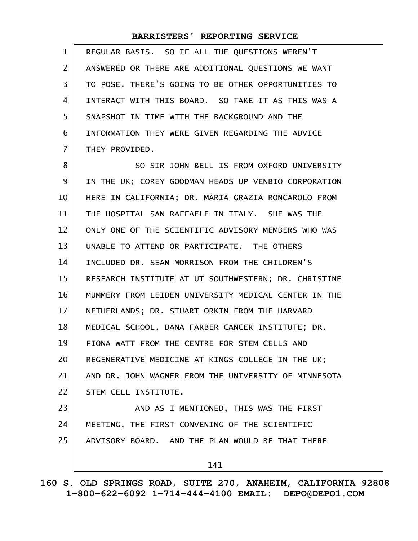| $\mathbf{1}$   | REGULAR BASIS. SO IF ALL THE QUESTIONS WEREN'T       |
|----------------|------------------------------------------------------|
| 2              | ANSWERED OR THERE ARE ADDITIONAL QUESTIONS WE WANT   |
| $\overline{3}$ | TO POSE, THERE'S GOING TO BE OTHER OPPORTUNITIES TO  |
| 4              | INTERACT WITH THIS BOARD. SO TAKE IT AS THIS WAS A   |
| 5              | SNAPSHOT IN TIME WITH THE BACKGROUND AND THE         |
| 6              | INFORMATION THEY WERE GIVEN REGARDING THE ADVICE     |
| $\overline{7}$ | THEY PROVIDED.                                       |
| 8              | SO SIR JOHN BELL IS FROM OXFORD UNIVERSITY           |
| 9              | IN THE UK; COREY GOODMAN HEADS UP VENBIO CORPORATION |
| 10             | HERE IN CALIFORNIA; DR. MARIA GRAZIA RONCAROLO FROM  |
| 11             | THE HOSPITAL SAN RAFFAELE IN ITALY. SHE WAS THE      |
| 12             | ONLY ONE OF THE SCIENTIFIC ADVISORY MEMBERS WHO WAS  |
| 13             | UNABLE TO ATTEND OR PARTICIPATE. THE OTHERS          |
| 14             | INCLUDED DR. SEAN MORRISON FROM THE CHILDREN'S       |
| 15             | RESEARCH INSTITUTE AT UT SOUTHWESTERN; DR. CHRISTINE |
| 16             | MUMMERY FROM LEIDEN UNIVERSITY MEDICAL CENTER IN THE |
| 17             | NETHERLANDS; DR. STUART ORKIN FROM THE HARVARD       |
| 18             | MEDICAL SCHOOL, DANA FARBER CANCER INSTITUTE; DR.    |
| 19             | FIONA WATT FROM THE CENTRE FOR STEM CELLS AND        |
| 20             | REGENERATIVE MEDICINE AT KINGS COLLEGE IN THE UK;    |
| 21             | AND DR. JOHN WAGNER FROM THE UNIVERSITY OF MINNESOTA |
| 22             | STEM CELL INSTITUTE.                                 |
| 23             | AND AS I MENTIONED, THIS WAS THE FIRST               |
| 24             | MEETING, THE FIRST CONVENING OF THE SCIENTIFIC       |
| 25             | ADVISORY BOARD. AND THE PLAN WOULD BE THAT THERE     |
|                | 141                                                  |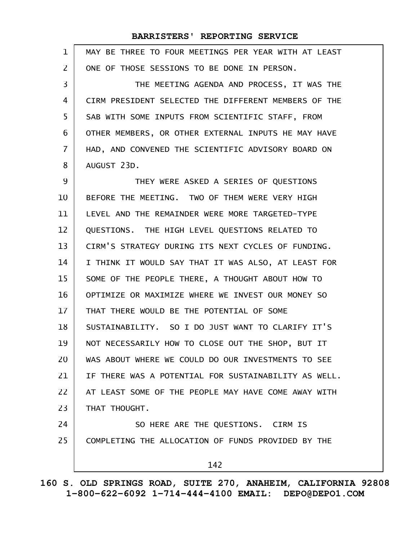| $\mathbf 1$    | MAY BE THREE TO FOUR MEETINGS PER YEAR WITH AT LEAST |
|----------------|------------------------------------------------------|
| $\overline{2}$ | ONE OF THOSE SESSIONS TO BE DONE IN PERSON.          |
| 3              | THE MEETING AGENDA AND PROCESS, IT WAS THE           |
| 4              | CIRM PRESIDENT SELECTED THE DIFFERENT MEMBERS OF THE |
| 5              | SAB WITH SOME INPUTS FROM SCIENTIFIC STAFF, FROM     |
| 6              | OTHER MEMBERS, OR OTHER EXTERNAL INPUTS HE MAY HAVE  |
| $\overline{7}$ | HAD, AND CONVENED THE SCIENTIFIC ADVISORY BOARD ON   |
| 8              | AUGUST 23D.                                          |
| 9              | THEY WERE ASKED A SERIES OF QUESTIONS                |
| 10             | BEFORE THE MEETING. TWO OF THEM WERE VERY HIGH       |
| 11             | LEVEL AND THE REMAINDER WERE MORE TARGETED-TYPE      |
| 12             | QUESTIONS. THE HIGH LEVEL QUESTIONS RELATED TO       |
| 13             | CIRM'S STRATEGY DURING ITS NEXT CYCLES OF FUNDING.   |
| 14             | I THINK IT WOULD SAY THAT IT WAS ALSO, AT LEAST FOR  |
| 15             | SOME OF THE PEOPLE THERE, A THOUGHT ABOUT HOW TO     |
| 16             | OPTIMIZE OR MAXIMIZE WHERE WE INVEST OUR MONEY SO    |
| 17             | THAT THERE WOULD BE THE POTENTIAL OF SOME            |
| 18             | SUSTAINABILITY. SO I DO JUST WANT TO CLARIFY IT'S    |
| 19             | NOT NECESSARILY HOW TO CLOSE OUT THE SHOP, BUT IT    |
| 20             | WAS ABOUT WHERE WE COULD DO OUR INVESTMENTS TO SEE   |
| 21             | IF THERE WAS A POTENTIAL FOR SUSTAINABILITY AS WELL. |
| 22             | AT LEAST SOME OF THE PEOPLE MAY HAVE COME AWAY WITH  |
| 23             | THAT THOUGHT.                                        |
| 24             | SO HERE ARE THE QUESTIONS. CIRM IS                   |
| 25             | COMPLETING THE ALLOCATION OF FUNDS PROVIDED BY THE   |
|                | 142                                                  |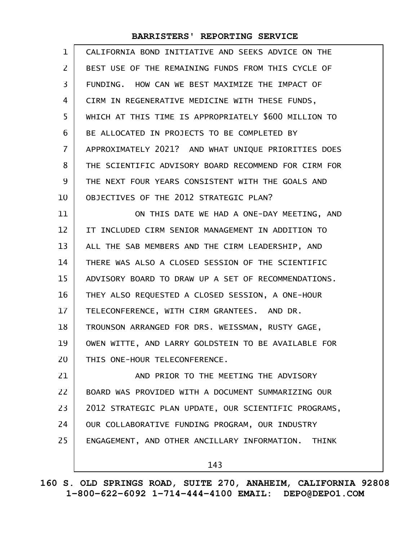| $\mathbf{1}$   | CALIFORNIA BOND INITIATIVE AND SEEKS ADVICE ON THE   |
|----------------|------------------------------------------------------|
| $\mathsf{Z}$   | BEST USE OF THE REMAINING FUNDS FROM THIS CYCLE OF   |
| 3              | FUNDING. HOW CAN WE BEST MAXIMIZE THE IMPACT OF      |
| 4              | CIRM IN REGENERATIVE MEDICINE WITH THESE FUNDS,      |
| 5              | WHICH AT THIS TIME IS APPROPRIATELY \$600 MILLION TO |
| 6              | BE ALLOCATED IN PROJECTS TO BE COMPLETED BY          |
| $\overline{I}$ | APPROXIMATELY 2021? AND WHAT UNIQUE PRIORITIES DOES  |
| 8              | THE SCIENTIFIC ADVISORY BOARD RECOMMEND FOR CIRM FOR |
| 9              | THE NEXT FOUR YEARS CONSISTENT WITH THE GOALS AND    |
| 10             | OBJECTIVES OF THE 2012 STRATEGIC PLAN?               |
| 11             | ON THIS DATE WE HAD A ONE-DAY MEETING, AND           |
| 12             | IT INCLUDED CIRM SENIOR MANAGEMENT IN ADDITION TO    |
| 13             | ALL THE SAB MEMBERS AND THE CIRM LEADERSHIP, AND     |
| 14             | THERE WAS ALSO A CLOSED SESSION OF THE SCIENTIFIC    |
| 15             | ADVISORY BOARD TO DRAW UP A SET OF RECOMMENDATIONS.  |
| 16             | THEY ALSO REQUESTED A CLOSED SESSION, A ONE-HOUR     |
| 17             | TELECONFERENCE, WITH CIRM GRANTEES. AND DR.          |
| 18             | TROUNSON ARRANGED FOR DRS. WEISSMAN, RUSTY GAGE,     |
| 19             | OWEN WITTE, AND LARRY GOLDSTEIN TO BE AVAILABLE FOR  |
| 20             | THIS ONE-HOUR TELECONFERENCE.                        |
| 21             | AND PRIOR TO THE MEETING THE ADVISORY                |
| 22             | BOARD WAS PROVIDED WITH A DOCUMENT SUMMARIZING OUR   |
| 23             | 2012 STRATEGIC PLAN UPDATE, OUR SCIENTIFIC PROGRAMS, |
| 24             | OUR COLLABORATIVE FUNDING PROGRAM, OUR INDUSTRY      |
| 25             | ENGAGEMENT, AND OTHER ANCILLARY INFORMATION. THINK   |
|                | 143                                                  |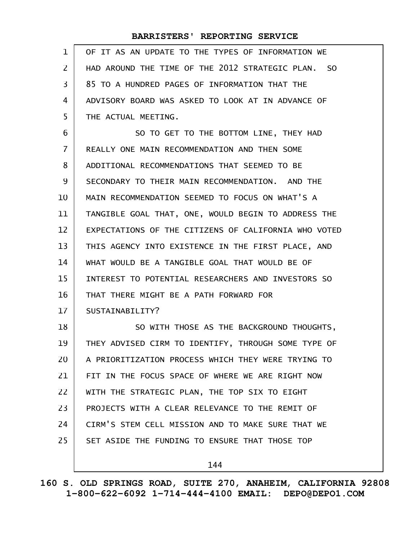| $\mathbf 1$    | OF IT AS AN UPDATE TO THE TYPES OF INFORMATION WE    |
|----------------|------------------------------------------------------|
| $\mathbf{Z}$   | HAD AROUND THE TIME OF THE 2012 STRATEGIC PLAN. SO   |
| 3              | 85 TO A HUNDRED PAGES OF INFORMATION THAT THE        |
| 4              | ADVISORY BOARD WAS ASKED TO LOOK AT IN ADVANCE OF    |
| 5              | THE ACTUAL MEETING.                                  |
| 6              | SO TO GET TO THE BOTTOM LINE, THEY HAD               |
| $\overline{7}$ | REALLY ONE MAIN RECOMMENDATION AND THEN SOME         |
| 8              | ADDITIONAL RECOMMENDATIONS THAT SEEMED TO BE         |
| 9              | SECONDARY TO THEIR MAIN RECOMMENDATION. AND THE      |
| 10             | MAIN RECOMMENDATION SEEMED TO FOCUS ON WHAT'S A      |
| 11             | TANGIBLE GOAL THAT, ONE, WOULD BEGIN TO ADDRESS THE  |
| 12             | EXPECTATIONS OF THE CITIZENS OF CALIFORNIA WHO VOTED |
| 13             | THIS AGENCY INTO EXISTENCE IN THE FIRST PLACE, AND   |
| 14             | WHAT WOULD BE A TANGIBLE GOAL THAT WOULD BE OF       |
| 15             | INTEREST TO POTENTIAL RESEARCHERS AND INVESTORS SO   |
| 16             | THAT THERE MIGHT BE A PATH FORWARD FOR               |
| 17             | SUSTAINABILITY?                                      |
| 18             | SO WITH THOSE AS THE BACKGROUND THOUGHTS,            |
| 19             | THEY ADVISED CIRM TO IDENTIFY, THROUGH SOME TYPE OF  |
| 20             | A PRIORITIZATION PROCESS WHICH THEY WERE TRYING TO   |
| 21             | FIT IN THE FOCUS SPACE OF WHERE WE ARE RIGHT NOW     |
| 22             | WITH THE STRATEGIC PLAN, THE TOP SIX TO EIGHT        |
| 23             | PROJECTS WITH A CLEAR RELEVANCE TO THE REMIT OF      |
| 24             | CIRM'S STEM CELL MISSION AND TO MAKE SURE THAT WE    |
| 25             | SET ASIDE THE FUNDING TO ENSURE THAT THOSE TOP       |
|                | 144                                                  |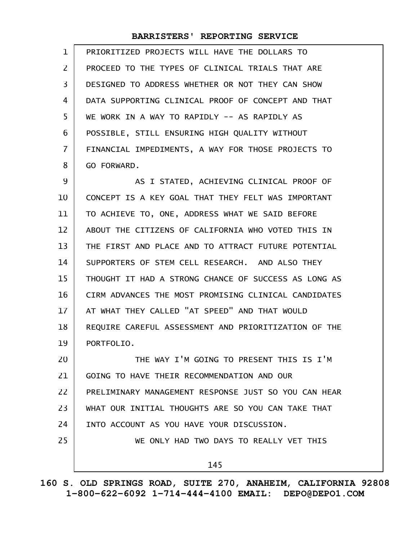| $\mathbf{1}$   | PRIORITIZED PROJECTS WILL HAVE THE DOLLARS TO        |
|----------------|------------------------------------------------------|
| $\overline{2}$ | PROCEED TO THE TYPES OF CLINICAL TRIALS THAT ARE     |
| 3              | DESIGNED TO ADDRESS WHETHER OR NOT THEY CAN SHOW     |
| 4              | DATA SUPPORTING CLINICAL PROOF OF CONCEPT AND THAT   |
| 5              | WE WORK IN A WAY TO RAPIDLY -- AS RAPIDLY AS         |
| 6              | POSSIBLE, STILL ENSURING HIGH QUALITY WITHOUT        |
| $\overline{7}$ | FINANCIAL IMPEDIMENTS, A WAY FOR THOSE PROJECTS TO   |
| 8              | GO FORWARD.                                          |
| 9              | AS I STATED, ACHIEVING CLINICAL PROOF OF             |
| 10             | CONCEPT IS A KEY GOAL THAT THEY FELT WAS IMPORTANT   |
| 11             | TO ACHIEVE TO, ONE, ADDRESS WHAT WE SAID BEFORE      |
| 12             | ABOUT THE CITIZENS OF CALIFORNIA WHO VOTED THIS IN   |
| 13             | THE FIRST AND PLACE AND TO ATTRACT FUTURE POTENTIAL  |
| 14             | SUPPORTERS OF STEM CELL RESEARCH. AND ALSO THEY      |
| 15             | THOUGHT IT HAD A STRONG CHANCE OF SUCCESS AS LONG AS |
| 16             | CIRM ADVANCES THE MOST PROMISING CLINICAL CANDIDATES |
| 17             | AT WHAT THEY CALLED "AT SPEED" AND THAT WOULD        |
| 18             | REQUIRE CAREFUL ASSESSMENT AND PRIORITIZATION OF THE |
| 19             | PORTFOLIO.                                           |
| 20             | THE WAY I'M GOING TO PRESENT THIS IS I'M             |
| 21             | GOING TO HAVE THEIR RECOMMENDATION AND OUR           |
| 22             | PRELIMINARY MANAGEMENT RESPONSE JUST SO YOU CAN HEAR |
| 23             | WHAT OUR INITIAL THOUGHTS ARE SO YOU CAN TAKE THAT   |
| 24             | INTO ACCOUNT AS YOU HAVE YOUR DISCUSSION.            |
| 25             | WE ONLY HAD TWO DAYS TO REALLY VET THIS              |

145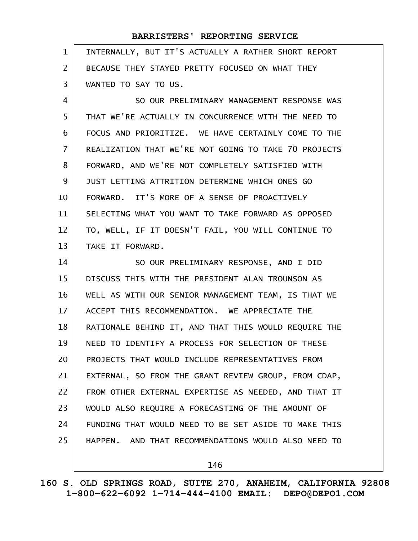| $\mathbf{1}$      | INTERNALLY, BUT IT'S ACTUALLY A RATHER SHORT REPORT  |
|-------------------|------------------------------------------------------|
| $\overline{2}$    | BECAUSE THEY STAYED PRETTY FOCUSED ON WHAT THEY      |
| 3                 | WANTED TO SAY TO US.                                 |
| 4                 | SO OUR PRELIMINARY MANAGEMENT RESPONSE WAS           |
| 5                 | THAT WE'RE ACTUALLY IN CONCURRENCE WITH THE NEED TO  |
| 6                 | FOCUS AND PRIORITIZE. WE HAVE CERTAINLY COME TO THE  |
| $\overline{7}$    | REALIZATION THAT WE'RE NOT GOING TO TAKE 70 PROJECTS |
| 8                 | FORWARD, AND WE'RE NOT COMPLETELY SATISFIED WITH     |
| 9                 | JUST LETTING ATTRITION DETERMINE WHICH ONES GO       |
| 10                | FORWARD. IT'S MORE OF A SENSE OF PROACTIVELY         |
| 11                | SELECTING WHAT YOU WANT TO TAKE FORWARD AS OPPOSED   |
| $12 \overline{ }$ | TO, WELL, IF IT DOESN'T FAIL, YOU WILL CONTINUE TO   |
| 13                | TAKE IT FORWARD.                                     |
| 14                | SO OUR PRELIMINARY RESPONSE, AND I DID               |
| 15                | DISCUSS THIS WITH THE PRESIDENT ALAN TROUNSON AS     |
| 16                | WELL AS WITH OUR SENIOR MANAGEMENT TEAM, IS THAT WE  |
| 17                | ACCEPT THIS RECOMMENDATION. WE APPRECIATE THE        |
| 18                | RATIONALE BEHIND IT, AND THAT THIS WOULD REQUIRE THE |
| 19                | NEED TO IDENTIFY A PROCESS FOR SELECTION OF THESE    |
| 20                | PROJECTS THAT WOULD INCLUDE REPRESENTATIVES FROM     |
| 21                | EXTERNAL, SO FROM THE GRANT REVIEW GROUP, FROM CDAP, |
| 22                | FROM OTHER EXTERNAL EXPERTISE AS NEEDED, AND THAT IT |
| 23                | WOULD ALSO REQUIRE A FORECASTING OF THE AMOUNT OF    |
| 24                | FUNDING THAT WOULD NEED TO BE SET ASIDE TO MAKE THIS |
| 25                | HAPPEN. AND THAT RECOMMENDATIONS WOULD ALSO NEED TO  |
|                   | 146                                                  |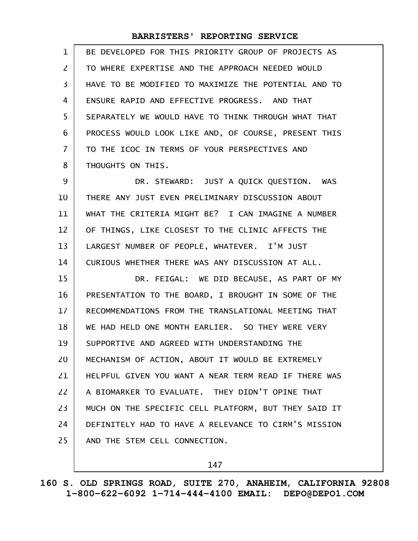| $\mathbf 1$ | BE DEVELOPED FOR THIS PRIORITY GROUP OF PROJECTS AS  |
|-------------|------------------------------------------------------|
| 2           | TO WHERE EXPERTISE AND THE APPROACH NEEDED WOULD     |
| 3           | HAVE TO BE MODIFIED TO MAXIMIZE THE POTENTIAL AND TO |
| 4           | ENSURE RAPID AND EFFECTIVE PROGRESS. AND THAT        |
| 5           | SEPARATELY WE WOULD HAVE TO THINK THROUGH WHAT THAT  |
| 6           | PROCESS WOULD LOOK LIKE AND, OF COURSE, PRESENT THIS |
| 7           | TO THE ICOC IN TERMS OF YOUR PERSPECTIVES AND        |
| 8           | THOUGHTS ON THIS.                                    |
| 9           | DR. STEWARD: JUST A QUICK QUESTION. WAS              |
| 10          | THERE ANY JUST EVEN PRELIMINARY DISCUSSION ABOUT     |
| 11          | WHAT THE CRITERIA MIGHT BE? I CAN IMAGINE A NUMBER   |
| 12          | OF THINGS, LIKE CLOSEST TO THE CLINIC AFFECTS THE    |
| 13          | LARGEST NUMBER OF PEOPLE, WHATEVER. I'M JUST         |
| 14          | CURIOUS WHETHER THERE WAS ANY DISCUSSION AT ALL.     |
| 15          | DR. FEIGAL: WE DID BECAUSE, AS PART OF MY            |
| 16          | PRESENTATION TO THE BOARD, I BROUGHT IN SOME OF THE  |
| 17          | RECOMMENDATIONS FROM THE TRANSLATIONAL MEETING THAT  |
| 18          | WE HAD HELD ONE MONTH EARLIER. SO THEY WERE VERY     |
| 19          | SUPPORTIVE AND AGREED WITH UNDERSTANDING THE         |
| 20          | MECHANISM OF ACTION, ABOUT IT WOULD BE EXTREMELY     |
| 21          | HELPFUL GIVEN YOU WANT A NEAR TERM READ IF THERE WAS |
| 22          | A BIOMARKER TO EVALUATE. THEY DIDN'T OPINE THAT      |
| 23          | MUCH ON THE SPECIFIC CELL PLATFORM, BUT THEY SAID IT |
| 24          | DEFINITELY HAD TO HAVE A RELEVANCE TO CIRM'S MISSION |
| 25          | AND THE STEM CELL CONNECTION.                        |
|             |                                                      |

147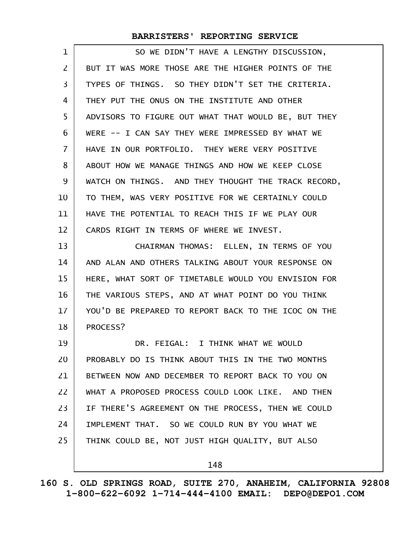| 1              | SO WE DIDN'T HAVE A LENGTHY DISCUSSION,             |
|----------------|-----------------------------------------------------|
| $\overline{2}$ | BUT IT WAS MORE THOSE ARE THE HIGHER POINTS OF THE  |
| 3              | TYPES OF THINGS. SO THEY DIDN'T SET THE CRITERIA.   |
| 4              | THEY PUT THE ONUS ON THE INSTITUTE AND OTHER        |
| 5              | ADVISORS TO FIGURE OUT WHAT THAT WOULD BE, BUT THEY |
| 6              | WERE -- I CAN SAY THEY WERE IMPRESSED BY WHAT WE    |
| $\overline{7}$ | HAVE IN OUR PORTFOLIO. THEY WERE VERY POSITIVE      |
| 8              | ABOUT HOW WE MANAGE THINGS AND HOW WE KEEP CLOSE    |
| 9              | WATCH ON THINGS. AND THEY THOUGHT THE TRACK RECORD, |
| 10             | TO THEM, WAS VERY POSITIVE FOR WE CERTAINLY COULD   |
| 11             | HAVE THE POTENTIAL TO REACH THIS IF WE PLAY OUR     |
| 12             | CARDS RIGHT IN TERMS OF WHERE WE INVEST.            |
| 13             | CHAIRMAN THOMAS: ELLEN, IN TERMS OF YOU             |
| 14             | AND ALAN AND OTHERS TALKING ABOUT YOUR RESPONSE ON  |
| 15             | HERE, WHAT SORT OF TIMETABLE WOULD YOU ENVISION FOR |
| 16             | THE VARIOUS STEPS, AND AT WHAT POINT DO YOU THINK   |
| 17             | YOU'D BE PREPARED TO REPORT BACK TO THE ICOC ON THE |
| 18             | PROCESS?                                            |
| 19             | DR. FEIGAL: I THINK WHAT WE WOULD                   |
| 20             | PROBABLY DO IS THINK ABOUT THIS IN THE TWO MONTHS   |
| 21             | BETWEEN NOW AND DECEMBER TO REPORT BACK TO YOU ON   |
| 22             | WHAT A PROPOSED PROCESS COULD LOOK LIKE. AND THEN   |
| 23             | IF THERE'S AGREEMENT ON THE PROCESS, THEN WE COULD  |
| 24             | IMPLEMENT THAT. SO WE COULD RUN BY YOU WHAT WE      |
| 25             | THINK COULD BE, NOT JUST HIGH QUALITY, BUT ALSO     |
|                | 148                                                 |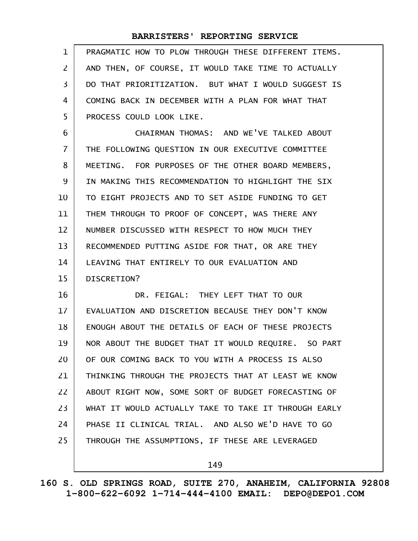| 1  | PRAGMATIC HOW TO PLOW THROUGH THESE DIFFERENT ITEMS. |
|----|------------------------------------------------------|
| 2  | AND THEN, OF COURSE, IT WOULD TAKE TIME TO ACTUALLY  |
| 3  | DO THAT PRIORITIZATION. BUT WHAT I WOULD SUGGEST IS  |
| 4  | COMING BACK IN DECEMBER WITH A PLAN FOR WHAT THAT    |
| 5  | PROCESS COULD LOOK LIKE.                             |
| 6  | CHAIRMAN THOMAS: AND WE'VE TALKED ABOUT              |
| 7  | THE FOLLOWING QUESTION IN OUR EXECUTIVE COMMITTEE    |
| 8  | MEETING. FOR PURPOSES OF THE OTHER BOARD MEMBERS,    |
| 9  | IN MAKING THIS RECOMMENDATION TO HIGHLIGHT THE SIX   |
| 10 | TO EIGHT PROJECTS AND TO SET ASIDE FUNDING TO GET    |
| 11 | THEM THROUGH TO PROOF OF CONCEPT, WAS THERE ANY      |
| 12 | NUMBER DISCUSSED WITH RESPECT TO HOW MUCH THEY       |
| 13 | RECOMMENDED PUTTING ASIDE FOR THAT, OR ARE THEY      |
| 14 | LEAVING THAT ENTIRELY TO OUR EVALUATION AND          |
| 15 | DISCRETION?                                          |
| 16 | DR. FEIGAL: THEY LEFT THAT TO OUR                    |
| 17 | EVALUATION AND DISCRETION BECAUSE THEY DON'T KNOW    |
| 18 | ENOUGH ABOUT THE DETAILS OF EACH OF THESE PROJECTS   |
| 19 | NOR ABOUT THE BUDGET THAT IT WOULD REQUIRE. SO PART  |
| 20 | OF OUR COMING BACK TO YOU WITH A PROCESS IS ALSO     |
| 21 | THINKING THROUGH THE PROJECTS THAT AT LEAST WE KNOW  |
| 22 | ABOUT RIGHT NOW, SOME SORT OF BUDGET FORECASTING OF  |
| 23 | WHAT IT WOULD ACTUALLY TAKE TO TAKE IT THROUGH EARLY |

THROUGH THE ASSUMPTIONS, IF THESE ARE LEVERAGED 25

24

149

PHASE II CLINICAL TRIAL. AND ALSO WE'D HAVE TO GO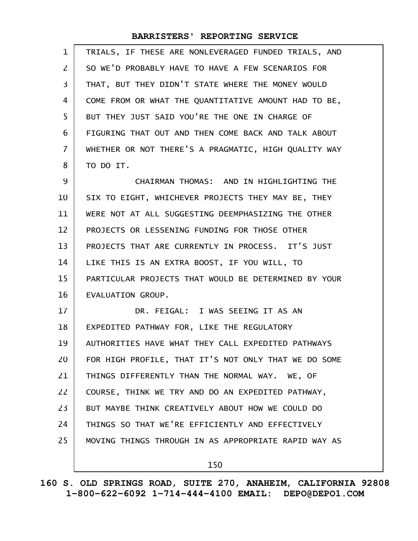| $\mathbf{1}$   | TRIALS, IF THESE ARE NONLEVERAGED FUNDED TRIALS, AND |
|----------------|------------------------------------------------------|
| 2              | SO WE'D PROBABLY HAVE TO HAVE A FEW SCENARIOS FOR    |
| $\overline{3}$ | THAT, BUT THEY DIDN'T STATE WHERE THE MONEY WOULD    |
| 4              | COME FROM OR WHAT THE QUANTITATIVE AMOUNT HAD TO BE, |
| 5              | BUT THEY JUST SAID YOU'RE THE ONE IN CHARGE OF       |
| 6              | FIGURING THAT OUT AND THEN COME BACK AND TALK ABOUT  |
| $\overline{7}$ | WHETHER OR NOT THERE'S A PRAGMATIC, HIGH QUALITY WAY |
| 8              | TO DO IT.                                            |
| 9              | CHAIRMAN THOMAS: AND IN HIGHLIGHTING THE             |
| 10             | SIX TO EIGHT, WHICHEVER PROJECTS THEY MAY BE, THEY   |
| 11             | WERE NOT AT ALL SUGGESTING DEEMPHASIZING THE OTHER   |
| 12             | PROJECTS OR LESSENING FUNDING FOR THOSE OTHER        |
| 13             | PROJECTS THAT ARE CURRENTLY IN PROCESS. IT'S JUST    |
| 14             | LIKE THIS IS AN EXTRA BOOST, IF YOU WILL, TO         |
| 15             | PARTICULAR PROJECTS THAT WOULD BE DETERMINED BY YOUR |
| 16             | EVALUATION GROUP.                                    |
| 17             | DR. FEIGAL: I WAS SEEING IT AS AN                    |
| 18             | EXPEDITED PATHWAY FOR, LIKE THE REGULATORY           |
| 19             | AUTHORITIES HAVE WHAT THEY CALL EXPEDITED PATHWAYS   |
| 20             | FOR HIGH PROFILE, THAT IT'S NOT ONLY THAT WE DO SOME |
| 21             | THINGS DIFFERENTLY THAN THE NORMAL WAY. WE, OF       |
| 22             | COURSE, THINK WE TRY AND DO AN EXPEDITED PATHWAY,    |
| 23             | BUT MAYBE THINK CREATIVELY ABOUT HOW WE COULD DO     |
| 24             | THINGS SO THAT WE'RE EFFICIENTLY AND EFFECTIVELY     |
| 25             | MOVING THINGS THROUGH IN AS APPROPRIATE RAPID WAY AS |
|                | 150                                                  |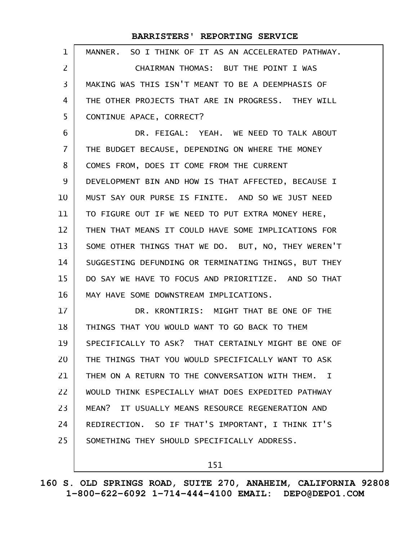| 1              | MANNER. SO I THINK OF IT AS AN ACCELERATED PATHWAY.       |
|----------------|-----------------------------------------------------------|
| $\overline{2}$ | CHAIRMAN THOMAS: BUT THE POINT I WAS                      |
| 3              | MAKING WAS THIS ISN'T MEANT TO BE A DEEMPHASIS OF         |
| 4              | THE OTHER PROJECTS THAT ARE IN PROGRESS. THEY WILL        |
| 5              | CONTINUE APACE, CORRECT?                                  |
| 6              | DR. FEIGAL: YEAH. WE NEED TO TALK ABOUT                   |
| $\overline{7}$ | THE BUDGET BECAUSE, DEPENDING ON WHERE THE MONEY          |
| 8              | COMES FROM, DOES IT COME FROM THE CURRENT                 |
| 9              | DEVELOPMENT BIN AND HOW IS THAT AFFECTED, BECAUSE I       |
| 10             | MUST SAY OUR PURSE IS FINITE. AND SO WE JUST NEED         |
| 11             | TO FIGURE OUT IF WE NEED TO PUT EXTRA MONEY HERE,         |
| 12             | THEN THAT MEANS IT COULD HAVE SOME IMPLICATIONS FOR       |
| 13             | SOME OTHER THINGS THAT WE DO. BUT, NO, THEY WEREN'T       |
| 14             | SUGGESTING DEFUNDING OR TERMINATING THINGS, BUT THEY      |
| 15             | DO SAY WE HAVE TO FOCUS AND PRIORITIZE. AND SO THAT       |
| 16             | MAY HAVE SOME DOWNSTREAM IMPLICATIONS.                    |
| 17             | DR. KRONTIRIS: MIGHT THAT BE ONE OF THE                   |
| 18             | THINGS THAT YOU WOULD WANT TO GO BACK TO THEM             |
| 19             | SPECIFICALLY TO ASK? THAT CERTAINLY MIGHT BE ONE OF       |
| 20             | THE THINGS THAT YOU WOULD SPECIFICALLY WANT TO ASK        |
| 21             | THEM ON A RETURN TO THE CONVERSATION WITH THEM.<br>$\top$ |
| 22             | WOULD THINK ESPECIALLY WHAT DOES EXPEDITED PATHWAY        |
| 23             | MEAN? IT USUALLY MEANS RESOURCE REGENERATION AND          |
| 24             | REDIRECTION. SO IF THAT'S IMPORTANT, I THINK IT'S         |
| 25             | SOMETHING THEY SHOULD SPECIFICALLY ADDRESS.               |
|                |                                                           |

151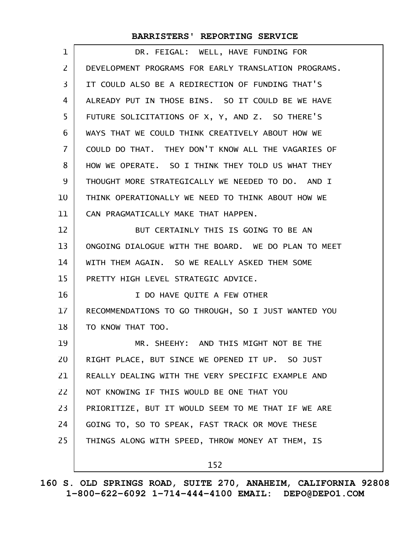| 1                 | DR. FEIGAL: WELL, HAVE FUNDING FOR                   |
|-------------------|------------------------------------------------------|
| $\overline{2}$    | DEVELOPMENT PROGRAMS FOR EARLY TRANSLATION PROGRAMS. |
| 3                 | IT COULD ALSO BE A REDIRECTION OF FUNDING THAT'S     |
| 4                 | ALREADY PUT IN THOSE BINS. SO IT COULD BE WE HAVE    |
| 5                 | FUTURE SOLICITATIONS OF X, Y, AND Z. SO THERE'S      |
| 6                 | WAYS THAT WE COULD THINK CREATIVELY ABOUT HOW WE     |
| $\overline{7}$    | COULD DO THAT. THEY DON'T KNOW ALL THE VAGARIES OF   |
| 8                 | HOW WE OPERATE. SO I THINK THEY TOLD US WHAT THEY    |
| 9                 | THOUGHT MORE STRATEGICALLY WE NEEDED TO DO. AND I    |
| 10                | THINK OPERATIONALLY WE NEED TO THINK ABOUT HOW WE    |
| 11                | CAN PRAGMATICALLY MAKE THAT HAPPEN.                  |
| $12 \overline{ }$ | BUT CERTAINLY THIS IS GOING TO BE AN                 |
| 13                | ONGOING DIALOGUE WITH THE BOARD. WE DO PLAN TO MEET  |
| 14                | WITH THEM AGAIN. SO WE REALLY ASKED THEM SOME        |
| 15                | PRETTY HIGH LEVEL STRATEGIC ADVICE.                  |
| 16                | I DO HAVE QUITE A FEW OTHER                          |
| 17                | RECOMMENDATIONS TO GO THROUGH, SO I JUST WANTED YOU  |
| 18                | TO KNOW THAT TOO.                                    |
| 19                | MR. SHEEHY: AND THIS MIGHT NOT BE THE                |
| 20                | RIGHT PLACE, BUT SINCE WE OPENED IT UP. SO JUST      |
| 21                | REALLY DEALING WITH THE VERY SPECIFIC EXAMPLE AND    |
| 22                | NOT KNOWING IF THIS WOULD BE ONE THAT YOU            |
| 23                | PRIORITIZE, BUT IT WOULD SEEM TO ME THAT IF WE ARE   |
| 24                | GOING TO, SO TO SPEAK, FAST TRACK OR MOVE THESE      |
| 25                | THINGS ALONG WITH SPEED, THROW MONEY AT THEM, IS     |
|                   | 152                                                  |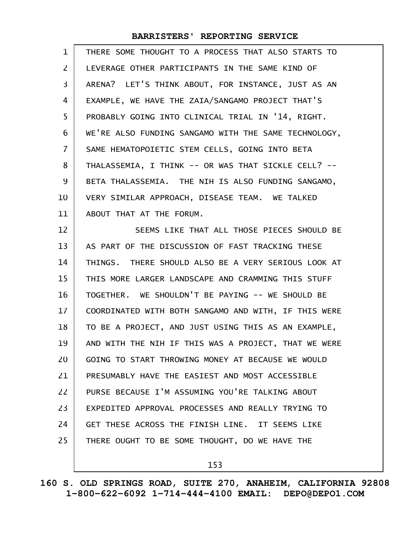| $\mathbf 1$    | THERE SOME THOUGHT TO A PROCESS THAT ALSO STARTS TO  |
|----------------|------------------------------------------------------|
| $\overline{2}$ | LEVERAGE OTHER PARTICIPANTS IN THE SAME KIND OF      |
| 3              | ARENA? LET'S THINK ABOUT, FOR INSTANCE, JUST AS AN   |
| 4              | EXAMPLE, WE HAVE THE ZAIA/SANGAMO PROJECT THAT'S     |
| 5              | PROBABLY GOING INTO CLINICAL TRIAL IN '14, RIGHT.    |
| 6              | WE'RE ALSO FUNDING SANGAMO WITH THE SAME TECHNOLOGY, |
| $\overline{7}$ | SAME HEMATOPOIETIC STEM CELLS, GOING INTO BETA       |
| 8              | THALASSEMIA, I THINK -- OR WAS THAT SICKLE CELL? --  |
| 9              | BETA THALASSEMIA. THE NIH IS ALSO FUNDING SANGAMO,   |
| 10             | VERY SIMILAR APPROACH, DISEASE TEAM. WE TALKED       |
| 11             | ABOUT THAT AT THE FORUM.                             |
| 12             | SEEMS LIKE THAT ALL THOSE PIECES SHOULD BE           |
| 13             | AS PART OF THE DISCUSSION OF FAST TRACKING THESE     |
| 14             | THINGS. THERE SHOULD ALSO BE A VERY SERIOUS LOOK AT  |
| 15             | THIS MORE LARGER LANDSCAPE AND CRAMMING THIS STUFF   |
|                |                                                      |
| 16             | TOGETHER. WE SHOULDN'T BE PAYING -- WE SHOULD BE     |
| 17             | COORDINATED WITH BOTH SANGAMO AND WITH, IF THIS WERE |
| 18             | TO BE A PROJECT, AND JUST USING THIS AS AN EXAMPLE,  |
| 19             | AND WITH THE NIH IF THIS WAS A PROJECT, THAT WE WERE |
| 20             | GOING TO START THROWING MONEY AT BECAUSE WE WOULD    |
| 21             | PRESUMABLY HAVE THE EASIEST AND MOST ACCESSIBLE      |
| 22             | PURSE BECAUSE I'M ASSUMING YOU'RE TALKING ABOUT      |
| 23             | EXPEDITED APPROVAL PROCESSES AND REALLY TRYING TO    |
| 24             | GET THESE ACROSS THE FINISH LINE. IT SEEMS LIKE      |
| 25             | THERE OUGHT TO BE SOME THOUGHT, DO WE HAVE THE       |

153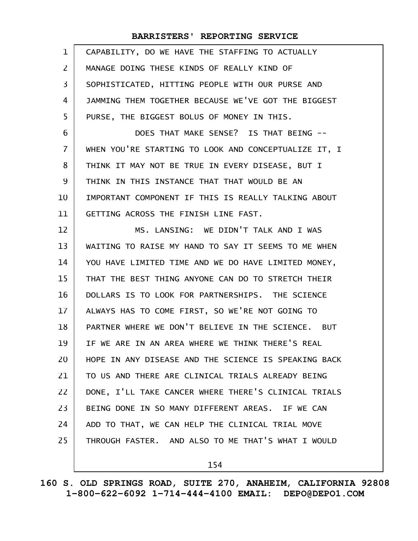| $\mathbf{1}$      | CAPABILITY, DO WE HAVE THE STAFFING TO ACTUALLY      |
|-------------------|------------------------------------------------------|
| $\mathsf{Z}$      | MANAGE DOING THESE KINDS OF REALLY KIND OF           |
| 3                 | SOPHISTICATED, HITTING PEOPLE WITH OUR PURSE AND     |
| 4                 | JAMMING THEM TOGETHER BECAUSE WE'VE GOT THE BIGGEST  |
| 5                 | PURSE, THE BIGGEST BOLUS OF MONEY IN THIS.           |
| 6                 | DOES THAT MAKE SENSE? IS THAT BEING --               |
| $\overline{7}$    | WHEN YOU'RE STARTING TO LOOK AND CONCEPTUALIZE IT, I |
| 8                 | THINK IT MAY NOT BE TRUE IN EVERY DISEASE, BUT I     |
| 9                 | THINK IN THIS INSTANCE THAT THAT WOULD BE AN         |
| 10                | IMPORTANT COMPONENT IF THIS IS REALLY TALKING ABOUT  |
| 11                | GETTING ACROSS THE FINISH LINE FAST.                 |
| $12 \overline{ }$ | MS. LANSING: WE DIDN'T TALK AND I WAS                |
| 13                | WAITING TO RAISE MY HAND TO SAY IT SEEMS TO ME WHEN  |
| 14                | YOU HAVE LIMITED TIME AND WE DO HAVE LIMITED MONEY,  |
| 15                | THAT THE BEST THING ANYONE CAN DO TO STRETCH THEIR   |
| 16                | DOLLARS IS TO LOOK FOR PARTNERSHIPS. THE SCIENCE     |
| 17                | ALWAYS HAS TO COME FIRST, SO WE'RE NOT GOING TO      |
| 18                | PARTNER WHERE WE DON'T BELIEVE IN THE SCIENCE. BUT   |
| 19                | IF WE ARE IN AN AREA WHERE WE THINK THERE'S REAL     |
| 20                | HOPE IN ANY DISEASE AND THE SCIENCE IS SPEAKING BACK |
| 21                | TO US AND THERE ARE CLINICAL TRIALS ALREADY BEING    |
| 22                | DONE, I'LL TAKE CANCER WHERE THERE'S CLINICAL TRIALS |
| 23                | BEING DONE IN SO MANY DIFFERENT AREAS. IF WE CAN     |
| 24                | ADD TO THAT, WE CAN HELP THE CLINICAL TRIAL MOVE     |
| 25                | THROUGH FASTER. AND ALSO TO ME THAT'S WHAT I WOULD   |
|                   |                                                      |

154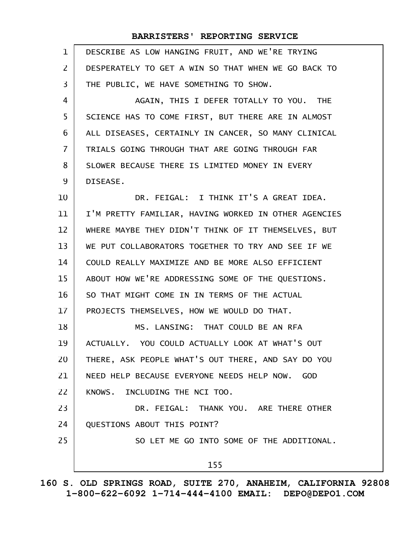| $\mathbf{1}$   | DESCRIBE AS LOW HANGING FRUIT, AND WE'RE TRYING      |
|----------------|------------------------------------------------------|
| $\mathsf{Z}$   | DESPERATELY TO GET A WIN SO THAT WHEN WE GO BACK TO  |
| 3              | THE PUBLIC, WE HAVE SOMETHING TO SHOW.               |
| 4              | AGAIN, THIS I DEFER TOTALLY TO YOU. THE              |
| 5              | SCIENCE HAS TO COME FIRST, BUT THERE ARE IN ALMOST   |
| 6              | ALL DISEASES, CERTAINLY IN CANCER, SO MANY CLINICAL  |
| $\overline{7}$ | TRIALS GOING THROUGH THAT ARE GOING THROUGH FAR      |
| 8              | SLOWER BECAUSE THERE IS LIMITED MONEY IN EVERY       |
| 9              | DISEASE.                                             |
| 10             | DR. FEIGAL: I THINK IT'S A GREAT IDEA.               |
| 11             | I'M PRETTY FAMILIAR, HAVING WORKED IN OTHER AGENCIES |
| 12             | WHERE MAYBE THEY DIDN'T THINK OF IT THEMSELVES, BUT  |
| 13             | WE PUT COLLABORATORS TOGETHER TO TRY AND SEE IF WE   |
| 14             | COULD REALLY MAXIMIZE AND BE MORE ALSO EFFICIENT     |
| 15             | ABOUT HOW WE'RE ADDRESSING SOME OF THE QUESTIONS.    |
| 16             | SO THAT MIGHT COME IN IN TERMS OF THE ACTUAL         |
| 17             | PROJECTS THEMSELVES, HOW WE WOULD DO THAT.           |
| 18             | MS. LANSING: THAT COULD BE AN RFA                    |
| 19             | ACTUALLY. YOU COULD ACTUALLY LOOK AT WHAT'S OUT      |
| 20             | THERE, ASK PEOPLE WHAT'S OUT THERE, AND SAY DO YOU   |
| 21             | NEED HELP BECAUSE EVERYONE NEEDS HELP NOW. GOD       |
| 22             | KNOWS. INCLUDING THE NCI TOO.                        |
| 23             | DR. FEIGAL: THANK YOU. ARE THERE OTHER               |
| 24             | QUESTIONS ABOUT THIS POINT?                          |
| 25             | SO LET ME GO INTO SOME OF THE ADDITIONAL.            |
|                | 155                                                  |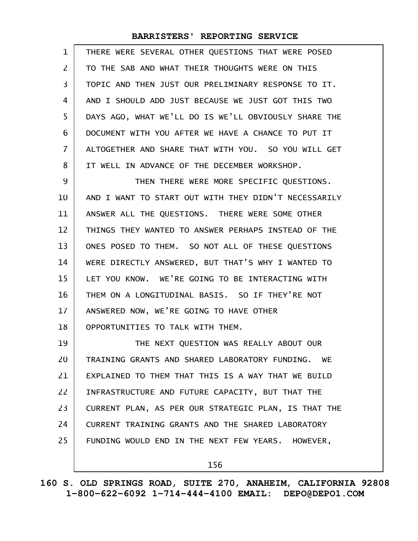| 1              | THERE WERE SEVERAL OTHER QUESTIONS THAT WERE POSED   |
|----------------|------------------------------------------------------|
| $\overline{2}$ | TO THE SAB AND WHAT THEIR THOUGHTS WERE ON THIS      |
| 3              | TOPIC AND THEN JUST OUR PRELIMINARY RESPONSE TO IT.  |
| 4              | AND I SHOULD ADD JUST BECAUSE WE JUST GOT THIS TWO   |
| 5              | DAYS AGO, WHAT WE'LL DO IS WE'LL OBVIOUSLY SHARE THE |
| 6              | DOCUMENT WITH YOU AFTER WE HAVE A CHANCE TO PUT IT   |
| 7              | ALTOGETHER AND SHARE THAT WITH YOU. SO YOU WILL GET  |
| 8              | IT WELL IN ADVANCE OF THE DECEMBER WORKSHOP.         |
| 9              | THEN THERE WERE MORE SPECIFIC QUESTIONS.             |
| 10             | AND I WANT TO START OUT WITH THEY DIDN'T NECESSARILY |
| 11             | ANSWER ALL THE QUESTIONS. THERE WERE SOME OTHER      |
| 12             | THINGS THEY WANTED TO ANSWER PERHAPS INSTEAD OF THE  |
| 13             | ONES POSED TO THEM. SO NOT ALL OF THESE QUESTIONS    |
| 14             | WERE DIRECTLY ANSWERED, BUT THAT'S WHY I WANTED TO   |
| 15             | LET YOU KNOW. WE'RE GOING TO BE INTERACTING WITH     |
| 16             | THEM ON A LONGITUDINAL BASIS. SO IF THEY'RE NOT      |
| 17             | ANSWERED NOW, WE'RE GOING TO HAVE OTHER              |
| 18             | OPPORTUNITIES TO TALK WITH THEM.                     |
| 19             | THE NEXT QUESTION WAS REALLY ABOUT OUR               |
| 20             | TRAINING GRANTS AND SHARED LABORATORY FUNDING. WE    |
| 21             | EXPLAINED TO THEM THAT THIS IS A WAY THAT WE BUILD   |
| 22             | INFRASTRUCTURE AND FUTURE CAPACITY, BUT THAT THE     |
| 23             | CURRENT PLAN, AS PER OUR STRATEGIC PLAN, IS THAT THE |
| 24             | CURRENT TRAINING GRANTS AND THE SHARED LABORATORY    |
| 25             | FUNDING WOULD END IN THE NEXT FEW YEARS. HOWEVER,    |
|                | 156                                                  |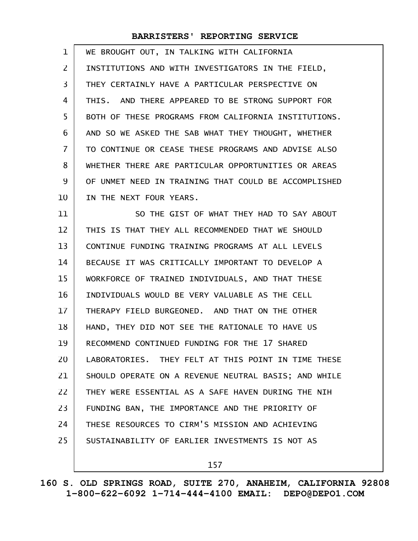| 1              | WE BROUGHT OUT, IN TALKING WITH CALIFORNIA           |
|----------------|------------------------------------------------------|
| $\overline{2}$ | INSTITUTIONS AND WITH INVESTIGATORS IN THE FIELD,    |
| 3              | THEY CERTAINLY HAVE A PARTICULAR PERSPECTIVE ON      |
| 4              | THIS. AND THERE APPEARED TO BE STRONG SUPPORT FOR    |
| 5              | BOTH OF THESE PROGRAMS FROM CALIFORNIA INSTITUTIONS. |
| 6              | AND SO WE ASKED THE SAB WHAT THEY THOUGHT, WHETHER   |
| $\overline{7}$ | TO CONTINUE OR CEASE THESE PROGRAMS AND ADVISE ALSO  |
| 8              | WHETHER THERE ARE PARTICULAR OPPORTUNITIES OR AREAS  |
| 9              | OF UNMET NEED IN TRAINING THAT COULD BE ACCOMPLISHED |
| 10             | IN THE NEXT FOUR YEARS.                              |
| 11             | SO THE GIST OF WHAT THEY HAD TO SAY ABOUT            |
| 12             | THIS IS THAT THEY ALL RECOMMENDED THAT WE SHOULD     |
| 13             | CONTINUE FUNDING TRAINING PROGRAMS AT ALL LEVELS     |
| 14             | BECAUSE IT WAS CRITICALLY IMPORTANT TO DEVELOP A     |
| 15             | WORKFORCE OF TRAINED INDIVIDUALS, AND THAT THESE     |
| 16             | INDIVIDUALS WOULD BE VERY VALUABLE AS THE CELL       |
| $17 \,$        | THERAPY FIELD BURGEONED. AND THAT ON THE OTHER       |
| 18             | HAND, THEY DID NOT SEE THE RATIONALE TO HAVE US      |
| 19             | RECOMMEND CONTINUED FUNDING FOR THE 17 SHARED        |
| 20             | LABORATORIES. THEY FELT AT THIS POINT IN TIME THESE  |
| 21             | SHOULD OPERATE ON A REVENUE NEUTRAL BASIS; AND WHILE |
| 22             | THEY WERE ESSENTIAL AS A SAFE HAVEN DURING THE NIH   |
| 23             | FUNDING BAN, THE IMPORTANCE AND THE PRIORITY OF      |
| 24             | THESE RESOURCES TO CIRM'S MISSION AND ACHIEVING      |
| 25             | SUSTAINABILITY OF EARLIER INVESTMENTS IS NOT AS      |
|                |                                                      |

157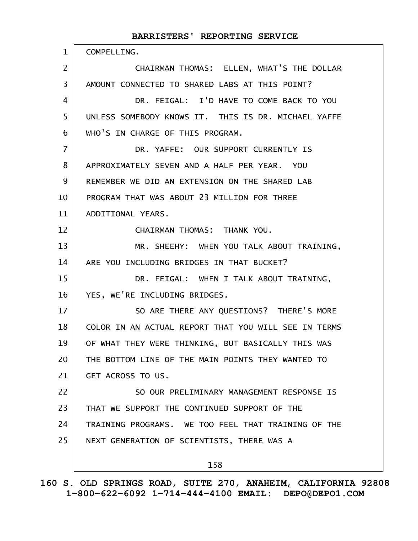COMPELLING. CHAIRMAN THOMAS: ELLEN, WHAT'S THE DOLLAR AMOUNT CONNECTED TO SHARED LABS AT THIS POINT? DR. FEIGAL: I'D HAVE TO COME BACK TO YOU UNLESS SOMEBODY KNOWS IT. THIS IS DR. MICHAEL YAFFE WHO'S IN CHARGE OF THIS PROGRAM. DR. YAFFE: OUR SUPPORT CURRENTLY IS APPROXIMATELY SEVEN AND A HALF PER YEAR. YOU REMEMBER WE DID AN EXTENSION ON THE SHARED LAB PROGRAM THAT WAS ABOUT 23 MILLION FOR THREE ADDITIONAL YEARS. CHAIRMAN THOMAS: THANK YOU. MR. SHEEHY: WHEN YOU TALK ABOUT TRAINING, ARE YOU INCLUDING BRIDGES IN THAT BUCKET? DR. FEIGAL: WHEN I TALK ABOUT TRAINING, YES, WE'RE INCLUDING BRIDGES. SO ARE THERE ANY QUESTIONS? THERE'S MORE COLOR IN AN ACTUAL REPORT THAT YOU WILL SEE IN TERMS OF WHAT THEY WERE THINKING, BUT BASICALLY THIS WAS THE BOTTOM LINE OF THE MAIN POINTS THEY WANTED TO GET ACROSS TO US. SO OUR PRELIMINARY MANAGEMENT RESPONSE IS THAT WE SUPPORT THE CONTINUED SUPPORT OF THE TRAINING PROGRAMS. WE TOO FEEL THAT TRAINING OF THE NEXT GENERATION OF SCIENTISTS, THERE WAS A 1 2 3 4 5 6 7 8 9 10 11 12 13 14 15 16 17 18 19 20 21 22 23 24 25

158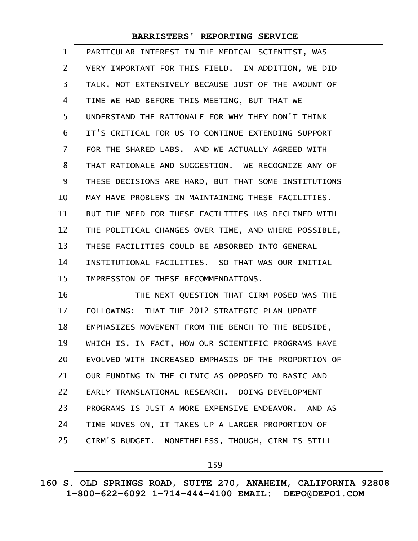| $\mathbf{1}$   | PARTICULAR INTEREST IN THE MEDICAL SCIENTIST, WAS    |
|----------------|------------------------------------------------------|
| $\overline{2}$ | VERY IMPORTANT FOR THIS FIELD. IN ADDITION, WE DID   |
| 3              | TALK, NOT EXTENSIVELY BECAUSE JUST OF THE AMOUNT OF  |
| 4              | TIME WE HAD BEFORE THIS MEETING, BUT THAT WE         |
| 5              | UNDERSTAND THE RATIONALE FOR WHY THEY DON'T THINK    |
| 6              | IT'S CRITICAL FOR US TO CONTINUE EXTENDING SUPPORT   |
| 7              | FOR THE SHARED LABS. AND WE ACTUALLY AGREED WITH     |
| 8              | THAT RATIONALE AND SUGGESTION. WE RECOGNIZE ANY OF   |
| 9              | THESE DECISIONS ARE HARD, BUT THAT SOME INSTITUTIONS |
| 10             | MAY HAVE PROBLEMS IN MAINTAINING THESE FACILITIES.   |
| 11             | BUT THE NEED FOR THESE FACILITIES HAS DECLINED WITH  |
| 12             | THE POLITICAL CHANGES OVER TIME, AND WHERE POSSIBLE, |
| 13             | THESE FACILITIES COULD BE ABSORBED INTO GENERAL      |
| 14             | INSTITUTIONAL FACILITIES. SO THAT WAS OUR INITIAL    |
| 15             | IMPRESSION OF THESE RECOMMENDATIONS.                 |
| 16             | THE NEXT QUESTION THAT CIRM POSED WAS THE            |
| 17             | FOLLOWING: THAT THE 2012 STRATEGIC PLAN UPDATE       |
| 18             | EMPHASIZES MOVEMENT FROM THE BENCH TO THE BEDSIDE,   |
| 19             | WHICH IS, IN FACT, HOW OUR SCIENTIFIC PROGRAMS HAVE  |
| 20             | EVOLVED WITH INCREASED EMPHASIS OF THE PROPORTION OF |
| 21             | OUR FUNDING IN THE CLINIC AS OPPOSED TO BASIC AND    |
| 22             | EARLY TRANSLATIONAL RESEARCH. DOING DEVELOPMENT      |
| 23             | PROGRAMS IS JUST A MORE EXPENSIVE ENDEAVOR. AND AS   |
| 24             | TIME MOVES ON, IT TAKES UP A LARGER PROPORTION OF    |
| 25             | CIRM'S BUDGET. NONETHELESS, THOUGH, CIRM IS STILL    |
|                |                                                      |

159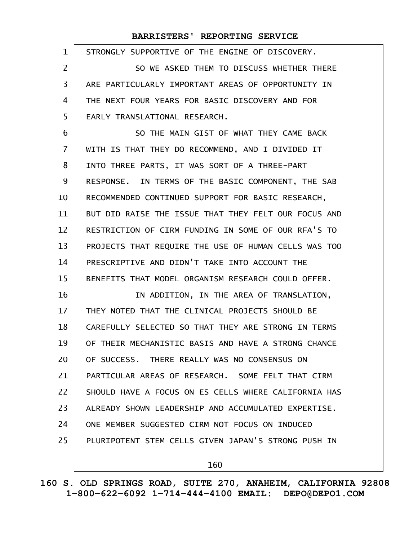| $\mathbf 1$    | STRONGLY SUPPORTIVE OF THE ENGINE OF DISCOVERY.      |
|----------------|------------------------------------------------------|
| $\overline{2}$ | SO WE ASKED THEM TO DISCUSS WHETHER THERE            |
| $\overline{3}$ | ARE PARTICULARLY IMPORTANT AREAS OF OPPORTUNITY IN   |
| 4              | THE NEXT FOUR YEARS FOR BASIC DISCOVERY AND FOR      |
| 5              | EARLY TRANSLATIONAL RESEARCH.                        |
| 6              | SO THE MAIN GIST OF WHAT THEY CAME BACK              |
| $\overline{7}$ | WITH IS THAT THEY DO RECOMMEND, AND I DIVIDED IT     |
| 8              | INTO THREE PARTS, IT WAS SORT OF A THREE-PART        |
| 9              | RESPONSE. IN TERMS OF THE BASIC COMPONENT, THE SAB   |
| 10             | RECOMMENDED CONTINUED SUPPORT FOR BASIC RESEARCH,    |
| 11             | BUT DID RAISE THE ISSUE THAT THEY FELT OUR FOCUS AND |
| 12             | RESTRICTION OF CIRM FUNDING IN SOME OF OUR RFA'S TO  |
| 13             | PROJECTS THAT REQUIRE THE USE OF HUMAN CELLS WAS TOO |
| 14             | PRESCRIPTIVE AND DIDN'T TAKE INTO ACCOUNT THE        |
| 15             | BENEFITS THAT MODEL ORGANISM RESEARCH COULD OFFER.   |
| 16             | IN ADDITION, IN THE AREA OF TRANSLATION,             |
| 17             | THEY NOTED THAT THE CLINICAL PROJECTS SHOULD BE      |
| 18             | CAREFULLY SELECTED SO THAT THEY ARE STRONG IN TERMS  |
| 19             | OF THEIR MECHANISTIC BASIS AND HAVE A STRONG CHANCE  |
| 20             | OF SUCCESS, THERE REALLY WAS NO CONSENSUS ON         |
| 21             | PARTICULAR AREAS OF RESEARCH. SOME FELT THAT CIRM    |
| 22             | SHOULD HAVE A FOCUS ON ES CELLS WHERE CALIFORNIA HAS |
| 23             | ALREADY SHOWN LEADERSHIP AND ACCUMULATED EXPERTISE.  |
| 24             | ONE MEMBER SUGGESTED CIRM NOT FOCUS ON INDUCED       |
| 25             | PLURIPOTENT STEM CELLS GIVEN JAPAN'S STRONG PUSH IN  |
|                | 160                                                  |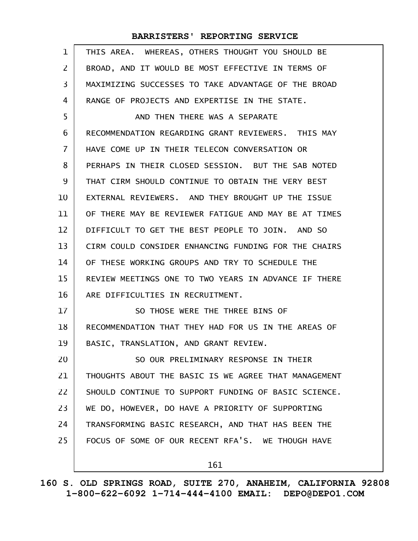| $\mathbf{1}$   | THIS AREA. WHEREAS, OTHERS THOUGHT YOU SHOULD BE     |
|----------------|------------------------------------------------------|
| $\overline{2}$ | BROAD, AND IT WOULD BE MOST EFFECTIVE IN TERMS OF    |
| 3              | MAXIMIZING SUCCESSES TO TAKE ADVANTAGE OF THE BROAD  |
| 4              | RANGE OF PROJECTS AND EXPERTISE IN THE STATE.        |
| 5              | AND THEN THERE WAS A SEPARATE                        |
| 6              | RECOMMENDATION REGARDING GRANT REVIEWERS. THIS MAY   |
| $\overline{7}$ | HAVE COME UP IN THEIR TELECON CONVERSATION OR        |
| 8              | PERHAPS IN THEIR CLOSED SESSION. BUT THE SAB NOTED   |
| 9              | THAT CIRM SHOULD CONTINUE TO OBTAIN THE VERY BEST    |
| 10             | EXTERNAL REVIEWERS. AND THEY BROUGHT UP THE ISSUE    |
| 11             | OF THERE MAY BE REVIEWER FATIGUE AND MAY BE AT TIMES |
| 12             | DIFFICULT TO GET THE BEST PEOPLE TO JOIN. AND SO     |
| 13             | CIRM COULD CONSIDER ENHANCING FUNDING FOR THE CHAIRS |
| 14             | OF THESE WORKING GROUPS AND TRY TO SCHEDULE THE      |
| 15             | REVIEW MEETINGS ONE TO TWO YEARS IN ADVANCE IF THERE |
| 16             | ARE DIFFICULTIES IN RECRUITMENT.                     |
| 17             | SO THOSE WERE THE THREE BINS OF                      |
| 18             | RECOMMENDATION THAT THEY HAD FOR US IN THE AREAS OF  |
| 19             | BASIC, TRANSLATION, AND GRANT REVIEW.                |
| 20             | SO OUR PRELIMINARY RESPONSE IN THEIR                 |
| 21             | THOUGHTS ABOUT THE BASIC IS WE AGREE THAT MANAGEMENT |
| 22             | SHOULD CONTINUE TO SUPPORT FUNDING OF BASIC SCIENCE. |
| 23             | WE DO, HOWEVER, DO HAVE A PRIORITY OF SUPPORTING     |
| 24             | TRANSFORMING BASIC RESEARCH, AND THAT HAS BEEN THE   |
| 25             | FOCUS OF SOME OF OUR RECENT RFA'S. WE THOUGH HAVE    |
|                | 161                                                  |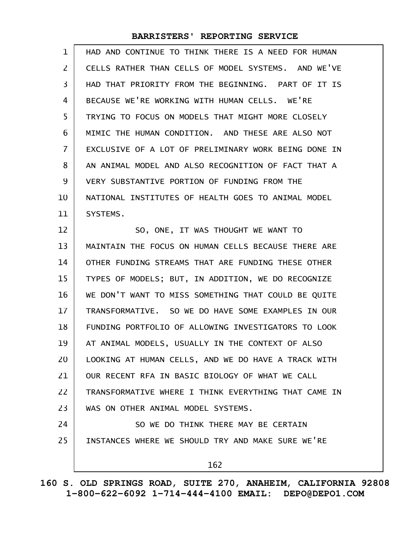| $\mathbf 1$    | HAD AND CONTINUE TO THINK THERE IS A NEED FOR HUMAN  |
|----------------|------------------------------------------------------|
| $\overline{2}$ | CELLS RATHER THAN CELLS OF MODEL SYSTEMS. AND WE'VE  |
| 3              | HAD THAT PRIORITY FROM THE BEGINNING. PART OF IT IS  |
| 4              | BECAUSE WE'RE WORKING WITH HUMAN CELLS. WE'RE        |
| 5              | TRYING TO FOCUS ON MODELS THAT MIGHT MORE CLOSELY    |
| 6              | MIMIC THE HUMAN CONDITION. AND THESE ARE ALSO NOT    |
| $\overline{7}$ | EXCLUSIVE OF A LOT OF PRELIMINARY WORK BEING DONE IN |
| 8              | AN ANIMAL MODEL AND ALSO RECOGNITION OF FACT THAT A  |
| 9              | VERY SUBSTANTIVE PORTION OF FUNDING FROM THE         |
| 10             | NATIONAL INSTITUTES OF HEALTH GOES TO ANIMAL MODEL   |
| 11             | SYSTEMS.                                             |
| 12             | SO, ONE, IT WAS THOUGHT WE WANT TO                   |
| 13             | MAINTAIN THE FOCUS ON HUMAN CELLS BECAUSE THERE ARE  |
| 14             | OTHER FUNDING STREAMS THAT ARE FUNDING THESE OTHER   |
| 15             | TYPES OF MODELS; BUT, IN ADDITION, WE DO RECOGNIZE   |
| 16             | WE DON'T WANT TO MISS SOMETHING THAT COULD BE QUITE  |
| 17             | TRANSFORMATIVE. SO WE DO HAVE SOME EXAMPLES IN OUR   |
| 18             | FUNDING PORTFOLIO OF ALLOWING INVESTIGATORS TO LOOK  |
| 19             | AT ANIMAL MODELS, USUALLY IN THE CONTEXT OF ALSO     |
| 20             | LOOKING AT HUMAN CELLS, AND WE DO HAVE A TRACK WITH  |
| 21             | OUR RECENT RFA IN BASIC BIOLOGY OF WHAT WE CALL      |
| 22             | TRANSFORMATIVE WHERE I THINK EVERYTHING THAT CAME IN |
| 23             | WAS ON OTHER ANIMAL MODEL SYSTEMS.                   |
| 24             | SO WE DO THINK THERE MAY BE CERTAIN                  |
| 25             | INSTANCES WHERE WE SHOULD TRY AND MAKE SURE WE'RE    |
|                | 162                                                  |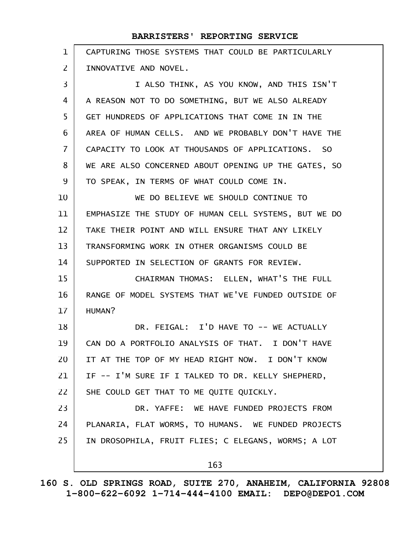| $\mathbf{1}$   | CAPTURING THOSE SYSTEMS THAT COULD BE PARTICULARLY   |
|----------------|------------------------------------------------------|
| 2              | INNOVATIVE AND NOVEL.                                |
| 3              | I ALSO THINK, AS YOU KNOW, AND THIS ISN'T            |
| 4              | A REASON NOT TO DO SOMETHING, BUT WE ALSO ALREADY    |
| 5              | GET HUNDREDS OF APPLICATIONS THAT COME IN IN THE     |
| 6              | AREA OF HUMAN CELLS, AND WE PROBABLY DON'T HAVE THE  |
| $\overline{7}$ | CAPACITY TO LOOK AT THOUSANDS OF APPLICATIONS. SO    |
| 8              | WE ARE ALSO CONCERNED ABOUT OPENING UP THE GATES, SO |
| 9              | TO SPEAK, IN TERMS OF WHAT COULD COME IN.            |
| 10             | WE DO BELIEVE WE SHOULD CONTINUE TO                  |
| 11             | EMPHASIZE THE STUDY OF HUMAN CELL SYSTEMS, BUT WE DO |
| 12             | TAKE THEIR POINT AND WILL ENSURE THAT ANY LIKELY     |
| 13             | TRANSFORMING WORK IN OTHER ORGANISMS COULD BE        |
| 14             | SUPPORTED IN SELECTION OF GRANTS FOR REVIEW.         |
| 15             | CHAIRMAN THOMAS: ELLEN, WHAT'S THE FULL              |
| 16             | RANGE OF MODEL SYSTEMS THAT WE'VE FUNDED OUTSIDE OF  |
| 17             | HUMAN?                                               |
| 18             | DR. FEIGAL: I'D HAVE TO -- WE ACTUALLY               |
| 19             | CAN DO A PORTFOLIO ANALYSIS OF THAT. I DON'T HAVE    |
| 20             | IT AT THE TOP OF MY HEAD RIGHT NOW. I DON'T KNOW     |
| 21             | IF -- I'M SURE IF I TALKED TO DR. KELLY SHEPHERD,    |
| 22             | SHE COULD GET THAT TO ME QUITE QUICKLY.              |
| 23             | DR. YAFFE: WE HAVE FUNDED PROJECTS FROM              |
| 24             | PLANARIA, FLAT WORMS, TO HUMANS. WE FUNDED PROJECTS  |
| 25             | IN DROSOPHILA, FRUIT FLIES; C ELEGANS, WORMS; A LOT  |
|                | 163                                                  |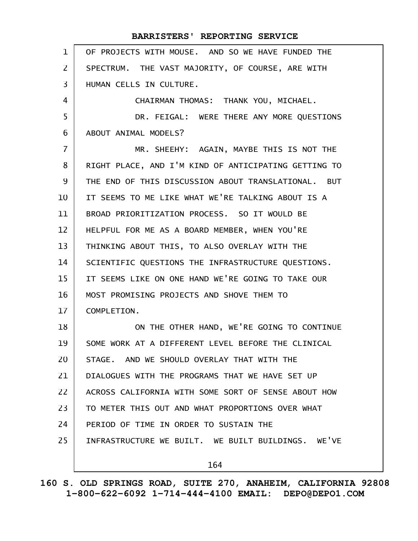|                | BARRISTERS' REPORTING SERVICE                        |
|----------------|------------------------------------------------------|
| $\mathbf 1$    | OF PROJECTS WITH MOUSE. AND SO WE HAVE FUNDED THE    |
| $\overline{2}$ | SPECTRUM. THE VAST MAJORITY, OF COURSE, ARE WITH     |
| 3              | HUMAN CELLS IN CULTURE.                              |
| 4              | CHAIRMAN THOMAS: THANK YOU, MICHAEL.                 |
| 5              | DR. FEIGAL: WERE THERE ANY MORE QUESTIONS            |
| 6              | ABOUT ANIMAL MODELS?                                 |
| $\overline{7}$ | MR. SHEEHY: AGAIN, MAYBE THIS IS NOT THE             |
| 8              | RIGHT PLACE, AND I'M KIND OF ANTICIPATING GETTING TO |
| 9              | THE END OF THIS DISCUSSION ABOUT TRANSLATIONAL. BUT  |
| 10             | IT SEEMS TO ME LIKE WHAT WE'RE TALKING ABOUT IS A    |
| 11             | BROAD PRIORITIZATION PROCESS. SO IT WOULD BE         |
| 12             | HELPFUL FOR ME AS A BOARD MEMBER, WHEN YOU'RE        |
| 13             | THINKING ABOUT THIS, TO ALSO OVERLAY WITH THE        |
| 14             | SCIENTIFIC QUESTIONS THE INFRASTRUCTURE QUESTIONS.   |
| 15             | IT SEEMS LIKE ON ONE HAND WE'RE GOING TO TAKE OUR    |
| 16             | MOST PROMISING PROJECTS AND SHOVE THEM TO            |
| 17             | COMPLETION.                                          |
| 18             | ON THE OTHER HAND, WE'RE GOING TO CONTINUE           |
| 19             | SOME WORK AT A DIFFERENT LEVEL BEFORE THE CLINICAL   |
| 20             | STAGE, AND WE SHOULD OVERLAY THAT WITH THE           |
| 21             | DIALOGUES WITH THE PROGRAMS THAT WE HAVE SET UP      |
| 22             | ACROSS CALIFORNIA WITH SOME SORT OF SENSE ABOUT HOW  |
| 23             | TO METER THIS OUT AND WHAT PROPORTIONS OVER WHAT     |
| 24             | PERIOD OF TIME IN ORDER TO SUSTAIN THE               |
| 25             | INFRASTRUCTURE WE BUILT. WE BUILT BUILDINGS. WE'VE   |
|                | 164                                                  |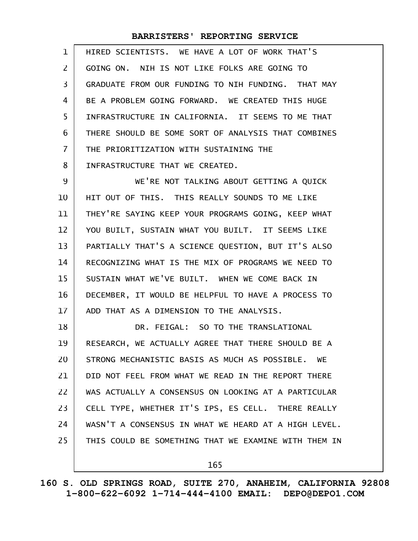| $\mathbf{1}$   | HIRED SCIENTISTS. WE HAVE A LOT OF WORK THAT'S       |
|----------------|------------------------------------------------------|
| $\overline{2}$ | GOING ON. NIH IS NOT LIKE FOLKS ARE GOING TO         |
| 3              | GRADUATE FROM OUR FUNDING TO NIH FUNDING. THAT MAY   |
| 4              | BE A PROBLEM GOING FORWARD. WE CREATED THIS HUGE     |
| 5              | INFRASTRUCTURE IN CALIFORNIA. IT SEEMS TO ME THAT    |
| 6              | THERE SHOULD BE SOME SORT OF ANALYSIS THAT COMBINES  |
| 7              | THE PRIORITIZATION WITH SUSTAINING THE               |
| 8              | INFRASTRUCTURE THAT WE CREATED.                      |
| 9              | WE'RE NOT TALKING ABOUT GETTING A QUICK              |
| 10             | HIT OUT OF THIS. THIS REALLY SOUNDS TO ME LIKE       |
| 11             | THEY'RE SAYING KEEP YOUR PROGRAMS GOING, KEEP WHAT   |
| 12             | YOU BUILT, SUSTAIN WHAT YOU BUILT. IT SEEMS LIKE     |
| 13             | PARTIALLY THAT'S A SCIENCE QUESTION, BUT IT'S ALSO   |
| 14             | RECOGNIZING WHAT IS THE MIX OF PROGRAMS WE NEED TO   |
| 15             | SUSTAIN WHAT WE'VE BUILT. WHEN WE COME BACK IN       |
| 16             | DECEMBER, IT WOULD BE HELPFUL TO HAVE A PROCESS TO   |
| 17             | ADD THAT AS A DIMENSION TO THE ANALYSIS.             |
| 18             | DR. FEIGAL: SO TO THE TRANSLATIONAL                  |
| 19             | RESEARCH, WE ACTUALLY AGREE THAT THERE SHOULD BE A   |
| 20             | STRONG MECHANISTIC BASIS AS MUCH AS POSSIBLE. WE     |
| 21             | DID NOT FEEL FROM WHAT WE READ IN THE REPORT THERE   |
| 22             | WAS ACTUALLY A CONSENSUS ON LOOKING AT A PARTICULAR  |
| 23             | CELL TYPE, WHETHER IT'S IPS, ES CELL. THERE REALLY   |
| 24             | WASN'T A CONSENSUS IN WHAT WE HEARD AT A HIGH LEVEL. |
| 25             | THIS COULD BE SOMETHING THAT WE EXAMINE WITH THEM IN |
|                | 165                                                  |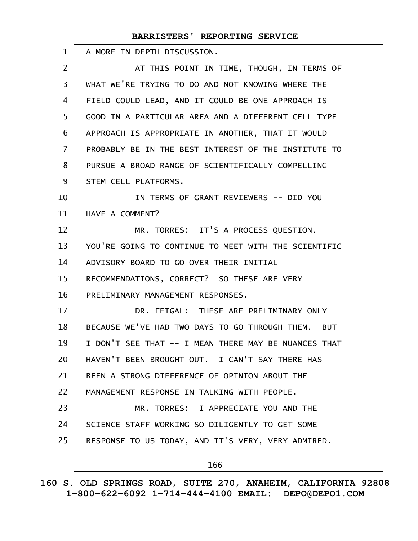| $\mathbf{1}$      | A MORE IN-DEPTH DISCUSSION.                          |
|-------------------|------------------------------------------------------|
| $\overline{2}$    | AT THIS POINT IN TIME, THOUGH, IN TERMS OF           |
| $\overline{3}$    | WHAT WE'RE TRYING TO DO AND NOT KNOWING WHERE THE    |
| 4                 | FIELD COULD LEAD, AND IT COULD BE ONE APPROACH IS    |
| 5                 | GOOD IN A PARTICULAR AREA AND A DIFFERENT CELL TYPE  |
| 6                 | APPROACH IS APPROPRIATE IN ANOTHER, THAT IT WOULD    |
| $\overline{7}$    | PROBABLY BE IN THE BEST INTEREST OF THE INSTITUTE TO |
| 8                 | PURSUE A BROAD RANGE OF SCIENTIFICALLY COMPELLING    |
| 9                 | STEM CELL PLATFORMS.                                 |
| 10                | IN TERMS OF GRANT REVIEWERS -- DID YOU               |
| 11                | HAVE A COMMENT?                                      |
| $12 \overline{ }$ | MR. TORRES: IT'S A PROCESS QUESTION.                 |
| 13                | YOU'RE GOING TO CONTINUE TO MEET WITH THE SCIENTIFIC |
| 14                | ADVISORY BOARD TO GO OVER THEIR INITIAL              |
| 15                | RECOMMENDATIONS, CORRECT? SO THESE ARE VERY          |
| 16                | PRELIMINARY MANAGEMENT RESPONSES.                    |
| 17                | DR. FEIGAL: THESE ARE PRELIMINARY ONLY               |
| 18                | BECAUSE WE'VE HAD TWO DAYS TO GO THROUGH THEM. BUT   |
| 19                | I DON'T SEE THAT -- I MEAN THERE MAY BE NUANCES THAT |
| 20                | HAVEN'T BEEN BROUGHT OUT. I CAN'T SAY THERE HAS      |
| 21                | BEEN A STRONG DIFFERENCE OF OPINION ABOUT THE        |
| 22                | MANAGEMENT RESPONSE IN TALKING WITH PEOPLE.          |
| 23                | MR. TORRES: I APPRECIATE YOU AND THE                 |
| 24                | SCIENCE STAFF WORKING SO DILIGENTLY TO GET SOME      |
| 25                | RESPONSE TO US TODAY, AND IT'S VERY, VERY ADMIRED.   |
|                   | 166                                                  |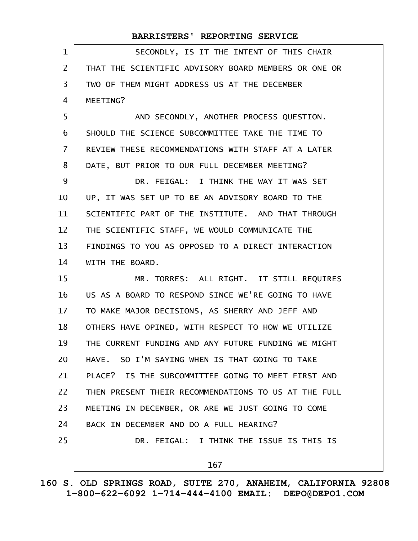| 1              | SECONDLY, IS IT THE INTENT OF THIS CHAIR             |
|----------------|------------------------------------------------------|
| $\mathsf{Z}$   | THAT THE SCIENTIFIC ADVISORY BOARD MEMBERS OR ONE OR |
| 3              | TWO OF THEM MIGHT ADDRESS US AT THE DECEMBER         |
| 4              | MEETING?                                             |
| 5              | AND SECONDLY, ANOTHER PROCESS QUESTION.              |
| 6              | SHOULD THE SCIENCE SUBCOMMITTEE TAKE THE TIME TO     |
| $\overline{7}$ | REVIEW THESE RECOMMENDATIONS WITH STAFF AT A LATER   |
| 8              | DATE, BUT PRIOR TO OUR FULL DECEMBER MEETING?        |
| 9              | DR. FEIGAL: I THINK THE WAY IT WAS SET               |
| 10             | UP, IT WAS SET UP TO BE AN ADVISORY BOARD TO THE     |
| 11             | SCIENTIFIC PART OF THE INSTITUTE. AND THAT THROUGH   |
| 12             | THE SCIENTIFIC STAFF, WE WOULD COMMUNICATE THE       |
| 13             | FINDINGS TO YOU AS OPPOSED TO A DIRECT INTERACTION   |
| 14             | WITH THE BOARD.                                      |
| 15             | MR. TORRES: ALL RIGHT. IT STILL REQUIRES             |
| 16             | US AS A BOARD TO RESPOND SINCE WE'RE GOING TO HAVE   |
| 17             | TO MAKE MAJOR DECISIONS, AS SHERRY AND JEFF AND      |
| 18             | OTHERS HAVE OPINED, WITH RESPECT TO HOW WE UTILIZE   |
| 19             | THE CURRENT FUNDING AND ANY FUTURE FUNDING WE MIGHT  |
| 20             | HAVE. SO I'M SAYING WHEN IS THAT GOING TO TAKE       |
| 21             | PLACE? IS THE SUBCOMMITTEE GOING TO MEET FIRST AND   |
| 22             | THEN PRESENT THEIR RECOMMENDATIONS TO US AT THE FULL |
| 23             | MEETING IN DECEMBER, OR ARE WE JUST GOING TO COME    |
| 24             | BACK IN DECEMBER AND DO A FULL HEARING?              |
| 25             | DR. FEIGAL: I THINK THE ISSUE IS THIS IS             |
|                | 167                                                  |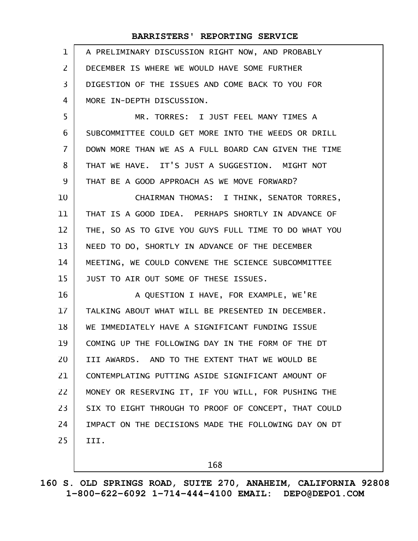| $\mathbf{1}$   | A PRELIMINARY DISCUSSION RIGHT NOW, AND PROBABLY     |
|----------------|------------------------------------------------------|
| 2              | DECEMBER IS WHERE WE WOULD HAVE SOME FURTHER         |
| 3              | DIGESTION OF THE ISSUES AND COME BACK TO YOU FOR     |
| 4              | MORE IN-DEPTH DISCUSSION.                            |
| 5              | MR. TORRES: I JUST FEEL MANY TIMES A                 |
| 6              | SUBCOMMITTEE COULD GET MORE INTO THE WEEDS OR DRILL  |
| $\overline{7}$ | DOWN MORE THAN WE AS A FULL BOARD CAN GIVEN THE TIME |
| 8              | THAT WE HAVE. IT'S JUST A SUGGESTION. MIGHT NOT      |
| 9              | THAT BE A GOOD APPROACH AS WE MOVE FORWARD?          |
| 10             | CHAIRMAN THOMAS: I THINK, SENATOR TORRES,            |
| 11             | THAT IS A GOOD IDEA. PERHAPS SHORTLY IN ADVANCE OF   |
| 12             | THE, SO AS TO GIVE YOU GUYS FULL TIME TO DO WHAT YOU |
| 13             | NEED TO DO, SHORTLY IN ADVANCE OF THE DECEMBER       |
| 14             | MEETING, WE COULD CONVENE THE SCIENCE SUBCOMMITTEE   |
| 15             | JUST TO AIR OUT SOME OF THESE ISSUES.                |
| 16             | A QUESTION I HAVE, FOR EXAMPLE, WE'RE                |
| 17             | TALKING ABOUT WHAT WILL BE PRESENTED IN DECEMBER.    |
| 18             | WE IMMEDIATELY HAVE A SIGNIFICANT FUNDING ISSUE      |
| 19             | COMING UP THE FOLLOWING DAY IN THE FORM OF THE DT    |
| 20             | III AWARDS. AND TO THE EXTENT THAT WE WOULD BE       |
| 21             | CONTEMPLATING PUTTING ASIDE SIGNIFICANT AMOUNT OF    |
| 22             | MONEY OR RESERVING IT, IF YOU WILL, FOR PUSHING THE  |
| 23             | SIX TO EIGHT THROUGH TO PROOF OF CONCEPT, THAT COULD |
| 24             | IMPACT ON THE DECISIONS MADE THE FOLLOWING DAY ON DT |
| 25             | III.                                                 |
|                |                                                      |

168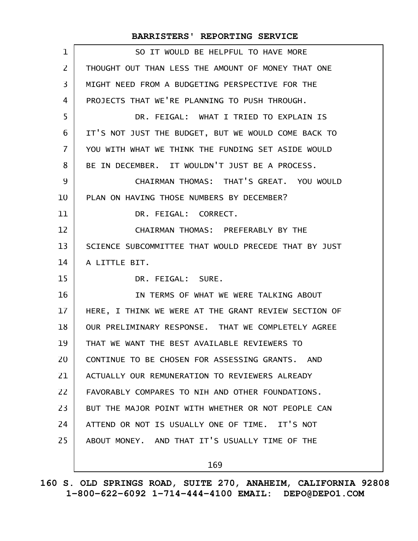| 1              | SO IT WOULD BE HELPFUL TO HAVE MORE                  |
|----------------|------------------------------------------------------|
| $\overline{2}$ | THOUGHT OUT THAN LESS THE AMOUNT OF MONEY THAT ONE   |
| 3              | MIGHT NEED FROM A BUDGETING PERSPECTIVE FOR THE      |
| 4              | PROJECTS THAT WE'RE PLANNING TO PUSH THROUGH.        |
| 5              | DR. FEIGAL: WHAT I TRIED TO EXPLAIN IS               |
| 6              | IT'S NOT JUST THE BUDGET, BUT WE WOULD COME BACK TO  |
| $\overline{7}$ | YOU WITH WHAT WE THINK THE FUNDING SET ASIDE WOULD   |
| 8              | BE IN DECEMBER. IT WOULDN'T JUST BE A PROCESS.       |
| 9              | CHAIRMAN THOMAS: THAT'S GREAT. YOU WOULD             |
| 10             | PLAN ON HAVING THOSE NUMBERS BY DECEMBER?            |
| 11             | DR. FEIGAL: CORRECT.                                 |
| 12             | CHAIRMAN THOMAS: PREFERABLY BY THE                   |
| 13             | SCIENCE SUBCOMMITTEE THAT WOULD PRECEDE THAT BY JUST |
| 14             | A LITTLE BIT.                                        |
| 15             | DR. FEIGAL: SURE.                                    |
| 16             | IN TERMS OF WHAT WE WERE TALKING ABOUT               |
| 17             | HERE, I THINK WE WERE AT THE GRANT REVIEW SECTION OF |
| 18             | OUR PRELIMINARY RESPONSE. THAT WE COMPLETELY AGREE   |
| 19             | THAT WE WANT THE BEST AVAILABLE REVIEWERS TO         |
| 20             | CONTINUE TO BE CHOSEN FOR ASSESSING GRANTS. AND      |
| 21             | ACTUALLY OUR REMUNERATION TO REVIEWERS ALREADY       |
| 22             | FAVORABLY COMPARES TO NIH AND OTHER FOUNDATIONS.     |
| 23             | BUT THE MAJOR POINT WITH WHETHER OR NOT PEOPLE CAN   |
| 24             | ATTEND OR NOT IS USUALLY ONE OF TIME. IT'S NOT       |
| 25             | ABOUT MONEY. AND THAT IT'S USUALLY TIME OF THE       |
|                | 169                                                  |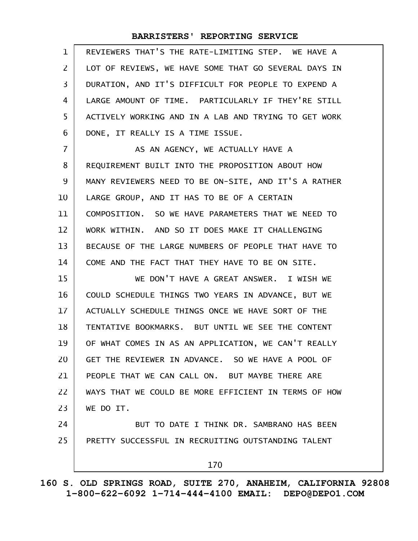| $\mathbf{1}$   | REVIEWERS THAT'S THE RATE-LIMITING STEP. WE HAVE A   |
|----------------|------------------------------------------------------|
| $\mathbf{Z}$   | LOT OF REVIEWS, WE HAVE SOME THAT GO SEVERAL DAYS IN |
| 3              | DURATION, AND IT'S DIFFICULT FOR PEOPLE TO EXPEND A  |
| 4              | LARGE AMOUNT OF TIME. PARTICULARLY IF THEY'RE STILL  |
| 5              | ACTIVELY WORKING AND IN A LAB AND TRYING TO GET WORK |
| 6              | DONE, IT REALLY IS A TIME ISSUE.                     |
| $\overline{7}$ | AS AN AGENCY, WE ACTUALLY HAVE A                     |
| 8              | REQUIREMENT BUILT INTO THE PROPOSITION ABOUT HOW     |
| 9              | MANY REVIEWERS NEED TO BE ON-SITE, AND IT'S A RATHER |
| 10             | LARGE GROUP, AND IT HAS TO BE OF A CERTAIN           |
| 11             | COMPOSITION. SO WE HAVE PARAMETERS THAT WE NEED TO   |
| 12             | WORK WITHIN. AND SO IT DOES MAKE IT CHALLENGING      |
| 13             | BECAUSE OF THE LARGE NUMBERS OF PEOPLE THAT HAVE TO  |
| 14             | COME AND THE FACT THAT THEY HAVE TO BE ON SITE.      |
| 15             | WE DON'T HAVE A GREAT ANSWER. I WISH WE              |
| 16             | COULD SCHEDULE THINGS TWO YEARS IN ADVANCE, BUT WE   |
| 17             | ACTUALLY SCHEDULE THINGS ONCE WE HAVE SORT OF THE    |
| 18             | TENTATIVE BOOKMARKS. BUT UNTIL WE SEE THE CONTENT    |
| 19             | OF WHAT COMES IN AS AN APPLICATION, WE CAN'T REALLY  |
| 20             | GET THE REVIEWER IN ADVANCE. SO WE HAVE A POOL OF    |
| 21             | PEOPLE THAT WE CAN CALL ON. BUT MAYBE THERE ARE      |
| 22             | WAYS THAT WE COULD BE MORE EFFICIENT IN TERMS OF HOW |
| 23             | WE DO IT.                                            |
| 24             | BUT TO DATE I THINK DR. SAMBRANO HAS BEEN            |
| 25             | PRETTY SUCCESSFUL IN RECRUITING OUTSTANDING TALENT   |
|                | 170                                                  |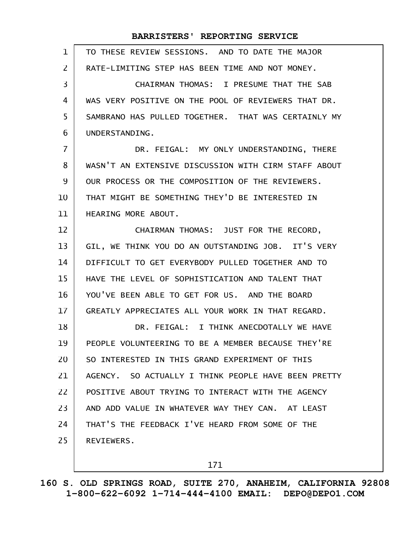| $\mathbf{1}$ | TO THESE REVIEW SESSIONS. AND TO DATE THE MAJOR      |
|--------------|------------------------------------------------------|
| 2            | RATE-LIMITING STEP HAS BEEN TIME AND NOT MONEY.      |
| 3            | CHAIRMAN THOMAS: I PRESUME THAT THE SAB              |
| 4            | WAS VERY POSITIVE ON THE POOL OF REVIEWERS THAT DR.  |
| 5            | SAMBRANO HAS PULLED TOGETHER. THAT WAS CERTAINLY MY  |
| 6            | UNDERSTANDING.                                       |
| 7            | DR. FEIGAL: MY ONLY UNDERSTANDING, THERE             |
| 8            | WASN'T AN EXTENSIVE DISCUSSION WITH CIRM STAFF ABOUT |
| 9            | OUR PROCESS OR THE COMPOSITION OF THE REVIEWERS.     |
| 10           | THAT MIGHT BE SOMETHING THEY'D BE INTERESTED IN      |
| 11           | HEARING MORE ABOUT.                                  |
| 12           | CHAIRMAN THOMAS: JUST FOR THE RECORD,                |
| 13           | GIL, WE THINK YOU DO AN OUTSTANDING JOB. IT'S VERY   |
| 14           | DIFFICULT TO GET EVERYBODY PULLED TOGETHER AND TO    |
| 15           | HAVE THE LEVEL OF SOPHISTICATION AND TALENT THAT     |
| 16           | YOU'VE BEEN ABLE TO GET FOR US. AND THE BOARD        |
| 17           | GREATLY APPRECIATES ALL YOUR WORK IN THAT REGARD.    |
| 18           | DR. FEIGAL: I THINK ANECDOTALLY WE HAVE              |
| 19           | PEOPLE VOLUNTEERING TO BE A MEMBER BECAUSE THEY'RE   |
| 20           | SO INTERESTED IN THIS GRAND EXPERIMENT OF THIS       |
| 21           | AGENCY. SO ACTUALLY I THINK PEOPLE HAVE BEEN PRETTY  |
| 22           | POSITIVE ABOUT TRYING TO INTERACT WITH THE AGENCY    |
| 23           | AND ADD VALUE IN WHATEVER WAY THEY CAN. AT LEAST     |
| 24           | THAT'S THE FEEDBACK I'VE HEARD FROM SOME OF THE      |
| 25           | REVIEWERS.                                           |
|              |                                                      |

171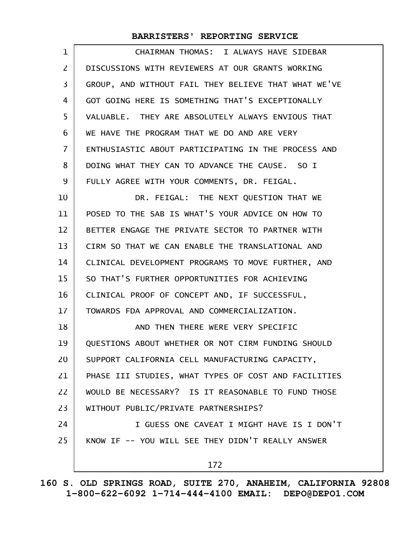| 1              | CHAIRMAN THOMAS: I ALWAYS HAVE SIDEBAR               |
|----------------|------------------------------------------------------|
| $\overline{2}$ | DISCUSSIONS WITH REVIEWERS AT OUR GRANTS WORKING     |
| 3              | GROUP, AND WITHOUT FAIL THEY BELIEVE THAT WHAT WE'VE |
| 4              | GOT GOING HERE IS SOMETHING THAT'S EXCEPTIONALLY     |
| 5              | VALUABLE. THEY ARE ABSOLUTELY ALWAYS ENVIOUS THAT    |
| 6              | WE HAVE THE PROGRAM THAT WE DO AND ARE VERY          |
| 7              | ENTHUSIASTIC ABOUT PARTICIPATING IN THE PROCESS AND  |
| 8              | DOING WHAT THEY CAN TO ADVANCE THE CAUSE. SO I       |
| 9              | FULLY AGREE WITH YOUR COMMENTS, DR. FEIGAL.          |
| 10             | DR. FEIGAL: THE NEXT QUESTION THAT WE                |
| 11             | POSED TO THE SAB IS WHAT'S YOUR ADVICE ON HOW TO     |
| 12             | BETTER ENGAGE THE PRIVATE SECTOR TO PARTNER WITH     |
| 13             | CIRM SO THAT WE CAN ENABLE THE TRANSLATIONAL AND     |
| 14             | CLINICAL DEVELOPMENT PROGRAMS TO MOVE FURTHER, AND   |
| 15             | SO THAT'S FURTHER OPPORTUNITIES FOR ACHIEVING        |
| 16             | CLINICAL PROOF OF CONCEPT AND, IF SUCCESSFUL,        |
| 17             | TOWARDS FDA APPROVAL AND COMMERCIALIZATION.          |
| 18             | AND THEN THERE WERE VERY SPECIFIC                    |
| 19             | QUESTIONS ABOUT WHETHER OR NOT CIRM FUNDING SHOULD   |
| 20             | SUPPORT CALIFORNIA CELL MANUFACTURING CAPACITY,      |
| 21             | PHASE III STUDIES, WHAT TYPES OF COST AND FACILITIES |
| 22             | WOULD BE NECESSARY? IS IT REASONABLE TO FUND THOSE   |
| 23             | WITHOUT PUBLIC/PRIVATE PARTNERSHIPS?                 |
| 24             | I GUESS ONE CAVEAT I MIGHT HAVE IS I DON'T           |
| 25             | KNOW IF -- YOU WILL SEE THEY DIDN'T REALLY ANSWER    |
|                | 172                                                  |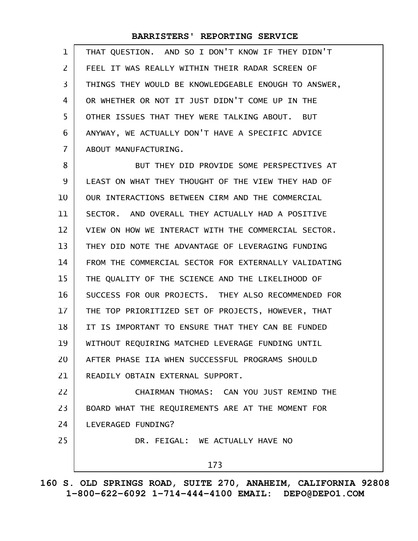| $\mathbf 1$    | THAT QUESTION. AND SO I DON'T KNOW IF THEY DIDN'T    |
|----------------|------------------------------------------------------|
| 2              | FEEL IT WAS REALLY WITHIN THEIR RADAR SCREEN OF      |
| 3              | THINGS THEY WOULD BE KNOWLEDGEABLE ENOUGH TO ANSWER, |
| 4              | OR WHETHER OR NOT IT JUST DIDN'T COME UP IN THE      |
| 5              | OTHER ISSUES THAT THEY WERE TALKING ABOUT. BUT       |
| 6              | ANYWAY, WE ACTUALLY DON'T HAVE A SPECIFIC ADVICE     |
| $\overline{7}$ | ABOUT MANUFACTURING.                                 |
| 8              | BUT THEY DID PROVIDE SOME PERSPECTIVES AT            |
| 9              | LEAST ON WHAT THEY THOUGHT OF THE VIEW THEY HAD OF   |
| 10             | OUR INTERACTIONS BETWEEN CIRM AND THE COMMERCIAL     |
| 11             | SECTOR. AND OVERALL THEY ACTUALLY HAD A POSITIVE     |
| 12             | VIEW ON HOW WE INTERACT WITH THE COMMERCIAL SECTOR.  |
| 13             | THEY DID NOTE THE ADVANTAGE OF LEVERAGING FUNDING    |
| 14             | FROM THE COMMERCIAL SECTOR FOR EXTERNALLY VALIDATING |
| 15             | THE QUALITY OF THE SCIENCE AND THE LIKELIHOOD OF     |
| 16             | SUCCESS FOR OUR PROJECTS. THEY ALSO RECOMMENDED FOR  |
| 17             | THE TOP PRIORITIZED SET OF PROJECTS, HOWEVER, THAT   |
| 18             | IT IS IMPORTANT TO ENSURE THAT THEY CAN BE FUNDED    |
| 19             | WITHOUT REQUIRING MATCHED LEVERAGE FUNDING UNTIL     |
| 20             | AFTER PHASE IIA WHEN SUCCESSFUL PROGRAMS SHOULD      |
| 21             | READILY OBTAIN EXTERNAL SUPPORT.                     |
| 22             | CHAIRMAN THOMAS: CAN YOU JUST REMIND THE             |
| 23             | BOARD WHAT THE REQUIREMENTS ARE AT THE MOMENT FOR    |
| 24             | LEVERAGED FUNDING?                                   |
| 25             | DR. FEIGAL: WE ACTUALLY HAVE NO                      |
|                | 173                                                  |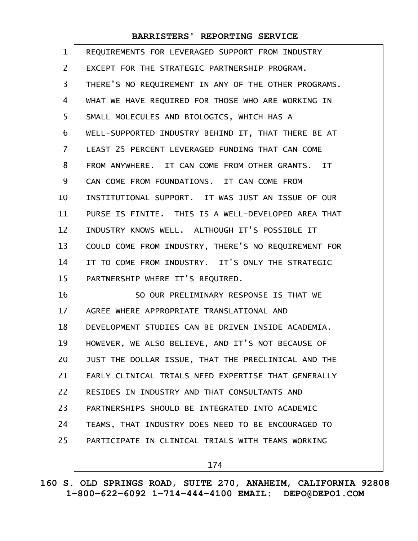| $\mathbf 1$    | REQUIREMENTS FOR LEVERAGED SUPPORT FROM INDUSTRY     |
|----------------|------------------------------------------------------|
| $\overline{2}$ | EXCEPT FOR THE STRATEGIC PARTNERSHIP PROGRAM.        |
| 3              | THERE'S NO REQUIREMENT IN ANY OF THE OTHER PROGRAMS. |
| 4              | WHAT WE HAVE REQUIRED FOR THOSE WHO ARE WORKING IN   |
| 5              | SMALL MOLECULES AND BIOLOGICS, WHICH HAS A           |
| 6              | WELL-SUPPORTED INDUSTRY BEHIND IT, THAT THERE BE AT  |
| $\overline{7}$ | LEAST 25 PERCENT LEVERAGED FUNDING THAT CAN COME     |
| 8              | FROM ANYWHERE. IT CAN COME FROM OTHER GRANTS. IT     |
| 9              | CAN COME FROM FOUNDATIONS. IT CAN COME FROM          |
| 10             | INSTITUTIONAL SUPPORT. IT WAS JUST AN ISSUE OF OUR   |
| 11             | PURSE IS FINITE. THIS IS A WELL-DEVELOPED AREA THAT  |
| 12             | INDUSTRY KNOWS WELL. ALTHOUGH IT'S POSSIBLE IT       |
| 13             | COULD COME FROM INDUSTRY, THERE'S NO REQUIREMENT FOR |
| 14             | IT TO COME FROM INDUSTRY. IT'S ONLY THE STRATEGIC    |
| 15             | PARTNERSHIP WHERE IT'S REQUIRED.                     |
| 16             | SO OUR PRELIMINARY RESPONSE IS THAT WE               |
| 17             | AGREE WHERE APPROPRIATE TRANSLATIONAL AND            |
| 18             | DEVELOPMENT STUDIES CAN BE DRIVEN INSIDE ACADEMIA.   |
| 19             | HOWEVER, WE ALSO BELIEVE, AND IT'S NOT BECAUSE OF    |
| 20             | JUST THE DOLLAR ISSUE, THAT THE PRECLINICAL AND THE  |
| 21             | EARLY CLINICAL TRIALS NEED EXPERTISE THAT GENERALLY  |
| 22             | RESIDES IN INDUSTRY AND THAT CONSULTANTS AND         |
| 23             | PARTNERSHIPS SHOULD BE INTEGRATED INTO ACADEMIC      |
| 24             | TEAMS, THAT INDUSTRY DOES NEED TO BE ENCOURAGED TO   |
| 25             | PARTICIPATE IN CLINICAL TRIALS WITH TEAMS WORKING    |
|                | 174                                                  |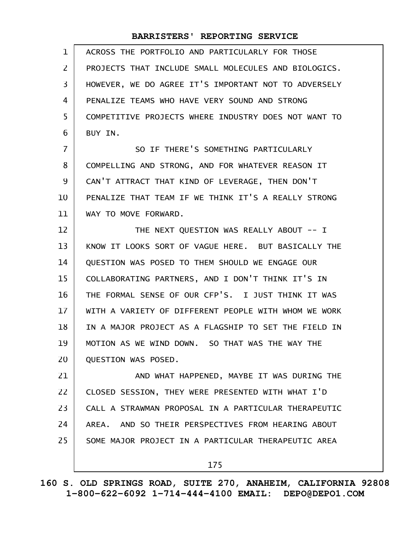| $\mathbf{1}$   | ACROSS THE PORTFOLIO AND PARTICULARLY FOR THOSE      |
|----------------|------------------------------------------------------|
| $\overline{2}$ | PROJECTS THAT INCLUDE SMALL MOLECULES AND BIOLOGICS. |
| 3              | HOWEVER, WE DO AGREE IT'S IMPORTANT NOT TO ADVERSELY |
| 4              | PENALIZE TEAMS WHO HAVE VERY SOUND AND STRONG        |
| 5              | COMPETITIVE PROJECTS WHERE INDUSTRY DOES NOT WANT TO |
| 6              | BUY IN.                                              |
| $\overline{7}$ | SO IF THERE'S SOMETHING PARTICULARLY                 |
| 8              | COMPELLING AND STRONG, AND FOR WHATEVER REASON IT    |
| 9              | CAN'T ATTRACT THAT KIND OF LEVERAGE, THEN DON'T      |
| 10             | PENALIZE THAT TEAM IF WE THINK IT'S A REALLY STRONG  |
| 11             | WAY TO MOVE FORWARD.                                 |
| 12             | THE NEXT QUESTION WAS REALLY ABOUT -- I              |
| 13             | KNOW IT LOOKS SORT OF VAGUE HERE. BUT BASICALLY THE  |
| 14             | QUESTION WAS POSED TO THEM SHOULD WE ENGAGE OUR      |
| 15             | COLLABORATING PARTNERS, AND I DON'T THINK IT'S IN    |
| 16             | THE FORMAL SENSE OF OUR CFP'S. I JUST THINK IT WAS   |
| 17             | WITH A VARIETY OF DIFFERENT PEOPLE WITH WHOM WE WORK |
| 18             | IN A MAJOR PROJECT AS A FLAGSHIP TO SET THE FIELD IN |
| 19             | MOTION AS WE WIND DOWN. SO THAT WAS THE WAY THE      |
| 20             | QUESTION WAS POSED.                                  |
| 21             | AND WHAT HAPPENED, MAYBE IT WAS DURING THE           |
| 22             | CLOSED SESSION, THEY WERE PRESENTED WITH WHAT I'D    |
| 23             | CALL A STRAWMAN PROPOSAL IN A PARTICULAR THERAPEUTIC |
| 24             | AREA. AND SO THEIR PERSPECTIVES FROM HEARING ABOUT   |
| 25             | SOME MAJOR PROJECT IN A PARTICULAR THERAPEUTIC AREA  |
|                | 175                                                  |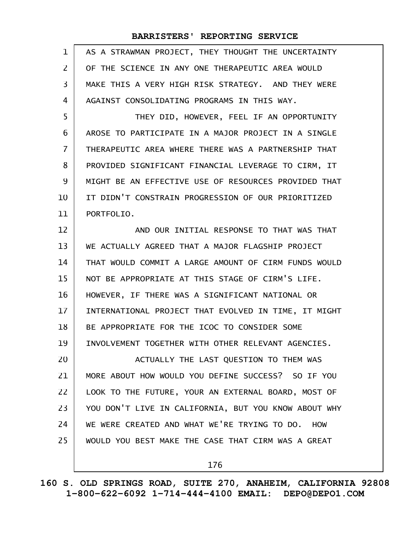| 1              | AS A STRAWMAN PROJECT, THEY THOUGHT THE UNCERTAINTY  |
|----------------|------------------------------------------------------|
| 2              | OF THE SCIENCE IN ANY ONE THERAPEUTIC AREA WOULD     |
| 3              | MAKE THIS A VERY HIGH RISK STRATEGY. AND THEY WERE   |
| 4              | AGAINST CONSOLIDATING PROGRAMS IN THIS WAY.          |
| 5              | THEY DID, HOWEVER, FEEL IF AN OPPORTUNITY            |
| 6              | AROSE TO PARTICIPATE IN A MAJOR PROJECT IN A SINGLE  |
| $\overline{7}$ | THERAPEUTIC AREA WHERE THERE WAS A PARTNERSHIP THAT  |
| 8              | PROVIDED SIGNIFICANT FINANCIAL LEVERAGE TO CIRM, IT  |
| 9              | MIGHT BE AN EFFECTIVE USE OF RESOURCES PROVIDED THAT |
| 10             | IT DIDN'T CONSTRAIN PROGRESSION OF OUR PRIORITIZED   |
| 11             | PORTFOLIO.                                           |
| 12             | AND OUR INITIAL RESPONSE TO THAT WAS THAT            |
| 13             | WE ACTUALLY AGREED THAT A MAJOR FLAGSHIP PROJECT     |
| 14             | THAT WOULD COMMIT A LARGE AMOUNT OF CIRM FUNDS WOULD |
| 15             | NOT BE APPROPRIATE AT THIS STAGE OF CIRM'S LIFE.     |
| 16             | HOWEVER, IF THERE WAS A SIGNIFICANT NATIONAL OR      |
| 17             | INTERNATIONAL PROJECT THAT EVOLVED IN TIME, IT MIGHT |
| 18             | BE APPROPRIATE FOR THE ICOC TO CONSIDER SOME         |
| 19             | INVOLVEMENT TOGETHER WITH OTHER RELEVANT AGENCIES.   |
| 20             | ACTUALLY THE LAST QUESTION TO THEM WAS               |
| 21             | MORE ABOUT HOW WOULD YOU DEFINE SUCCESS? SO IF YOU   |
| 22             | LOOK TO THE FUTURE, YOUR AN EXTERNAL BOARD, MOST OF  |
| 23             | YOU DON'T LIVE IN CALIFORNIA, BUT YOU KNOW ABOUT WHY |
| 24             | WE WERE CREATED AND WHAT WE'RE TRYING TO DO. HOW     |
| 25             | WOULD YOU BEST MAKE THE CASE THAT CIRM WAS A GREAT   |
|                | 176                                                  |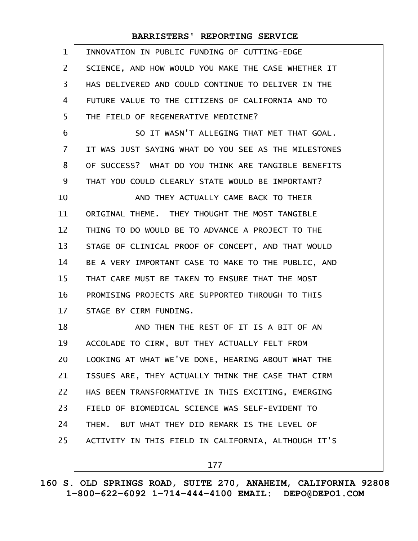| $\mathbf{1}$   | INNOVATION IN PUBLIC FUNDING OF CUTTING-EDGE         |
|----------------|------------------------------------------------------|
| $\mathsf{Z}$   | SCIENCE, AND HOW WOULD YOU MAKE THE CASE WHETHER IT  |
| 3              | HAS DELIVERED AND COULD CONTINUE TO DELIVER IN THE   |
| 4              | FUTURE VALUE TO THE CITIZENS OF CALIFORNIA AND TO    |
| 5              | THE FIELD OF REGENERATIVE MEDICINE?                  |
| 6              | SO IT WASN'T ALLEGING THAT MET THAT GOAL.            |
| $\overline{7}$ | IT WAS JUST SAYING WHAT DO YOU SEE AS THE MILESTONES |
| 8              | OF SUCCESS? WHAT DO YOU THINK ARE TANGIBLE BENEFITS  |
| 9              | THAT YOU COULD CLEARLY STATE WOULD BE IMPORTANT?     |
| 10             | AND THEY ACTUALLY CAME BACK TO THEIR                 |
| 11             | ORIGINAL THEME. THEY THOUGHT THE MOST TANGIBLE       |
| 12             | THING TO DO WOULD BE TO ADVANCE A PROJECT TO THE     |
| 13             | STAGE OF CLINICAL PROOF OF CONCEPT, AND THAT WOULD   |
| 14             | BE A VERY IMPORTANT CASE TO MAKE TO THE PUBLIC, AND  |
| 15             | THAT CARE MUST BE TAKEN TO ENSURE THAT THE MOST      |
| 16             | PROMISING PROJECTS ARE SUPPORTED THROUGH TO THIS     |
| 17             | STAGE BY CIRM FUNDING.                               |
| 18             | AND THEN THE REST OF IT IS A BIT OF AN               |
| 19             | ACCOLADE TO CIRM, BUT THEY ACTUALLY FELT FROM        |
| 20             | LOOKING AT WHAT WE'VE DONE, HEARING ABOUT WHAT THE   |
| 21             | ISSUES ARE, THEY ACTUALLY THINK THE CASE THAT CIRM   |
| 22             | HAS BEEN TRANSFORMATIVE IN THIS EXCITING, EMERGING   |
| 23             | FIELD OF BIOMEDICAL SCIENCE WAS SELF-EVIDENT TO      |
| 24             | THEM. BUT WHAT THEY DID REMARK IS THE LEVEL OF       |
| 25             | ACTIVITY IN THIS FIELD IN CALIFORNIA, ALTHOUGH IT'S  |
|                | 177                                                  |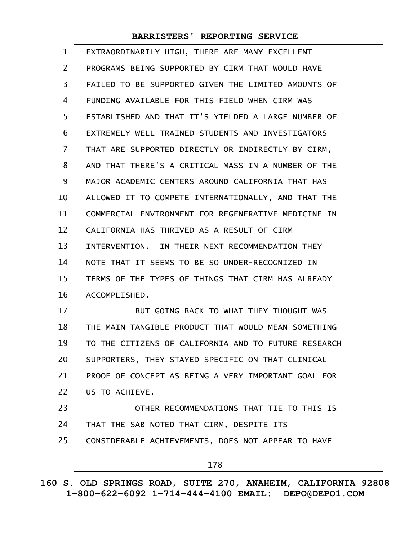| 1              | EXTRAORDINARILY HIGH, THERE ARE MANY EXCELLENT       |
|----------------|------------------------------------------------------|
| $\overline{2}$ | PROGRAMS BEING SUPPORTED BY CIRM THAT WOULD HAVE     |
| 3              | FAILED TO BE SUPPORTED GIVEN THE LIMITED AMOUNTS OF  |
| 4              | FUNDING AVAILABLE FOR THIS FIELD WHEN CIRM WAS       |
| 5              | ESTABLISHED AND THAT IT'S YIELDED A LARGE NUMBER OF  |
| 6              | EXTREMELY WELL-TRAINED STUDENTS AND INVESTIGATORS    |
| $\overline{7}$ | THAT ARE SUPPORTED DIRECTLY OR INDIRECTLY BY CIRM,   |
| 8              | AND THAT THERE'S A CRITICAL MASS IN A NUMBER OF THE  |
| 9              | MAJOR ACADEMIC CENTERS AROUND CALIFORNIA THAT HAS    |
| 10             | ALLOWED IT TO COMPETE INTERNATIONALLY, AND THAT THE  |
| 11             | COMMERCIAL ENVIRONMENT FOR REGENERATIVE MEDICINE IN  |
| 12             | CALIFORNIA HAS THRIVED AS A RESULT OF CIRM           |
| 13             | INTERVENTION. IN THEIR NEXT RECOMMENDATION THEY      |
| 14             | NOTE THAT IT SEEMS TO BE SO UNDER-RECOGNIZED IN      |
| 15             | TERMS OF THE TYPES OF THINGS THAT CIRM HAS ALREADY   |
| 16             | ACCOMPLISHED.                                        |
| 17             | BUT GOING BACK TO WHAT THEY THOUGHT WAS              |
| 18             | THE MAIN TANGIBLE PRODUCT THAT WOULD MEAN SOMETHING  |
| 19             | TO THE CITIZENS OF CALIFORNIA AND TO FUTURE RESEARCH |
| 20             | SUPPORTERS, THEY STAYED SPECIFIC ON THAT CLINICAL    |
| 21             | PROOF OF CONCEPT AS BEING A VERY IMPORTANT GOAL FOR  |
| 22             | US TO ACHIEVE.                                       |
| 23             | OTHER RECOMMENDATIONS THAT TIE TO THIS IS            |
| 24             | THAT THE SAB NOTED THAT CIRM, DESPITE ITS            |
| 25             | CONSIDERABLE ACHIEVEMENTS, DOES NOT APPEAR TO HAVE   |
|                | 178                                                  |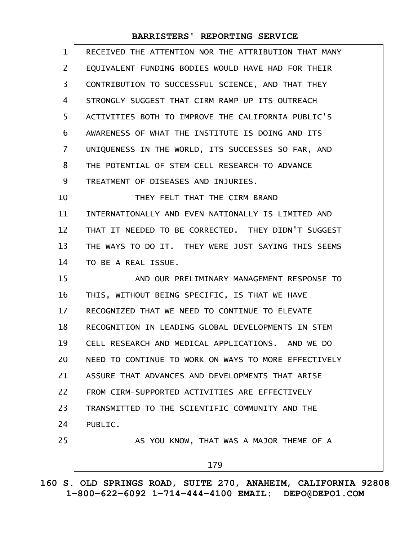| $\mathbf{1}$ | RECEIVED THE ATTENTION NOR THE ATTRIBUTION THAT MANY |
|--------------|------------------------------------------------------|
| 2            | EQUIVALENT FUNDING BODIES WOULD HAVE HAD FOR THEIR   |
| 3            | CONTRIBUTION TO SUCCESSFUL SCIENCE, AND THAT THEY    |
| 4            | STRONGLY SUGGEST THAT CIRM RAMP UP ITS OUTREACH      |
| 5            | ACTIVITIES BOTH TO IMPROVE THE CALIFORNIA PUBLIC'S   |
| 6            | AWARENESS OF WHAT THE INSTITUTE IS DOING AND ITS     |
| 7            | UNIQUENESS IN THE WORLD, ITS SUCCESSES SO FAR, AND   |
| 8            | THE POTENTIAL OF STEM CELL RESEARCH TO ADVANCE       |
| 9            | TREATMENT OF DISEASES AND INJURIES.                  |
| 10           | THEY FELT THAT THE CIRM BRAND                        |
| 11           | INTERNATIONALLY AND EVEN NATIONALLY IS LIMITED AND   |
| 12           | THAT IT NEEDED TO BE CORRECTED. THEY DIDN'T SUGGEST  |
| 13           | THE WAYS TO DO IT. THEY WERE JUST SAYING THIS SEEMS  |
| 14           | TO BE A REAL ISSUE.                                  |
| 15           | AND OUR PRELIMINARY MANAGEMENT RESPONSE TO           |
| 16           | THIS, WITHOUT BEING SPECIFIC, IS THAT WE HAVE        |
| 17           | RECOGNIZED THAT WE NEED TO CONTINUE TO ELEVATE       |
| 18           | RECOGNITION IN LEADING GLOBAL DEVELOPMENTS IN STEM   |
| 19           | CELL RESEARCH AND MEDICAL APPLICATIONS, AND WE DO    |
| 20           | NEED TO CONTINUE TO WORK ON WAYS TO MORE EFFECTIVELY |
| 21           | ASSURE THAT ADVANCES AND DEVELOPMENTS THAT ARISE     |
| 22           | FROM CIRM-SUPPORTED ACTIVITIES ARE EFFECTIVELY       |
| 23           | TRANSMITTED TO THE SCIENTIFIC COMMUNITY AND THE      |
| 24           | PUBLIC.                                              |
| 25           | AS YOU KNOW, THAT WAS A MAJOR THEME OF A             |
|              | 179                                                  |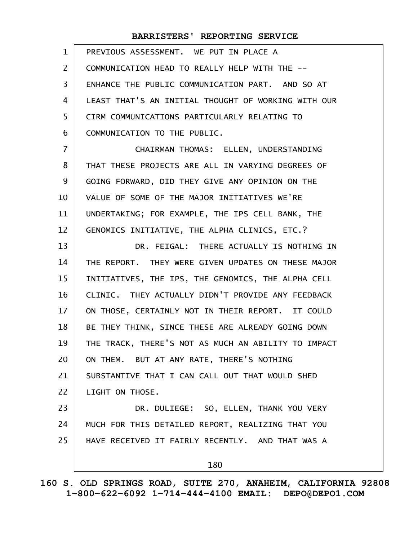| $\mathbf{1}$ | PREVIOUS ASSESSMENT. WE PUT IN PLACE A              |
|--------------|-----------------------------------------------------|
| 2            | COMMUNICATION HEAD TO REALLY HELP WITH THE --       |
| 3            | ENHANCE THE PUBLIC COMMUNICATION PART. AND SO AT    |
| 4            | LEAST THAT'S AN INITIAL THOUGHT OF WORKING WITH OUR |
| 5            | CIRM COMMUNICATIONS PARTICULARLY RELATING TO        |
| 6            | COMMUNICATION TO THE PUBLIC.                        |
| 7            | CHAIRMAN THOMAS: ELLEN, UNDERSTANDING               |
| 8            | THAT THESE PROJECTS ARE ALL IN VARYING DEGREES OF   |
| 9            | GOING FORWARD, DID THEY GIVE ANY OPINION ON THE     |
| 10           | VALUE OF SOME OF THE MAJOR INITIATIVES WE'RE        |
| 11           | UNDERTAKING; FOR EXAMPLE, THE IPS CELL BANK, THE    |
| 12           | GENOMICS INITIATIVE, THE ALPHA CLINICS, ETC.?       |
| 13           | DR. FEIGAL: THERE ACTUALLY IS NOTHING IN            |
| 14           | THE REPORT. THEY WERE GIVEN UPDATES ON THESE MAJOR  |
| 15           | INITIATIVES, THE IPS, THE GENOMICS, THE ALPHA CELL  |
| 16           | CLINIC. THEY ACTUALLY DIDN'T PROVIDE ANY FEEDBACK   |
| 17           | ON THOSE, CERTAINLY NOT IN THEIR REPORT. IT COULD   |
| 18           | BE THEY THINK, SINCE THESE ARE ALREADY GOING DOWN   |
| 19           | THE TRACK, THERE'S NOT AS MUCH AN ABILITY TO IMPACT |
| 20           | ON THEM. BUT AT ANY RATE, THERE'S NOTHING           |
| 21           | SUBSTANTIVE THAT I CAN CALL OUT THAT WOULD SHED     |
| 22           | LIGHT ON THOSE.                                     |
| 23           | DR. DULIEGE: SO, ELLEN, THANK YOU VERY              |
| 24           | MUCH FOR THIS DETAILED REPORT, REALIZING THAT YOU   |
| 25           | HAVE RECEIVED IT FAIRLY RECENTLY. AND THAT WAS A    |
|              | 180                                                 |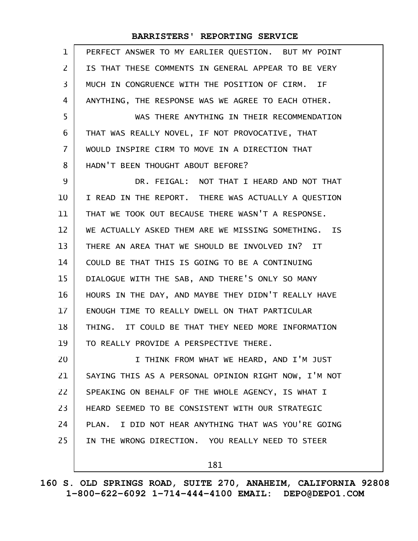| PERFECT ANSWER TO MY EARLIER QUESTION. BUT MY POINT  |
|------------------------------------------------------|
| IS THAT THESE COMMENTS IN GENERAL APPEAR TO BE VERY  |
| MUCH IN CONGRUENCE WITH THE POSITION OF CIRM. IF     |
| ANYTHING, THE RESPONSE WAS WE AGREE TO EACH OTHER.   |
| WAS THERE ANYTHING IN THEIR RECOMMENDATION           |
| THAT WAS REALLY NOVEL, IF NOT PROVOCATIVE, THAT      |
| WOULD INSPIRE CIRM TO MOVE IN A DIRECTION THAT       |
| HADN'T BEEN THOUGHT ABOUT BEFORE?                    |
| DR. FEIGAL: NOT THAT I HEARD AND NOT THAT            |
| I READ IN THE REPORT. THERE WAS ACTUALLY A QUESTION  |
| THAT WE TOOK OUT BECAUSE THERE WASN'T A RESPONSE.    |
| WE ACTUALLY ASKED THEM ARE WE MISSING SOMETHING. IS  |
| THERE AN AREA THAT WE SHOULD BE INVOLVED IN? IT      |
| COULD BE THAT THIS IS GOING TO BE A CONTINUING       |
| DIALOGUE WITH THE SAB, AND THERE'S ONLY SO MANY      |
| HOURS IN THE DAY, AND MAYBE THEY DIDN'T REALLY HAVE  |
| ENOUGH TIME TO REALLY DWELL ON THAT PARTICULAR       |
| THING. IT COULD BE THAT THEY NEED MORE INFORMATION   |
| TO REALLY PROVIDE A PERSPECTIVE THERE.               |
| I THINK FROM WHAT WE HEARD, AND I'M JUST             |
| SAYING THIS AS A PERSONAL OPINION RIGHT NOW, I'M NOT |
| SPEAKING ON BEHALF OF THE WHOLE AGENCY, IS WHAT I    |
| HEARD SEEMED TO BE CONSISTENT WITH OUR STRATEGIC     |
| PLAN. I DID NOT HEAR ANYTHING THAT WAS YOU'RE GOING  |
| IN THE WRONG DIRECTION. YOU REALLY NEED TO STEER     |
| 181                                                  |
|                                                      |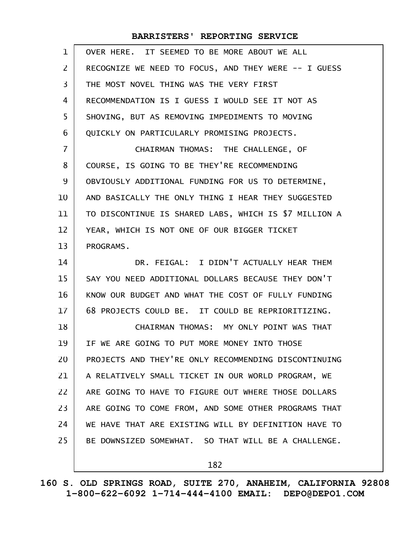| $\mathbf{1}$   | OVER HERE. IT SEEMED TO BE MORE ABOUT WE ALL          |
|----------------|-------------------------------------------------------|
| $\mathsf{Z}$   | RECOGNIZE WE NEED TO FOCUS, AND THEY WERE -- I GUESS  |
| 3              | THE MOST NOVEL THING WAS THE VERY FIRST               |
| 4              | RECOMMENDATION IS I GUESS I WOULD SEE IT NOT AS       |
| 5              | SHOVING, BUT AS REMOVING IMPEDIMENTS TO MOVING        |
| 6              | QUICKLY ON PARTICULARLY PROMISING PROJECTS.           |
| $\overline{7}$ | CHAIRMAN THOMAS: THE CHALLENGE, OF                    |
| 8              | COURSE, IS GOING TO BE THEY'RE RECOMMENDING           |
| 9              | OBVIOUSLY ADDITIONAL FUNDING FOR US TO DETERMINE,     |
| 10             | AND BASICALLY THE ONLY THING I HEAR THEY SUGGESTED    |
| 11             | TO DISCONTINUE IS SHARED LABS, WHICH IS \$7 MILLION A |
| 12             | YEAR, WHICH IS NOT ONE OF OUR BIGGER TICKET           |
| 13             | PROGRAMS.                                             |
| 14             | DR. FEIGAL: I DIDN'T ACTUALLY HEAR THEM               |
| 15             | SAY YOU NEED ADDITIONAL DOLLARS BECAUSE THEY DON'T    |
| 16             | KNOW OUR BUDGET AND WHAT THE COST OF FULLY FUNDING    |
| $17 \,$        | 68 PROJECTS COULD BE. IT COULD BE REPRIORITIZING.     |
| 18             | CHAIRMAN THOMAS: MY ONLY POINT WAS THAT               |
| 19             | IF WE ARE GOING TO PUT MORE MONEY INTO THOSE          |
| 20             | PROJECTS AND THEY'RE ONLY RECOMMENDING DISCONTINUING  |
| 21             | A RELATIVELY SMALL TICKET IN OUR WORLD PROGRAM, WE    |
| 22             | ARE GOING TO HAVE TO FIGURE OUT WHERE THOSE DOLLARS   |
| 23             | ARE GOING TO COME FROM, AND SOME OTHER PROGRAMS THAT  |
| 24             | WE HAVE THAT ARE EXISTING WILL BY DEFINITION HAVE TO  |
| 25             | BE DOWNSIZED SOMEWHAT. SO THAT WILL BE A CHALLENGE.   |
|                | 182                                                   |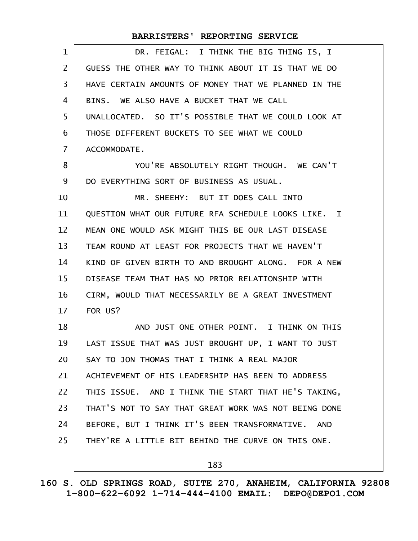| $\mathbf 1$    | DR. FEIGAL: I THINK THE BIG THING IS, I              |
|----------------|------------------------------------------------------|
| $\overline{2}$ | GUESS THE OTHER WAY TO THINK ABOUT IT IS THAT WE DO  |
| 3              | HAVE CERTAIN AMOUNTS OF MONEY THAT WE PLANNED IN THE |
| 4              | BINS. WE ALSO HAVE A BUCKET THAT WE CALL             |
| 5              | UNALLOCATED. SO IT'S POSSIBLE THAT WE COULD LOOK AT  |
| 6              | THOSE DIFFERENT BUCKETS TO SEE WHAT WE COULD         |
| $\overline{7}$ | ACCOMMODATE.                                         |
| 8              | YOU'RE ABSOLUTELY RIGHT THOUGH. WE CAN'T             |
| 9              | DO EVERYTHING SORT OF BUSINESS AS USUAL.             |
| 10             | MR. SHEEHY: BUT IT DOES CALL INTO                    |
| 11             | QUESTION WHAT OUR FUTURE RFA SCHEDULE LOOKS LIKE. I  |
| 12             | MEAN ONE WOULD ASK MIGHT THIS BE OUR LAST DISEASE    |
| 13             | TEAM ROUND AT LEAST FOR PROJECTS THAT WE HAVEN'T     |
| 14             | KIND OF GIVEN BIRTH TO AND BROUGHT ALONG. FOR A NEW  |
| 15             | DISEASE TEAM THAT HAS NO PRIOR RELATIONSHIP WITH     |
| 16             | CIRM, WOULD THAT NECESSARILY BE A GREAT INVESTMENT   |
| 17             | FOR US?                                              |
| 18             | AND JUST ONE OTHER POINT. I THINK ON THIS            |
| 19             | LAST ISSUE THAT WAS JUST BROUGHT UP, I WANT TO JUST  |
| 20             | SAY TO JON THOMAS THAT I THINK A REAL MAJOR          |
| 21             | ACHIEVEMENT OF HIS LEADERSHIP HAS BEEN TO ADDRESS    |
| 22             | THIS ISSUE. AND I THINK THE START THAT HE'S TAKING,  |
| 23             | THAT'S NOT TO SAY THAT GREAT WORK WAS NOT BEING DONE |
| 24             | BEFORE, BUT I THINK IT'S BEEN TRANSFORMATIVE. AND    |
| 25             | THEY'RE A LITTLE BIT BEHIND THE CURVE ON THIS ONE.   |
|                |                                                      |

183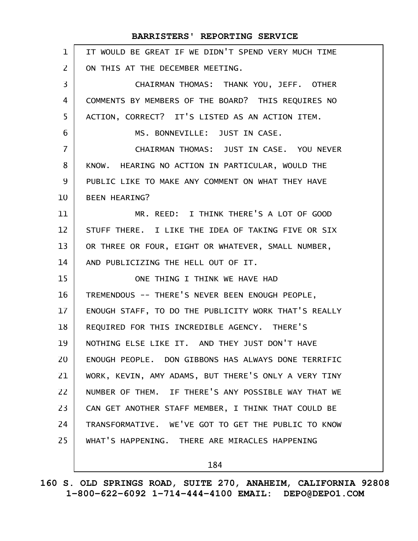| $\mathbf{1}$   | IT WOULD BE GREAT IF WE DIDN'T SPEND VERY MUCH TIME  |
|----------------|------------------------------------------------------|
| 2              | ON THIS AT THE DECEMBER MEETING.                     |
| 3              | CHAIRMAN THOMAS: THANK YOU, JEFF. OTHER              |
| 4              | COMMENTS BY MEMBERS OF THE BOARD? THIS REQUIRES NO   |
| 5              | ACTION, CORRECT? IT'S LISTED AS AN ACTION ITEM.      |
| 6              | MS. BONNEVILLE: JUST IN CASE.                        |
| $\overline{7}$ | CHAIRMAN THOMAS: JUST IN CASE. YOU NEVER             |
| 8              | KNOW. HEARING NO ACTION IN PARTICULAR, WOULD THE     |
| 9              | PUBLIC LIKE TO MAKE ANY COMMENT ON WHAT THEY HAVE    |
| 10             | <b>BEEN HEARING?</b>                                 |
| 11             | MR. REED: I THINK THERE'S A LOT OF GOOD              |
| 12             | STUFF THERE. I LIKE THE IDEA OF TAKING FIVE OR SIX   |
| 13             | OR THREE OR FOUR, EIGHT OR WHATEVER, SMALL NUMBER,   |
| 14             | AND PUBLICIZING THE HELL OUT OF IT.                  |
| 15             | ONE THING I THINK WE HAVE HAD                        |
| 16             | TREMENDOUS -- THERE'S NEVER BEEN ENOUGH PEOPLE,      |
| 17             | ENOUGH STAFF, TO DO THE PUBLICITY WORK THAT'S REALLY |
| 18             | REQUIRED FOR THIS INCREDIBLE AGENCY. THERE'S         |
| 19             | NOTHING ELSE LIKE IT. AND THEY JUST DON'T HAVE       |
| 20             | ENOUGH PEOPLE. DON GIBBONS HAS ALWAYS DONE TERRIFIC  |
| 21             | WORK, KEVIN, AMY ADAMS, BUT THERE'S ONLY A VERY TINY |
| 22             | NUMBER OF THEM. IF THERE'S ANY POSSIBLE WAY THAT WE  |
| 23             | CAN GET ANOTHER STAFF MEMBER, I THINK THAT COULD BE  |
| 24             | TRANSFORMATIVE. WE'VE GOT TO GET THE PUBLIC TO KNOW  |
| 25             | WHAT'S HAPPENING. THERE ARE MIRACLES HAPPENING       |
|                |                                                      |

184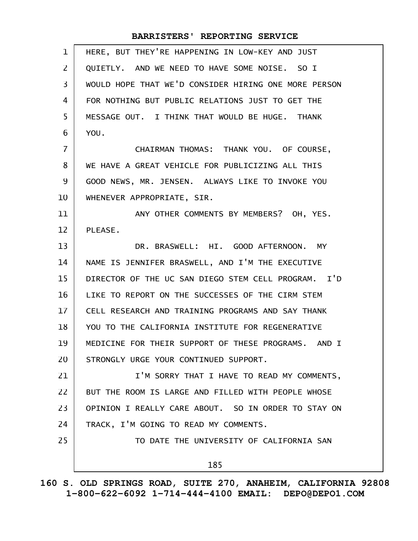| $\mathbf 1$    | HERE, BUT THEY'RE HAPPENING IN LOW-KEY AND JUST      |
|----------------|------------------------------------------------------|
| $\mathsf{Z}$   | QUIETLY. AND WE NEED TO HAVE SOME NOISE. SO I        |
| 3              | WOULD HOPE THAT WE'D CONSIDER HIRING ONE MORE PERSON |
| 4              | FOR NOTHING BUT PUBLIC RELATIONS JUST TO GET THE     |
| 5              | MESSAGE OUT. I THINK THAT WOULD BE HUGE. THANK       |
| 6              | YOU.                                                 |
| $\overline{7}$ | CHAIRMAN THOMAS: THANK YOU. OF COURSE,               |
| 8              | WE HAVE A GREAT VEHICLE FOR PUBLICIZING ALL THIS     |
| 9              | GOOD NEWS, MR. JENSEN. ALWAYS LIKE TO INVOKE YOU     |
| 10             | WHENEVER APPROPRIATE, SIR.                           |
| 11             | ANY OTHER COMMENTS BY MEMBERS? OH, YES.              |
| 12             | PLEASE.                                              |
| 13             | DR. BRASWELL: HI. GOOD AFTERNOON. MY                 |
| 14             | NAME IS JENNIFER BRASWELL, AND I'M THE EXECUTIVE     |
| 15             | DIRECTOR OF THE UC SAN DIEGO STEM CELL PROGRAM. I'D  |
| 16             | LIKE TO REPORT ON THE SUCCESSES OF THE CIRM STEM     |
| $17 \,$        | CELL RESEARCH AND TRAINING PROGRAMS AND SAY THANK    |
| 18             | YOU TO THE CALIFORNIA INSTITUTE FOR REGENERATIVE     |
| 19             | MEDICINE FOR THEIR SUPPORT OF THESE PROGRAMS. AND I  |
| 20             | STRONGLY URGE YOUR CONTINUED SUPPORT.                |
| 21             | I'M SORRY THAT I HAVE TO READ MY COMMENTS,           |
| 22             | BUT THE ROOM IS LARGE AND FILLED WITH PEOPLE WHOSE   |
| 23             | OPINION I REALLY CARE ABOUT. SO IN ORDER TO STAY ON  |
| 24             | TRACK, I'M GOING TO READ MY COMMENTS.                |
| 25             | TO DATE THE UNIVERSITY OF CALIFORNIA SAN             |
|                | 185                                                  |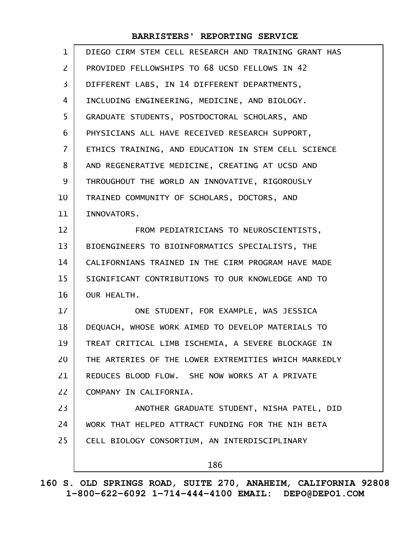| $\mathbf{1}$   | DIEGO CIRM STEM CELL RESEARCH AND TRAINING GRANT HAS |
|----------------|------------------------------------------------------|
| $\overline{2}$ | PROVIDED FELLOWSHIPS TO 68 UCSD FELLOWS IN 42        |
| 3              | DIFFERENT LABS, IN 14 DIFFERENT DEPARTMENTS,         |
| 4              | INCLUDING ENGINEERING, MEDICINE, AND BIOLOGY.        |
| 5              | GRADUATE STUDENTS, POSTDOCTORAL SCHOLARS, AND        |
| 6              | PHYSICIANS ALL HAVE RECEIVED RESEARCH SUPPORT,       |
| $\overline{7}$ | ETHICS TRAINING, AND EDUCATION IN STEM CELL SCIENCE  |
| 8              | AND REGENERATIVE MEDICINE, CREATING AT UCSD AND      |
| 9              | THROUGHOUT THE WORLD AN INNOVATIVE, RIGOROUSLY       |
| 10             | TRAINED COMMUNITY OF SCHOLARS, DOCTORS, AND          |
| 11             | INNOVATORS.                                          |
| 12             | FROM PEDIATRICIANS TO NEUROSCIENTISTS,               |
| 13             | BIOENGINEERS TO BIOINFORMATICS SPECIALISTS, THE      |
| 14             | CALIFORNIANS TRAINED IN THE CIRM PROGRAM HAVE MADE   |
| 15             | SIGNIFICANT CONTRIBUTIONS TO OUR KNOWLEDGE AND TO    |
| 16             | OUR HEALTH.                                          |
| 17             | ONE STUDENT, FOR EXAMPLE, WAS JESSICA                |
| 18             | DEQUACH, WHOSE WORK AIMED TO DEVELOP MATERIALS TO    |
| 19             | TREAT CRITICAL LIMB ISCHEMIA, A SEVERE BLOCKAGE IN   |
| 20             | THE ARTERIES OF THE LOWER EXTREMITIES WHICH MARKEDLY |
| 21             | REDUCES BLOOD FLOW. SHE NOW WORKS AT A PRIVATE       |
| 22             | COMPANY IN CALIFORNIA.                               |
| 23             | ANOTHER GRADUATE STUDENT, NISHA PATEL, DID           |
| 24             | WORK THAT HELPED ATTRACT FUNDING FOR THE NIH BETA    |
| 25             | CELL BIOLOGY CONSORTIUM, AN INTERDISCIPLINARY        |
|                | 186                                                  |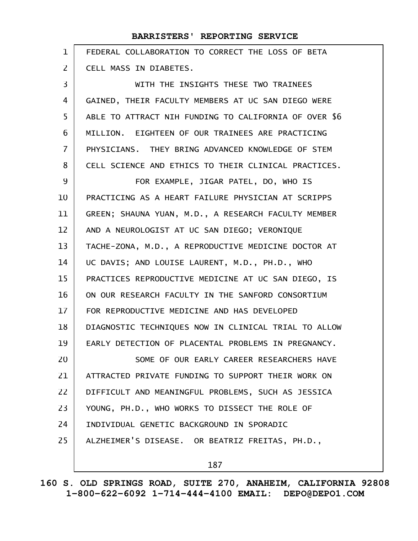|              | BARRISTERS' REPORTING SERVICE                         |
|--------------|-------------------------------------------------------|
| $\mathbf{1}$ | FEDERAL COLLABORATION TO CORRECT THE LOSS OF BETA     |
| 2            | CELL MASS IN DIABETES.                                |
| 3            | WITH THE INSIGHTS THESE TWO TRAINEES                  |
| 4            | GAINED, THEIR FACULTY MEMBERS AT UC SAN DIEGO WERE    |
| 5            | ABLE TO ATTRACT NIH FUNDING TO CALIFORNIA OF OVER \$6 |
| 6            | MILLION. EIGHTEEN OF OUR TRAINEES ARE PRACTICING      |
| 7            | PHYSICIANS. THEY BRING ADVANCED KNOWLEDGE OF STEM     |
| 8            | CELL SCIENCE AND ETHICS TO THEIR CLINICAL PRACTICES.  |
| 9            | FOR EXAMPLE, JIGAR PATEL, DO, WHO IS                  |
| 10           | PRACTICING AS A HEART FAILURE PHYSICIAN AT SCRIPPS    |
| 11           | GREEN; SHAUNA YUAN, M.D., A RESEARCH FACULTY MEMBER   |
| 12           | AND A NEUROLOGIST AT UC SAN DIEGO; VERONIQUE          |
| 13           | TACHE-ZONA, M.D., A REPRODUCTIVE MEDICINE DOCTOR AT   |
| 14           | UC DAVIS; AND LOUISE LAURENT, M.D., PH.D., WHO        |
| 15           | PRACTICES REPRODUCTIVE MEDICINE AT UC SAN DIEGO, IS   |
| 16           | ON OUR RESEARCH FACULTY IN THE SANFORD CONSORTIUM     |
| 17           | FOR REPRODUCTIVE MEDICINE AND HAS DEVELOPED           |
| 18           | DIAGNOSTIC TECHNIQUES NOW IN CLINICAL TRIAL TO ALLOW  |
| 19           | EARLY DETECTION OF PLACENTAL PROBLEMS IN PREGNANCY.   |
| 20           | SOME OF OUR EARLY CAREER RESEARCHERS HAVE             |
| 21           | ATTRACTED PRIVATE FUNDING TO SUPPORT THEIR WORK ON    |
| 22           | DIFFICULT AND MEANINGFUL PROBLEMS, SUCH AS JESSICA    |
| 23           | YOUNG, PH.D., WHO WORKS TO DISSECT THE ROLE OF        |
| 24           | INDIVIDUAL GENETIC BACKGROUND IN SPORADIC             |
| 25           | ALZHEIMER'S DISEASE. OR BEATRIZ FREITAS, PH.D.,       |
|              |                                                       |

187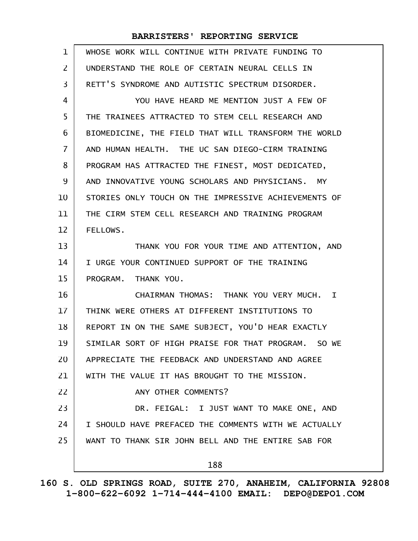| $\mathbf 1$       | WHOSE WORK WILL CONTINUE WITH PRIVATE FUNDING TO     |
|-------------------|------------------------------------------------------|
| $\overline{2}$    | UNDERSTAND THE ROLE OF CERTAIN NEURAL CELLS IN       |
| 3                 | RETT'S SYNDROME AND AUTISTIC SPECTRUM DISORDER.      |
| 4                 | YOU HAVE HEARD ME MENTION JUST A FEW OF              |
| 5                 | THE TRAINEES ATTRACTED TO STEM CELL RESEARCH AND     |
| 6                 | BIOMEDICINE, THE FIELD THAT WILL TRANSFORM THE WORLD |
| $\overline{7}$    | AND HUMAN HEALTH. THE UC SAN DIEGO-CIRM TRAINING     |
| 8                 | PROGRAM HAS ATTRACTED THE FINEST, MOST DEDICATED,    |
| 9                 | AND INNOVATIVE YOUNG SCHOLARS AND PHYSICIANS. MY     |
| 10                | STORIES ONLY TOUCH ON THE IMPRESSIVE ACHIEVEMENTS OF |
| 11                | THE CIRM STEM CELL RESEARCH AND TRAINING PROGRAM     |
| $12 \overline{ }$ | FELLOWS.                                             |
| 13                | THANK YOU FOR YOUR TIME AND ATTENTION, AND           |
| 14                | I URGE YOUR CONTINUED SUPPORT OF THE TRAINING        |
| 15                | PROGRAM. THANK YOU.                                  |
| 16                | CHAIRMAN THOMAS: THANK YOU VERY MUCH. I              |
| 17                | THINK WERE OTHERS AT DIFFERENT INSTITUTIONS TO       |
| 18                | REPORT IN ON THE SAME SUBJECT, YOU'D HEAR EXACTLY    |
| 19                | SIMILAR SORT OF HIGH PRAISE FOR THAT PROGRAM. SO WE  |
| 20                | APPRECIATE THE FEEDBACK AND UNDERSTAND AND AGREE     |
| 21                | WITH THE VALUE IT HAS BROUGHT TO THE MISSION.        |
| 22                | ANY OTHER COMMENTS?                                  |
| 23                | DR. FEIGAL: I JUST WANT TO MAKE ONE, AND             |
| 24                | I SHOULD HAVE PREFACED THE COMMENTS WITH WE ACTUALLY |
| 25                | WANT TO THANK SIR JOHN BELL AND THE ENTIRE SAB FOR   |
|                   | 188                                                  |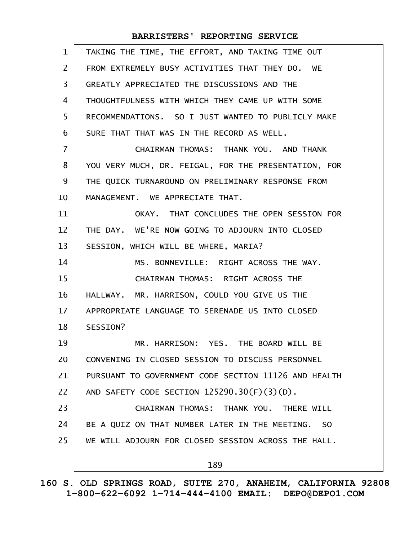| $\mathbf{1}$    | TAKING THE TIME, THE EFFORT, AND TAKING TIME OUT     |
|-----------------|------------------------------------------------------|
| $\overline{2}$  | FROM EXTREMELY BUSY ACTIVITIES THAT THEY DO. WE      |
| $\overline{3}$  | GREATLY APPRECIATED THE DISCUSSIONS AND THE          |
| 4               | THOUGHTFULNESS WITH WHICH THEY CAME UP WITH SOME     |
| 5               | RECOMMENDATIONS. SO I JUST WANTED TO PUBLICLY MAKE   |
| 6               | SURE THAT THAT WAS IN THE RECORD AS WELL.            |
| $\overline{7}$  | CHAIRMAN THOMAS: THANK YOU. AND THANK                |
| 8               | YOU VERY MUCH, DR. FEIGAL, FOR THE PRESENTATION, FOR |
| 9               | THE QUICK TURNAROUND ON PRELIMINARY RESPONSE FROM    |
| 10              | MANAGEMENT. WE APPRECIATE THAT.                      |
| 11              | OKAY. THAT CONCLUDES THE OPEN SESSION FOR            |
| 12              | THE DAY. WE'RE NOW GOING TO ADJOURN INTO CLOSED      |
| 13              | SESSION, WHICH WILL BE WHERE, MARIA?                 |
| 14              | MS. BONNEVILLE: RIGHT ACROSS THE WAY.                |
| 15              | CHAIRMAN THOMAS: RIGHT ACROSS THE                    |
| 16              | HALLWAY. MR. HARRISON, COULD YOU GIVE US THE         |
| 17 <sup>2</sup> | APPROPRIATE LANGUAGE TO SERENADE US INTO CLOSED      |
| 18              | SESSION?                                             |
| 19              | MR. HARRISON: YES. THE BOARD WILL BE                 |
| 20              | CONVENING IN CLOSED SESSION TO DISCUSS PERSONNEL     |
| 21              | PURSUANT TO GOVERNMENT CODE SECTION 11126 AND HEALTH |
| 22              | AND SAFETY CODE SECTION 125290.30(F)(3)(D).          |
| 23              | CHAIRMAN THOMAS: THANK YOU. THERE WILL               |
| 24              | BE A QUIZ ON THAT NUMBER LATER IN THE MEETING. SO    |
| 25              | WE WILL ADJOURN FOR CLOSED SESSION ACROSS THE HALL.  |
|                 | 189                                                  |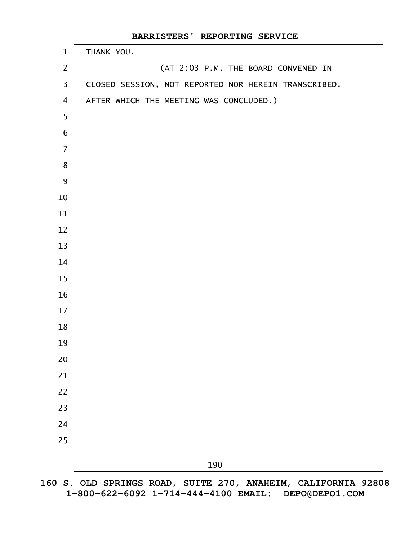| $\mathbf{1}$            | THANK YOU.                                           |
|-------------------------|------------------------------------------------------|
| $\overline{2}$          | (AT 2:03 P.M. THE BOARD CONVENED IN                  |
| $\overline{\mathbf{3}}$ | CLOSED SESSION, NOT REPORTED NOR HEREIN TRANSCRIBED, |
| 4                       | AFTER WHICH THE MEETING WAS CONCLUDED.)              |
| 5                       |                                                      |
| $6\phantom{1}$          |                                                      |
| $\overline{7}$          |                                                      |
| $\bf 8$                 |                                                      |
| $\overline{9}$          |                                                      |
| 10                      |                                                      |
| 11                      |                                                      |
| 12                      |                                                      |
| 13                      |                                                      |
| 14                      |                                                      |
| 15                      |                                                      |
| 16                      |                                                      |
| 17                      |                                                      |
| 18                      |                                                      |
| 19                      |                                                      |
| 20                      |                                                      |
| 21                      |                                                      |
| 22                      |                                                      |
| 23                      |                                                      |
| 24                      |                                                      |
| 25                      |                                                      |
|                         | 190                                                  |
|                         |                                                      |